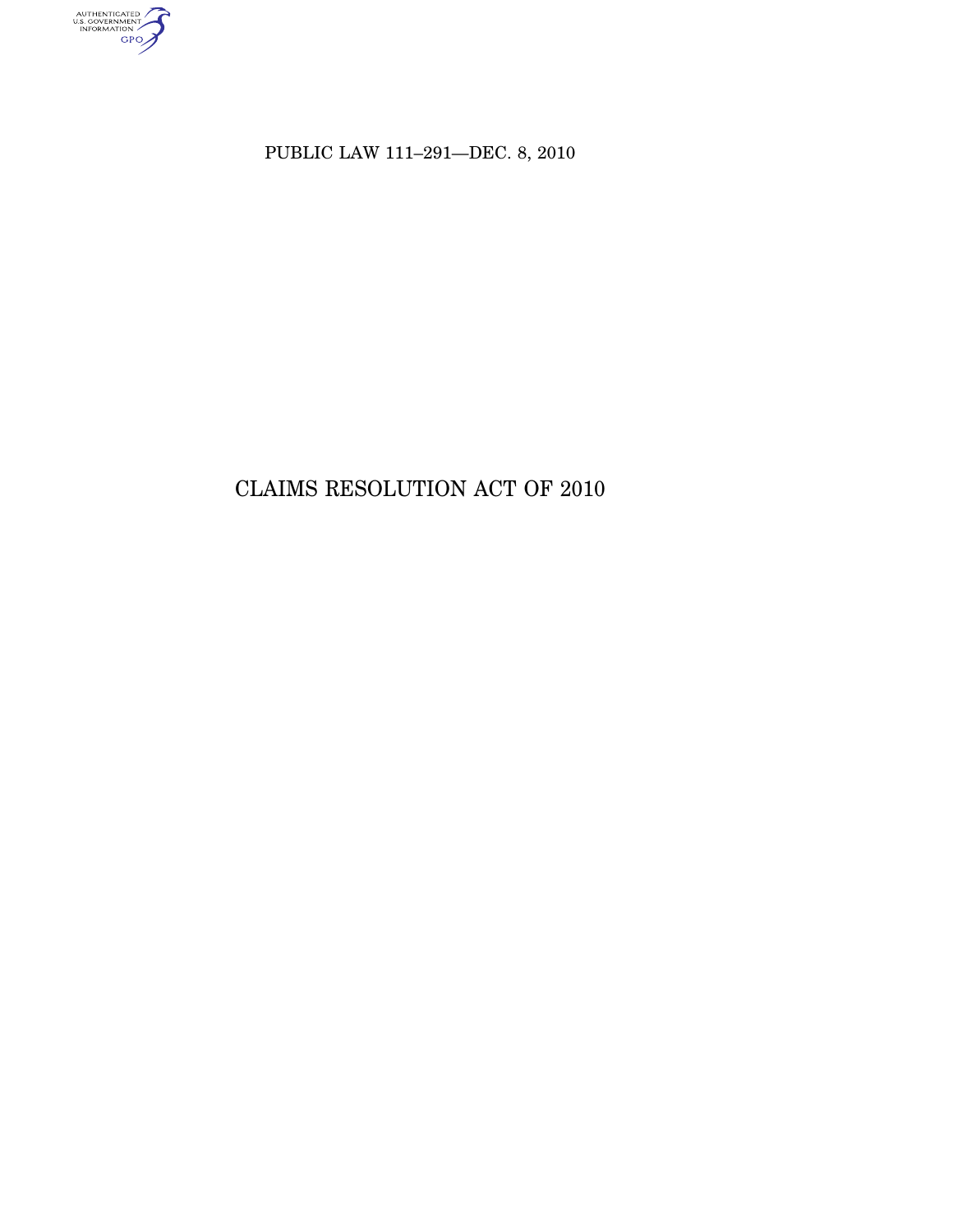AUTHENTICATED<br>U.S. GOVERNMENT<br>INFORMATION<br>GPO

PUBLIC LAW 111–291—DEC. 8, 2010

# CLAIMS RESOLUTION ACT OF 2010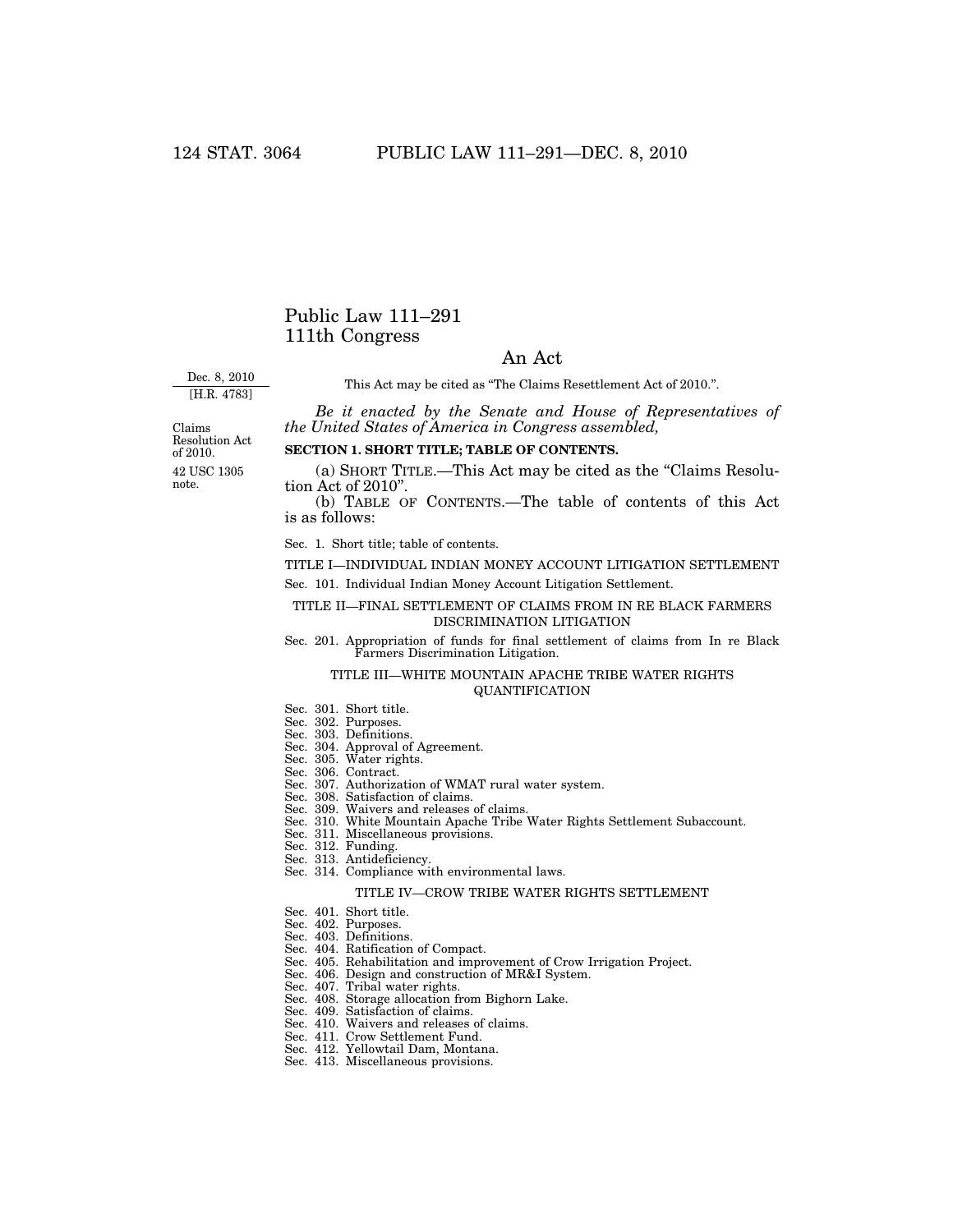## Public Law 111–291 111th Congress

## An Act

Dec. 8, 2010 [H.R. 4783]

This Act may be cited as "The Claims Resettlement Act of 2010.".

*Be it enacted by the Senate and House of Representatives of the United States of America in Congress assembled,* 

42 USC 1305 note. Claims Resolution Act of 2010.

### **SECTION 1. SHORT TITLE; TABLE OF CONTENTS.**

(a) SHORT TITLE.—This Act may be cited as the ''Claims Resolution Act of 2010''.

(b) TABLE OF CONTENTS.—The table of contents of this Act is as follows:

Sec. 1. Short title; table of contents.

TITLE I—INDIVIDUAL INDIAN MONEY ACCOUNT LITIGATION SETTLEMENT

Sec. 101. Individual Indian Money Account Litigation Settlement.

## TITLE II—FINAL SETTLEMENT OF CLAIMS FROM IN RE BLACK FARMERS DISCRIMINATION LITIGATION

Sec. 201. Appropriation of funds for final settlement of claims from In re Black Farmers Discrimination Litigation.

## TITLE III—WHITE MOUNTAIN APACHE TRIBE WATER RIGHTS QUANTIFICATION

- Sec. 301. Short title.
- Sec. 302. Purposes.
- Sec. 303. Definitions.
- Sec. 304. Approval of Agreement.
- Sec. 305. Water rights.
- Sec. 306. Contract.
- Sec. 307. Authorization of WMAT rural water system.
- Sec. 308. Satisfaction of claims.
- Sec. 309. Waivers and releases of claims.
- Sec. 310. White Mountain Apache Tribe Water Rights Settlement Subaccount.
- Sec. 311. Miscellaneous provisions. Sec. 312. Funding.
- Sec. 313. Antideficiency.
- Sec. 314. Compliance with environmental laws.

#### TITLE IV—CROW TRIBE WATER RIGHTS SETTLEMENT

- Sec. 401. Short title.
- Sec. 402. Purposes.
- Sec. 403. Definitions.
- Sec. 404. Ratification of Compact.
- Sec. 405. Rehabilitation and improvement of Crow Irrigation Project.
- Sec. 406. Design and construction of MR&I System.
- Sec. 407. Tribal water rights.
- Sec. 408. Storage allocation from Bighorn Lake.
- Sec. 409. Satisfaction of claims.
- Sec. 410. Waivers and releases of claims.
- Sec. 411. Crow Settlement Fund. Sec. 412. Yellowtail Dam, Montana.
- 
- Sec. 413. Miscellaneous provisions.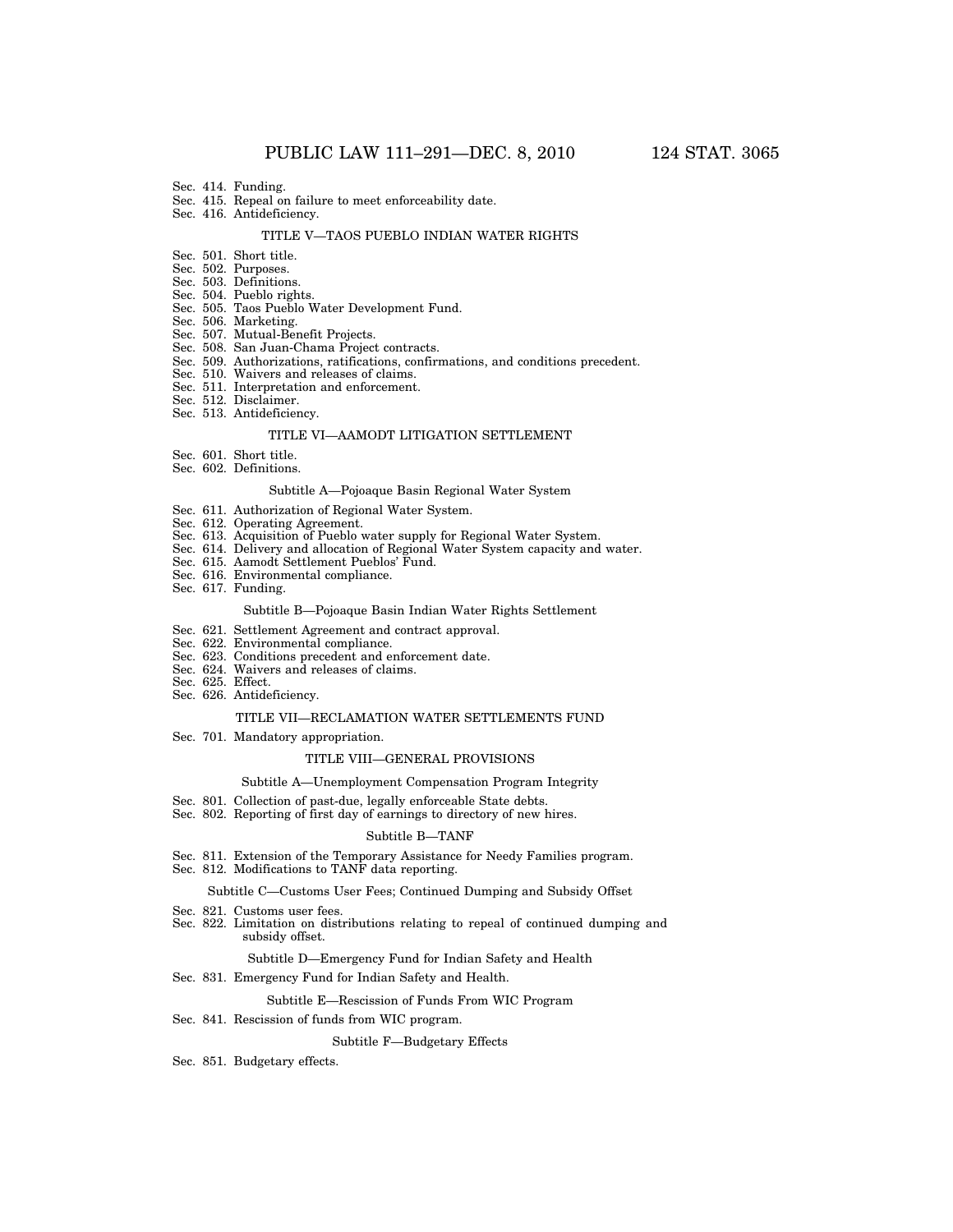- Sec. 414. Funding.
- Sec. 415. Repeal on failure to meet enforceability date.
- Sec. 416. Antideficiency.

#### TITLE V—TAOS PUEBLO INDIAN WATER RIGHTS

- Sec. 501. Short title.
- Sec. 502. Purposes.
- Sec. 503. Definitions.
- Sec. 504. Pueblo rights.
- Sec. 505. Taos Pueblo Water Development Fund.
- Sec. 506. Marketing.
- Sec. 507. Mutual-Benefit Projects.
- Sec. 508. San Juan-Chama Project contracts.
- Sec. 509. Authorizations, ratifications, confirmations, and conditions precedent.
- Sec. 510. Waivers and releases of claims.
- Sec. 511. Interpretation and enforcement.
- Sec. 512. Disclaimer.
- Sec. 513. Antideficiency.

#### TITLE VI—AAMODT LITIGATION SETTLEMENT

- Sec. 601. Short title.
- Sec. 602. Definitions.

#### Subtitle A—Pojoaque Basin Regional Water System

- Sec. 611. Authorization of Regional Water System.
- Sec. 612. Operating Agreement.
- Sec. 613. Acquisition of Pueblo water supply for Regional Water System.
- Sec. 614. Delivery and allocation of Regional Water System capacity and water.
- Sec. 615. Aamodt Settlement Pueblos' Fund.
- Sec. 616. Environmental compliance.
- Sec. 617. Funding.

#### Subtitle B—Pojoaque Basin Indian Water Rights Settlement

- Sec. 621. Settlement Agreement and contract approval.
- Sec. 622. Environmental compliance.
- Sec. 623. Conditions precedent and enforcement date.
- Sec. 624. Waivers and releases of claims.
- Sec. 625. Effect.
- Sec. 626. Antideficiency.

#### TITLE VII—RECLAMATION WATER SETTLEMENTS FUND

Sec. 701. Mandatory appropriation.

#### TITLE VIII—GENERAL PROVISIONS

#### Subtitle A—Unemployment Compensation Program Integrity

- Sec. 801. Collection of past-due, legally enforceable State debts.
- Sec. 802. Reporting of first day of earnings to directory of new hires.

#### Subtitle B—TANF

- Sec. 811. Extension of the Temporary Assistance for Needy Families program.
- Sec. 812. Modifications to TANF data reporting.

#### Subtitle C—Customs User Fees; Continued Dumping and Subsidy Offset

- Sec. 821. Customs user fees.
- Sec. 822. Limitation on distributions relating to repeal of continued dumping and subsidy offset.

#### Subtitle D—Emergency Fund for Indian Safety and Health

Sec. 831. Emergency Fund for Indian Safety and Health.

#### Subtitle E—Rescission of Funds From WIC Program

#### Sec. 841. Rescission of funds from WIC program.

Subtitle F—Budgetary Effects

Sec. 851. Budgetary effects.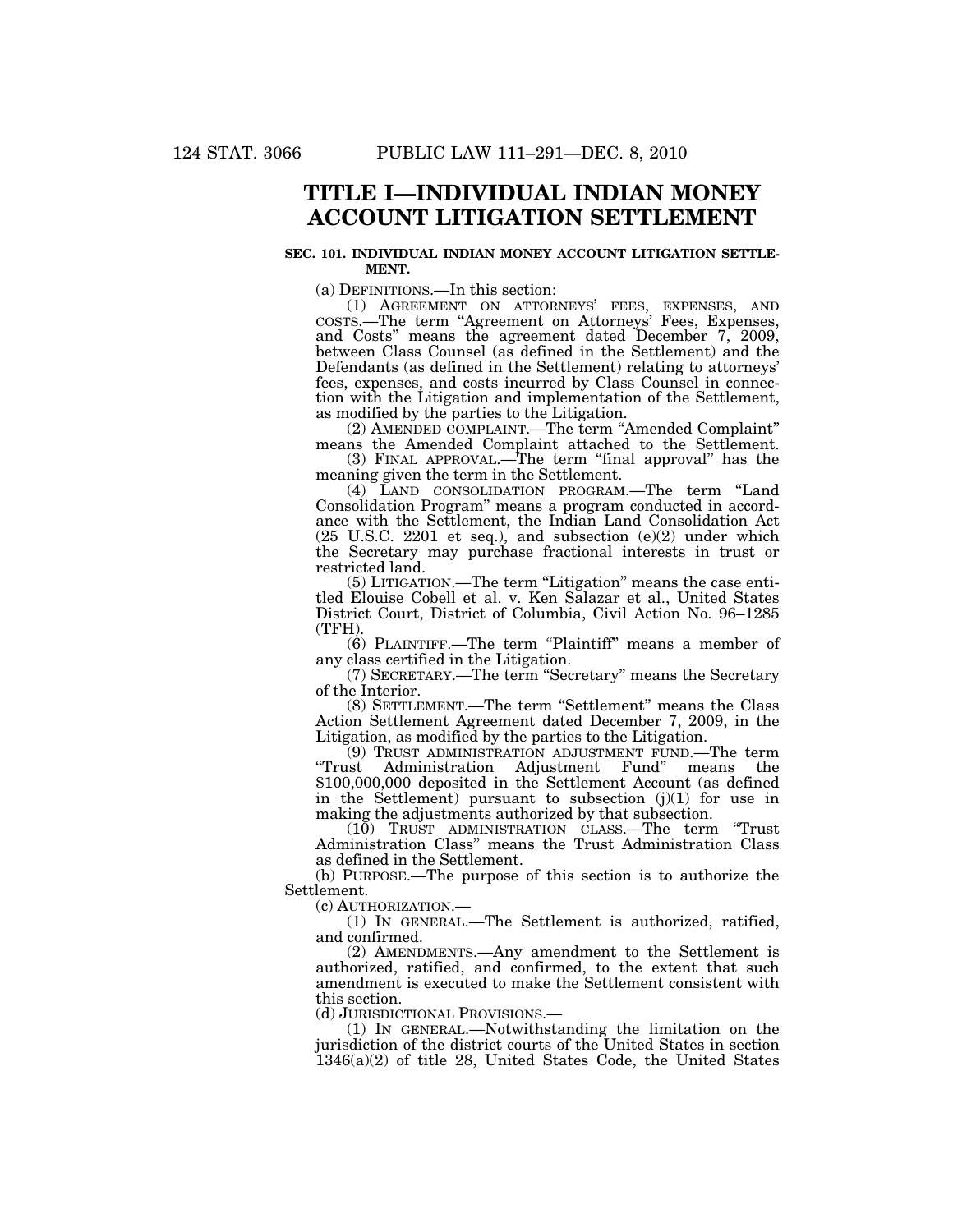## **TITLE I—INDIVIDUAL INDIAN MONEY ACCOUNT LITIGATION SETTLEMENT**

#### **SEC. 101. INDIVIDUAL INDIAN MONEY ACCOUNT LITIGATION SETTLE-MENT.**

(a) DEFINITIONS.—In this section:

(1) AGREEMENT ON ATTORNEYS' FEES, EXPENSES, AND COSTS.—The term ''Agreement on Attorneys' Fees, Expenses, and Costs'' means the agreement dated December 7, 2009, between Class Counsel (as defined in the Settlement) and the Defendants (as defined in the Settlement) relating to attorneys' fees, expenses, and costs incurred by Class Counsel in connection with the Litigation and implementation of the Settlement, as modified by the parties to the Litigation.

(2) AMENDED COMPLAINT.—The term ''Amended Complaint'' means the Amended Complaint attached to the Settlement.

(3) FINAL APPROVAL.—The term ''final approval'' has the meaning given the term in the Settlement.

(4) LAND CONSOLIDATION PROGRAM.—The term ''Land Consolidation Program'' means a program conducted in accordance with the Settlement, the Indian Land Consolidation Act (25 U.S.C. 2201 et seq.), and subsection (e)(2) under which the Secretary may purchase fractional interests in trust or restricted land.

(5) LITIGATION.—The term ''Litigation'' means the case entitled Elouise Cobell et al. v. Ken Salazar et al., United States District Court, District of Columbia, Civil Action No. 96–1285 (TFH).

(6) PLAINTIFF.—The term ''Plaintiff'' means a member of any class certified in the Litigation.

(7) SECRETARY.—The term ''Secretary'' means the Secretary of the Interior.

(8) SETTLEMENT.—The term "Settlement" means the Class Action Settlement Agreement dated December 7, 2009, in the Litigation, as modified by the parties to the Litigation.

(9) TRUST ADMINISTRATION ADJUSTMENT FUND.—The term "Trust Administration Adjustment Fund" \$100,000,000 deposited in the Settlement Account (as defined in the Settlement) pursuant to subsection  $(j)(1)$  for use in making the adjustments authorized by that subsection.

(10) TRUST ADMINISTRATION CLASS.—The term ''Trust Administration Class'' means the Trust Administration Class as defined in the Settlement.

(b) PURPOSE.—The purpose of this section is to authorize the Settlement.

(c) AUTHORIZATION.— (1) IN GENERAL.—The Settlement is authorized, ratified, and confirmed.

(2) AMENDMENTS.—Any amendment to the Settlement is authorized, ratified, and confirmed, to the extent that such amendment is executed to make the Settlement consistent with this section.

(d) JURISDICTIONAL PROVISIONS.— (1) IN GENERAL.—Notwithstanding the limitation on the jurisdiction of the district courts of the United States in section 1346(a)(2) of title 28, United States Code, the United States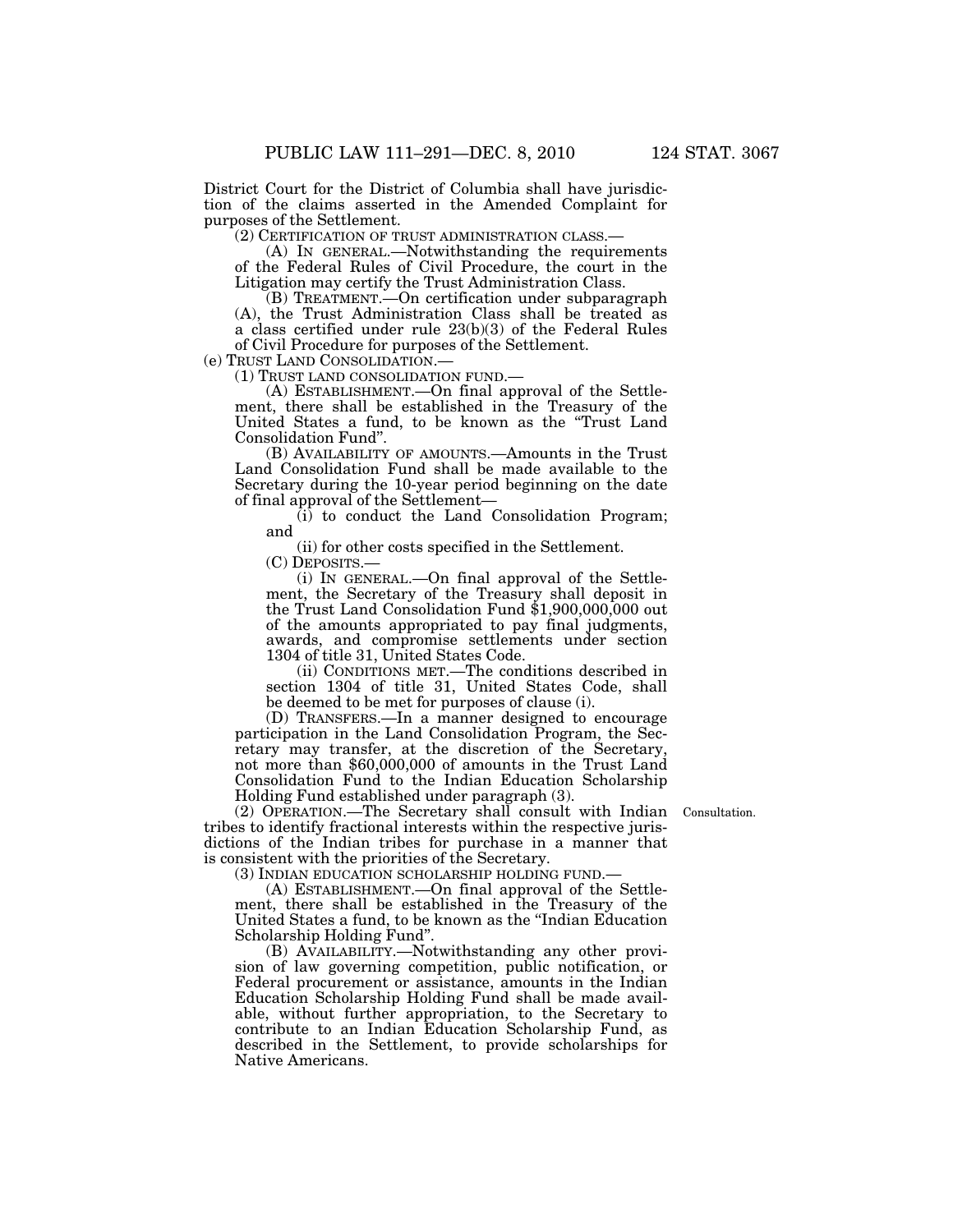District Court for the District of Columbia shall have jurisdiction of the claims asserted in the Amended Complaint for purposes of the Settlement.

(2) CERTIFICATION OF TRUST ADMINISTRATION CLASS.— (A) IN GENERAL.—Notwithstanding the requirements of the Federal Rules of Civil Procedure, the court in the Litigation may certify the Trust Administration Class.

(B) TREATMENT.—On certification under subparagraph (A), the Trust Administration Class shall be treated as a class certified under rule 23(b)(3) of the Federal Rules of Civil Procedure for purposes of the Settlement.

(e) TRUST LAND CONSOLIDATION.—<br>
(1) TRUST LAND CONSOLIDATION FUND.—<br>
(A) ESTABLISHMENT.—On final approval of the Settlement, there shall be established in the Treasury of the United States a fund, to be known as the ''Trust Land Consolidation Fund''.

(B) AVAILABILITY OF AMOUNTS.—Amounts in the Trust Land Consolidation Fund shall be made available to the Secretary during the 10-year period beginning on the date of final approval of the Settlement—

(i) to conduct the Land Consolidation Program; and

(ii) for other costs specified in the Settlement.

(C) DEPOSITS.—

(i) IN GENERAL.—On final approval of the Settlement, the Secretary of the Treasury shall deposit in the Trust Land Consolidation Fund \$1,900,000,000 out of the amounts appropriated to pay final judgments, awards, and compromise settlements under section 1304 of title 31, United States Code.

(ii) CONDITIONS MET.—The conditions described in section 1304 of title 31, United States Code, shall be deemed to be met for purposes of clause (i).

(D) TRANSFERS.—In a manner designed to encourage participation in the Land Consolidation Program, the Secretary may transfer, at the discretion of the Secretary, not more than \$60,000,000 of amounts in the Trust Land Consolidation Fund to the Indian Education Scholarship Holding Fund established under paragraph (3).

Consultation.

(2) OPERATION.—The Secretary shall consult with Indian tribes to identify fractional interests within the respective jurisdictions of the Indian tribes for purchase in a manner that is consistent with the priorities of the Secretary.

(3) INDIAN EDUCATION SCHOLARSHIP HOLDING FUND.—

(A) ESTABLISHMENT.—On final approval of the Settlement, there shall be established in the Treasury of the United States a fund, to be known as the ''Indian Education Scholarship Holding Fund''.

(B) AVAILABILITY.—Notwithstanding any other provision of law governing competition, public notification, or Federal procurement or assistance, amounts in the Indian Education Scholarship Holding Fund shall be made available, without further appropriation, to the Secretary to contribute to an Indian Education Scholarship Fund, as described in the Settlement, to provide scholarships for Native Americans.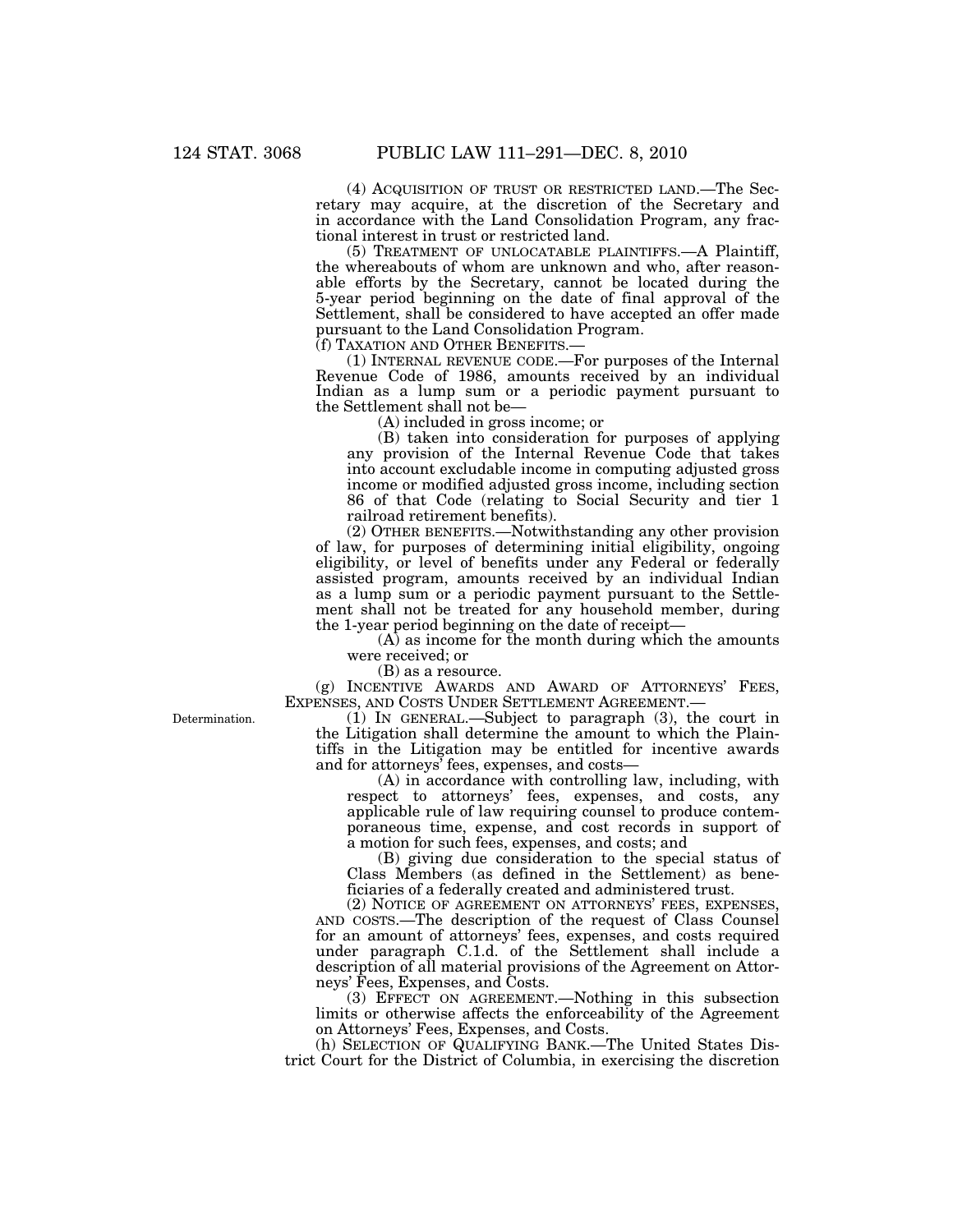(4) ACQUISITION OF TRUST OR RESTRICTED LAND.—The Secretary may acquire, at the discretion of the Secretary and in accordance with the Land Consolidation Program, any fractional interest in trust or restricted land.

(5) TREATMENT OF UNLOCATABLE PLAINTIFFS.—A Plaintiff, the whereabouts of whom are unknown and who, after reasonable efforts by the Secretary, cannot be located during the 5-year period beginning on the date of final approval of the Settlement, shall be considered to have accepted an offer made pursuant to the Land Consolidation Program.<br>(f) TAXATION AND OTHER BENEFITS.—

 $(1)$  INTERNAL REVENUE CODE.—For purposes of the Internal Revenue Code of 1986, amounts received by an individual Indian as a lump sum or a periodic payment pursuant to the Settlement shall not be—

(A) included in gross income; or

(B) taken into consideration for purposes of applying any provision of the Internal Revenue Code that takes into account excludable income in computing adjusted gross income or modified adjusted gross income, including section 86 of that Code (relating to Social Security and tier 1 railroad retirement benefits).

(2) OTHER BENEFITS.—Notwithstanding any other provision of law, for purposes of determining initial eligibility, ongoing eligibility, or level of benefits under any Federal or federally assisted program, amounts received by an individual Indian as a lump sum or a periodic payment pursuant to the Settlement shall not be treated for any household member, during the 1-year period beginning on the date of receipt—

(A) as income for the month during which the amounts were received; or

(B) as a resource.

(g) INCENTIVE AWARDS AND AWARD OF ATTORNEYS' FEES, EXPENSES, AND COSTS UNDER SETTLEMENT AGREEMENT.—

(1) IN GENERAL.—Subject to paragraph (3), the court in the Litigation shall determine the amount to which the Plaintiffs in the Litigation may be entitled for incentive awards and for attorneys' fees, expenses, and costs—

(A) in accordance with controlling law, including, with respect to attorneys' fees, expenses, and costs, any applicable rule of law requiring counsel to produce contemporaneous time, expense, and cost records in support of a motion for such fees, expenses, and costs; and

(B) giving due consideration to the special status of Class Members (as defined in the Settlement) as beneficiaries of a federally created and administered trust.

(2) NOTICE OF AGREEMENT ON ATTORNEYS' FEES, EXPENSES, AND COSTS.—The description of the request of Class Counsel for an amount of attorneys' fees, expenses, and costs required under paragraph C.1.d. of the Settlement shall include a description of all material provisions of the Agreement on Attorneys' Fees, Expenses, and Costs.

(3) EFFECT ON AGREEMENT.—Nothing in this subsection limits or otherwise affects the enforceability of the Agreement on Attorneys' Fees, Expenses, and Costs.

(h) SELECTION OF QUALIFYING BANK.—The United States District Court for the District of Columbia, in exercising the discretion

Determination.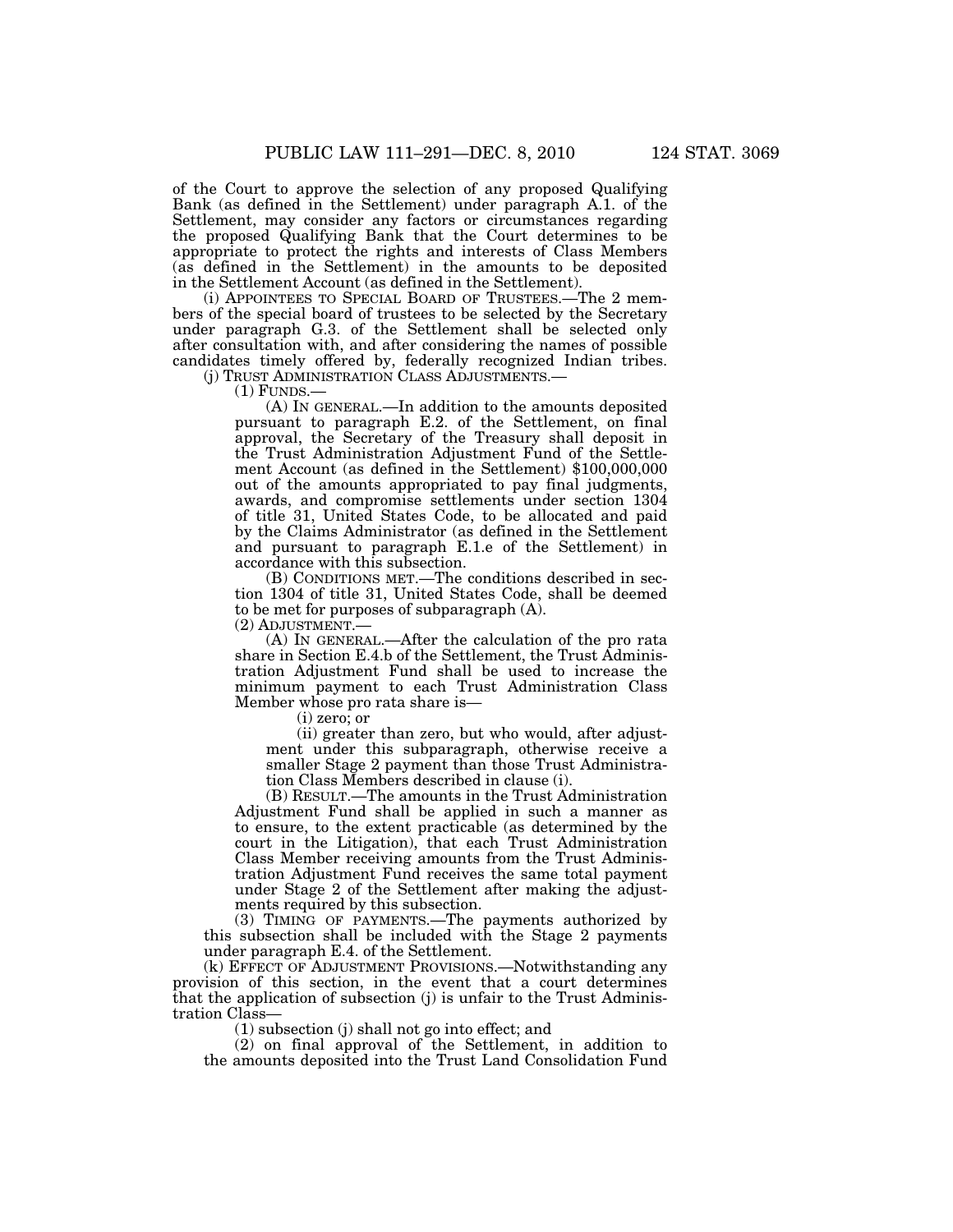of the Court to approve the selection of any proposed Qualifying Bank (as defined in the Settlement) under paragraph A.1. of the Settlement, may consider any factors or circumstances regarding the proposed Qualifying Bank that the Court determines to be appropriate to protect the rights and interests of Class Members (as defined in the Settlement) in the amounts to be deposited in the Settlement Account (as defined in the Settlement).

(i) APPOINTEES TO SPECIAL BOARD OF TRUSTEES.—The 2 members of the special board of trustees to be selected by the Secretary under paragraph G.3. of the Settlement shall be selected only after consultation with, and after considering the names of possible candidates timely offered by, federally recognized Indian tribes.

(j) TRUST ADMINISTRATION CLASS ADJUSTMENTS.—<br>(1) FUNDS.—<br>(A) IN GENERAL.—In addition to the amounts deposited pursuant to paragraph E.2. of the Settlement, on final approval, the Secretary of the Treasury shall deposit in the Trust Administration Adjustment Fund of the Settlement Account (as defined in the Settlement) \$100,000,000 out of the amounts appropriated to pay final judgments, awards, and compromise settlements under section 1304 of title 31, United States Code, to be allocated and paid by the Claims Administrator (as defined in the Settlement and pursuant to paragraph E.1.e of the Settlement) in accordance with this subsection.

(B) CONDITIONS MET.—The conditions described in section 1304 of title 31, United States Code, shall be deemed to be met for purposes of subparagraph (A).

(2) ADJUSTMENT.—

(A) IN GENERAL.—After the calculation of the pro rata share in Section E.4.b of the Settlement, the Trust Administration Adjustment Fund shall be used to increase the minimum payment to each Trust Administration Class Member whose pro rata share is—

(i) zero; or

(ii) greater than zero, but who would, after adjustment under this subparagraph, otherwise receive a smaller Stage 2 payment than those Trust Administration Class Members described in clause (i).

(B) RESULT.—The amounts in the Trust Administration Adjustment Fund shall be applied in such a manner as to ensure, to the extent practicable (as determined by the court in the Litigation), that each Trust Administration Class Member receiving amounts from the Trust Administration Adjustment Fund receives the same total payment under Stage 2 of the Settlement after making the adjustments required by this subsection.

(3) TIMING OF PAYMENTS.—The payments authorized by this subsection shall be included with the Stage 2 payments under paragraph E.4. of the Settlement.

(k) EFFECT OF ADJUSTMENT PROVISIONS.—Notwithstanding any provision of this section, in the event that a court determines that the application of subsection (j) is unfair to the Trust Administration Class—

(1) subsection (j) shall not go into effect; and

(2) on final approval of the Settlement, in addition to the amounts deposited into the Trust Land Consolidation Fund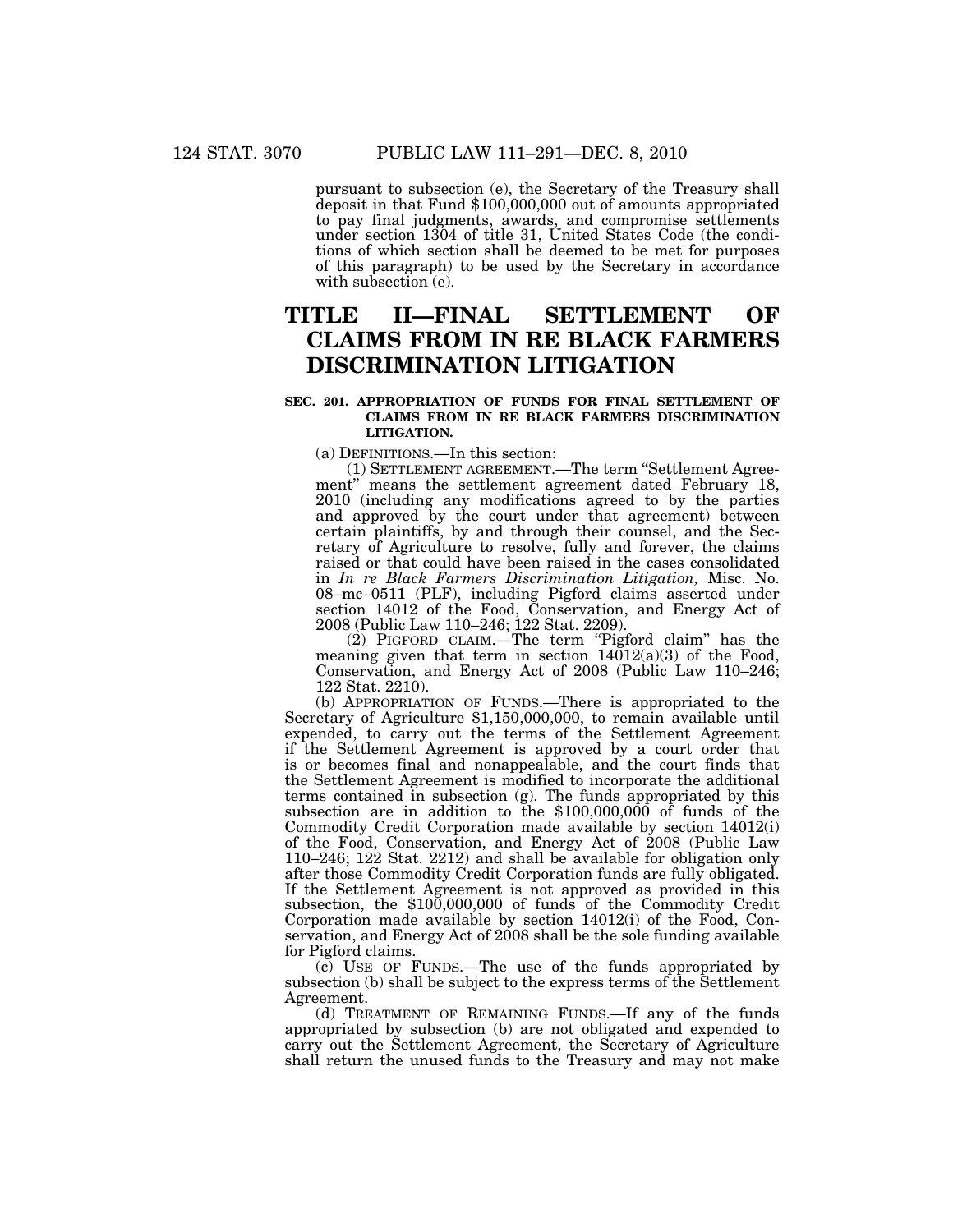pursuant to subsection (e), the Secretary of the Treasury shall deposit in that Fund \$100,000,000 out of amounts appropriated to pay final judgments, awards, and compromise settlements under section 1304 of title 31, United States Code (the conditions of which section shall be deemed to be met for purposes of this paragraph) to be used by the Secretary in accordance with subsection  $\epsilon$ ).

## **TITLE II—FINAL SETTLEMENT OF CLAIMS FROM IN RE BLACK FARMERS DISCRIMINATION LITIGATION**

#### **SEC. 201. APPROPRIATION OF FUNDS FOR FINAL SETTLEMENT OF CLAIMS FROM IN RE BLACK FARMERS DISCRIMINATION LITIGATION.**

(a) DEFINITIONS.—In this section:

(1) SETTLEMENT AGREEMENT.—The term ''Settlement Agreement'' means the settlement agreement dated February 18, 2010 (including any modifications agreed to by the parties and approved by the court under that agreement) between certain plaintiffs, by and through their counsel, and the Secretary of Agriculture to resolve, fully and forever, the claims raised or that could have been raised in the cases consolidated in *In re Black Farmers Discrimination Litigation,* Misc. No. 08–mc–0511 (PLF), including Pigford claims asserted under section 14012 of the Food, Conservation, and Energy Act of 2008 (Public Law 110–246; 122 Stat. 2209).

(2) PIGFORD CLAIM.—The term "Pigford claim" has the meaning given that term in section  $14012(a)(3)$  of the Food, Conservation, and Energy Act of 2008 (Public Law 110–246; 122 Stat. 2210).

(b) APPROPRIATION OF FUNDS.—There is appropriated to the Secretary of Agriculture \$1,150,000,000, to remain available until expended, to carry out the terms of the Settlement Agreement if the Settlement Agreement is approved by a court order that is or becomes final and nonappealable, and the court finds that the Settlement Agreement is modified to incorporate the additional terms contained in subsection (g). The funds appropriated by this subsection are in addition to the \$100,000,000 of funds of the Commodity Credit Corporation made available by section 14012(i) of the Food, Conservation, and Energy Act of 2008 (Public Law 110–246; 122 Stat. 2212) and shall be available for obligation only after those Commodity Credit Corporation funds are fully obligated. If the Settlement Agreement is not approved as provided in this subsection, the \$100,000,000 of funds of the Commodity Credit Corporation made available by section 14012(i) of the Food, Conservation, and Energy Act of 2008 shall be the sole funding available for Pigford claims.

(c) USE OF FUNDS.—The use of the funds appropriated by subsection (b) shall be subject to the express terms of the Settlement Agreement.

(d) TREATMENT OF REMAINING FUNDS.—If any of the funds appropriated by subsection (b) are not obligated and expended to carry out the Settlement Agreement, the Secretary of Agriculture shall return the unused funds to the Treasury and may not make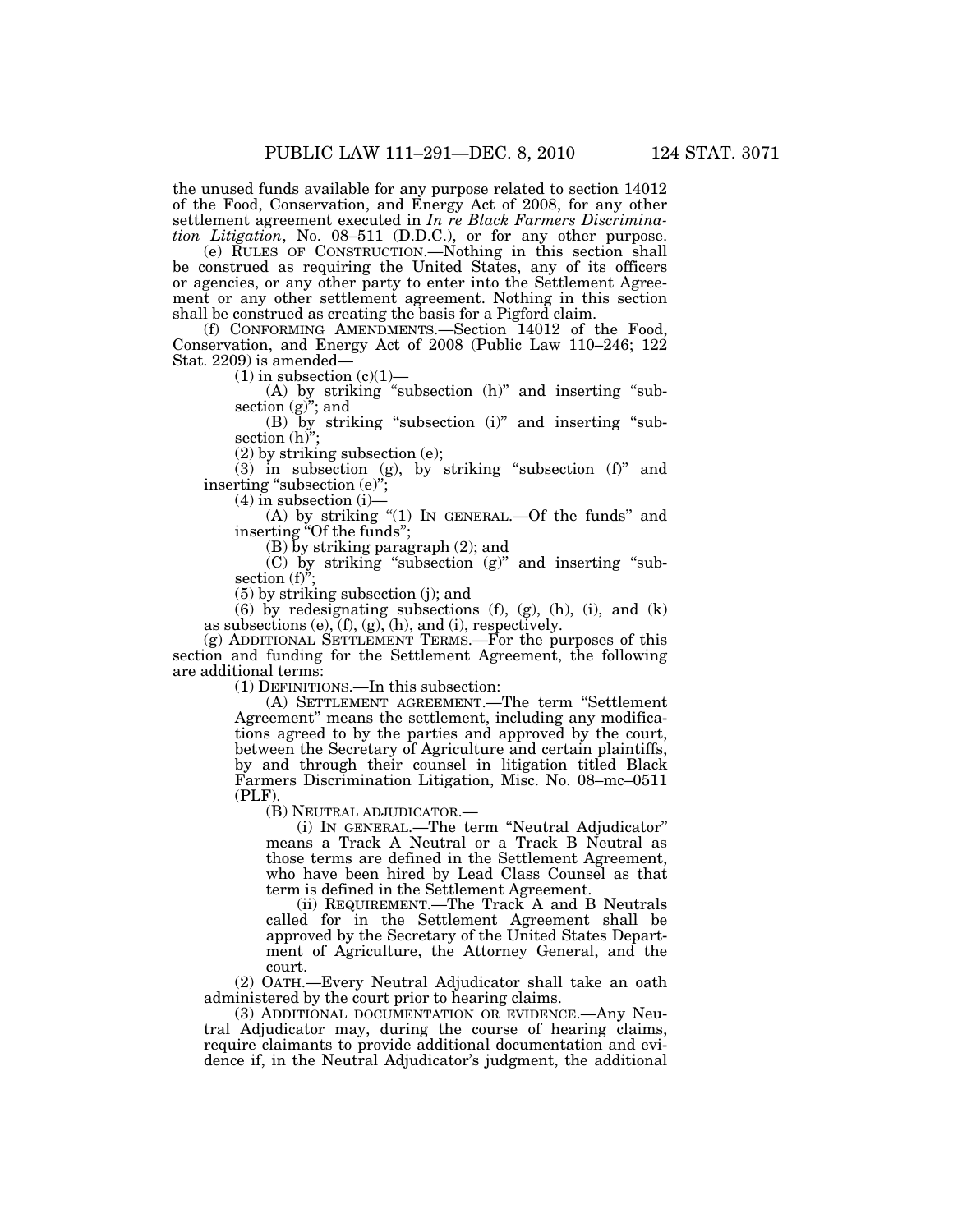the unused funds available for any purpose related to section 14012 of the Food, Conservation, and Energy Act of 2008, for any other settlement agreement executed in *In re Black Farmers Discrimination Litigation*, No. 08–511 (D.D.C.), or for any other purpose.

(e) RULES OF CONSTRUCTION.—Nothing in this section shall be construed as requiring the United States, any of its officers or agencies, or any other party to enter into the Settlement Agreement or any other settlement agreement. Nothing in this section shall be construed as creating the basis for a Pigford claim.

(f) CONFORMING AMENDMENTS.—Section 14012 of the Food, Conservation, and Energy Act of 2008 (Public Law 110–246; 122 Stat. 2209) is amended—

 $(1)$  in subsection  $(c)(1)$ —

 $(A)$  by striking "subsection  $(h)$ " and inserting "subsection  $(g)$ "; and

(B) by striking "subsection (i)" and inserting "subsection (h)":

(2) by striking subsection (e);

(3) in subsection (g), by striking "subsection  $(f)$ " and inserting "subsection (e)";

 $(4)$  in subsection  $(i)$ –

(A) by striking "(1) In GENERAL.—Of the funds" and inserting "Of the funds";

(B) by striking paragraph (2); and

(C) by striking ''subsection (g)'' and inserting ''subsection  $(f)$ <sup>"</sup>;

(5) by striking subsection (j); and

 $(6)$  by redesignating subsections  $(f)$ ,  $(g)$ ,  $(h)$ ,  $(i)$ , and  $(k)$ as subsections  $(e)$ ,  $(f)$ ,  $(g)$ ,  $(h)$ , and  $(i)$ , respectively.

(g) ADDITIONAL SETTLEMENT TERMS.—For the purposes of this section and funding for the Settlement Agreement, the following are additional terms:

(1) DEFINITIONS.—In this subsection:

(A) SETTLEMENT AGREEMENT.—The term ''Settlement Agreement'' means the settlement, including any modifications agreed to by the parties and approved by the court, between the Secretary of Agriculture and certain plaintiffs, by and through their counsel in litigation titled Black Farmers Discrimination Litigation, Misc. No. 08–mc–0511 (PLF).

(B) NEUTRAL ADJUDICATOR.—

(i) IN GENERAL.—The term ''Neutral Adjudicator'' means a Track A Neutral or a Track B Neutral as those terms are defined in the Settlement Agreement, who have been hired by Lead Class Counsel as that term is defined in the Settlement Agreement.

(ii) REQUIREMENT.—The Track A and B Neutrals called for in the Settlement Agreement shall be approved by the Secretary of the United States Department of Agriculture, the Attorney General, and the court.

(2) OATH.—Every Neutral Adjudicator shall take an oath administered by the court prior to hearing claims.

(3) ADDITIONAL DOCUMENTATION OR EVIDENCE.—Any Neutral Adjudicator may, during the course of hearing claims, require claimants to provide additional documentation and evidence if, in the Neutral Adjudicator's judgment, the additional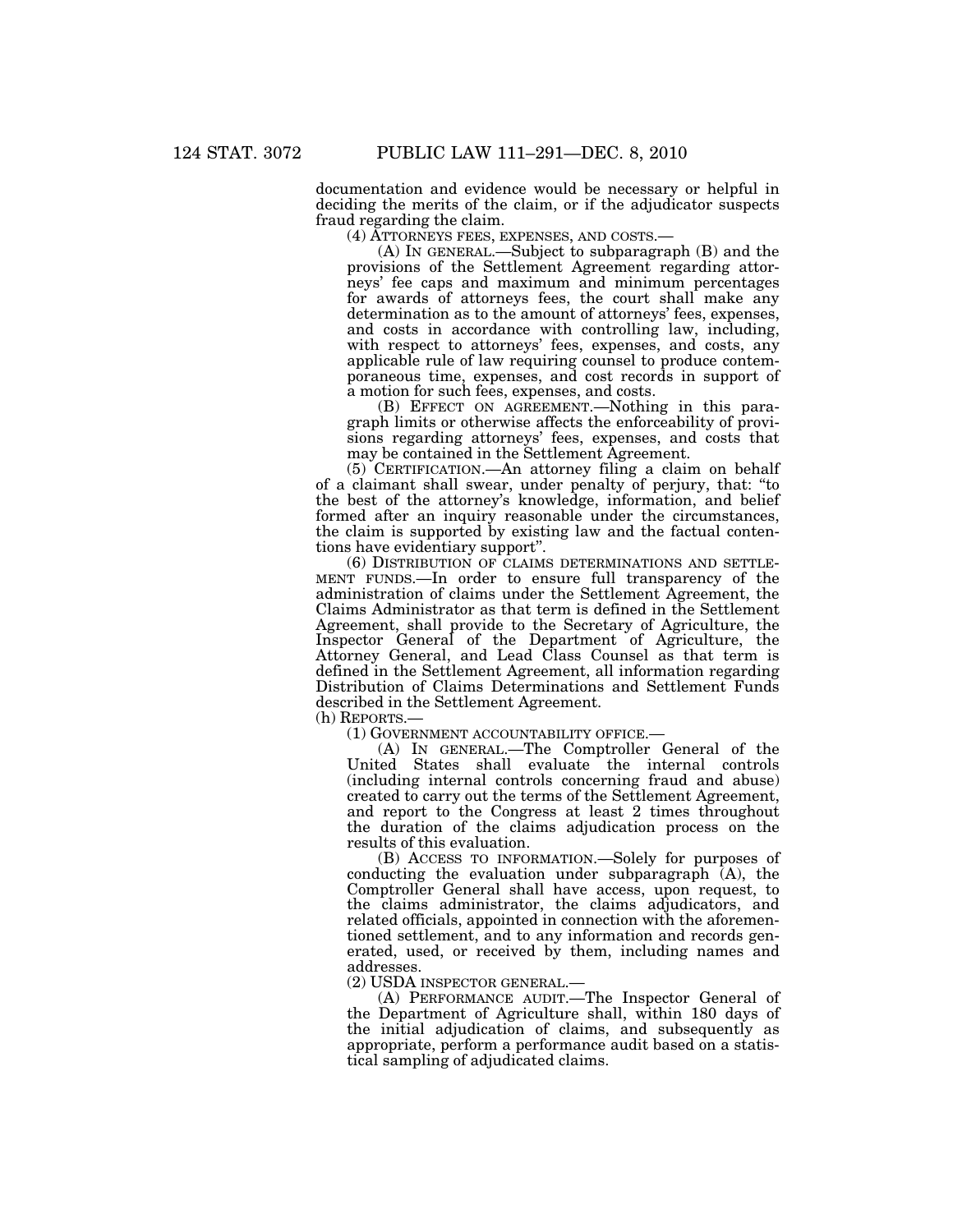documentation and evidence would be necessary or helpful in deciding the merits of the claim, or if the adjudicator suspects fraud regarding the claim.

(4) ATTORNEYS FEES, EXPENSES, AND COSTS.— (A) IN GENERAL.—Subject to subparagraph (B) and the provisions of the Settlement Agreement regarding attorneys' fee caps and maximum and minimum percentages for awards of attorneys fees, the court shall make any determination as to the amount of attorneys' fees, expenses, and costs in accordance with controlling law, including, with respect to attorneys' fees, expenses, and costs, any applicable rule of law requiring counsel to produce contemporaneous time, expenses, and cost records in support of a motion for such fees, expenses, and costs.

(B) EFFECT ON AGREEMENT.—Nothing in this paragraph limits or otherwise affects the enforceability of provisions regarding attorneys' fees, expenses, and costs that may be contained in the Settlement Agreement.

(5) CERTIFICATION.—An attorney filing a claim on behalf of a claimant shall swear, under penalty of perjury, that: ''to the best of the attorney's knowledge, information, and belief formed after an inquiry reasonable under the circumstances, the claim is supported by existing law and the factual contentions have evidentiary support''.

(6) DISTRIBUTION OF CLAIMS DETERMINATIONS AND SETTLE-MENT FUNDS.—In order to ensure full transparency of the administration of claims under the Settlement Agreement, the Claims Administrator as that term is defined in the Settlement Agreement, shall provide to the Secretary of Agriculture, the Inspector General of the Department of Agriculture, the Attorney General, and Lead Class Counsel as that term is defined in the Settlement Agreement, all information regarding Distribution of Claims Determinations and Settlement Funds described in the Settlement Agreement.<br>(h) REPORTS.—

(1) GOVERNMENT ACCOUNTABILITY OFFICE.—

(A) IN GENERAL.—The Comptroller General of the United States shall evaluate the internal controls (including internal controls concerning fraud and abuse) created to carry out the terms of the Settlement Agreement, and report to the Congress at least 2 times throughout the duration of the claims adjudication process on the results of this evaluation.

(B) ACCESS TO INFORMATION.—Solely for purposes of conducting the evaluation under subparagraph (A), the Comptroller General shall have access, upon request, to the claims administrator, the claims adjudicators, and related officials, appointed in connection with the aforementioned settlement, and to any information and records generated, used, or received by them, including names and addresses.

(2) USDA INSPECTOR GENERAL.—

(A) PERFORMANCE AUDIT.—The Inspector General of the Department of Agriculture shall, within 180 days of the initial adjudication of claims, and subsequently as appropriate, perform a performance audit based on a statistical sampling of adjudicated claims.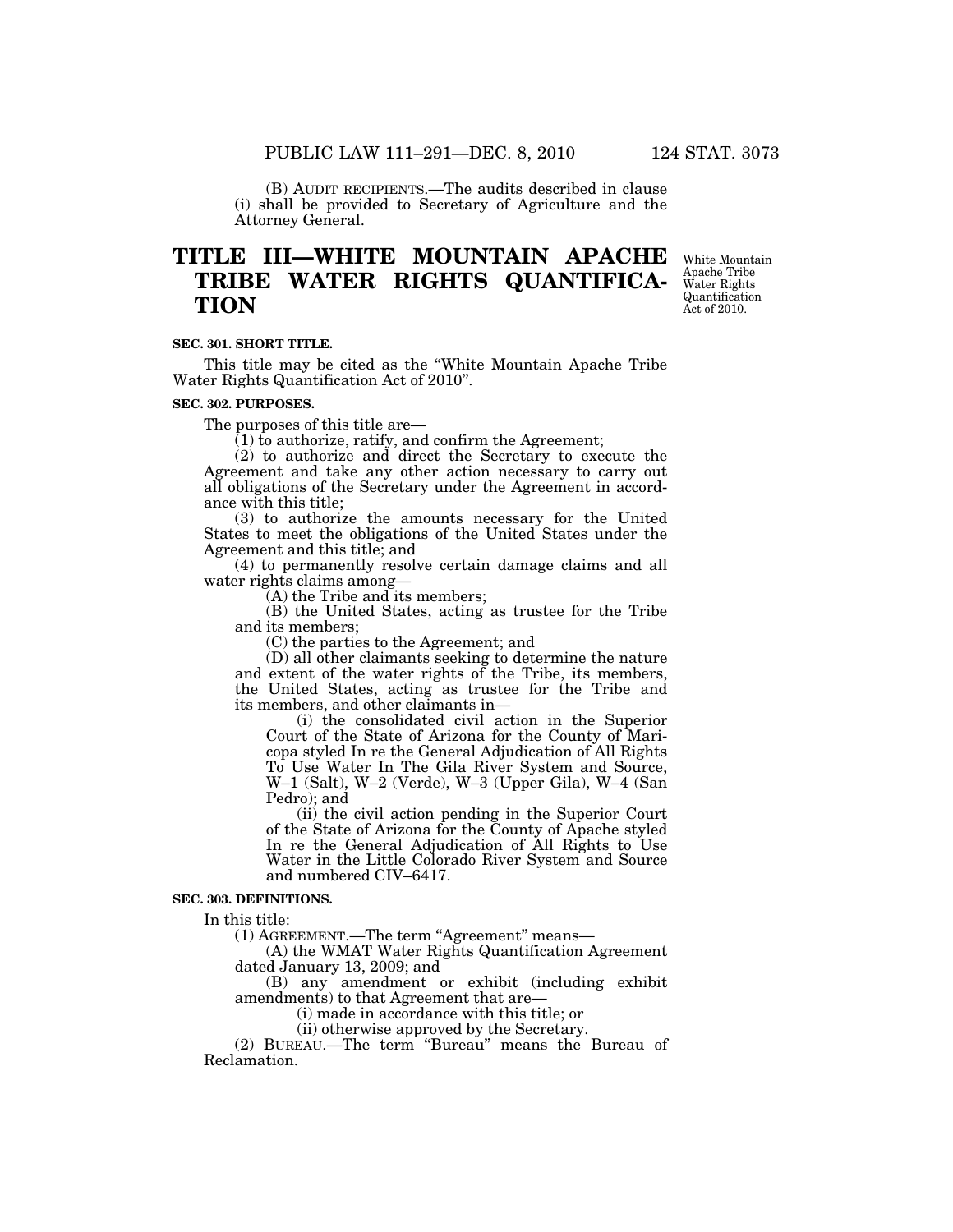(B) AUDIT RECIPIENTS.—The audits described in clause (i) shall be provided to Secretary of Agriculture and the Attorney General.

## **TITLE III—WHITE MOUNTAIN APACHE TRIBE WATER RIGHTS QUANTIFICA-TION**

White Mountain Apache Tribe Water Rights Quantification Act of 2010.

#### **SEC. 301. SHORT TITLE.**

This title may be cited as the ''White Mountain Apache Tribe Water Rights Quantification Act of 2010''.

#### **SEC. 302. PURPOSES.**

The purposes of this title are—

 $(1)$  to authorize, ratify, and confirm the Agreement;

(2) to authorize and direct the Secretary to execute the Agreement and take any other action necessary to carry out all obligations of the Secretary under the Agreement in accordance with this title;

(3) to authorize the amounts necessary for the United States to meet the obligations of the United States under the Agreement and this title; and

(4) to permanently resolve certain damage claims and all water rights claims among—

 $(A)$  the Tribe and its members;

(B) the United States, acting as trustee for the Tribe and its members;

(C) the parties to the Agreement; and

(D) all other claimants seeking to determine the nature and extent of the water rights of the Tribe, its members, the United States, acting as trustee for the Tribe and its members, and other claimants in—

(i) the consolidated civil action in the Superior Court of the State of Arizona for the County of Maricopa styled In re the General Adjudication of All Rights To Use Water In The Gila River System and Source, W–1 (Salt), W–2 (Verde), W–3 (Upper Gila), W–4 (San Pedro); and

(ii) the civil action pending in the Superior Court of the State of Arizona for the County of Apache styled In re the General Adjudication of All Rights to Use Water in the Little Colorado River System and Source and numbered CIV–6417.

#### **SEC. 303. DEFINITIONS.**

In this title:

(1) AGREEMENT.—The term "Agreement" means—

(A) the WMAT Water Rights Quantification Agreement dated January 13, 2009; and

(B) any amendment or exhibit (including exhibit amendments) to that Agreement that are—

(i) made in accordance with this title; or

(ii) otherwise approved by the Secretary.

(2) BUREAU.—The term ''Bureau'' means the Bureau of Reclamation.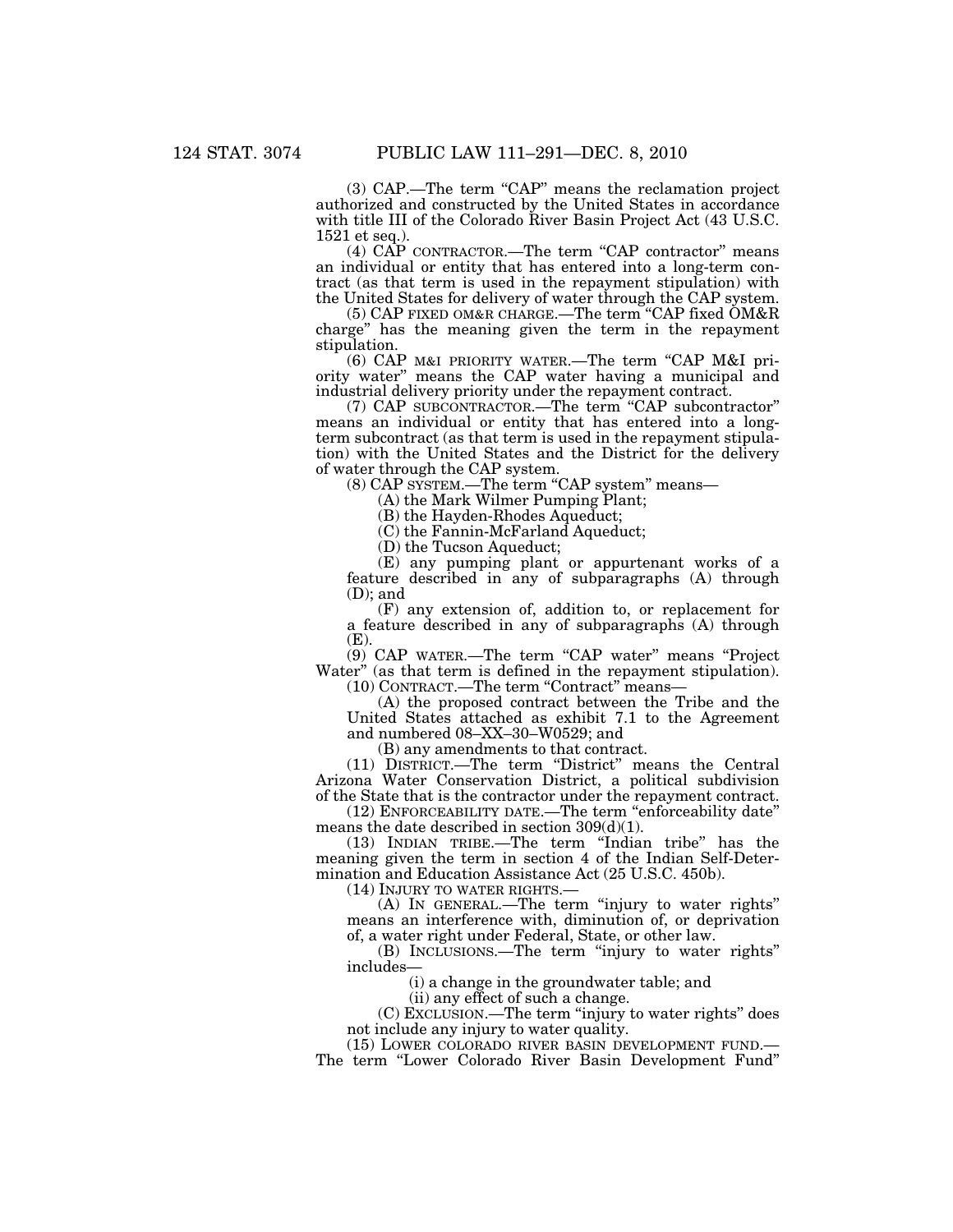(3) CAP.—The term "CAP" means the reclamation project authorized and constructed by the United States in accordance with title III of the Colorado River Basin Project Act (43 U.S.C. 1521 et seq.).

(4) CAP CONTRACTOR.—The term ''CAP contractor'' means an individual or entity that has entered into a long-term contract (as that term is used in the repayment stipulation) with the United States for delivery of water through the CAP system.

(5) CAP FIXED OM&R CHARGE.—The term ''CAP fixed OM&R charge'' has the meaning given the term in the repayment stipulation.

(6) CAP M&I PRIORITY WATER.—The term ''CAP M&I priority water'' means the CAP water having a municipal and industrial delivery priority under the repayment contract.

(7) CAP SUBCONTRACTOR.—The term ''CAP subcontractor'' means an individual or entity that has entered into a longterm subcontract (as that term is used in the repayment stipulation) with the United States and the District for the delivery of water through the CAP system.

(8) CAP SYSTEM.—The term "CAP system" means—

(A) the Mark Wilmer Pumping Plant;

(B) the Hayden-Rhodes Aqueduct;

(C) the Fannin-McFarland Aqueduct;

(D) the Tucson Aqueduct;

(E) any pumping plant or appurtenant works of a feature described in any of subparagraphs (A) through (D); and

(F) any extension of, addition to, or replacement for a feature described in any of subparagraphs (A) through (E).

(9) CAP WATER.—The term "CAP water" means "Project Water'' (as that term is defined in the repayment stipulation). (10) CONTRACT.—The term "Contract" means-

(A) the proposed contract between the Tribe and the United States attached as exhibit 7.1 to the Agreement and numbered 08–XX–30–W0529; and

(B) any amendments to that contract.

(11) DISTRICT.—The term ''District'' means the Central Arizona Water Conservation District, a political subdivision of the State that is the contractor under the repayment contract.

(12) ENFORCEABILITY DATE.—The term ''enforceability date'' means the date described in section 309(d)(1).

(13) INDIAN TRIBE.—The term ''Indian tribe'' has the meaning given the term in section 4 of the Indian Self-Determination and Education Assistance Act (25 U.S.C. 450b).

(14) INJURY TO WATER RIGHTS.—

(A) IN GENERAL.—The term ''injury to water rights'' means an interference with, diminution of, or deprivation of, a water right under Federal, State, or other law.

(B) INCLUSIONS.—The term ''injury to water rights'' includes—

(i) a change in the groundwater table; and

(ii) any effect of such a change.

(C) EXCLUSION.—The term ''injury to water rights'' does

not include any injury to water quality.<br>(15) LOWER COLORADO RIVER BASIN DEVELOPMENT FUND.—

The term "Lower Colorado River Basin Development Fund"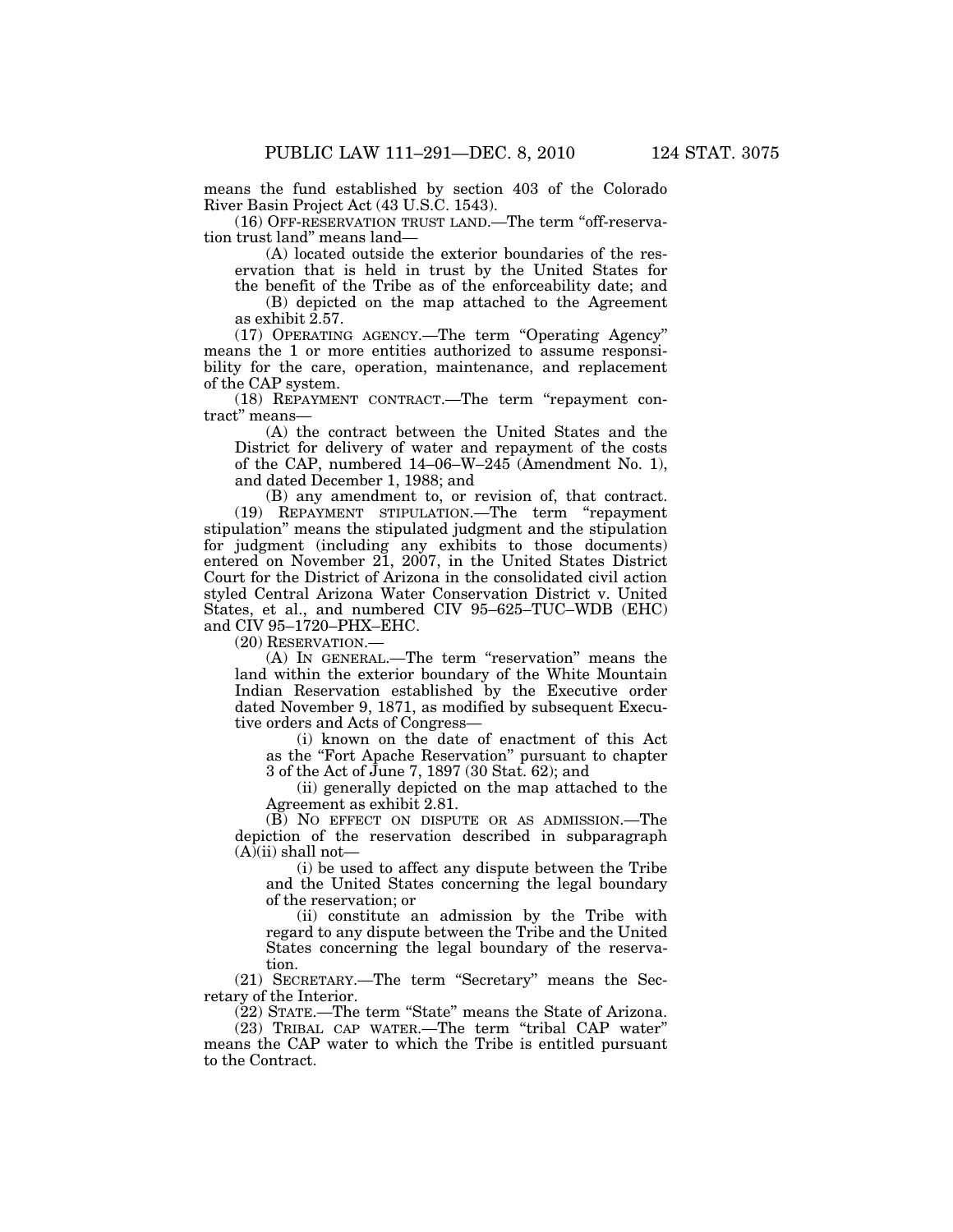means the fund established by section 403 of the Colorado River Basin Project Act (43 U.S.C. 1543).

(16) OFF-RESERVATION TRUST LAND.—The term ''off-reservation trust land'' means land—

(A) located outside the exterior boundaries of the reservation that is held in trust by the United States for the benefit of the Tribe as of the enforceability date; and

(B) depicted on the map attached to the Agreement as exhibit 2.57.

(17) OPERATING AGENCY.—The term ''Operating Agency'' means the 1 or more entities authorized to assume responsibility for the care, operation, maintenance, and replacement of the CAP system.

(18) REPAYMENT CONTRACT.—The term ''repayment contract'' means—

(A) the contract between the United States and the District for delivery of water and repayment of the costs of the CAP, numbered 14–06–W–245 (Amendment No. 1), and dated December 1, 1988; and

(B) any amendment to, or revision of, that contract. (19) REPAYMENT STIPULATION.—The term ''repayment stipulation'' means the stipulated judgment and the stipulation for judgment (including any exhibits to those documents) entered on November 21, 2007, in the United States District Court for the District of Arizona in the consolidated civil action styled Central Arizona Water Conservation District v. United States, et al., and numbered CIV 95–625–TUC–WDB (EHC) and CIV 95–1720–PHX–EHC.

(20) RESERVATION.—

(A) IN GENERAL.—The term ''reservation'' means the land within the exterior boundary of the White Mountain Indian Reservation established by the Executive order dated November 9, 1871, as modified by subsequent Executive orders and Acts of Congress—

(i) known on the date of enactment of this Act as the ''Fort Apache Reservation'' pursuant to chapter 3 of the Act of June 7, 1897 (30 Stat. 62); and

(ii) generally depicted on the map attached to the Agreement as exhibit 2.81.

(B) NO EFFECT ON DISPUTE OR AS ADMISSION.—The depiction of the reservation described in subparagraph  $(A)(ii)$  shall not-

(i) be used to affect any dispute between the Tribe and the United States concerning the legal boundary of the reservation; or

(ii) constitute an admission by the Tribe with regard to any dispute between the Tribe and the United States concerning the legal boundary of the reservation.

(21) SECRETARY.—The term ''Secretary'' means the Secretary of the Interior.

(22) STATE.—The term ''State'' means the State of Arizona.

(23) TRIBAL CAP WATER.—The term ''tribal CAP water'' means the CAP water to which the Tribe is entitled pursuant to the Contract.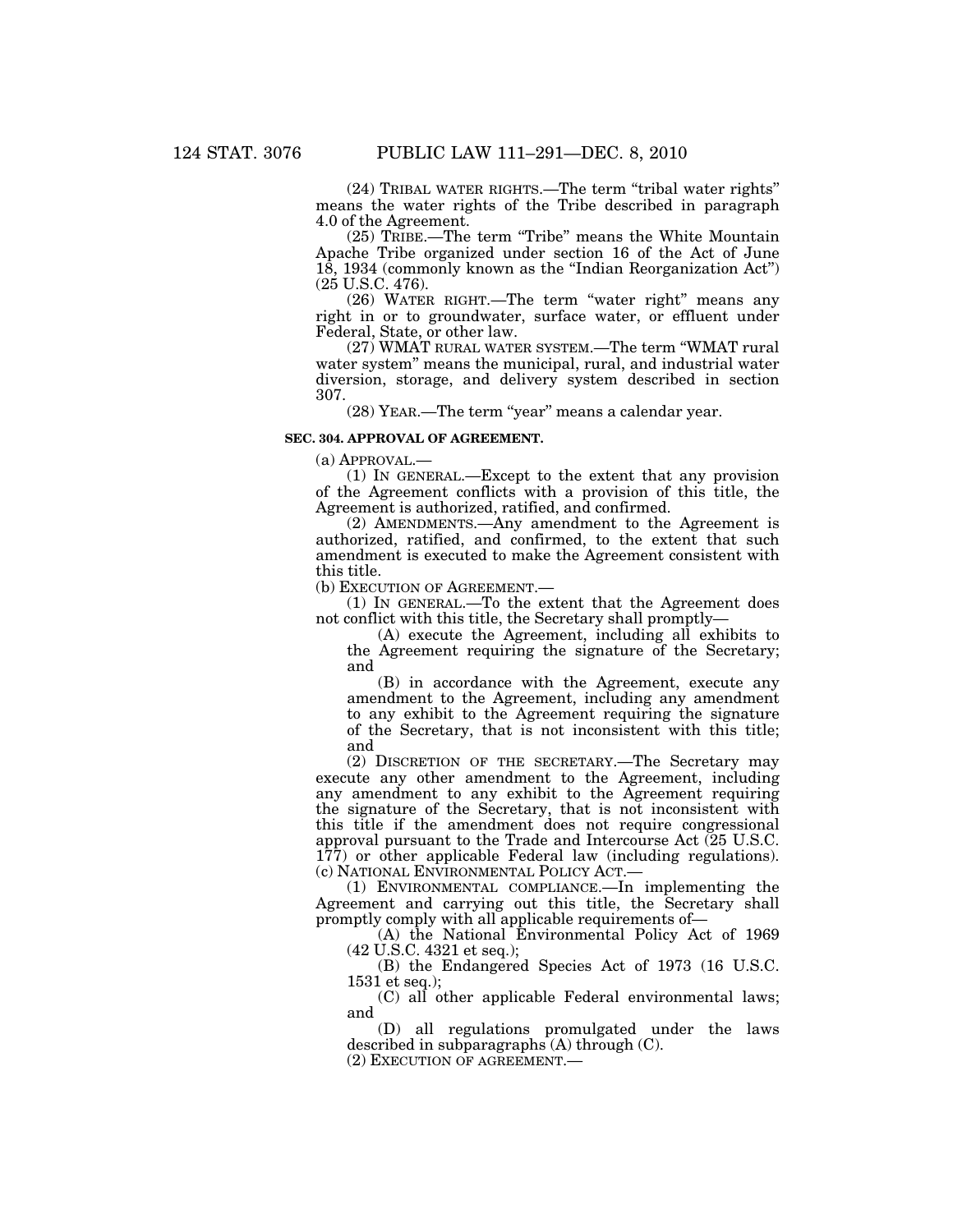(24) TRIBAL WATER RIGHTS.—The term ''tribal water rights'' means the water rights of the Tribe described in paragraph 4.0 of the Agreement.

(25) TRIBE.—The term ''Tribe'' means the White Mountain Apache Tribe organized under section 16 of the Act of June 18, 1934 (commonly known as the ''Indian Reorganization Act'') (25 U.S.C. 476).

(26) WATER RIGHT.—The term ''water right'' means any right in or to groundwater, surface water, or effluent under Federal, State, or other law.

(27) WMAT RURAL WATER SYSTEM.—The term ''WMAT rural water system'' means the municipal, rural, and industrial water diversion, storage, and delivery system described in section 307.

(28) YEAR.—The term ''year'' means a calendar year.

#### **SEC. 304. APPROVAL OF AGREEMENT.**

(a) APPROVAL.—

(1) IN GENERAL.—Except to the extent that any provision of the Agreement conflicts with a provision of this title, the Agreement is authorized, ratified, and confirmed.

(2) AMENDMENTS.—Any amendment to the Agreement is authorized, ratified, and confirmed, to the extent that such amendment is executed to make the Agreement consistent with this title.

(b) EXECUTION OF AGREEMENT.—

(1) IN GENERAL.—To the extent that the Agreement does not conflict with this title, the Secretary shall promptly—

(A) execute the Agreement, including all exhibits to the Agreement requiring the signature of the Secretary; and

(B) in accordance with the Agreement, execute any amendment to the Agreement, including any amendment to any exhibit to the Agreement requiring the signature of the Secretary, that is not inconsistent with this title; and

(2) DISCRETION OF THE SECRETARY.—The Secretary may execute any other amendment to the Agreement, including any amendment to any exhibit to the Agreement requiring the signature of the Secretary, that is not inconsistent with this title if the amendment does not require congressional approval pursuant to the Trade and Intercourse Act (25 U.S.C. 177) or other applicable Federal law (including regulations). (c) NATIONAL ENVIRONMENTAL POLICY ACT.—

(1) ENVIRONMENTAL COMPLIANCE.—In implementing the Agreement and carrying out this title, the Secretary shall promptly comply with all applicable requirements of—

(A) the National Environmental Policy Act of 1969 (42 U.S.C. 4321 et seq.);

(B) the Endangered Species Act of 1973 (16 U.S.C. 1531 et seq.);

(C) all other applicable Federal environmental laws; and

(D) all regulations promulgated under the laws described in subparagraphs (A) through (C).

(2) EXECUTION OF AGREEMENT.—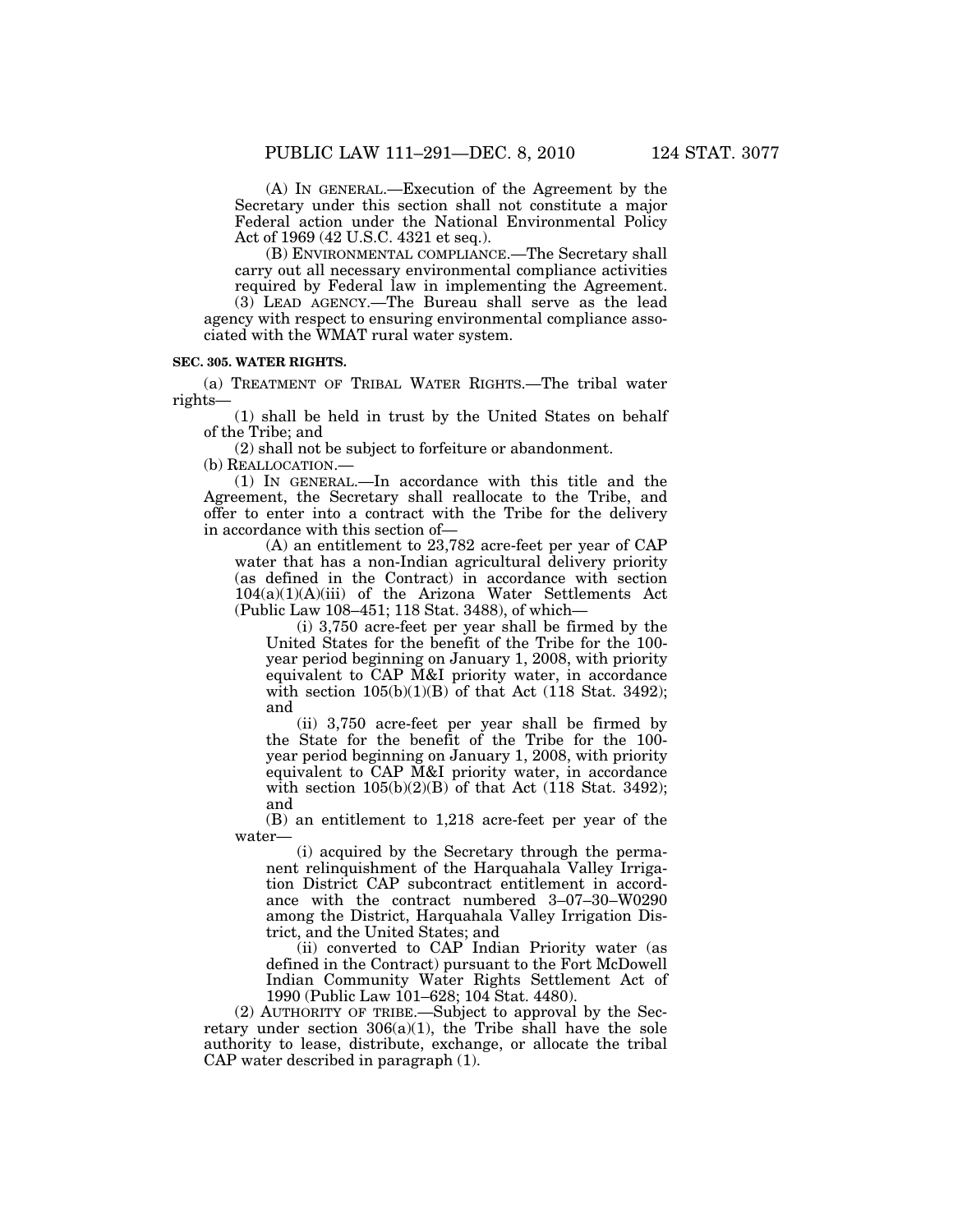(A) IN GENERAL.—Execution of the Agreement by the Secretary under this section shall not constitute a major Federal action under the National Environmental Policy Act of 1969 (42 U.S.C. 4321 et seq.).

(B) ENVIRONMENTAL COMPLIANCE.—The Secretary shall carry out all necessary environmental compliance activities required by Federal law in implementing the Agreement.

(3) LEAD AGENCY.—The Bureau shall serve as the lead agency with respect to ensuring environmental compliance associated with the WMAT rural water system.

#### **SEC. 305. WATER RIGHTS.**

(a) TREATMENT OF TRIBAL WATER RIGHTS.—The tribal water rights—

(1) shall be held in trust by the United States on behalf of the Tribe; and

(2) shall not be subject to forfeiture or abandonment.

(b) REALLOCATION.—

(1) IN GENERAL.—In accordance with this title and the Agreement, the Secretary shall reallocate to the Tribe, and offer to enter into a contract with the Tribe for the delivery in accordance with this section of—

(A) an entitlement to 23,782 acre-feet per year of CAP water that has a non-Indian agricultural delivery priority (as defined in the Contract) in accordance with section 104(a)(1)(A)(iii) of the Arizona Water Settlements Act (Public Law 108–451; 118 Stat. 3488), of which—

(i) 3,750 acre-feet per year shall be firmed by the United States for the benefit of the Tribe for the 100 year period beginning on January 1, 2008, with priority equivalent to CAP M&I priority water, in accordance with section  $105(b)(1)(B)$  of that Act (118 Stat. 3492); and

(ii) 3,750 acre-feet per year shall be firmed by the State for the benefit of the Tribe for the 100 year period beginning on January 1, 2008, with priority equivalent to CAP M&I priority water, in accordance with section  $105(b)(2)(B)$  of that Act (118 Stat. 3492); and

(B) an entitlement to 1,218 acre-feet per year of the water—

(i) acquired by the Secretary through the permanent relinquishment of the Harquahala Valley Irrigation District CAP subcontract entitlement in accordance with the contract numbered 3–07–30–W0290 among the District, Harquahala Valley Irrigation District, and the United States; and

(ii) converted to CAP Indian Priority water (as defined in the Contract) pursuant to the Fort McDowell Indian Community Water Rights Settlement Act of 1990 (Public Law 101–628; 104 Stat. 4480).

(2) AUTHORITY OF TRIBE.—Subject to approval by the Secretary under section  $306(a)(1)$ , the Tribe shall have the sole authority to lease, distribute, exchange, or allocate the tribal CAP water described in paragraph (1).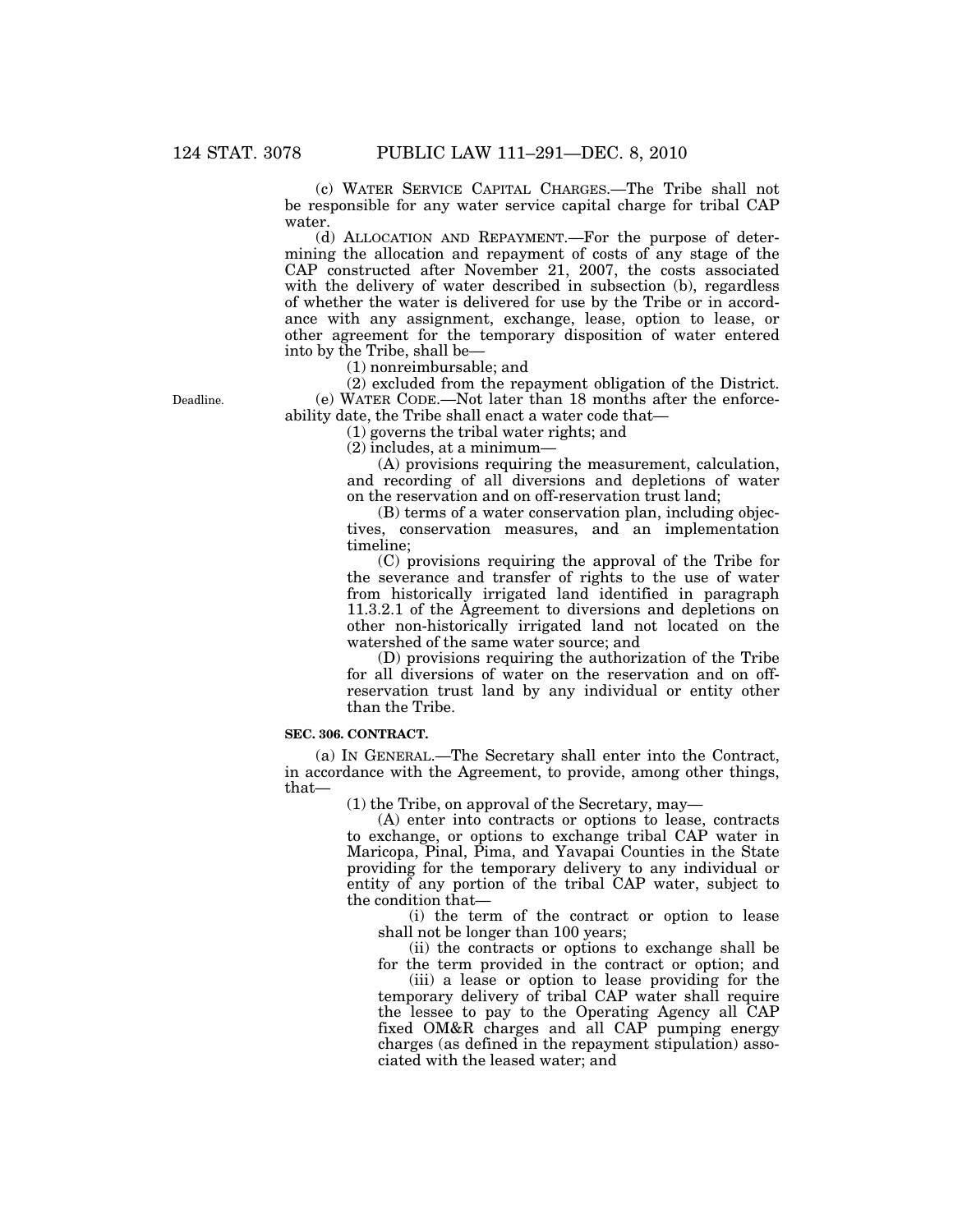(c) WATER SERVICE CAPITAL CHARGES.—The Tribe shall not be responsible for any water service capital charge for tribal CAP water.

(d) ALLOCATION AND REPAYMENT.—For the purpose of determining the allocation and repayment of costs of any stage of the CAP constructed after November 21, 2007, the costs associated with the delivery of water described in subsection (b), regardless of whether the water is delivered for use by the Tribe or in accordance with any assignment, exchange, lease, option to lease, or other agreement for the temporary disposition of water entered into by the Tribe, shall be—

(1) nonreimbursable; and

(2) excluded from the repayment obligation of the District. (e) WATER CODE.—Not later than 18 months after the enforceability date, the Tribe shall enact a water code that—

(1) governs the tribal water rights; and

(2) includes, at a minimum—

(A) provisions requiring the measurement, calculation, and recording of all diversions and depletions of water on the reservation and on off-reservation trust land;

(B) terms of a water conservation plan, including objectives, conservation measures, and an implementation timeline;

(C) provisions requiring the approval of the Tribe for the severance and transfer of rights to the use of water from historically irrigated land identified in paragraph 11.3.2.1 of the Agreement to diversions and depletions on other non-historically irrigated land not located on the watershed of the same water source; and

(D) provisions requiring the authorization of the Tribe for all diversions of water on the reservation and on offreservation trust land by any individual or entity other than the Tribe.

### **SEC. 306. CONTRACT.**

(a) IN GENERAL.—The Secretary shall enter into the Contract, in accordance with the Agreement, to provide, among other things, that—

(1) the Tribe, on approval of the Secretary, may—

(A) enter into contracts or options to lease, contracts to exchange, or options to exchange tribal CAP water in Maricopa, Pinal, Pima, and Yavapai Counties in the State providing for the temporary delivery to any individual or entity of any portion of the tribal CAP water, subject to the condition that—

(i) the term of the contract or option to lease shall not be longer than 100 years;

(ii) the contracts or options to exchange shall be for the term provided in the contract or option; and

(iii) a lease or option to lease providing for the temporary delivery of tribal CAP water shall require the lessee to pay to the Operating Agency all CAP fixed OM&R charges and all CAP pumping energy charges (as defined in the repayment stipulation) associated with the leased water; and

Deadline.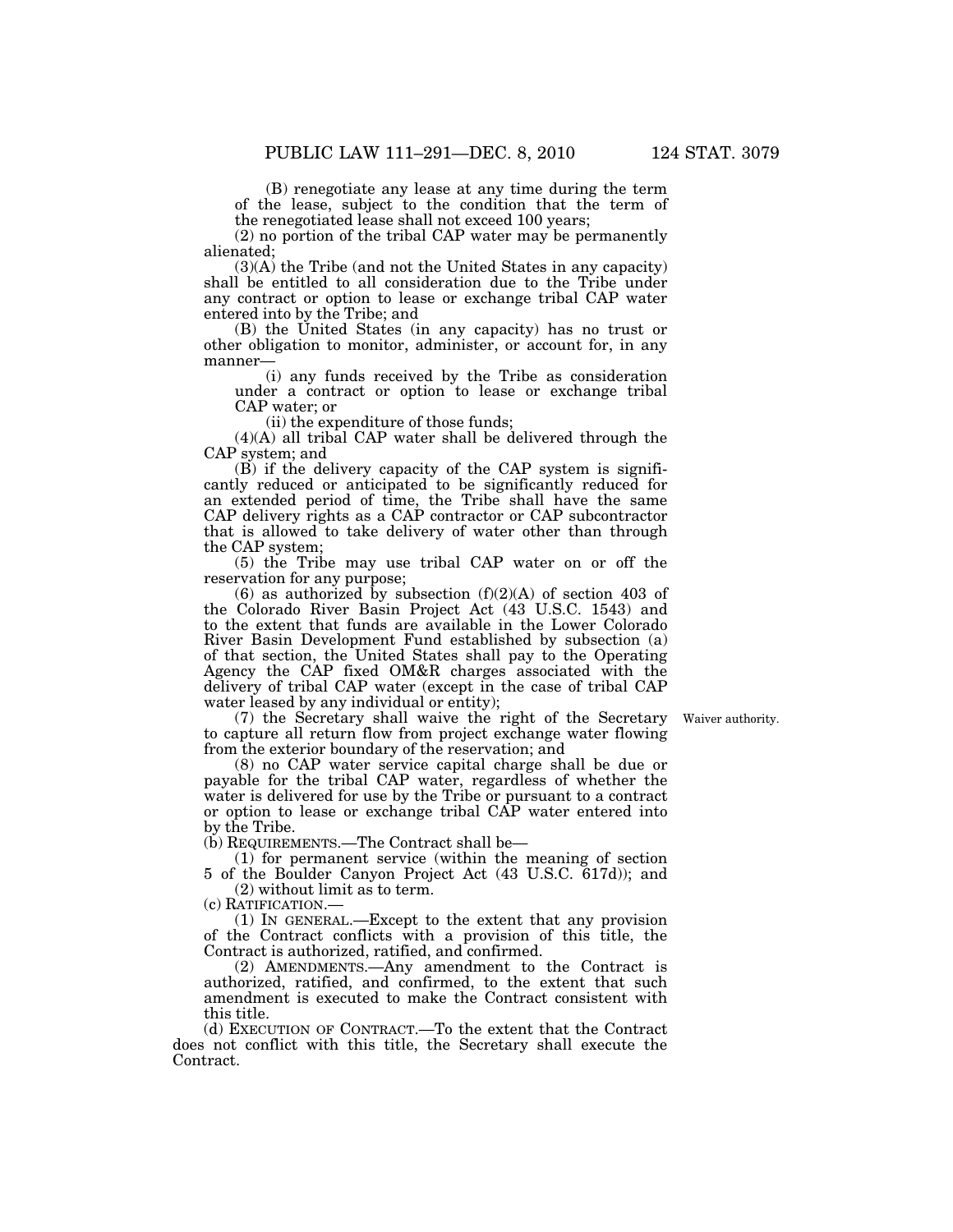(B) renegotiate any lease at any time during the term of the lease, subject to the condition that the term of the renegotiated lease shall not exceed 100 years;

(2) no portion of the tribal CAP water may be permanently

alienated;

(3)(A) the Tribe (and not the United States in any capacity) shall be entitled to all consideration due to the Tribe under any contract or option to lease or exchange tribal CAP water entered into by the Tribe; and

(B) the United States (in any capacity) has no trust or other obligation to monitor, administer, or account for, in any manner—

(i) any funds received by the Tribe as consideration under a contract or option to lease or exchange tribal CAP water; or

(ii) the expenditure of those funds;

(4)(A) all tribal CAP water shall be delivered through the CAP system; and

(B) if the delivery capacity of the CAP system is significantly reduced or anticipated to be significantly reduced for an extended period of time, the Tribe shall have the same CAP delivery rights as a CAP contractor or CAP subcontractor that is allowed to take delivery of water other than through the CAP system;

(5) the Tribe may use tribal CAP water on or off the reservation for any purpose;

(6) as authorized by subsection  $(f)(2)(A)$  of section 403 of the Colorado River Basin Project Act (43 U.S.C. 1543) and to the extent that funds are available in the Lower Colorado River Basin Development Fund established by subsection (a) of that section, the United States shall pay to the Operating Agency the CAP fixed OM&R charges associated with the delivery of tribal CAP water (except in the case of tribal CAP water leased by any individual or entity);

(7) the Secretary shall waive the right of the Secretary to capture all return flow from project exchange water flowing from the exterior boundary of the reservation; and

Waiver authority.

(8) no CAP water service capital charge shall be due or payable for the tribal CAP water, regardless of whether the water is delivered for use by the Tribe or pursuant to a contract or option to lease or exchange tribal CAP water entered into by the Tribe.

(b) REQUIREMENTS.—The Contract shall be—

(1) for permanent service (within the meaning of section 5 of the Boulder Canyon Project Act (43 U.S.C. 617d)); and

(2) without limit as to term. (c) RATIFICATION.—

(1) IN GENERAL.—Except to the extent that any provision of the Contract conflicts with a provision of this title, the

Contract is authorized, ratified, and confirmed. (2) AMENDMENTS.—Any amendment to the Contract is authorized, ratified, and confirmed, to the extent that such amendment is executed to make the Contract consistent with this title.

(d) EXECUTION OF CONTRACT.—To the extent that the Contract does not conflict with this title, the Secretary shall execute the Contract.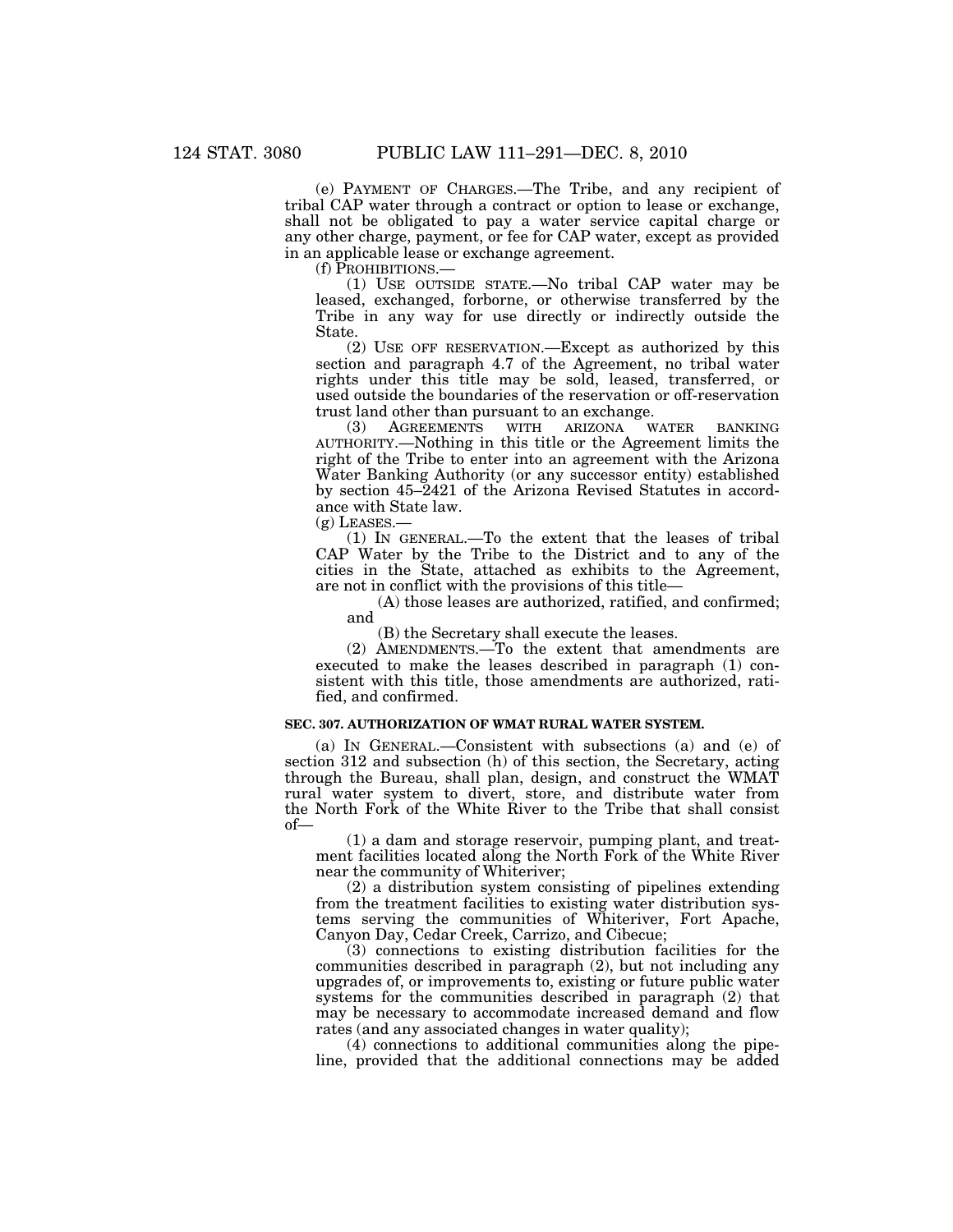(e) PAYMENT OF CHARGES.—The Tribe, and any recipient of tribal CAP water through a contract or option to lease or exchange, shall not be obligated to pay a water service capital charge or any other charge, payment, or fee for CAP water, except as provided in an applicable lease or exchange agreement.

(f) PROHIBITIONS.—

(1) USE OUTSIDE STATE.—No tribal CAP water may be leased, exchanged, forborne, or otherwise transferred by the Tribe in any way for use directly or indirectly outside the State.

(2) USE OFF RESERVATION.—Except as authorized by this section and paragraph 4.7 of the Agreement, no tribal water rights under this title may be sold, leased, transferred, or used outside the boundaries of the reservation or off-reservation trust land other than pursuant to an exchange.

(3) AGREEMENTS WITH ARIZONA WATER BANKING AUTHORITY.—Nothing in this title or the Agreement limits the right of the Tribe to enter into an agreement with the Arizona Water Banking Authority (or any successor entity) established by section 45–2421 of the Arizona Revised Statutes in accordance with State law.

 $(g)$  LEASES.

(1) IN GENERAL.—To the extent that the leases of tribal CAP Water by the Tribe to the District and to any of the cities in the State, attached as exhibits to the Agreement, are not in conflict with the provisions of this title—

(A) those leases are authorized, ratified, and confirmed; and

(B) the Secretary shall execute the leases.

(2) AMENDMENTS.—To the extent that amendments are executed to make the leases described in paragraph (1) consistent with this title, those amendments are authorized, ratified, and confirmed.

## **SEC. 307. AUTHORIZATION OF WMAT RURAL WATER SYSTEM.**

(a) IN GENERAL.—Consistent with subsections (a) and (e) of section 312 and subsection (h) of this section, the Secretary, acting through the Bureau, shall plan, design, and construct the WMAT rural water system to divert, store, and distribute water from the North Fork of the White River to the Tribe that shall consist of—

(1) a dam and storage reservoir, pumping plant, and treatment facilities located along the North Fork of the White River near the community of Whiteriver;

(2) a distribution system consisting of pipelines extending from the treatment facilities to existing water distribution systems serving the communities of Whiteriver, Fort Apache, Canyon Day, Cedar Creek, Carrizo, and Cibecue;

(3) connections to existing distribution facilities for the communities described in paragraph (2), but not including any upgrades of, or improvements to, existing or future public water systems for the communities described in paragraph (2) that may be necessary to accommodate increased demand and flow rates (and any associated changes in water quality);

(4) connections to additional communities along the pipeline, provided that the additional connections may be added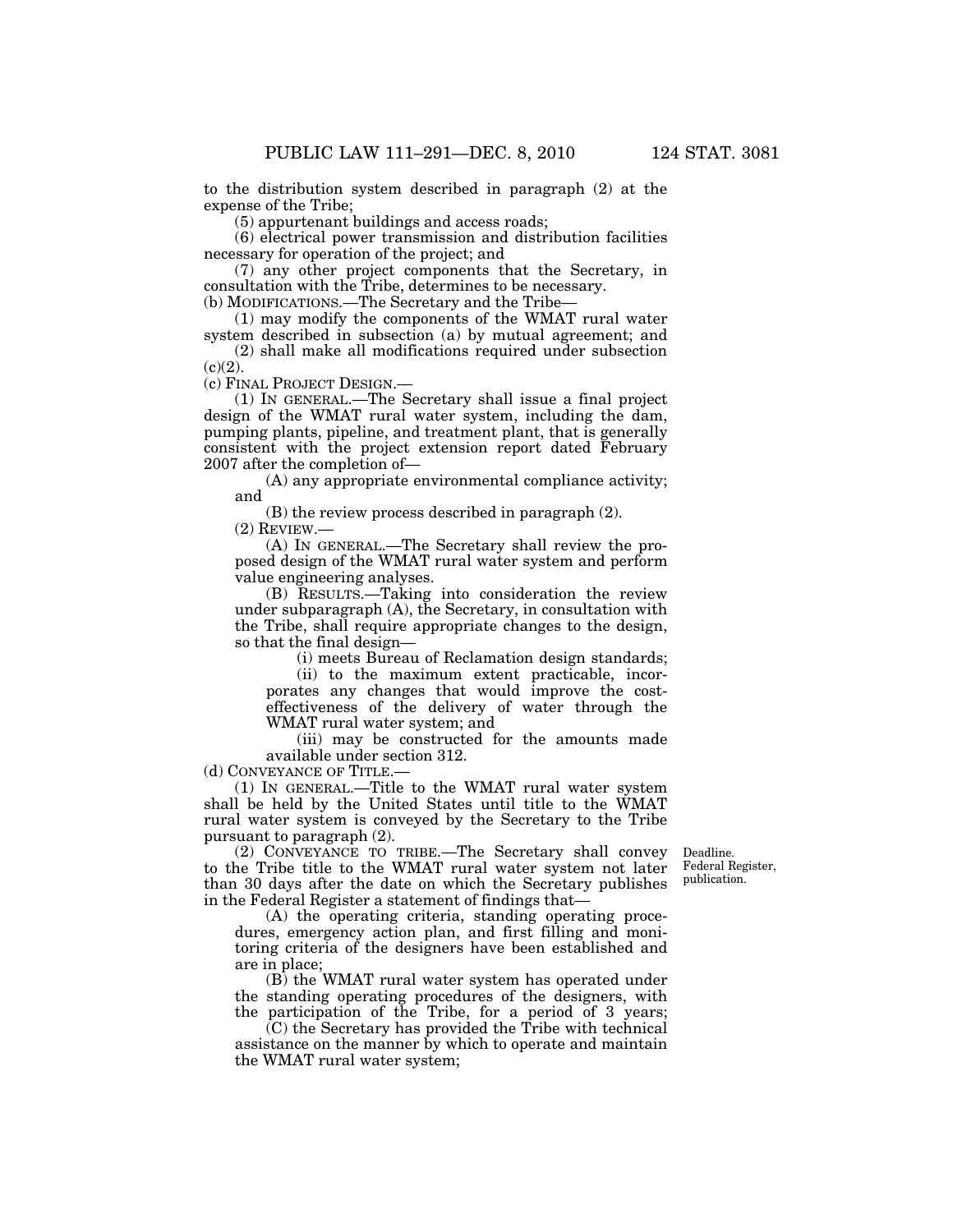to the distribution system described in paragraph (2) at the expense of the Tribe;

(5) appurtenant buildings and access roads;

(6) electrical power transmission and distribution facilities necessary for operation of the project; and

(7) any other project components that the Secretary, in consultation with the Tribe, determines to be necessary.

(b) MODIFICATIONS.—The Secretary and the Tribe—

(1) may modify the components of the WMAT rural water system described in subsection (a) by mutual agreement; and

(2) shall make all modifications required under subsection  $(c)(2)$ .

(c) FINAL PROJECT DESIGN.—

(1) IN GENERAL.—The Secretary shall issue a final project design of the WMAT rural water system, including the dam, pumping plants, pipeline, and treatment plant, that is generally consistent with the project extension report dated February 2007 after the completion of—

(A) any appropriate environmental compliance activity; and

(B) the review process described in paragraph (2).

(2) REVIEW.—

(A) IN GENERAL.—The Secretary shall review the proposed design of the WMAT rural water system and perform value engineering analyses.

(B) RESULTS.—Taking into consideration the review under subparagraph (A), the Secretary, in consultation with the Tribe, shall require appropriate changes to the design, so that the final design—

(i) meets Bureau of Reclamation design standards;

(ii) to the maximum extent practicable, incorporates any changes that would improve the costeffectiveness of the delivery of water through the WMAT rural water system; and

(iii) may be constructed for the amounts made available under section 312.

(d) CONVEYANCE OF TITLE.—

(1) IN GENERAL.—Title to the WMAT rural water system shall be held by the United States until title to the WMAT rural water system is conveyed by the Secretary to the Tribe pursuant to paragraph (2).

(2) CONVEYANCE TO TRIBE.—The Secretary shall convey to the Tribe title to the WMAT rural water system not later than 30 days after the date on which the Secretary publishes in the Federal Register a statement of findings that—

Deadline. Federal Register, publication.

(A) the operating criteria, standing operating procedures, emergency action plan, and first filling and monitoring criteria of the designers have been established and are in place;

(B) the WMAT rural water system has operated under the standing operating procedures of the designers, with the participation of the Tribe, for a period of 3 years;

(C) the Secretary has provided the Tribe with technical assistance on the manner by which to operate and maintain the WMAT rural water system;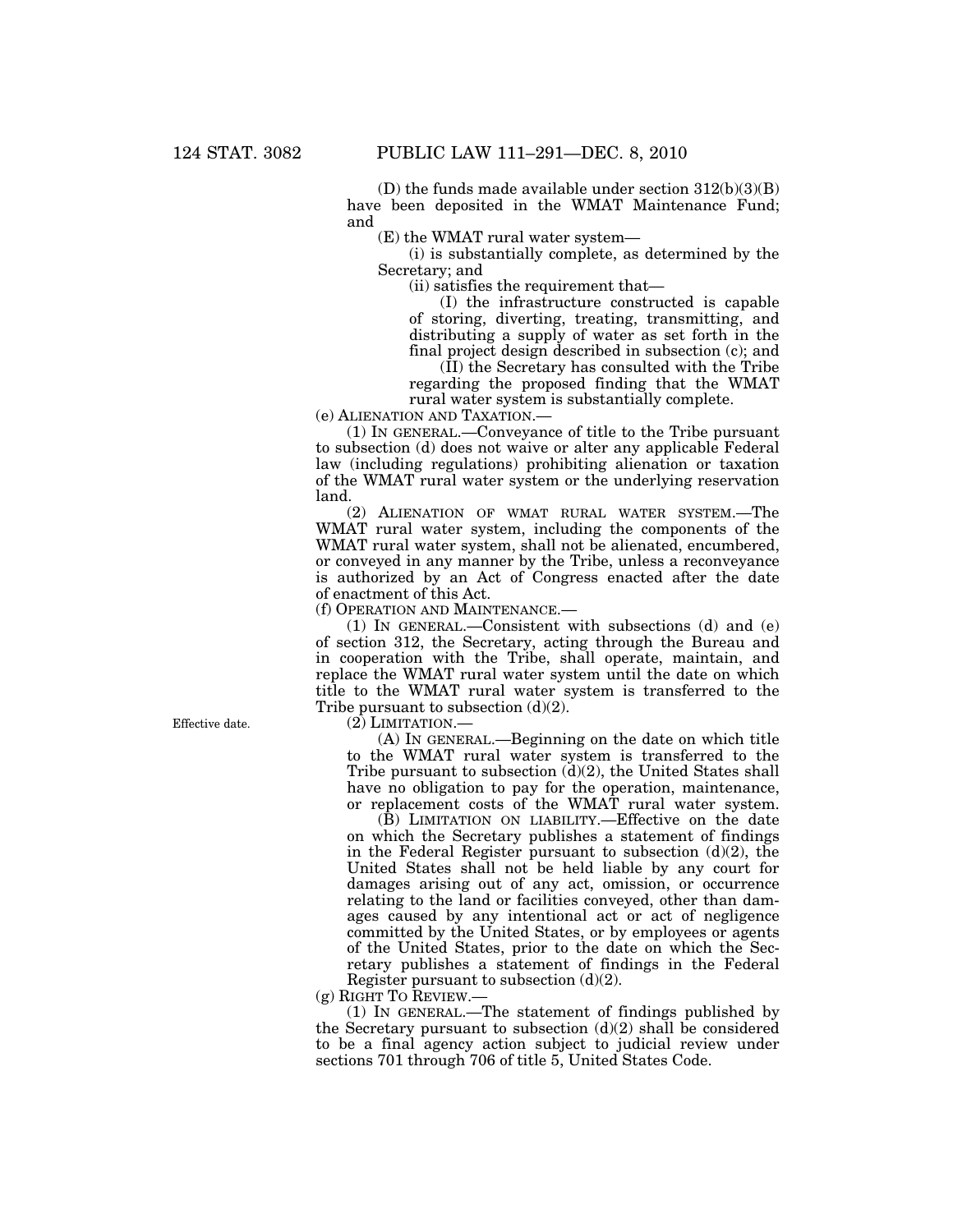(D) the funds made available under section  $312(b)(3)(B)$ have been deposited in the WMAT Maintenance Fund; and

(E) the WMAT rural water system—

(i) is substantially complete, as determined by the Secretary; and

(ii) satisfies the requirement that—

(I) the infrastructure constructed is capable of storing, diverting, treating, transmitting, and distributing a supply of water as set forth in the final project design described in subsection (c); and (II) the Secretary has consulted with the Tribe

regarding the proposed finding that the WMAT rural water system is substantially complete.

(e) ALIENATION AND TAXATION.—

(1) IN GENERAL.—Conveyance of title to the Tribe pursuant to subsection (d) does not waive or alter any applicable Federal law (including regulations) prohibiting alienation or taxation of the WMAT rural water system or the underlying reservation land.

(2) ALIENATION OF WMAT RURAL WATER SYSTEM.—The WMAT rural water system, including the components of the WMAT rural water system, shall not be alienated, encumbered, or conveyed in any manner by the Tribe, unless a reconveyance is authorized by an Act of Congress enacted after the date of enactment of this Act.

(f) OPERATION AND MAINTENANCE.—

(1) IN GENERAL.—Consistent with subsections (d) and (e) of section 312, the Secretary, acting through the Bureau and in cooperation with the Tribe, shall operate, maintain, and replace the WMAT rural water system until the date on which title to the WMAT rural water system is transferred to the Tribe pursuant to subsection  $(d)(2)$ .

Effective date.

(2) LIMITATION.—

(A) IN GENERAL.—Beginning on the date on which title to the WMAT rural water system is transferred to the Tribe pursuant to subsection (d)(2), the United States shall have no obligation to pay for the operation, maintenance, or replacement costs of the WMAT rural water system.

(B) LIMITATION ON LIABILITY.—Effective on the date on which the Secretary publishes a statement of findings in the Federal Register pursuant to subsection  $(d)(2)$ , the United States shall not be held liable by any court for damages arising out of any act, omission, or occurrence relating to the land or facilities conveyed, other than damages caused by any intentional act or act of negligence committed by the United States, or by employees or agents of the United States, prior to the date on which the Secretary publishes a statement of findings in the Federal Register pursuant to subsection (d)(2).

(g) RIGHT TO REVIEW.—

(1) IN GENERAL.—The statement of findings published by the Secretary pursuant to subsection  $(d)(2)$  shall be considered to be a final agency action subject to judicial review under sections 701 through 706 of title 5, United States Code.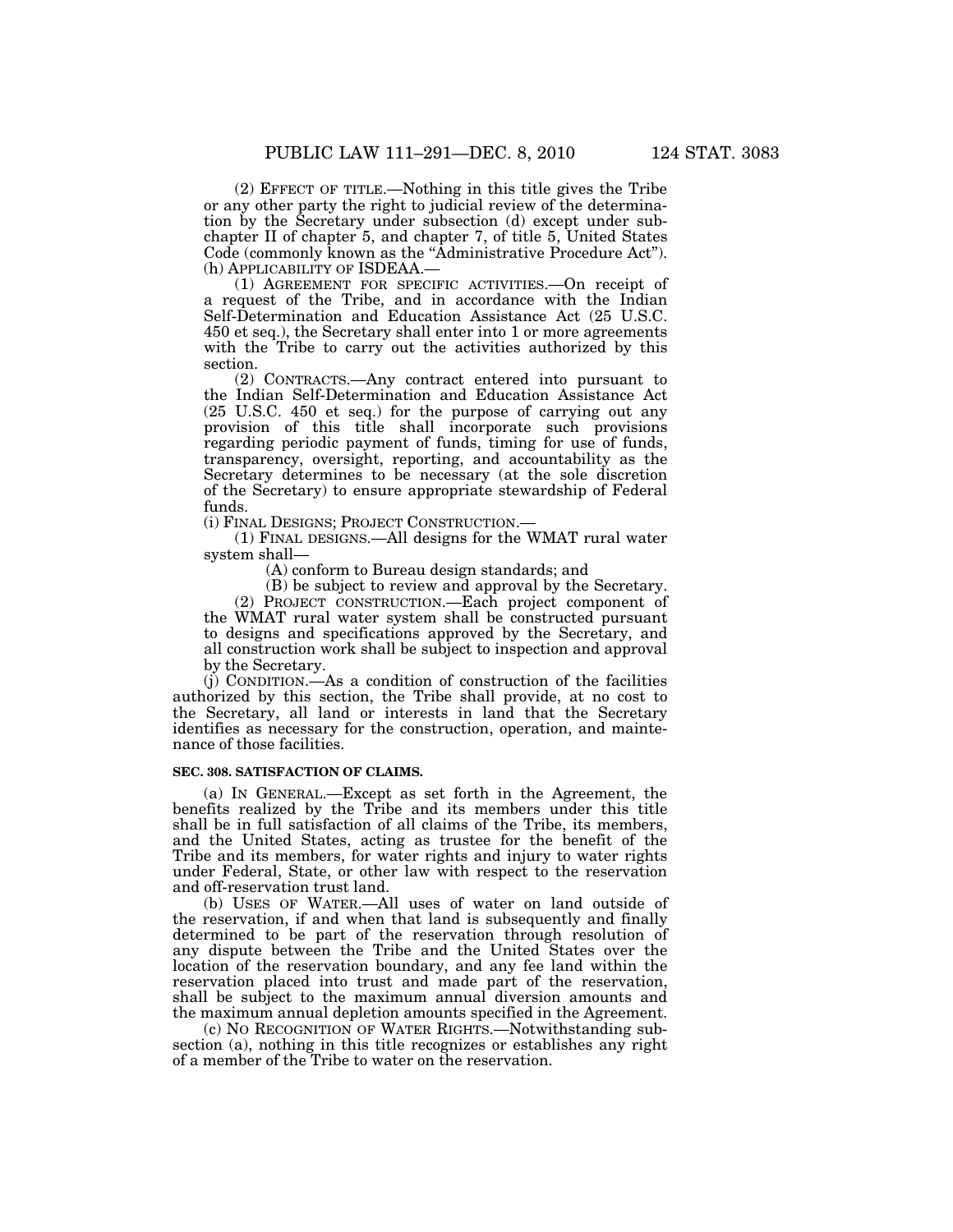(2) EFFECT OF TITLE.—Nothing in this title gives the Tribe or any other party the right to judicial review of the determination by the Secretary under subsection (d) except under subchapter II of chapter 5, and chapter 7, of title 5, United States Code (commonly known as the "Administrative Procedure Act"). (h) APPLICABILITY OF ISDEAA.—

(1) AGREEMENT FOR SPECIFIC ACTIVITIES.—On receipt of a request of the Tribe, and in accordance with the Indian Self-Determination and Education Assistance Act (25 U.S.C. 450 et seq.), the Secretary shall enter into 1 or more agreements with the Tribe to carry out the activities authorized by this section.

(2) CONTRACTS.—Any contract entered into pursuant to the Indian Self-Determination and Education Assistance Act (25 U.S.C. 450 et seq.) for the purpose of carrying out any provision of this title shall incorporate such provisions regarding periodic payment of funds, timing for use of funds, transparency, oversight, reporting, and accountability as the Secretary determines to be necessary (at the sole discretion of the Secretary) to ensure appropriate stewardship of Federal funds.

(i) FINAL DESIGNS; PROJECT CONSTRUCTION.—

(1) FINAL DESIGNS.—All designs for the WMAT rural water system shall—

(A) conform to Bureau design standards; and

(B) be subject to review and approval by the Secretary. (2) PROJECT CONSTRUCTION.—Each project component of the WMAT rural water system shall be constructed pursuant to designs and specifications approved by the Secretary, and all construction work shall be subject to inspection and approval by the Secretary.

(j) CONDITION.—As a condition of construction of the facilities authorized by this section, the Tribe shall provide, at no cost to the Secretary, all land or interests in land that the Secretary identifies as necessary for the construction, operation, and maintenance of those facilities.

#### **SEC. 308. SATISFACTION OF CLAIMS.**

(a) IN GENERAL.—Except as set forth in the Agreement, the benefits realized by the Tribe and its members under this title shall be in full satisfaction of all claims of the Tribe, its members, and the United States, acting as trustee for the benefit of the Tribe and its members, for water rights and injury to water rights under Federal, State, or other law with respect to the reservation and off-reservation trust land.

(b) USES OF WATER.—All uses of water on land outside of the reservation, if and when that land is subsequently and finally determined to be part of the reservation through resolution of any dispute between the Tribe and the United States over the location of the reservation boundary, and any fee land within the reservation placed into trust and made part of the reservation, shall be subject to the maximum annual diversion amounts and the maximum annual depletion amounts specified in the Agreement.

(c) NO RECOGNITION OF WATER RIGHTS.—Notwithstanding subsection (a), nothing in this title recognizes or establishes any right of a member of the Tribe to water on the reservation.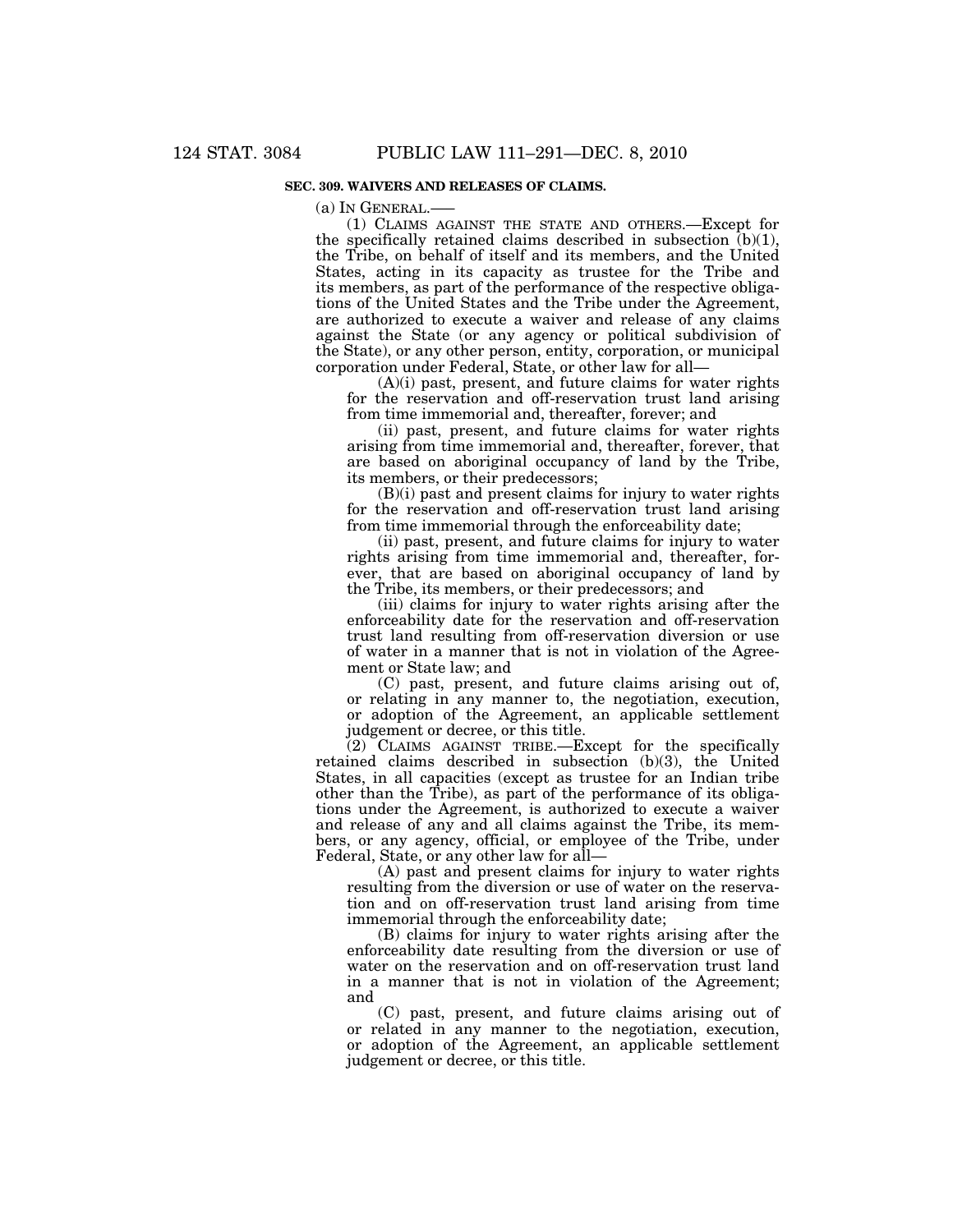### **SEC. 309. WAIVERS AND RELEASES OF CLAIMS.**

(a) IN GENERAL.—–

(1) CLAIMS AGAINST THE STATE AND OTHERS.—Except for the specifically retained claims described in subsection  $(b)(1)$ , the Tribe, on behalf of itself and its members, and the United States, acting in its capacity as trustee for the Tribe and its members, as part of the performance of the respective obligations of the United States and the Tribe under the Agreement, are authorized to execute a waiver and release of any claims against the State (or any agency or political subdivision of the State), or any other person, entity, corporation, or municipal corporation under Federal, State, or other law for all—

(A)(i) past, present, and future claims for water rights for the reservation and off-reservation trust land arising from time immemorial and, thereafter, forever; and

(ii) past, present, and future claims for water rights arising from time immemorial and, thereafter, forever, that are based on aboriginal occupancy of land by the Tribe, its members, or their predecessors;

(B)(i) past and present claims for injury to water rights for the reservation and off-reservation trust land arising from time immemorial through the enforceability date;

(ii) past, present, and future claims for injury to water rights arising from time immemorial and, thereafter, forever, that are based on aboriginal occupancy of land by the Tribe, its members, or their predecessors; and

(iii) claims for injury to water rights arising after the enforceability date for the reservation and off-reservation trust land resulting from off-reservation diversion or use of water in a manner that is not in violation of the Agreement or State law; and

(C) past, present, and future claims arising out of, or relating in any manner to, the negotiation, execution, or adoption of the Agreement, an applicable settlement judgement or decree, or this title.

(2) CLAIMS AGAINST TRIBE.—Except for the specifically retained claims described in subsection (b)(3), the United States, in all capacities (except as trustee for an Indian tribe other than the Tribe), as part of the performance of its obligations under the Agreement, is authorized to execute a waiver and release of any and all claims against the Tribe, its members, or any agency, official, or employee of the Tribe, under Federal, State, or any other law for all-

(A) past and present claims for injury to water rights resulting from the diversion or use of water on the reservation and on off-reservation trust land arising from time immemorial through the enforceability date;

(B) claims for injury to water rights arising after the enforceability date resulting from the diversion or use of water on the reservation and on off-reservation trust land in a manner that is not in violation of the Agreement; and

(C) past, present, and future claims arising out of or related in any manner to the negotiation, execution, or adoption of the Agreement, an applicable settlement judgement or decree, or this title.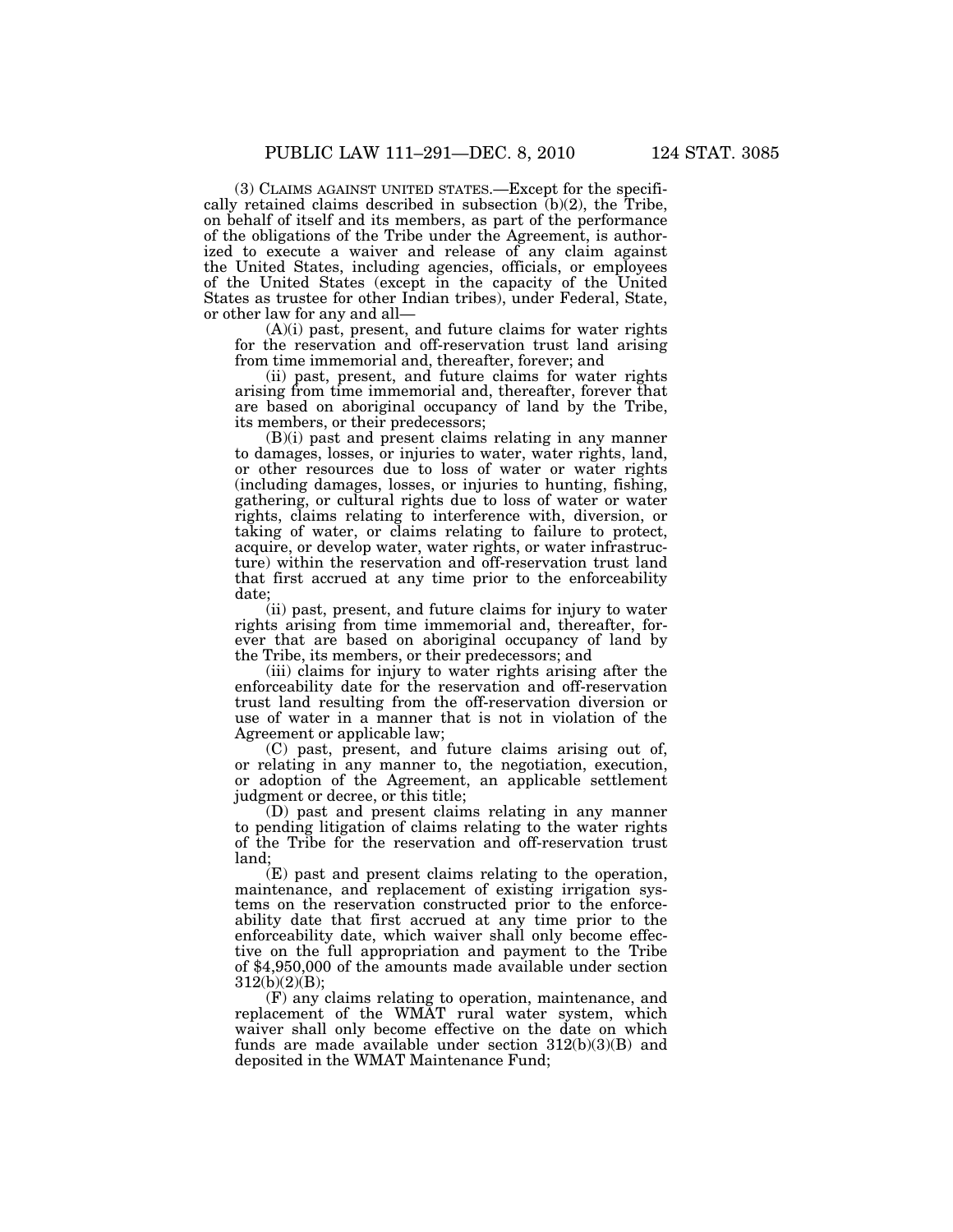(3) CLAIMS AGAINST UNITED STATES.—Except for the specifically retained claims described in subsection  $(b)(2)$ , the Tribe, on behalf of itself and its members, as part of the performance of the obligations of the Tribe under the Agreement, is authorized to execute a waiver and release of any claim against the United States, including agencies, officials, or employees of the United States (except in the capacity of the United States as trustee for other Indian tribes), under Federal, State, or other law for any and all—

(A)(i) past, present, and future claims for water rights for the reservation and off-reservation trust land arising from time immemorial and, thereafter, forever; and

(ii) past, present, and future claims for water rights arising from time immemorial and, thereafter, forever that are based on aboriginal occupancy of land by the Tribe, its members, or their predecessors;

(B)(i) past and present claims relating in any manner to damages, losses, or injuries to water, water rights, land, or other resources due to loss of water or water rights (including damages, losses, or injuries to hunting, fishing, gathering, or cultural rights due to loss of water or water rights, claims relating to interference with, diversion, or taking of water, or claims relating to failure to protect, acquire, or develop water, water rights, or water infrastructure) within the reservation and off-reservation trust land that first accrued at any time prior to the enforceability date;

(ii) past, present, and future claims for injury to water rights arising from time immemorial and, thereafter, forever that are based on aboriginal occupancy of land by the Tribe, its members, or their predecessors; and

(iii) claims for injury to water rights arising after the enforceability date for the reservation and off-reservation trust land resulting from the off-reservation diversion or use of water in a manner that is not in violation of the Agreement or applicable law;

(C) past, present, and future claims arising out of, or relating in any manner to, the negotiation, execution, or adoption of the Agreement, an applicable settlement judgment or decree, or this title;

(D) past and present claims relating in any manner to pending litigation of claims relating to the water rights of the Tribe for the reservation and off-reservation trust land;

(E) past and present claims relating to the operation, maintenance, and replacement of existing irrigation systems on the reservation constructed prior to the enforceability date that first accrued at any time prior to the enforceability date, which waiver shall only become effective on the full appropriation and payment to the Tribe of \$4,950,000 of the amounts made available under section 312(b)(2)(B);

(F) any claims relating to operation, maintenance, and replacement of the WMAT rural water system, which waiver shall only become effective on the date on which funds are made available under section 312(b)(3)(B) and deposited in the WMAT Maintenance Fund;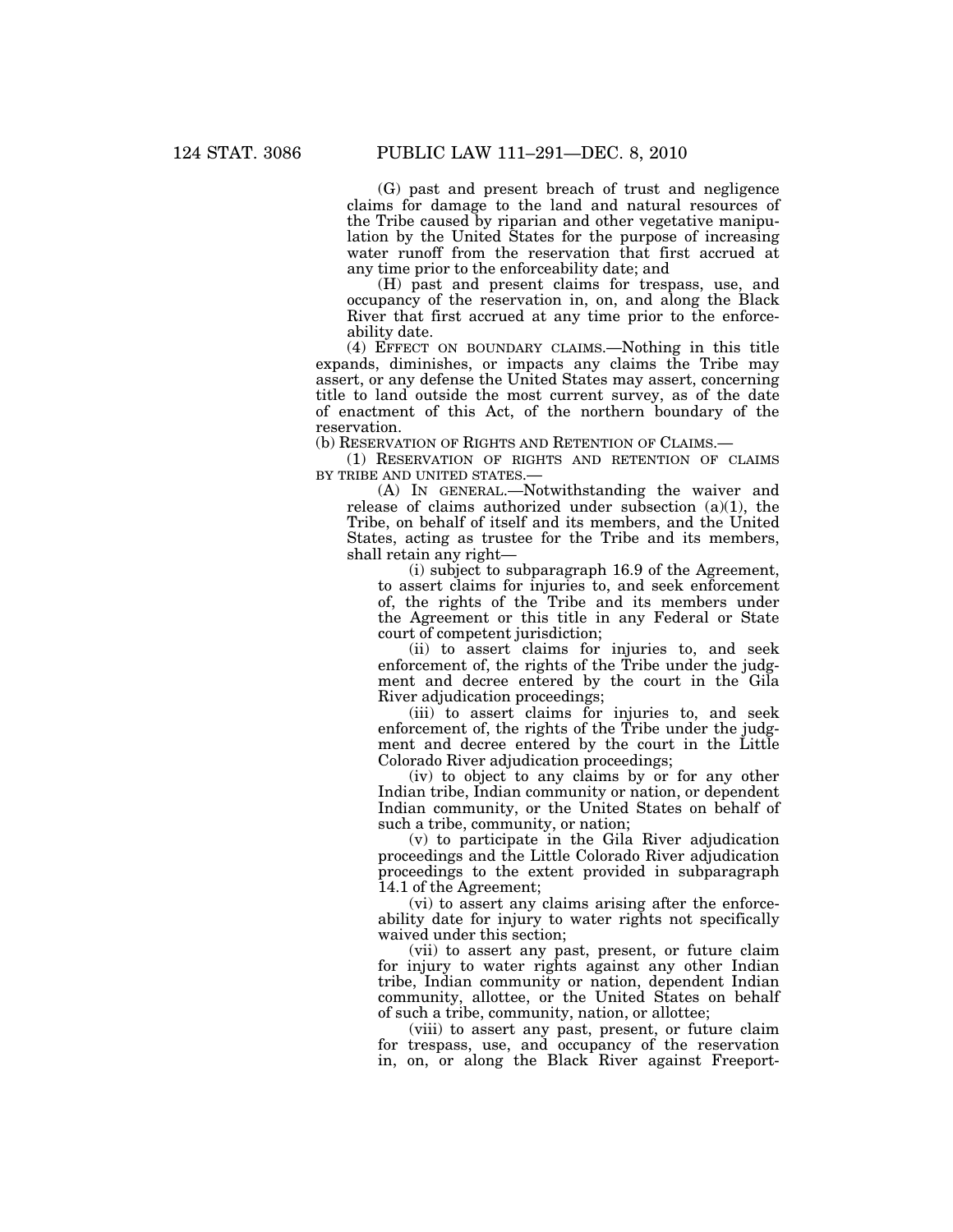(G) past and present breach of trust and negligence claims for damage to the land and natural resources of the Tribe caused by riparian and other vegetative manipulation by the United States for the purpose of increasing water runoff from the reservation that first accrued at any time prior to the enforceability date; and

(H) past and present claims for trespass, use, and occupancy of the reservation in, on, and along the Black River that first accrued at any time prior to the enforceability date.

(4) EFFECT ON BOUNDARY CLAIMS.—Nothing in this title expands, diminishes, or impacts any claims the Tribe may assert, or any defense the United States may assert, concerning title to land outside the most current survey, as of the date of enactment of this Act, of the northern boundary of the reservation.

(b) RESERVATION OF RIGHTS AND RETENTION OF CLAIMS.—

(1) RESERVATION OF RIGHTS AND RETENTION OF CLAIMS BY TRIBE AND UNITED STATES.-

(A) IN GENERAL.—Notwithstanding the waiver and release of claims authorized under subsection  $(a)(1)$ , the Tribe, on behalf of itself and its members, and the United States, acting as trustee for the Tribe and its members, shall retain any right—

(i) subject to subparagraph 16.9 of the Agreement, to assert claims for injuries to, and seek enforcement of, the rights of the Tribe and its members under the Agreement or this title in any Federal or State court of competent jurisdiction;

(ii) to assert claims for injuries to, and seek enforcement of, the rights of the Tribe under the judgment and decree entered by the court in the Gila River adjudication proceedings;

(iii) to assert claims for injuries to, and seek enforcement of, the rights of the Tribe under the judgment and decree entered by the court in the Little Colorado River adjudication proceedings;

(iv) to object to any claims by or for any other Indian tribe, Indian community or nation, or dependent Indian community, or the United States on behalf of such a tribe, community, or nation;

(v) to participate in the Gila River adjudication proceedings and the Little Colorado River adjudication proceedings to the extent provided in subparagraph 14.1 of the Agreement;

(vi) to assert any claims arising after the enforceability date for injury to water rights not specifically waived under this section;

(vii) to assert any past, present, or future claim for injury to water rights against any other Indian tribe, Indian community or nation, dependent Indian community, allottee, or the United States on behalf of such a tribe, community, nation, or allottee;

(viii) to assert any past, present, or future claim for trespass, use, and occupancy of the reservation in, on, or along the Black River against Freeport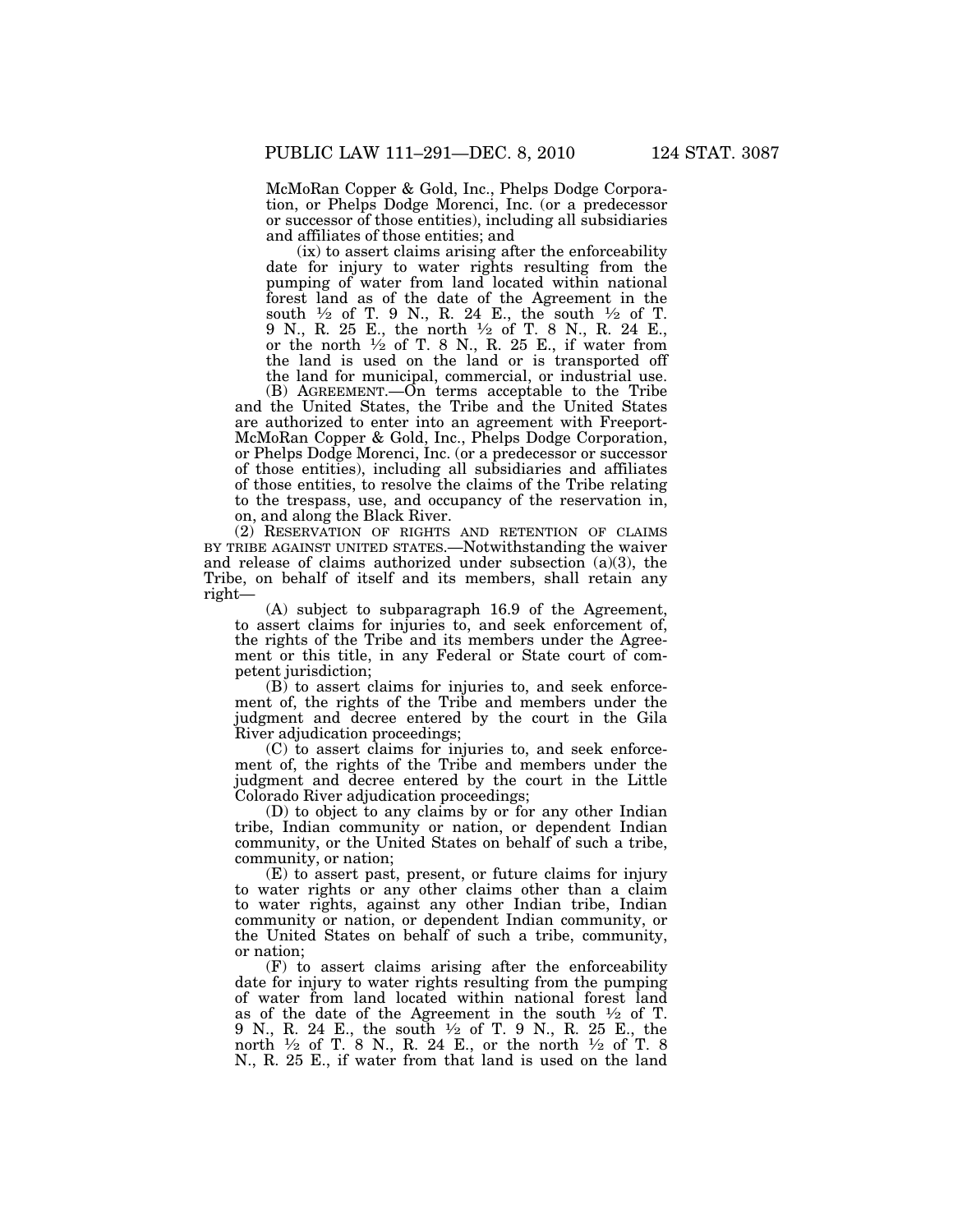McMoRan Copper & Gold, Inc., Phelps Dodge Corporation, or Phelps Dodge Morenci, Inc. (or a predecessor or successor of those entities), including all subsidiaries and affiliates of those entities; and

(ix) to assert claims arising after the enforceability date for injury to water rights resulting from the pumping of water from land located within national forest land as of the date of the Agreement in the south  $\frac{1}{2}$  of T. 9 N., R. 24 E., the south  $\frac{1}{2}$  of T. 9 N., R. 25 E., the north 1⁄2 of T. 8 N., R. 24 E., or the north  $\frac{1}{2}$  of T. 8 N., R. 25 E., if water from the land is used on the land or is transported off the land for municipal, commercial, or industrial use.

(B) AGREEMENT.—On terms acceptable to the Tribe and the United States, the Tribe and the United States are authorized to enter into an agreement with Freeport-McMoRan Copper & Gold, Inc., Phelps Dodge Corporation, or Phelps Dodge Morenci, Inc. (or a predecessor or successor of those entities), including all subsidiaries and affiliates of those entities, to resolve the claims of the Tribe relating to the trespass, use, and occupancy of the reservation in, on, and along the Black River.

(2) RESERVATION OF RIGHTS AND RETENTION OF CLAIMS BY TRIBE AGAINST UNITED STATES.—Notwithstanding the waiver and release of claims authorized under subsection (a)(3), the Tribe, on behalf of itself and its members, shall retain any right—

(A) subject to subparagraph 16.9 of the Agreement, to assert claims for injuries to, and seek enforcement of, the rights of the Tribe and its members under the Agreement or this title, in any Federal or State court of competent jurisdiction;

(B) to assert claims for injuries to, and seek enforcement of, the rights of the Tribe and members under the judgment and decree entered by the court in the Gila River adjudication proceedings;

(C) to assert claims for injuries to, and seek enforcement of, the rights of the Tribe and members under the judgment and decree entered by the court in the Little Colorado River adjudication proceedings;

(D) to object to any claims by or for any other Indian tribe, Indian community or nation, or dependent Indian community, or the United States on behalf of such a tribe, community, or nation;

(E) to assert past, present, or future claims for injury to water rights or any other claims other than a claim to water rights, against any other Indian tribe, Indian community or nation, or dependent Indian community, or the United States on behalf of such a tribe, community, or nation;

(F) to assert claims arising after the enforceability date for injury to water rights resulting from the pumping of water from land located within national forest land as of the date of the Agreement in the south  $\frac{1}{2}$  of T. 9 N., R. 24 E., the south 1⁄2 of T. 9 N., R. 25 E., the north  $\frac{1}{2}$  of T. 8 N., R. 24 E., or the north  $\frac{1}{2}$  of T. 8 N., R. 25 E., if water from that land is used on the land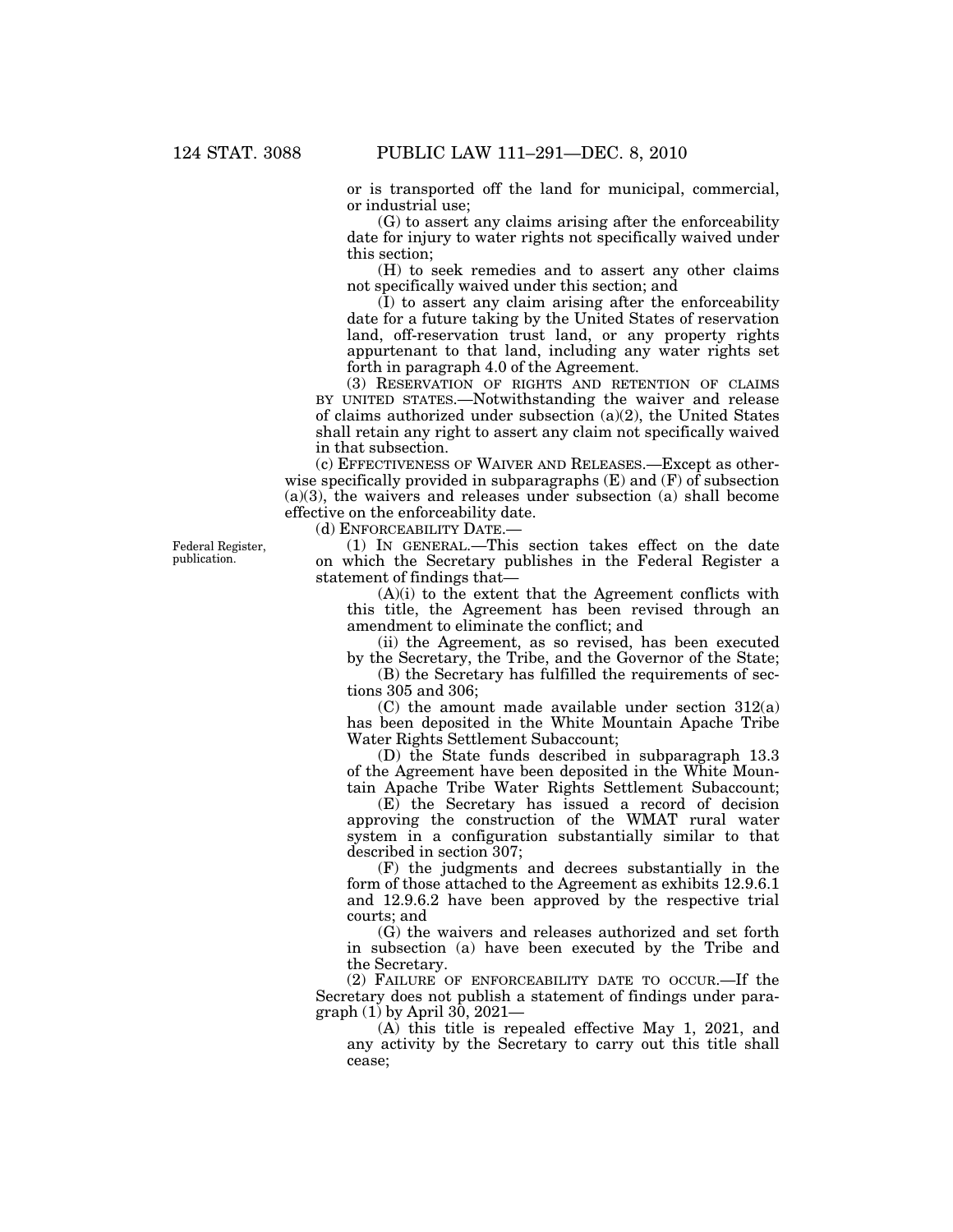or is transported off the land for municipal, commercial, or industrial use;

(G) to assert any claims arising after the enforceability date for injury to water rights not specifically waived under this section;

(H) to seek remedies and to assert any other claims not specifically waived under this section; and

(I) to assert any claim arising after the enforceability date for a future taking by the United States of reservation land, off-reservation trust land, or any property rights appurtenant to that land, including any water rights set forth in paragraph 4.0 of the Agreement.

(3) RESERVATION OF RIGHTS AND RETENTION OF CLAIMS BY UNITED STATES.—Notwithstanding the waiver and release of claims authorized under subsection (a)(2), the United States shall retain any right to assert any claim not specifically waived in that subsection.

(c) EFFECTIVENESS OF WAIVER AND RELEASES.—Except as otherwise specifically provided in subparagraphs  $(E)$  and  $(F)$  of subsection (a)(3), the waivers and releases under subsection (a) shall become effective on the enforceability date.

(d) ENFORCEABILITY DATE.—

(1) IN GENERAL.—This section takes effect on the date on which the Secretary publishes in the Federal Register a statement of findings that—

(A)(i) to the extent that the Agreement conflicts with this title, the Agreement has been revised through an amendment to eliminate the conflict; and

(ii) the Agreement, as so revised, has been executed by the Secretary, the Tribe, and the Governor of the State;

(B) the Secretary has fulfilled the requirements of sections 305 and 306;

(C) the amount made available under section 312(a) has been deposited in the White Mountain Apache Tribe Water Rights Settlement Subaccount;

(D) the State funds described in subparagraph 13.3 of the Agreement have been deposited in the White Mountain Apache Tribe Water Rights Settlement Subaccount;

(E) the Secretary has issued a record of decision approving the construction of the WMAT rural water system in a configuration substantially similar to that described in section 307;

(F) the judgments and decrees substantially in the form of those attached to the Agreement as exhibits 12.9.6.1 and 12.9.6.2 have been approved by the respective trial courts; and

(G) the waivers and releases authorized and set forth in subsection (a) have been executed by the Tribe and the Secretary.

(2) FAILURE OF ENFORCEABILITY DATE TO OCCUR.—If the Secretary does not publish a statement of findings under paragraph (1) by April 30, 2021—

(A) this title is repealed effective May 1, 2021, and any activity by the Secretary to carry out this title shall cease;

Federal Register, publication.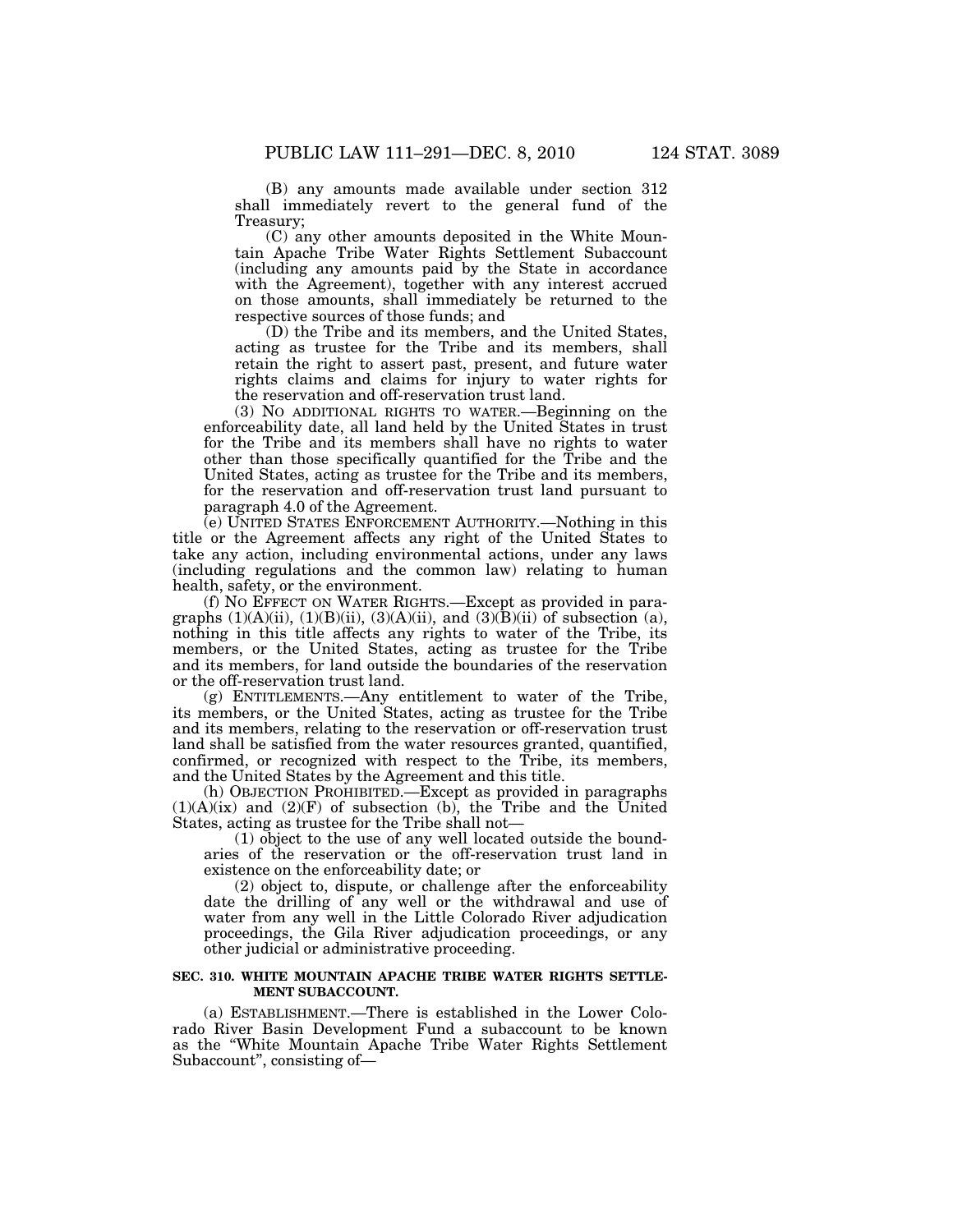(B) any amounts made available under section 312 shall immediately revert to the general fund of the Treasury;

(C) any other amounts deposited in the White Mountain Apache Tribe Water Rights Settlement Subaccount (including any amounts paid by the State in accordance with the Agreement), together with any interest accrued on those amounts, shall immediately be returned to the respective sources of those funds; and

(D) the Tribe and its members, and the United States, acting as trustee for the Tribe and its members, shall retain the right to assert past, present, and future water rights claims and claims for injury to water rights for the reservation and off-reservation trust land.

(3) NO ADDITIONAL RIGHTS TO WATER.—Beginning on the enforceability date, all land held by the United States in trust for the Tribe and its members shall have no rights to water other than those specifically quantified for the Tribe and the United States, acting as trustee for the Tribe and its members, for the reservation and off-reservation trust land pursuant to paragraph 4.0 of the Agreement.

(e) UNITED STATES ENFORCEMENT AUTHORITY.—Nothing in this title or the Agreement affects any right of the United States to take any action, including environmental actions, under any laws (including regulations and the common law) relating to human health, safety, or the environment.

(f) NO EFFECT ON WATER RIGHTS.—Except as provided in paragraphs  $(1)(A)(ii)$ ,  $(1)(B)(ii)$ ,  $(3)(A)(ii)$ , and  $(3)(\overline{B})(ii)$  of subsection (a), nothing in this title affects any rights to water of the Tribe, its members, or the United States, acting as trustee for the Tribe and its members, for land outside the boundaries of the reservation or the off-reservation trust land.

(g) ENTITLEMENTS.—Any entitlement to water of the Tribe, its members, or the United States, acting as trustee for the Tribe and its members, relating to the reservation or off-reservation trust land shall be satisfied from the water resources granted, quantified, confirmed, or recognized with respect to the Tribe, its members, and the United States by the Agreement and this title.

(h) OBJECTION PROHIBITED.—Except as provided in paragraphs  $(1)(A)(ix)$  and  $(2)(F)$  of subsection (b), the Tribe and the United States, acting as trustee for the Tribe shall not—

(1) object to the use of any well located outside the boundaries of the reservation or the off-reservation trust land in existence on the enforceability date; or

(2) object to, dispute, or challenge after the enforceability date the drilling of any well or the withdrawal and use of water from any well in the Little Colorado River adjudication proceedings, the Gila River adjudication proceedings, or any other judicial or administrative proceeding.

#### **SEC. 310. WHITE MOUNTAIN APACHE TRIBE WATER RIGHTS SETTLE-MENT SUBACCOUNT.**

(a) ESTABLISHMENT.—There is established in the Lower Colorado River Basin Development Fund a subaccount to be known as the ''White Mountain Apache Tribe Water Rights Settlement Subaccount'', consisting of—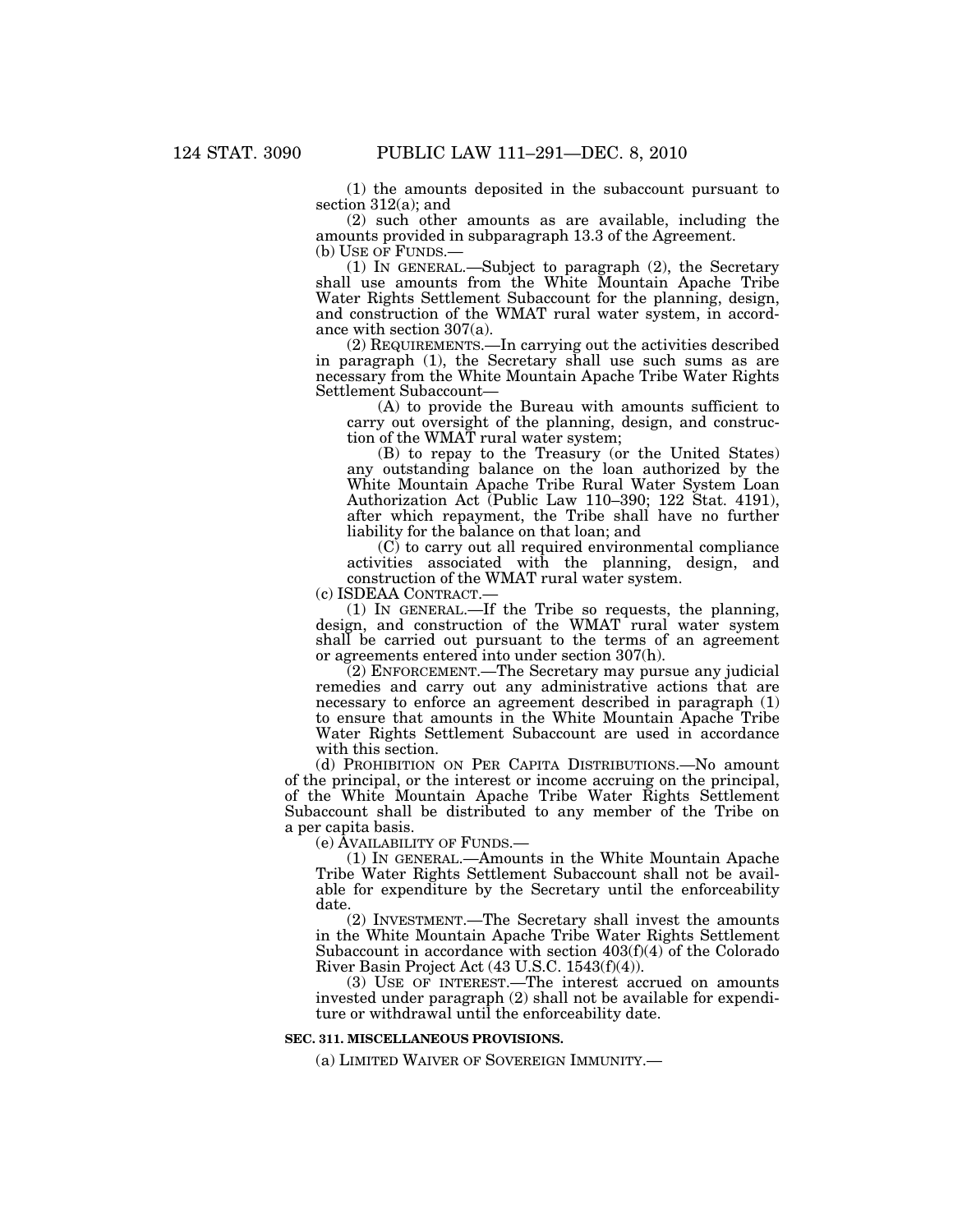(1) the amounts deposited in the subaccount pursuant to section 312(a); and

(2) such other amounts as are available, including the amounts provided in subparagraph 13.3 of the Agreement.

(1) IN GENERAL.—Subject to paragraph  $(2)$ , the Secretary shall use amounts from the White Mountain Apache Tribe Water Rights Settlement Subaccount for the planning, design, and construction of the WMAT rural water system, in accordance with section 307(a).

(2) REQUIREMENTS.—In carrying out the activities described in paragraph (1), the Secretary shall use such sums as are necessary from the White Mountain Apache Tribe Water Rights Settlement Subaccount—

(A) to provide the Bureau with amounts sufficient to carry out oversight of the planning, design, and construction of the WMAT rural water system;

(B) to repay to the Treasury (or the United States) any outstanding balance on the loan authorized by the White Mountain Apache Tribe Rural Water System Loan Authorization Act (Public Law 110–390; 122 Stat. 4191), after which repayment, the Tribe shall have no further liability for the balance on that loan; and

 $(C)$  to carry out all required environmental compliance activities associated with the planning, design, and construction of the WMAT rural water system.

(c) ISDEAA CONTRACT.—

(1) IN GENERAL.—If the Tribe so requests, the planning, design, and construction of the WMAT rural water system shall be carried out pursuant to the terms of an agreement or agreements entered into under section 307(h).

(2) ENFORCEMENT.—The Secretary may pursue any judicial remedies and carry out any administrative actions that are necessary to enforce an agreement described in paragraph (1) to ensure that amounts in the White Mountain Apache Tribe Water Rights Settlement Subaccount are used in accordance with this section.

(d) PROHIBITION ON PER CAPITA DISTRIBUTIONS.—No amount of the principal, or the interest or income accruing on the principal, of the White Mountain Apache Tribe Water Rights Settlement Subaccount shall be distributed to any member of the Tribe on a per capita basis.

(e) AVAILABILITY OF FUNDS.—

(1) IN GENERAL.—Amounts in the White Mountain Apache Tribe Water Rights Settlement Subaccount shall not be available for expenditure by the Secretary until the enforceability date.

(2) INVESTMENT.—The Secretary shall invest the amounts in the White Mountain Apache Tribe Water Rights Settlement Subaccount in accordance with section 403(f)(4) of the Colorado River Basin Project Act (43 U.S.C. 1543(f)(4)).

(3) USE OF INTEREST.—The interest accrued on amounts invested under paragraph (2) shall not be available for expenditure or withdrawal until the enforceability date.

## **SEC. 311. MISCELLANEOUS PROVISIONS.**

(a) LIMITED WAIVER OF SOVEREIGN IMMUNITY.—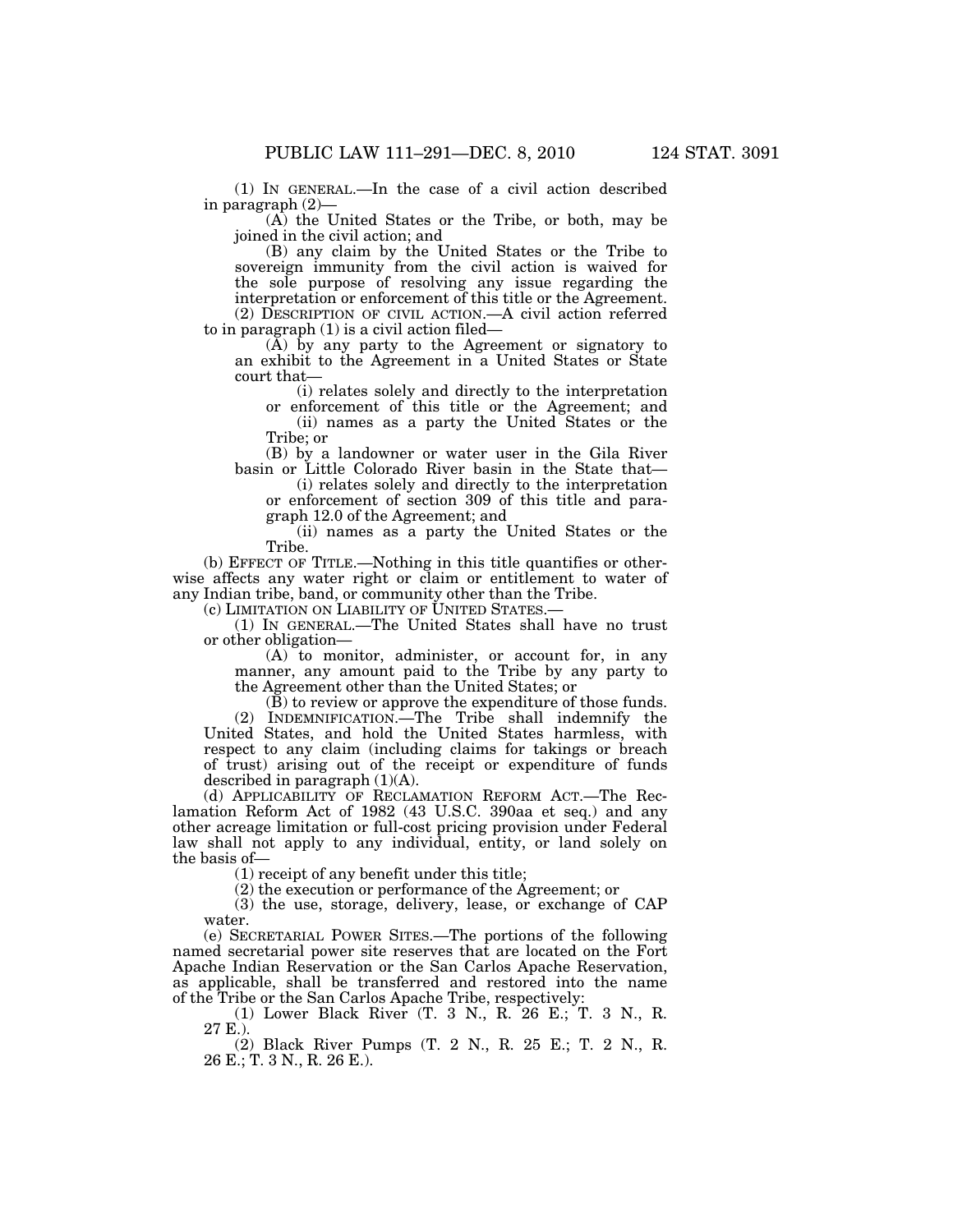(1) IN GENERAL.—In the case of a civil action described in paragraph (2)—

(A) the United States or the Tribe, or both, may be joined in the civil action; and

(B) any claim by the United States or the Tribe to sovereign immunity from the civil action is waived for the sole purpose of resolving any issue regarding the interpretation or enforcement of this title or the Agreement. (2) DESCRIPTION OF CIVIL ACTION.—A civil action referred

to in paragraph (1) is a civil action filed—

(A) by any party to the Agreement or signatory to an exhibit to the Agreement in a United States or State court that—

(i) relates solely and directly to the interpretation or enforcement of this title or the Agreement; and (ii) names as a party the United States or the

Tribe; or

(B) by a landowner or water user in the Gila River basin or Little Colorado River basin in the State that—

(i) relates solely and directly to the interpretation or enforcement of section 309 of this title and paragraph 12.0 of the Agreement; and

(ii) names as a party the United States or the Tribe.

(b) EFFECT OF TITLE.—Nothing in this title quantifies or otherwise affects any water right or claim or entitlement to water of any Indian tribe, band, or community other than the Tribe.

(c) LIMITATION ON LIABILITY OF UNITED STATES.—

(1) IN GENERAL.—The United States shall have no trust or other obligation—

(A) to monitor, administer, or account for, in any manner, any amount paid to the Tribe by any party to the Agreement other than the United States; or

(B) to review or approve the expenditure of those funds. (2) INDEMNIFICATION.—The Tribe shall indemnify the United States, and hold the United States harmless, with respect to any claim (including claims for takings or breach of trust) arising out of the receipt or expenditure of funds

described in paragraph (1)(A). (d) APPLICABILITY OF RECLAMATION REFORM ACT.—The Reclamation Reform Act of 1982 (43 U.S.C. 390aa et seq.) and any other acreage limitation or full-cost pricing provision under Federal law shall not apply to any individual, entity, or land solely on the basis of—

(1) receipt of any benefit under this title;

(2) the execution or performance of the Agreement; or

(3) the use, storage, delivery, lease, or exchange of CAP water.

(e) SECRETARIAL POWER SITES.—The portions of the following named secretarial power site reserves that are located on the Fort Apache Indian Reservation or the San Carlos Apache Reservation, as applicable, shall be transferred and restored into the name of the Tribe or the San Carlos Apache Tribe, respectively:

(1) Lower Black River (T. 3 N., R. 26 E.; T. 3 N., R. 27 E.).

(2) Black River Pumps (T. 2 N., R. 25 E.; T. 2 N., R. 26 E.; T. 3 N., R. 26 E.).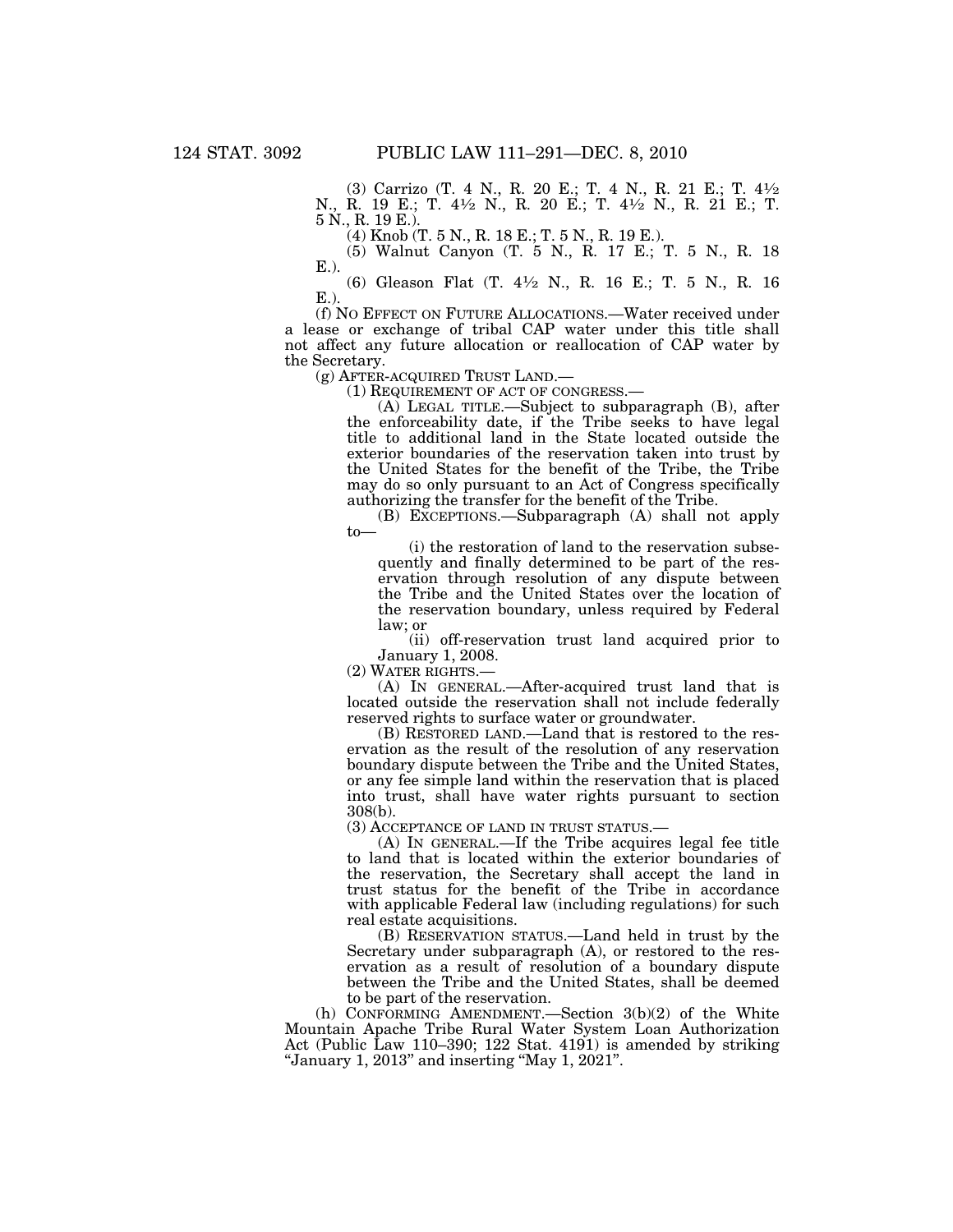(3) Carrizo (T. 4 N., R. 20 E.; T. 4 N., R. 21 E.; T. 41⁄2 N., R. 19 E.; T. 41⁄2 N., R. 20 E.; T. 41⁄2 N., R. 21 E.; T. 5 N., R. 19 E.).

(4) Knob (T. 5 N., R. 18 E.; T. 5 N., R. 19 E.).

(5) Walnut Canyon (T. 5 N., R. 17 E.; T. 5 N., R. 18 E.).

(6) Gleason Flat (T. 41⁄2 N., R. 16 E.; T. 5 N., R. 16 E.).

(f) NO EFFECT ON FUTURE ALLOCATIONS.—Water received under a lease or exchange of tribal CAP water under this title shall not affect any future allocation or reallocation of CAP water by the Secretary.<br>(g) AFTER-ACQUIRED TRUST LAND.—

(1) REQUIREMENT OF ACT OF CONGRESS.—<br>(A) LEGAL TITLE.—Subject to subparagraph (B), after the enforceability date, if the Tribe seeks to have legal title to additional land in the State located outside the exterior boundaries of the reservation taken into trust by the United States for the benefit of the Tribe, the Tribe may do so only pursuant to an Act of Congress specifically authorizing the transfer for the benefit of the Tribe.

(B) EXCEPTIONS.—Subparagraph (A) shall not apply to—

(i) the restoration of land to the reservation subsequently and finally determined to be part of the reservation through resolution of any dispute between the Tribe and the United States over the location of the reservation boundary, unless required by Federal law; or

(ii) off-reservation trust land acquired prior to January 1, 2008.

(2) WATER RIGHTS.—

(A) IN GENERAL.—After-acquired trust land that is located outside the reservation shall not include federally reserved rights to surface water or groundwater.

(B) RESTORED LAND.—Land that is restored to the reservation as the result of the resolution of any reservation boundary dispute between the Tribe and the United States, or any fee simple land within the reservation that is placed into trust, shall have water rights pursuant to section 308(b).

(3) ACCEPTANCE OF LAND IN TRUST STATUS.—

(A) IN GENERAL.—If the Tribe acquires legal fee title to land that is located within the exterior boundaries of the reservation, the Secretary shall accept the land in trust status for the benefit of the Tribe in accordance with applicable Federal law (including regulations) for such real estate acquisitions.

(B) RESERVATION STATUS.—Land held in trust by the Secretary under subparagraph (A), or restored to the reservation as a result of resolution of a boundary dispute between the Tribe and the United States, shall be deemed to be part of the reservation.

(h) CONFORMING AMENDMENT.—Section  $3(b)(2)$  of the White Mountain Apache Tribe Rural Water System Loan Authorization Act (Public Law 110–390; 122 Stat. 4191) is amended by striking "January 1, 2013" and inserting "May 1, 2021".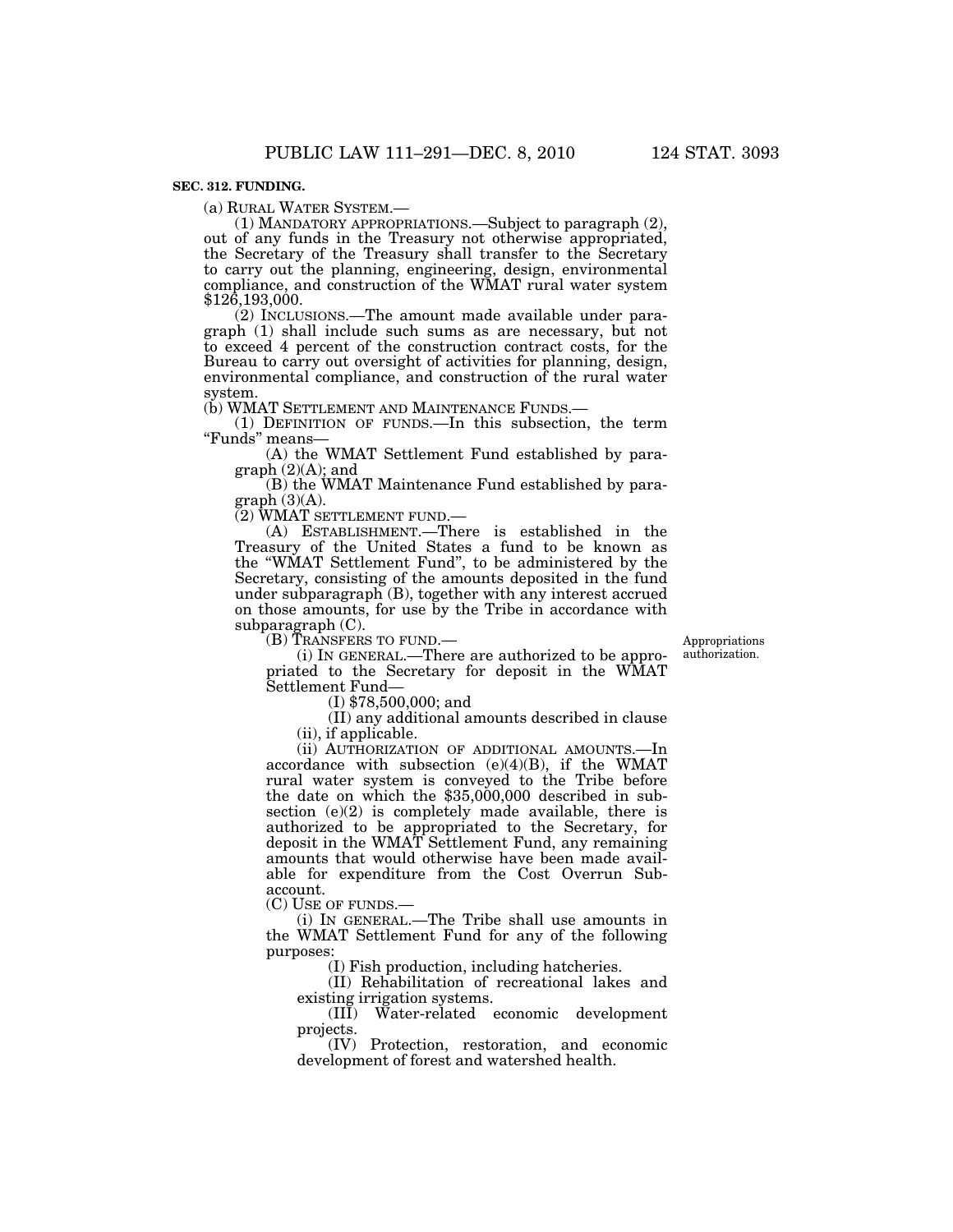## **SEC. 312. FUNDING.**

(a) RURAL WATER SYSTEM.— (1) MANDATORY APPROPRIATIONS.—Subject to paragraph (2), out of any funds in the Treasury not otherwise appropriated, the Secretary of the Treasury shall transfer to the Secretary to carry out the planning, engineering, design, environmental compliance, and construction of the WMAT rural water system \$126,193,000.

(2) INCLUSIONS.—The amount made available under paragraph (1) shall include such sums as are necessary, but not to exceed 4 percent of the construction contract costs, for the Bureau to carry out oversight of activities for planning, design, environmental compliance, and construction of the rural water system.<br>(b) WMAT SETTLEMENT AND MAINTENANCE FUNDS.—

(1) DEFINITION OF FUNDS.—In this subsection, the term "Funds" means-

(A) the WMAT Settlement Fund established by paragraph (2)(A); and

(B) the WMAT Maintenance Fund established by para $graph (3)(A)$ .

(2) WMAT SETTLEMENT FUND.—

(A) ESTABLISHMENT.—There is established in the Treasury of the United States a fund to be known as the ''WMAT Settlement Fund'', to be administered by the Secretary, consisting of the amounts deposited in the fund under subparagraph (B), together with any interest accrued on those amounts, for use by the Tribe in accordance with subparagraph (C).

(B) TRANSFERS TO FUND.—

Appropriations authorization.

(i) IN GENERAL.—There are authorized to be appropriated to the Secretary for deposit in the WMAT Settlement Fund—

(I) \$78,500,000; and

(II) any additional amounts described in clause (ii), if applicable.

(ii) AUTHORIZATION OF ADDITIONAL AMOUNTS.—In accordance with subsection (e)(4)(B), if the WMAT rural water system is conveyed to the Tribe before the date on which the  $$35,000,000$  described in subsection  $(e)(2)$  is completely made available, there is authorized to be appropriated to the Secretary, for deposit in the WMAT Settlement Fund, any remaining amounts that would otherwise have been made available for expenditure from the Cost Overrun Subaccount.

(C) USE OF FUNDS.—

(i) IN GENERAL.—The Tribe shall use amounts in the WMAT Settlement Fund for any of the following purposes:

(I) Fish production, including hatcheries.

(II) Rehabilitation of recreational lakes and existing irrigation systems.

(III) Water-related economic development projects.

(IV) Protection, restoration, and economic development of forest and watershed health.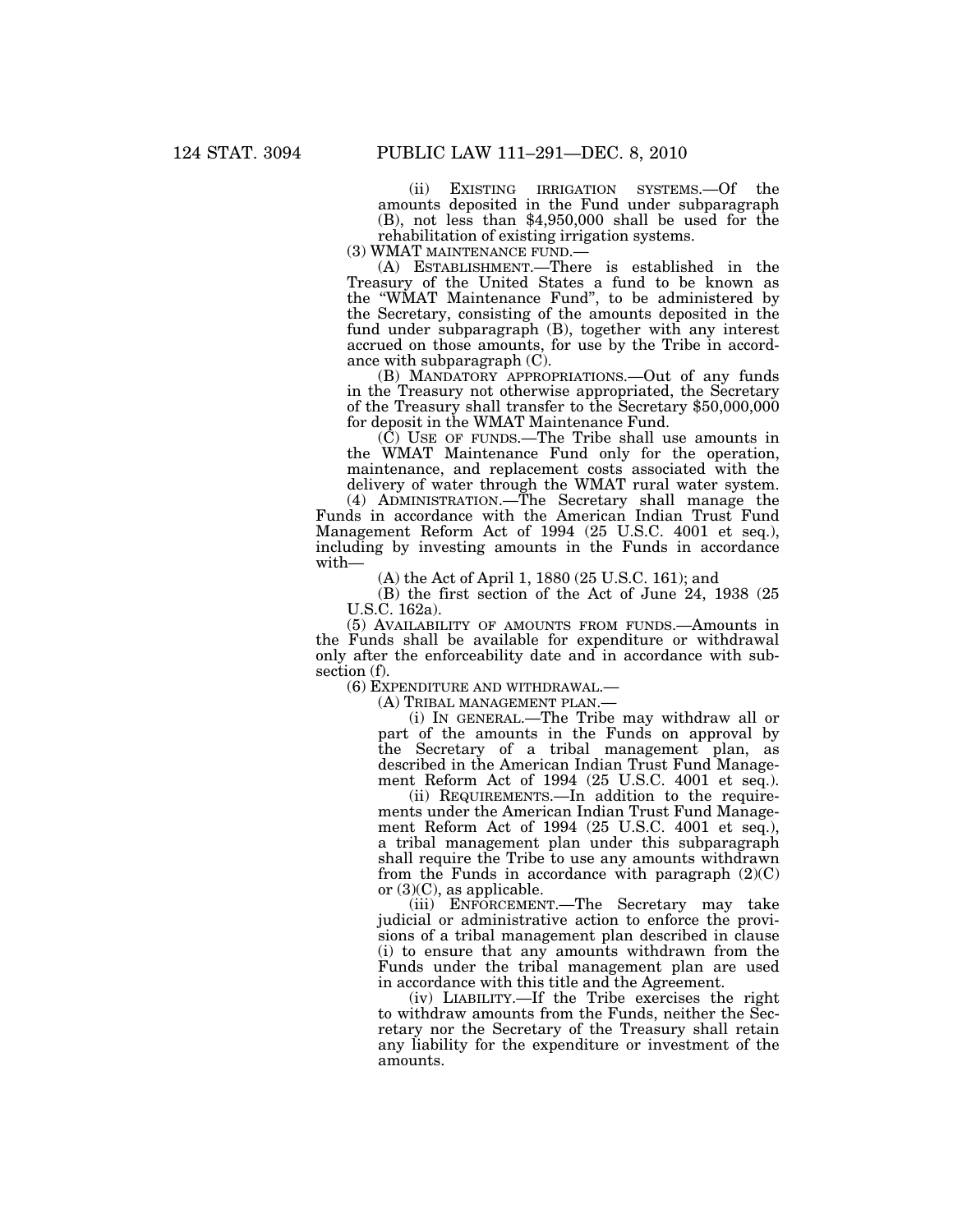(ii) EXISTING IRRIGATION SYSTEMS.—Of the amounts deposited in the Fund under subparagraph (B), not less than \$4,950,000 shall be used for the rehabilitation of existing irrigation systems.<br>(3) WMAT MAINTENANCE FUND.—

 $(A)$  ESTABLISHMENT.—There is established in the Treasury of the United States a fund to be known as the ''WMAT Maintenance Fund'', to be administered by the Secretary, consisting of the amounts deposited in the fund under subparagraph (B), together with any interest accrued on those amounts, for use by the Tribe in accordance with subparagraph (C).

(B) MANDATORY APPROPRIATIONS.—Out of any funds in the Treasury not otherwise appropriated, the Secretary of the Treasury shall transfer to the Secretary \$50,000,000 for deposit in the WMAT Maintenance Fund.

(C) USE OF FUNDS.—The Tribe shall use amounts in the WMAT Maintenance Fund only for the operation, maintenance, and replacement costs associated with the delivery of water through the WMAT rural water system.

(4) ADMINISTRATION.—The Secretary shall manage the Funds in accordance with the American Indian Trust Fund Management Reform Act of 1994 (25 U.S.C. 4001 et seq.), including by investing amounts in the Funds in accordance with—

(A) the Act of April 1, 1880 (25 U.S.C. 161); and

(B) the first section of the Act of June 24, 1938 (25 U.S.C. 162a).

(5) AVAILABILITY OF AMOUNTS FROM FUNDS.—Amounts in the Funds shall be available for expenditure or withdrawal only after the enforceability date and in accordance with subsection (f).

(6) EXPENDITURE AND WITHDRAWAL.—

(A) TRIBAL MANAGEMENT PLAN.—

(i) IN GENERAL.—The Tribe may withdraw all or part of the amounts in the Funds on approval by the Secretary of a tribal management plan, as described in the American Indian Trust Fund Management Reform Act of 1994 (25 U.S.C. 4001 et seq.).

(ii) REQUIREMENTS.—In addition to the requirements under the American Indian Trust Fund Management Reform Act of 1994 (25 U.S.C. 4001 et seq.), a tribal management plan under this subparagraph shall require the Tribe to use any amounts withdrawn from the Funds in accordance with paragraph  $(2)(C)$ or  $(3)(C)$ , as applicable.

(iii) ENFORCEMENT.—The Secretary may take judicial or administrative action to enforce the provisions of a tribal management plan described in clause (i) to ensure that any amounts withdrawn from the Funds under the tribal management plan are used in accordance with this title and the Agreement.

(iv) LIABILITY.—If the Tribe exercises the right to withdraw amounts from the Funds, neither the Secretary nor the Secretary of the Treasury shall retain any liability for the expenditure or investment of the amounts.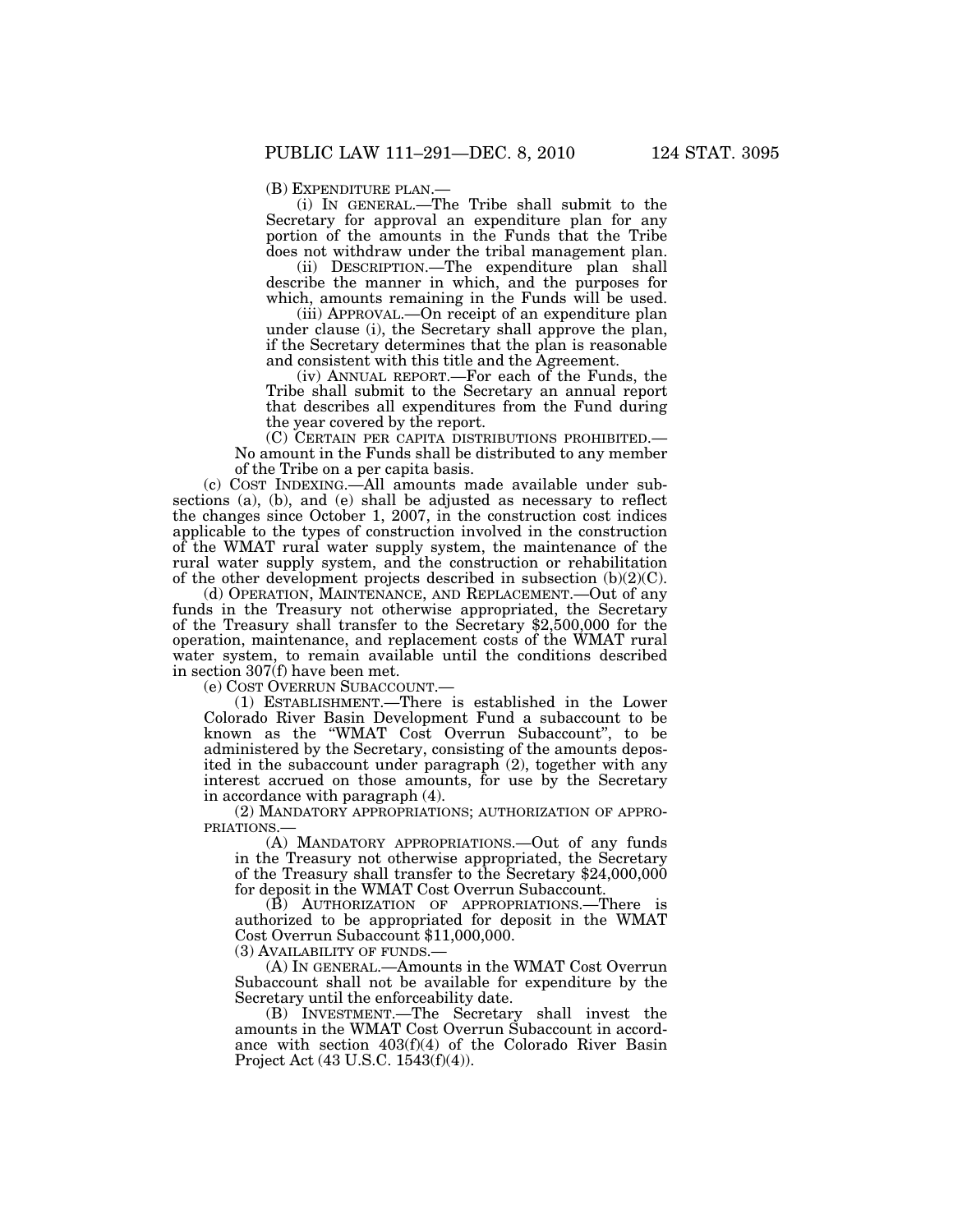(B) EXPENDITURE PLAN.—<br>(i) IN GENERAL.—The Tribe shall submit to the Secretary for approval an expenditure plan for any portion of the amounts in the Funds that the Tribe does not withdraw under the tribal management plan.

(ii) DESCRIPTION.—The expenditure plan shall describe the manner in which, and the purposes for which, amounts remaining in the Funds will be used.

(iii) APPROVAL.—On receipt of an expenditure plan under clause (i), the Secretary shall approve the plan, if the Secretary determines that the plan is reasonable and consistent with this title and the Agreement.

(iv) ANNUAL REPORT.—For each of the Funds, the Tribe shall submit to the Secretary an annual report that describes all expenditures from the Fund during the year covered by the report.

(C) CERTAIN PER CAPITA DISTRIBUTIONS PROHIBITED.— No amount in the Funds shall be distributed to any member of the Tribe on a per capita basis.

(c) COST INDEXING.—All amounts made available under subsections (a), (b), and (e) shall be adjusted as necessary to reflect the changes since October 1, 2007, in the construction cost indices applicable to the types of construction involved in the construction of the WMAT rural water supply system, the maintenance of the rural water supply system, and the construction or rehabilitation of the other development projects described in subsection  $(b)(2)(C)$ .

(d) OPERATION, MAINTENANCE, AND REPLACEMENT.—Out of any funds in the Treasury not otherwise appropriated, the Secretary of the Treasury shall transfer to the Secretary \$2,500,000 for the operation, maintenance, and replacement costs of the WMAT rural water system, to remain available until the conditions described in section  $307(f)$  have been met.

(e) COST OVERRUN SUBACCOUNT.—

(1) ESTABLISHMENT.—There is established in the Lower Colorado River Basin Development Fund a subaccount to be known as the ''WMAT Cost Overrun Subaccount'', to be administered by the Secretary, consisting of the amounts deposited in the subaccount under paragraph (2), together with any interest accrued on those amounts, for use by the Secretary in accordance with paragraph (4).

(2) MANDATORY APPROPRIATIONS; AUTHORIZATION OF APPRO-PRIATIONS.—

(A) MANDATORY APPROPRIATIONS.—Out of any funds in the Treasury not otherwise appropriated, the Secretary of the Treasury shall transfer to the Secretary \$24,000,000 for deposit in the WMAT Cost Overrun Subaccount.

(B) AUTHORIZATION OF APPROPRIATIONS.—There is authorized to be appropriated for deposit in the WMAT Cost Overrun Subaccount \$11,000,000.

(3) AVAILABILITY OF FUNDS.—

(A) IN GENERAL.—Amounts in the WMAT Cost Overrun Subaccount shall not be available for expenditure by the Secretary until the enforceability date.

(B) INVESTMENT.—The Secretary shall invest the amounts in the WMAT Cost Overrun Subaccount in accordance with section 403(f)(4) of the Colorado River Basin Project Act (43 U.S.C. 1543(f)(4)).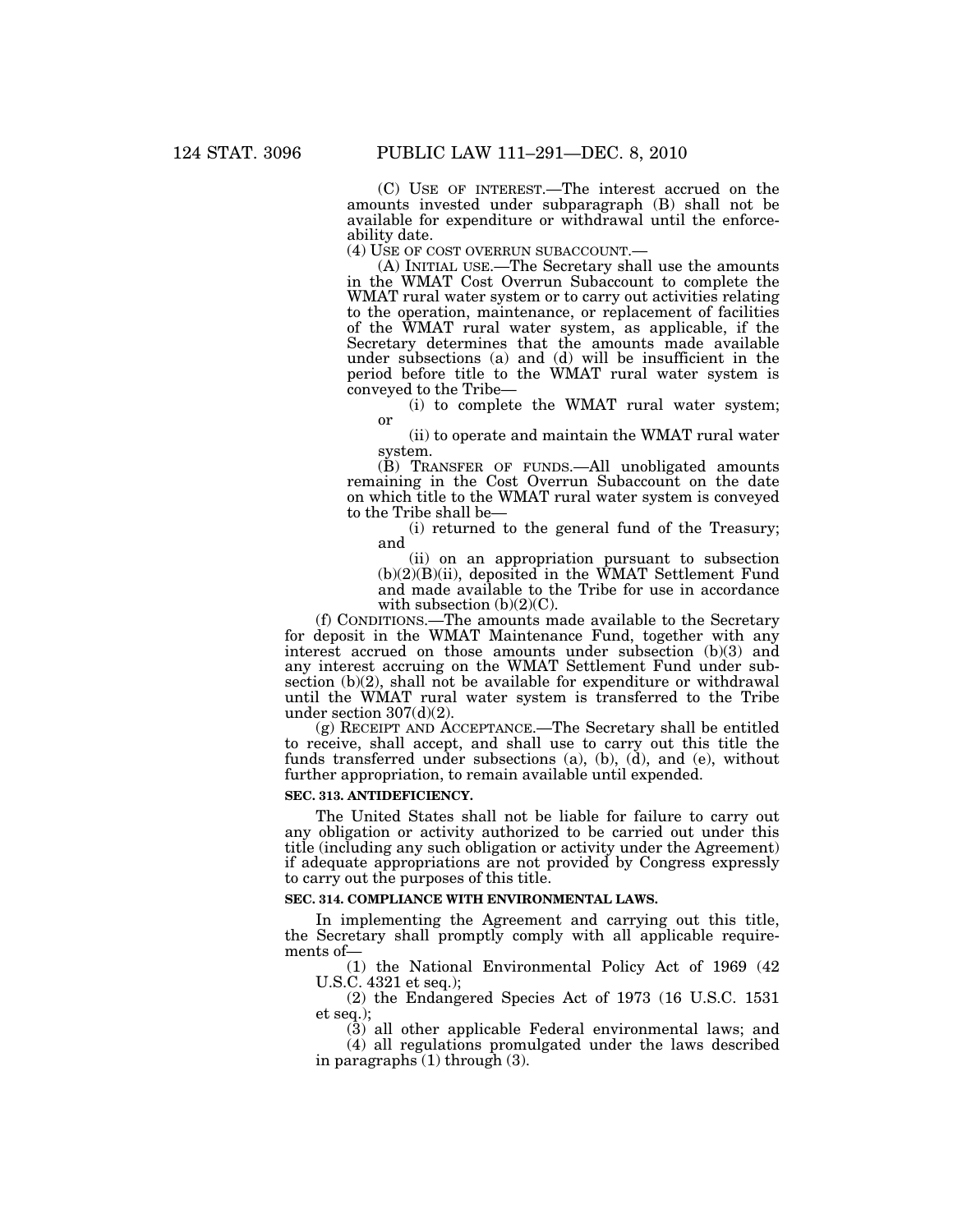(C) USE OF INTEREST.—The interest accrued on the amounts invested under subparagraph (B) shall not be available for expenditure or withdrawal until the enforceability date.<br>(4) USE OF COST OVERRUN SUBACCOUNT.—

(A) INITIAL USE.—The Secretary shall use the amounts. in the WMAT Cost Overrun Subaccount to complete the WMAT rural water system or to carry out activities relating to the operation, maintenance, or replacement of facilities of the WMAT rural water system, as applicable, if the Secretary determines that the amounts made available under subsections (a) and (d) will be insufficient in the period before title to the WMAT rural water system is conveyed to the Tribe—

(i) to complete the WMAT rural water system; or

(ii) to operate and maintain the WMAT rural water system.

(B) TRANSFER OF FUNDS.—All unobligated amounts remaining in the Cost Overrun Subaccount on the date on which title to the WMAT rural water system is conveyed to the Tribe shall be—

(i) returned to the general fund of the Treasury; and

(ii) on an appropriation pursuant to subsection  $(b)(2)(B)(ii)$ , deposited in the WMAT Settlement Fund and made available to the Tribe for use in accordance with subsection  $(b)(2)(C)$ .

(f) CONDITIONS.—The amounts made available to the Secretary for deposit in the WMAT Maintenance Fund, together with any interest accrued on those amounts under subsection (b)(3) and any interest accruing on the WMAT Settlement Fund under subsection (b)(2), shall not be available for expenditure or withdrawal until the WMAT rural water system is transferred to the Tribe under section 307(d)(2).

(g) RECEIPT AND ACCEPTANCE.—The Secretary shall be entitled to receive, shall accept, and shall use to carry out this title the funds transferred under subsections  $(a)$ ,  $(b)$ ,  $(d)$ , and  $(e)$ , without further appropriation, to remain available until expended.

#### **SEC. 313. ANTIDEFICIENCY.**

The United States shall not be liable for failure to carry out any obligation or activity authorized to be carried out under this title (including any such obligation or activity under the Agreement) if adequate appropriations are not provided by Congress expressly to carry out the purposes of this title.

#### **SEC. 314. COMPLIANCE WITH ENVIRONMENTAL LAWS.**

In implementing the Agreement and carrying out this title, the Secretary shall promptly comply with all applicable requirements of—

(1) the National Environmental Policy Act of 1969 (42 U.S.C. 4321 et seq.);

(2) the Endangered Species Act of 1973 (16 U.S.C. 1531 et seq.);

(3) all other applicable Federal environmental laws; and (4) all regulations promulgated under the laws described

in paragraphs  $(1)$  through  $(3)$ .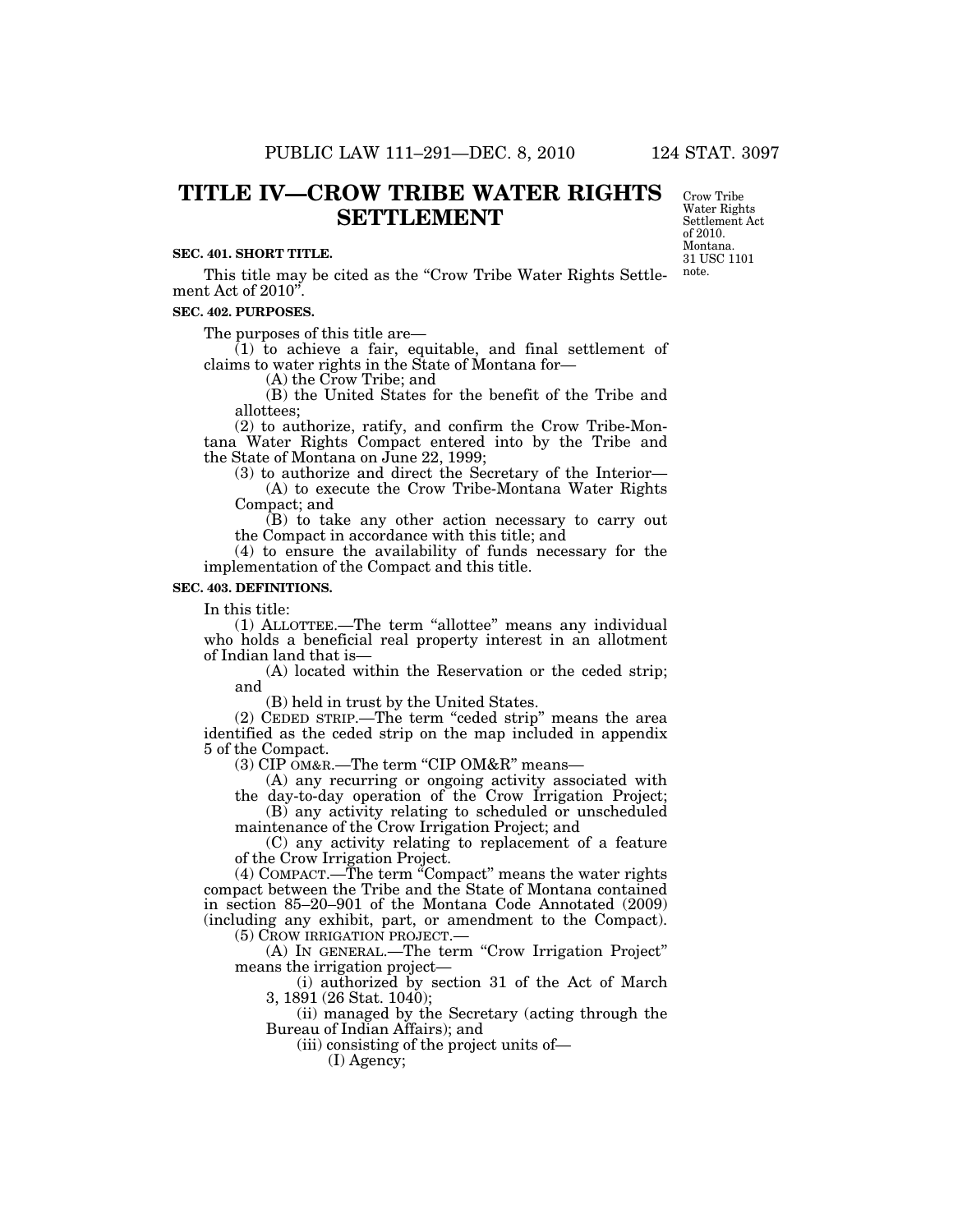## **SEC. 401. SHORT TITLE.**

This title may be cited as the "Crow Tribe Water Rights Settlement Act of 2010''.

#### **SEC. 402. PURPOSES.**

The purposes of this title are—

 $(1)$  to achieve a fair, equitable, and final settlement of claims to water rights in the State of Montana for—

(A) the Crow Tribe; and

(B) the United States for the benefit of the Tribe and allottees;

(2) to authorize, ratify, and confirm the Crow Tribe-Montana Water Rights Compact entered into by the Tribe and the State of Montana on June 22, 1999;

(3) to authorize and direct the Secretary of the Interior— (A) to execute the Crow Tribe-Montana Water Rights Compact; and

(B) to take any other action necessary to carry out the Compact in accordance with this title; and

(4) to ensure the availability of funds necessary for the implementation of the Compact and this title.

## **SEC. 403. DEFINITIONS.**

In this title:

(1) ALLOTTEE.—The term ''allottee'' means any individual who holds a beneficial real property interest in an allotment of Indian land that is—

(A) located within the Reservation or the ceded strip; and

(B) held in trust by the United States.

(2) CEDED STRIP.—The term ''ceded strip'' means the area identified as the ceded strip on the map included in appendix 5 of the Compact.

(3) CIP OM&R.—The term "CIP OM&R" means—

(A) any recurring or ongoing activity associated with the day-to-day operation of the Crow Irrigation Project;

(B) any activity relating to scheduled or unscheduled maintenance of the Crow Irrigation Project; and

(C) any activity relating to replacement of a feature of the Crow Irrigation Project.

 $(4)$  COMPACT.—The term "Compact" means the water rights compact between the Tribe and the State of Montana contained in section 85–20–901 of the Montana Code Annotated (2009) (including any exhibit, part, or amendment to the Compact). (5) CROW IRRIGATION PROJECT.—

(A) IN GENERAL.—The term ''Crow Irrigation Project'' means the irrigation project—

(i) authorized by section 31 of the Act of March 3, 1891 (26 Stat. 1040);

(ii) managed by the Secretary (acting through the Bureau of Indian Affairs); and

(iii) consisting of the project units of—

(I) Agency;

Crow Tribe Water Rights Settlement Act of 2010. Montana. 31 USC 1101 note.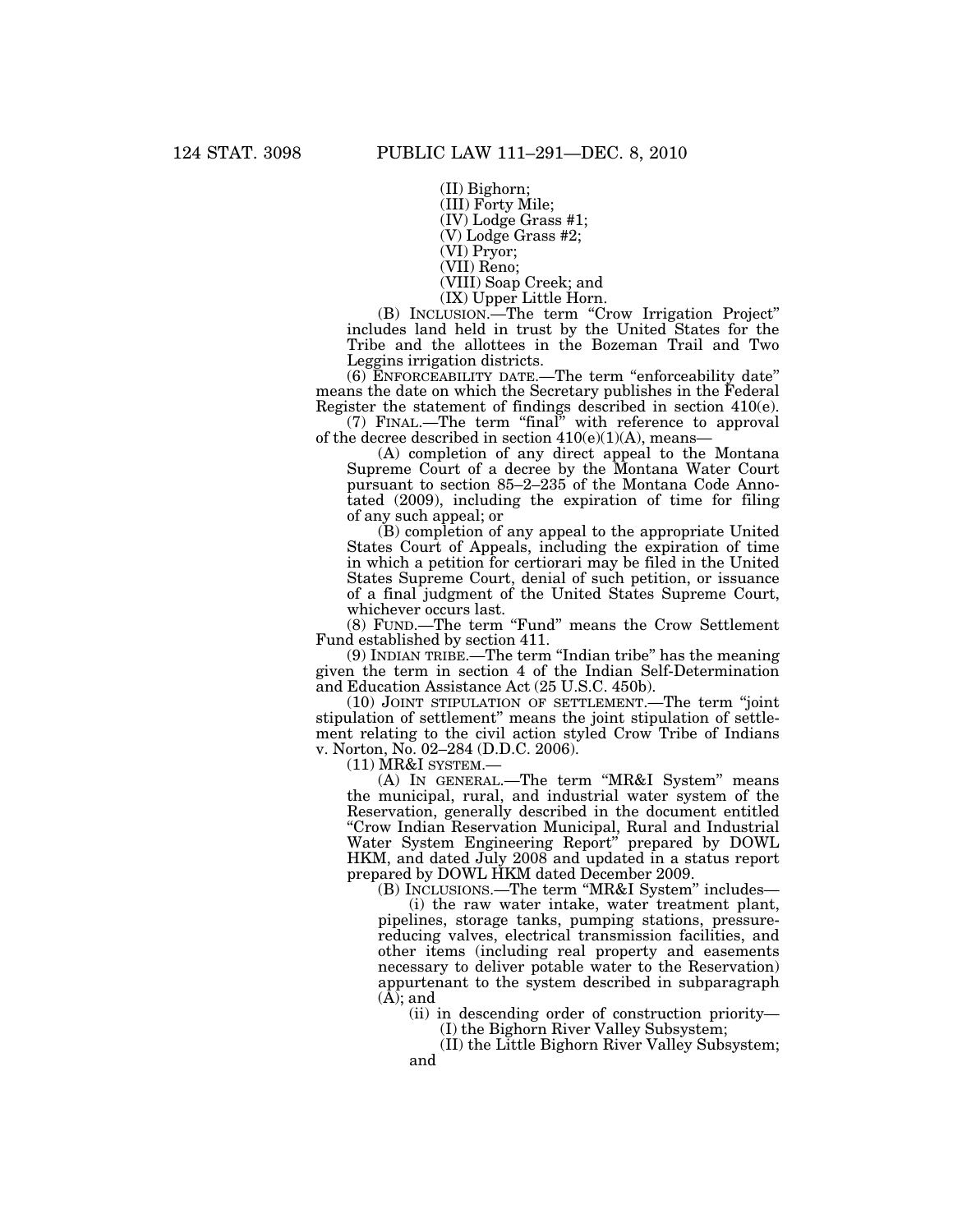(II) Bighorn;

(III) Forty Mile;

(IV) Lodge Grass #1; (V) Lodge Grass #2;

(VI) Pryor;

(VII) Reno;

(VIII) Soap Creek; and

(IX) Upper Little Horn.

(B) INCLUSION.—The term ''Crow Irrigation Project'' includes land held in trust by the United States for the Tribe and the allottees in the Bozeman Trail and Two Leggins irrigation districts.

(6) ENFORCEABILITY DATE.—The term ''enforceability date'' means the date on which the Secretary publishes in the Federal Register the statement of findings described in section 410(e).

(7) FINAL.—The term ''final'' with reference to approval of the decree described in section  $410(e)(1)(A)$ , means–

(A) completion of any direct appeal to the Montana Supreme Court of a decree by the Montana Water Court pursuant to section 85–2–235 of the Montana Code Annotated (2009), including the expiration of time for filing of any such appeal; or

(B) completion of any appeal to the appropriate United States Court of Appeals, including the expiration of time in which a petition for certiorari may be filed in the United States Supreme Court, denial of such petition, or issuance of a final judgment of the United States Supreme Court, whichever occurs last.

(8) FUND.—The term ''Fund'' means the Crow Settlement Fund established by section 411.

(9) INDIAN TRIBE.—The term ''Indian tribe'' has the meaning given the term in section 4 of the Indian Self-Determination and Education Assistance Act (25 U.S.C. 450b).

(10) JOINT STIPULATION OF SETTLEMENT.—The term ''joint stipulation of settlement'' means the joint stipulation of settlement relating to the civil action styled Crow Tribe of Indians v. Norton, No. 02–284 (D.D.C. 2006).

 $(11)$  MR&I SYSTEM. $-$ 

(A) IN GENERAL.—The term ''MR&I System'' means the municipal, rural, and industrial water system of the Reservation, generally described in the document entitled ''Crow Indian Reservation Municipal, Rural and Industrial Water System Engineering Report'' prepared by DOWL HKM, and dated July 2008 and updated in a status report prepared by DOWL HKM dated December 2009.

(B) INCLUSIONS.—The term ''MR&I System'' includes—

(i) the raw water intake, water treatment plant, pipelines, storage tanks, pumping stations, pressurereducing valves, electrical transmission facilities, and other items (including real property and easements necessary to deliver potable water to the Reservation) appurtenant to the system described in subparagraph  $(\overline{A})$ ; and

(ii) in descending order of construction priority—

(I) the Bighorn River Valley Subsystem;

(II) the Little Bighorn River Valley Subsystem; and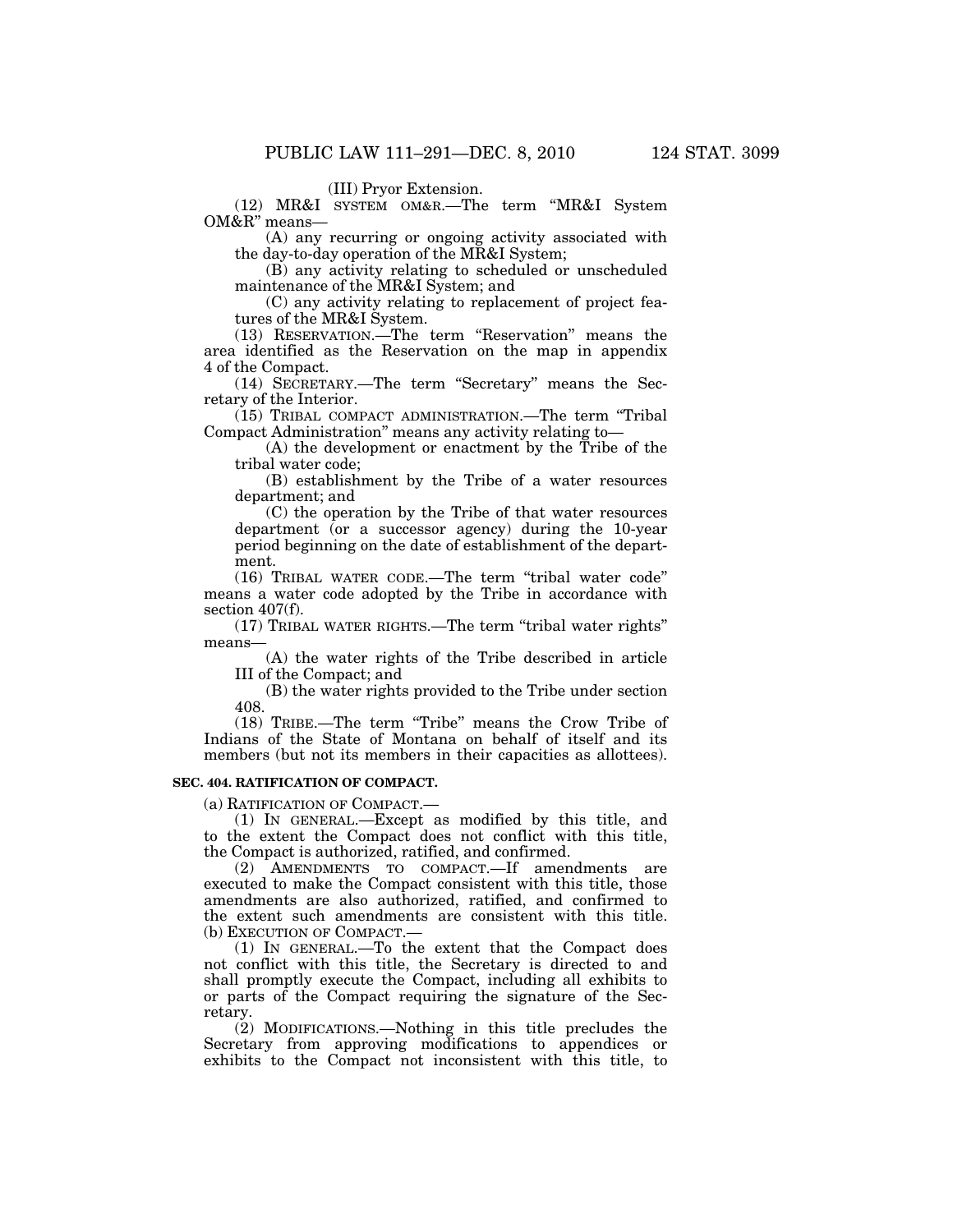(III) Pryor Extension.

(12) MR&I SYSTEM OM&R.—The term ''MR&I System OM&R'' means—

(A) any recurring or ongoing activity associated with the day-to-day operation of the MR&I System;

(B) any activity relating to scheduled or unscheduled maintenance of the MR&I System; and

(C) any activity relating to replacement of project features of the MR&I System.

(13) RESERVATION.—The term ''Reservation'' means the area identified as the Reservation on the map in appendix 4 of the Compact.

(14) SECRETARY.—The term ''Secretary'' means the Secretary of the Interior.

(15) TRIBAL COMPACT ADMINISTRATION.—The term ''Tribal Compact Administration'' means any activity relating to—

(A) the development or enactment by the Tribe of the tribal water code;

(B) establishment by the Tribe of a water resources department; and

(C) the operation by the Tribe of that water resources department (or a successor agency) during the 10-year period beginning on the date of establishment of the department.

(16) TRIBAL WATER CODE.—The term ''tribal water code'' means a water code adopted by the Tribe in accordance with section  $407(f)$ .

(17) TRIBAL WATER RIGHTS.—The term ''tribal water rights'' means—

(A) the water rights of the Tribe described in article III of the Compact; and

(B) the water rights provided to the Tribe under section 408.

(18) TRIBE.—The term ''Tribe'' means the Crow Tribe of Indians of the State of Montana on behalf of itself and its members (but not its members in their capacities as allottees).

# **SEC. 404. RATIFICATION OF COMPACT.**

(a) RATIFICATION OF COMPACT.—

(1) IN GENERAL.—Except as modified by this title, and to the extent the Compact does not conflict with this title, the Compact is authorized, ratified, and confirmed.

(2) AMENDMENTS TO COMPACT.—If amendments are executed to make the Compact consistent with this title, those amendments are also authorized, ratified, and confirmed to the extent such amendments are consistent with this title. (b) EXECUTION OF COMPACT.

(1) IN GENERAL.—To the extent that the Compact does not conflict with this title, the Secretary is directed to and shall promptly execute the Compact, including all exhibits to or parts of the Compact requiring the signature of the Secretary.

(2) MODIFICATIONS.—Nothing in this title precludes the Secretary from approving modifications to appendices or exhibits to the Compact not inconsistent with this title, to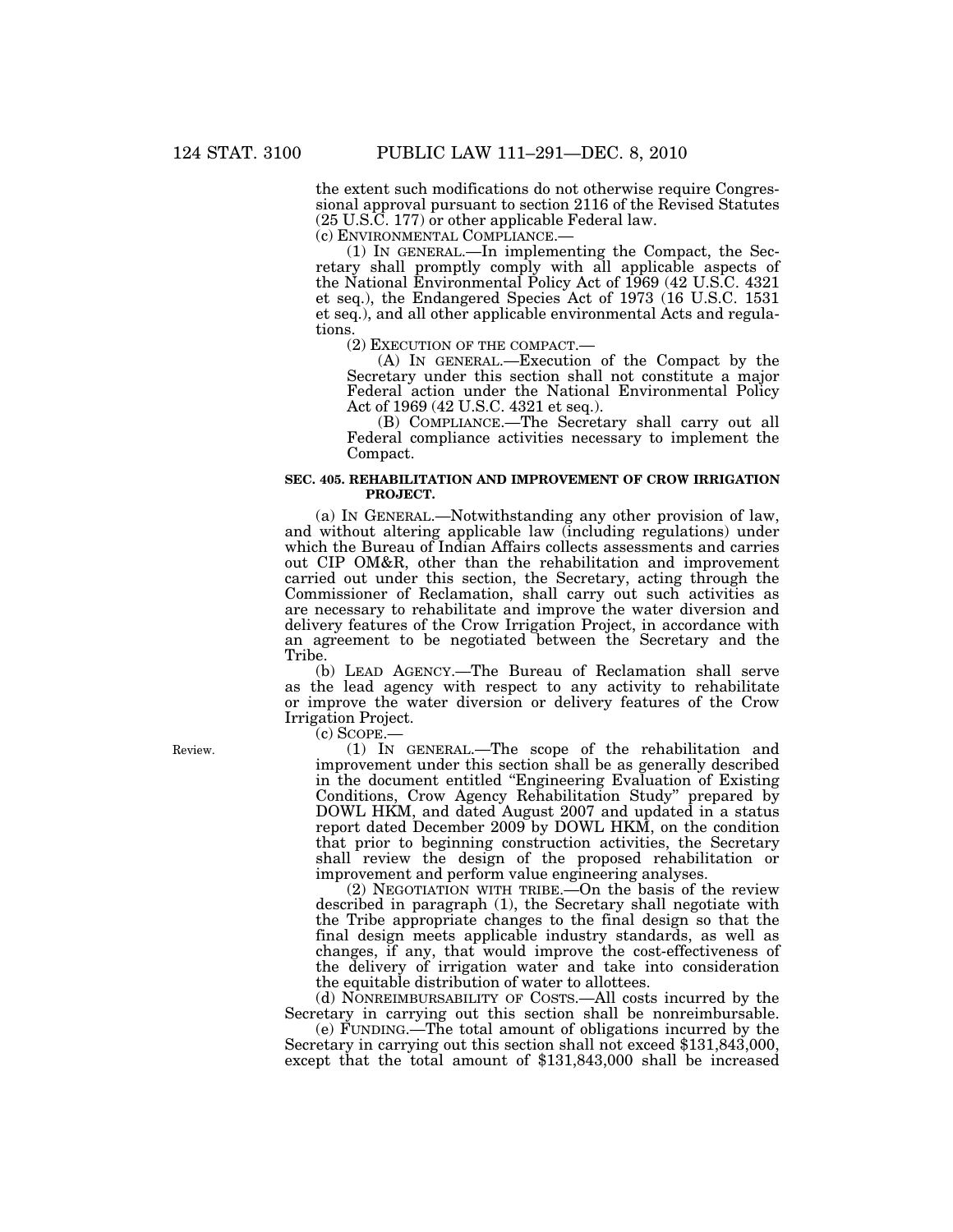the extent such modifications do not otherwise require Congressional approval pursuant to section 2116 of the Revised Statutes (25 U.S.C. 177) or other applicable Federal law.

(c) ENVIRONMENTAL COMPLIANCE.— (1) IN GENERAL.—In implementing the Compact, the Secretary shall promptly comply with all applicable aspects of the National Environmental Policy Act of 1969 (42 U.S.C. 4321 et seq.), the Endangered Species Act of 1973 (16 U.S.C. 1531 et seq.), and all other applicable environmental Acts and regulations.<br>(2) EXECUTION OF THE COMPACT.—

 $(A)$  In GENERAL.—Execution of the Compact by the Secretary under this section shall not constitute a major Federal action under the National Environmental Policy Act of 1969 (42 U.S.C. 4321 et seq.).

(B) COMPLIANCE.—The Secretary shall carry out all Federal compliance activities necessary to implement the Compact.

# **SEC. 405. REHABILITATION AND IMPROVEMENT OF CROW IRRIGATION PROJECT.**

(a) IN GENERAL.—Notwithstanding any other provision of law, and without altering applicable law (including regulations) under which the Bureau of Indian Affairs collects assessments and carries out CIP OM&R, other than the rehabilitation and improvement carried out under this section, the Secretary, acting through the Commissioner of Reclamation, shall carry out such activities as are necessary to rehabilitate and improve the water diversion and delivery features of the Crow Irrigation Project, in accordance with an agreement to be negotiated between the Secretary and the Tribe.

(b) LEAD AGENCY.—The Bureau of Reclamation shall serve as the lead agency with respect to any activity to rehabilitate or improve the water diversion or delivery features of the Crow Irrigation Project.

(c) SCOPE.—

(1) IN GENERAL.—The scope of the rehabilitation and improvement under this section shall be as generally described in the document entitled ''Engineering Evaluation of Existing Conditions, Crow Agency Rehabilitation Study'' prepared by DOWL HKM, and dated August 2007 and updated in a status report dated December 2009 by DOWL HKM, on the condition that prior to beginning construction activities, the Secretary shall review the design of the proposed rehabilitation or improvement and perform value engineering analyses.

(2) NEGOTIATION WITH TRIBE.—On the basis of the review described in paragraph (1), the Secretary shall negotiate with the Tribe appropriate changes to the final design so that the final design meets applicable industry standards, as well as changes, if any, that would improve the cost-effectiveness of the delivery of irrigation water and take into consideration the equitable distribution of water to allottees.

(d) NONREIMBURSABILITY OF COSTS.—All costs incurred by the Secretary in carrying out this section shall be nonreimbursable.<br>(e) FUNDING.—The total amount of obligations incurred by the

Secretary in carrying out this section shall not exceed \$131,843,000, except that the total amount of \$131,843,000 shall be increased

Review.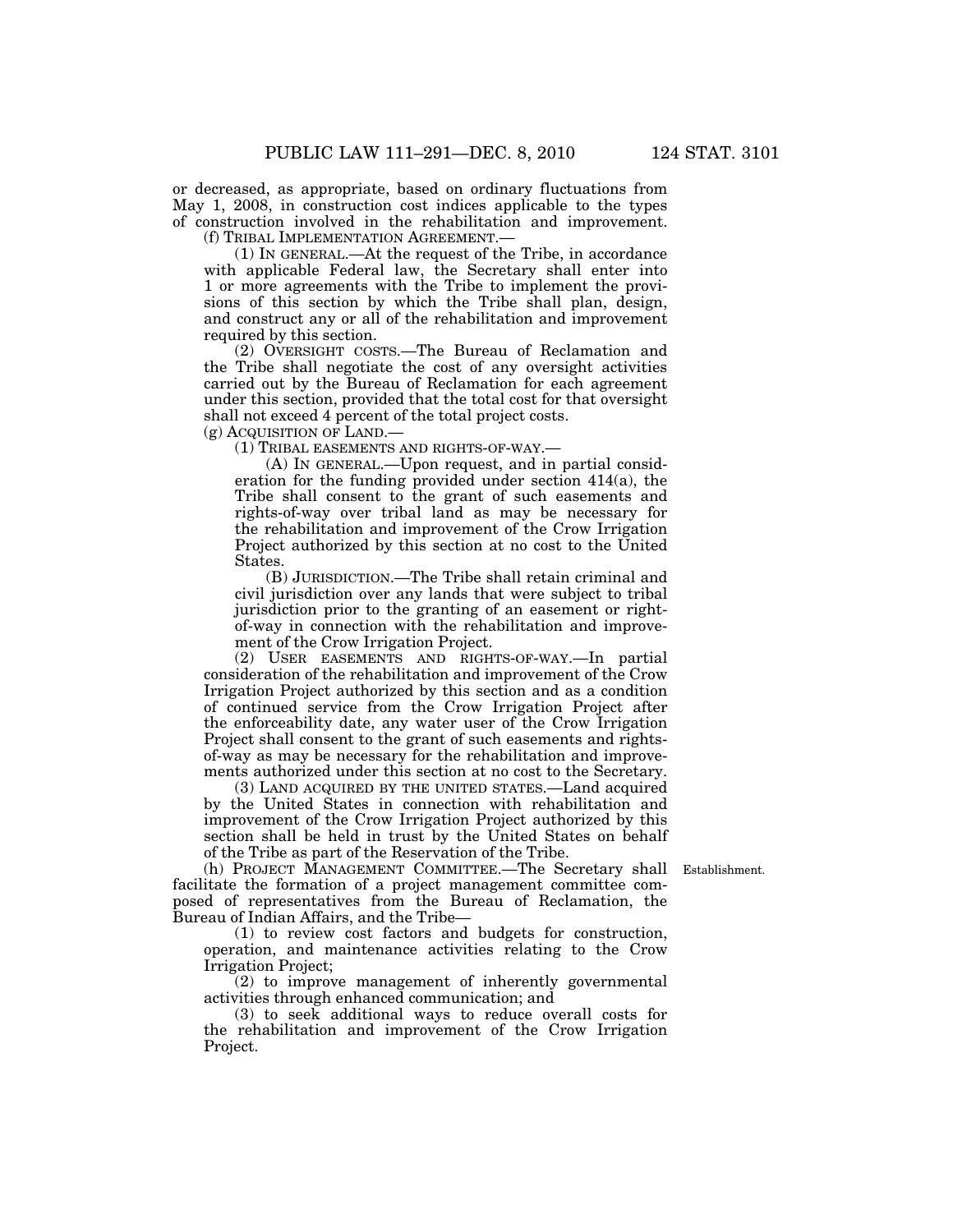or decreased, as appropriate, based on ordinary fluctuations from May 1, 2008, in construction cost indices applicable to the types of construction involved in the rehabilitation and improvement. (f) TRIBAL IMPLEMENTATION AGREEMENT.—

(1) IN GENERAL.—At the request of the Tribe, in accordance with applicable Federal law, the Secretary shall enter into 1 or more agreements with the Tribe to implement the provisions of this section by which the Tribe shall plan, design, and construct any or all of the rehabilitation and improvement required by this section.

(2) OVERSIGHT COSTS.—The Bureau of Reclamation and the Tribe shall negotiate the cost of any oversight activities carried out by the Bureau of Reclamation for each agreement under this section, provided that the total cost for that oversight shall not exceed 4 percent of the total project costs. (g) ACQUISITION OF LAND.—

(1) TRIBAL EASEMENTS AND RIGHTS-OF-WAY.—

(A) IN GENERAL.—Upon request, and in partial consideration for the funding provided under section 414(a), the Tribe shall consent to the grant of such easements and rights-of-way over tribal land as may be necessary for the rehabilitation and improvement of the Crow Irrigation Project authorized by this section at no cost to the United States.

(B) JURISDICTION.—The Tribe shall retain criminal and civil jurisdiction over any lands that were subject to tribal jurisdiction prior to the granting of an easement or rightof-way in connection with the rehabilitation and improvement of the Crow Irrigation Project.

(2) USER EASEMENTS AND RIGHTS-OF-WAY.—In partial consideration of the rehabilitation and improvement of the Crow Irrigation Project authorized by this section and as a condition of continued service from the Crow Irrigation Project after the enforceability date, any water user of the Crow Irrigation Project shall consent to the grant of such easements and rightsof-way as may be necessary for the rehabilitation and improvements authorized under this section at no cost to the Secretary.

(3) LAND ACQUIRED BY THE UNITED STATES.—Land acquired by the United States in connection with rehabilitation and improvement of the Crow Irrigation Project authorized by this section shall be held in trust by the United States on behalf of the Tribe as part of the Reservation of the Tribe.

Establishment.

(h) PROJECT MANAGEMENT COMMITTEE.—The Secretary shall facilitate the formation of a project management committee composed of representatives from the Bureau of Reclamation, the Bureau of Indian Affairs, and the Tribe—

(1) to review cost factors and budgets for construction, operation, and maintenance activities relating to the Crow Irrigation Project;

(2) to improve management of inherently governmental activities through enhanced communication; and

(3) to seek additional ways to reduce overall costs for the rehabilitation and improvement of the Crow Irrigation Project.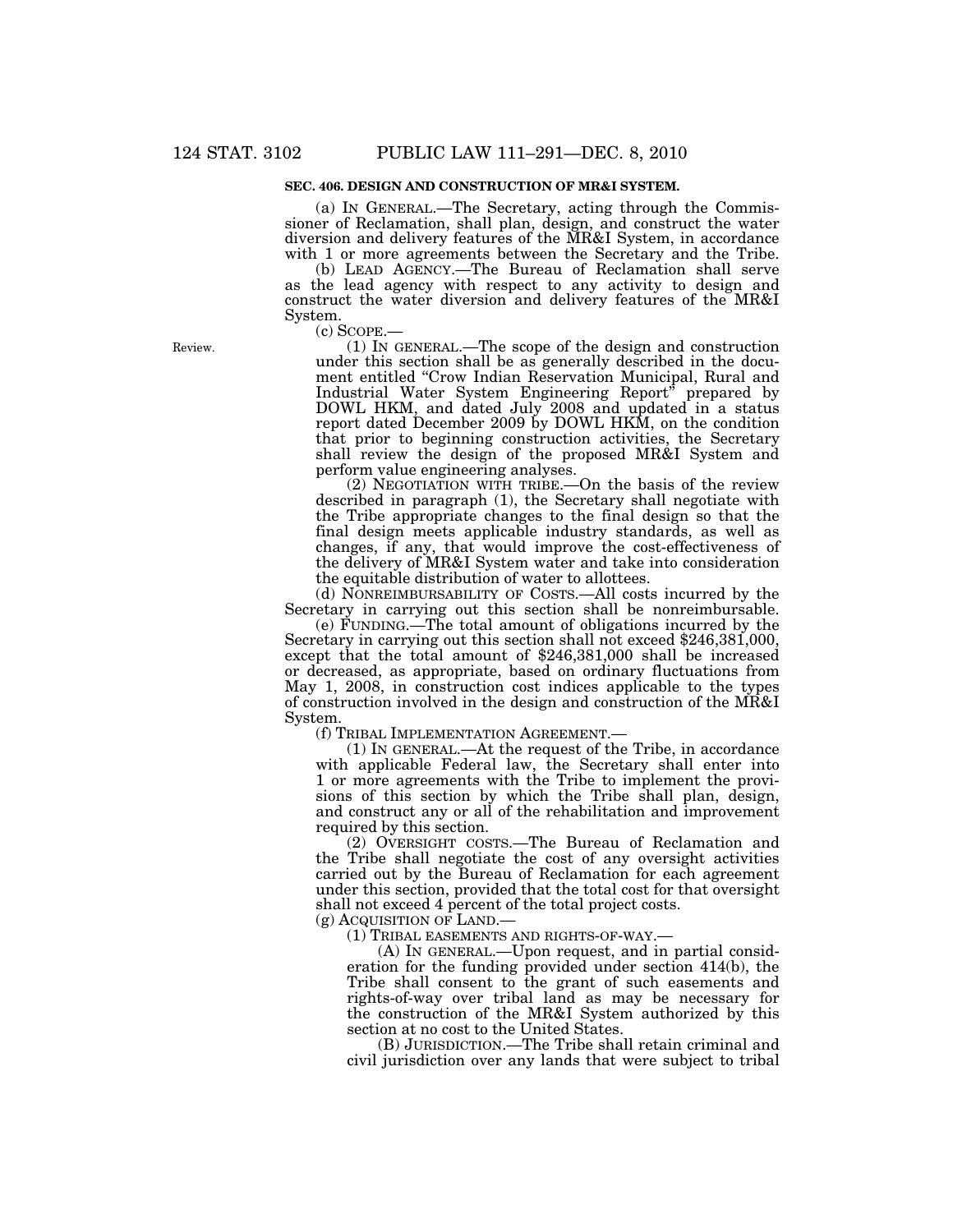# **SEC. 406. DESIGN AND CONSTRUCTION OF MR&I SYSTEM.**

(a) IN GENERAL.—The Secretary, acting through the Commissioner of Reclamation, shall plan, design, and construct the water diversion and delivery features of the MR&I System, in accordance with 1 or more agreements between the Secretary and the Tribe.

(b) LEAD AGENCY.—The Bureau of Reclamation shall serve as the lead agency with respect to any activity to design and construct the water diversion and delivery features of the MR&I System.

(c) SCOPE.— (1) IN GENERAL.—The scope of the design and construction under this section shall be as generally described in the document entitled ''Crow Indian Reservation Municipal, Rural and Industrial Water System Engineering Report'' prepared by DOWL HKM, and dated July 2008 and updated in a status report dated December 2009 by DOWL HKM, on the condition that prior to beginning construction activities, the Secretary shall review the design of the proposed MR&I System and perform value engineering analyses.

(2) NEGOTIATION WITH TRIBE.—On the basis of the review described in paragraph (1), the Secretary shall negotiate with the Tribe appropriate changes to the final design so that the final design meets applicable industry standards, as well as changes, if any, that would improve the cost-effectiveness of the delivery of MR&I System water and take into consideration the equitable distribution of water to allottees.

(d) NONREIMBURSABILITY OF COSTS.—All costs incurred by the Secretary in carrying out this section shall be nonreimbursable.

(e) FUNDING.—The total amount of obligations incurred by the Secretary in carrying out this section shall not exceed \$246,381,000, except that the total amount of \$246,381,000 shall be increased or decreased, as appropriate, based on ordinary fluctuations from May 1, 2008, in construction cost indices applicable to the types of construction involved in the design and construction of the MR&I System.

(f) TRIBAL IMPLEMENTATION AGREEMENT.—

(1) IN GENERAL.—At the request of the Tribe, in accordance with applicable Federal law, the Secretary shall enter into 1 or more agreements with the Tribe to implement the provisions of this section by which the Tribe shall plan, design, and construct any or all of the rehabilitation and improvement required by this section.

(2) OVERSIGHT COSTS.—The Bureau of Reclamation and the Tribe shall negotiate the cost of any oversight activities carried out by the Bureau of Reclamation for each agreement under this section, provided that the total cost for that oversight shall not exceed 4 percent of the total project costs.

(g) ACQUISITION OF LAND.—

(1) TRIBAL EASEMENTS AND RIGHTS-OF-WAY.—

(A) IN GENERAL.—Upon request, and in partial consideration for the funding provided under section 414(b), the Tribe shall consent to the grant of such easements and rights-of-way over tribal land as may be necessary for the construction of the MR&I System authorized by this section at no cost to the United States.

(B) JURISDICTION.—The Tribe shall retain criminal and civil jurisdiction over any lands that were subject to tribal

Review.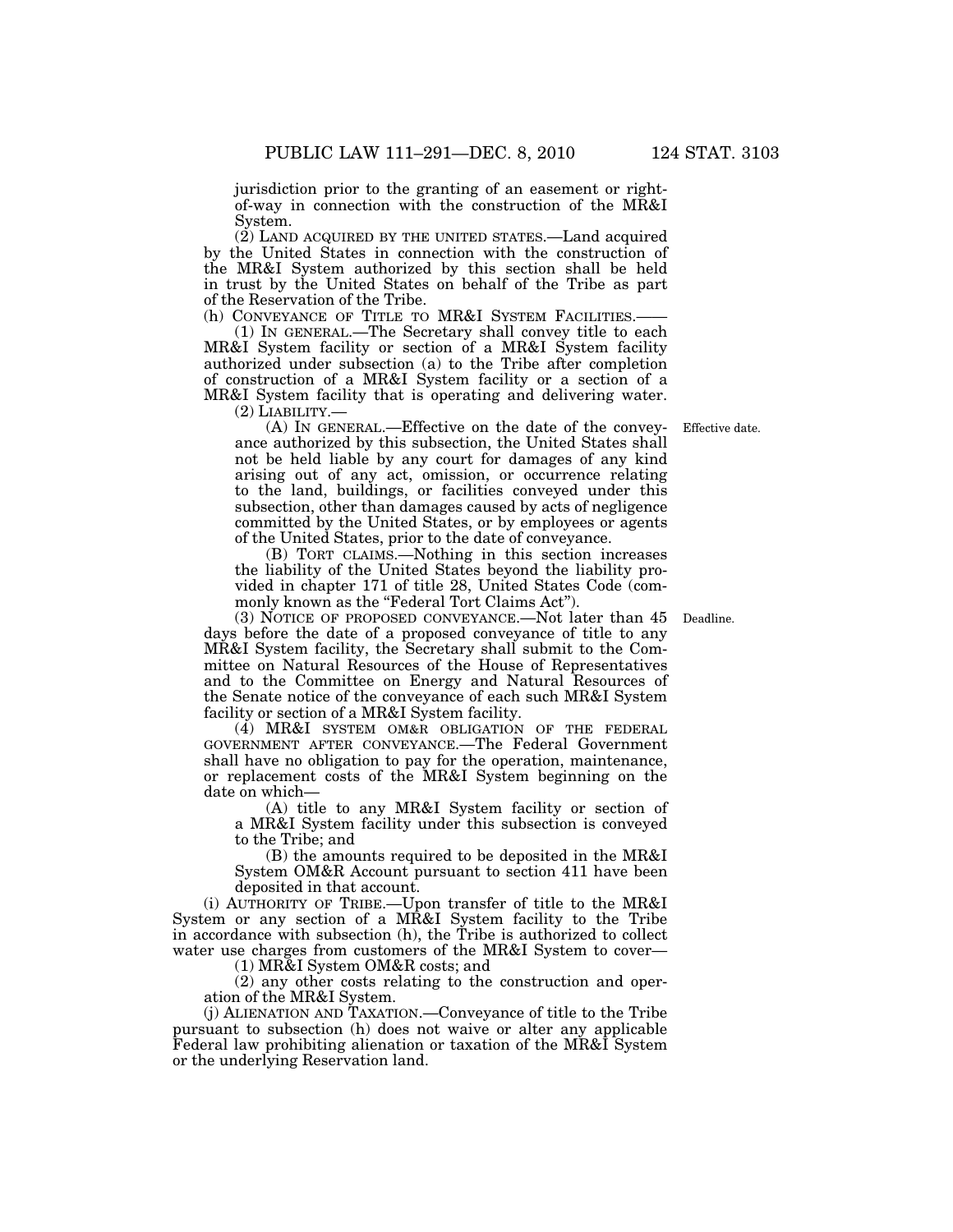jurisdiction prior to the granting of an easement or rightof-way in connection with the construction of the MR&I System.

(2) LAND ACQUIRED BY THE UNITED STATES.—Land acquired by the United States in connection with the construction of the MR&I System authorized by this section shall be held in trust by the United States on behalf of the Tribe as part of the Reservation of the Tribe.

(h) CONVEYANCE OF TITLE TO MR&I SYSTEM FACILITIES.-(1) IN GENERAL.—The Secretary shall convey title to each MR&I System facility or section of a MR&I System facility authorized under subsection (a) to the Tribe after completion of construction of a MR&I System facility or a section of a MR&I System facility that is operating and delivering water.

(2) LIABILITY.—

(A) IN GENERAL.—Effective on the date of the conveyance authorized by this subsection, the United States shall not be held liable by any court for damages of any kind arising out of any act, omission, or occurrence relating to the land, buildings, or facilities conveyed under this subsection, other than damages caused by acts of negligence committed by the United States, or by employees or agents

of the United States, prior to the date of conveyance. (B) TORT CLAIMS.—Nothing in this section increases the liability of the United States beyond the liability provided in chapter 171 of title 28, United States Code (commonly known as the "Federal Tort Claims Act").

(3) NOTICE OF PROPOSED CONVEYANCE.—Not later than 45 Deadline. days before the date of a proposed conveyance of title to any MR&I System facility, the Secretary shall submit to the Committee on Natural Resources of the House of Representatives and to the Committee on Energy and Natural Resources of the Senate notice of the conveyance of each such MR&I System facility or section of a MR&I System facility.

(4) MR&I SYSTEM OM&R OBLIGATION OF THE FEDERAL GOVERNMENT AFTER CONVEYANCE.—The Federal Government shall have no obligation to pay for the operation, maintenance, or replacement costs of the MR&I System beginning on the date on which—

(A) title to any MR&I System facility or section of a MR&I System facility under this subsection is conveyed to the Tribe; and

(B) the amounts required to be deposited in the MR&I System OM&R Account pursuant to section 411 have been deposited in that account.

(i) AUTHORITY OF TRIBE.—Upon transfer of title to the MR&I System or any section of a MR&I System facility to the Tribe in accordance with subsection (h), the Tribe is authorized to collect water use charges from customers of the MR&I System to cover—

(1) MR&I System OM&R costs; and

(2) any other costs relating to the construction and operation of the MR&I System.

(j) ALIENATION AND TAXATION.—Conveyance of title to the Tribe pursuant to subsection (h) does not waive or alter any applicable Federal law prohibiting alienation or taxation of the MR&I System or the underlying Reservation land.

Effective date.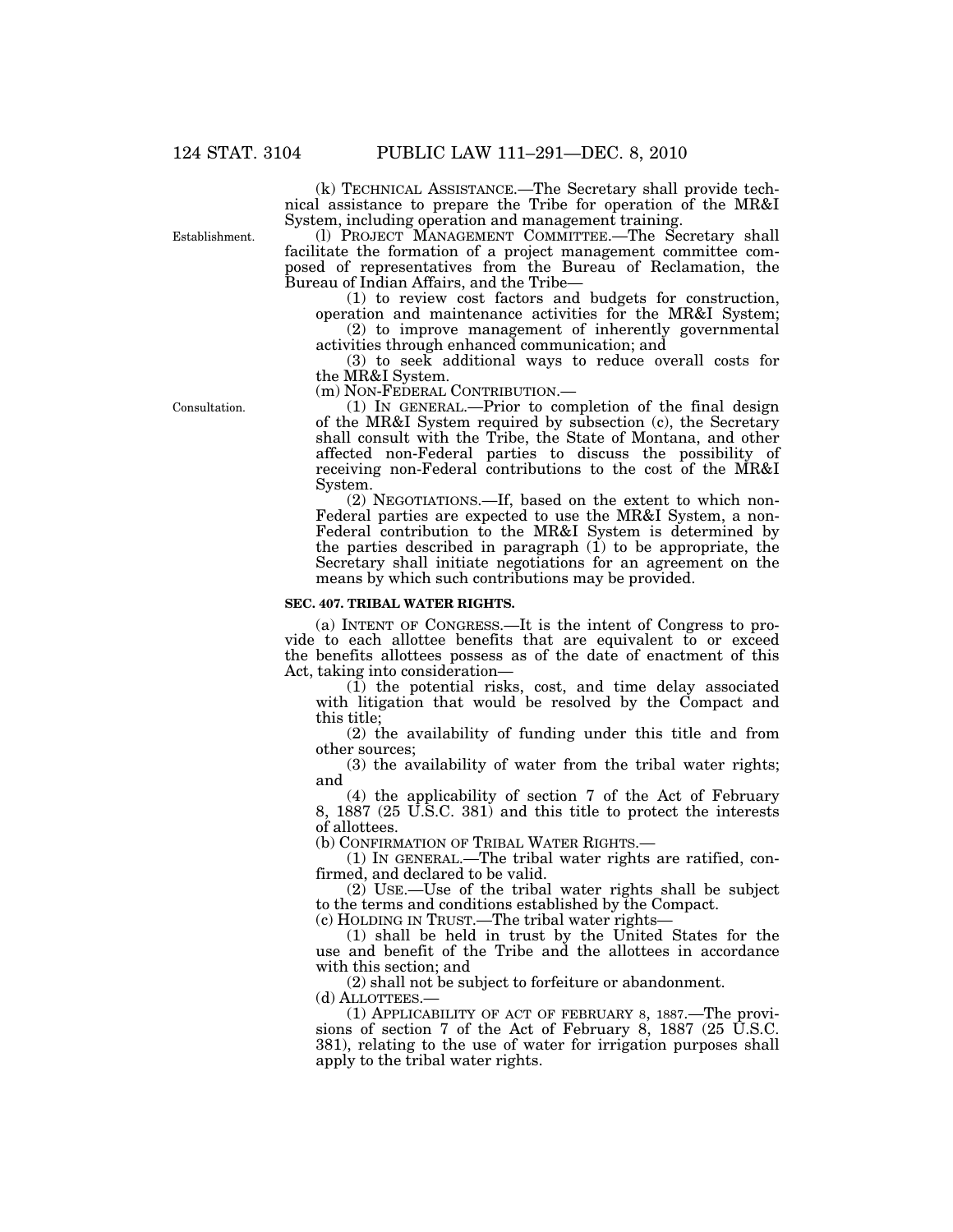(k) TECHNICAL ASSISTANCE.—The Secretary shall provide technical assistance to prepare the Tribe for operation of the MR&I System, including operation and management training.

Establishment.

(l) PROJECT MANAGEMENT COMMITTEE.—The Secretary shall facilitate the formation of a project management committee composed of representatives from the Bureau of Reclamation, the Bureau of Indian Affairs, and the Tribe—

(1) to review cost factors and budgets for construction,

operation and maintenance activities for the MR&I System; (2) to improve management of inherently governmental activities through enhanced communication; and

(3) to seek additional ways to reduce overall costs for the MR&I System.<br>(m) NON-FEDERAL CONTRIBUTION.—

 $(1)$  In GENERAL.—Prior to completion of the final design of the MR&I System required by subsection (c), the Secretary shall consult with the Tribe, the State of Montana, and other affected non-Federal parties to discuss the possibility of receiving non-Federal contributions to the cost of the MR&I System.

(2) NEGOTIATIONS.—If, based on the extent to which non-Federal parties are expected to use the MR&I System, a non-Federal contribution to the MR&I System is determined by the parties described in paragraph  $(1)$  to be appropriate, the Secretary shall initiate negotiations for an agreement on the means by which such contributions may be provided.

#### **SEC. 407. TRIBAL WATER RIGHTS.**

(a) INTENT OF CONGRESS.—It is the intent of Congress to provide to each allottee benefits that are equivalent to or exceed the benefits allottees possess as of the date of enactment of this Act, taking into consideration—

(1) the potential risks, cost, and time delay associated with litigation that would be resolved by the Compact and this title;

(2) the availability of funding under this title and from other sources;

(3) the availability of water from the tribal water rights; and

(4) the applicability of section 7 of the Act of February 8, 1887 (25 U.S.C. 381) and this title to protect the interests of allottees.

(b) CONFIRMATION OF TRIBAL WATER RIGHTS.—

(1) IN GENERAL.—The tribal water rights are ratified, confirmed, and declared to be valid.

(2) USE.—Use of the tribal water rights shall be subject to the terms and conditions established by the Compact.

(c) HOLDING IN TRUST.—The tribal water rights—

(1) shall be held in trust by the United States for the use and benefit of the Tribe and the allottees in accordance with this section; and

(2) shall not be subject to forfeiture or abandonment. (d) ALLOTTEES.—

(1) APPLICABILITY OF ACT OF FEBRUARY 8, 1887.—The provisions of section 7 of the Act of February 8, 1887 (25 U.S.C. 381), relating to the use of water for irrigation purposes shall apply to the tribal water rights.

Consultation.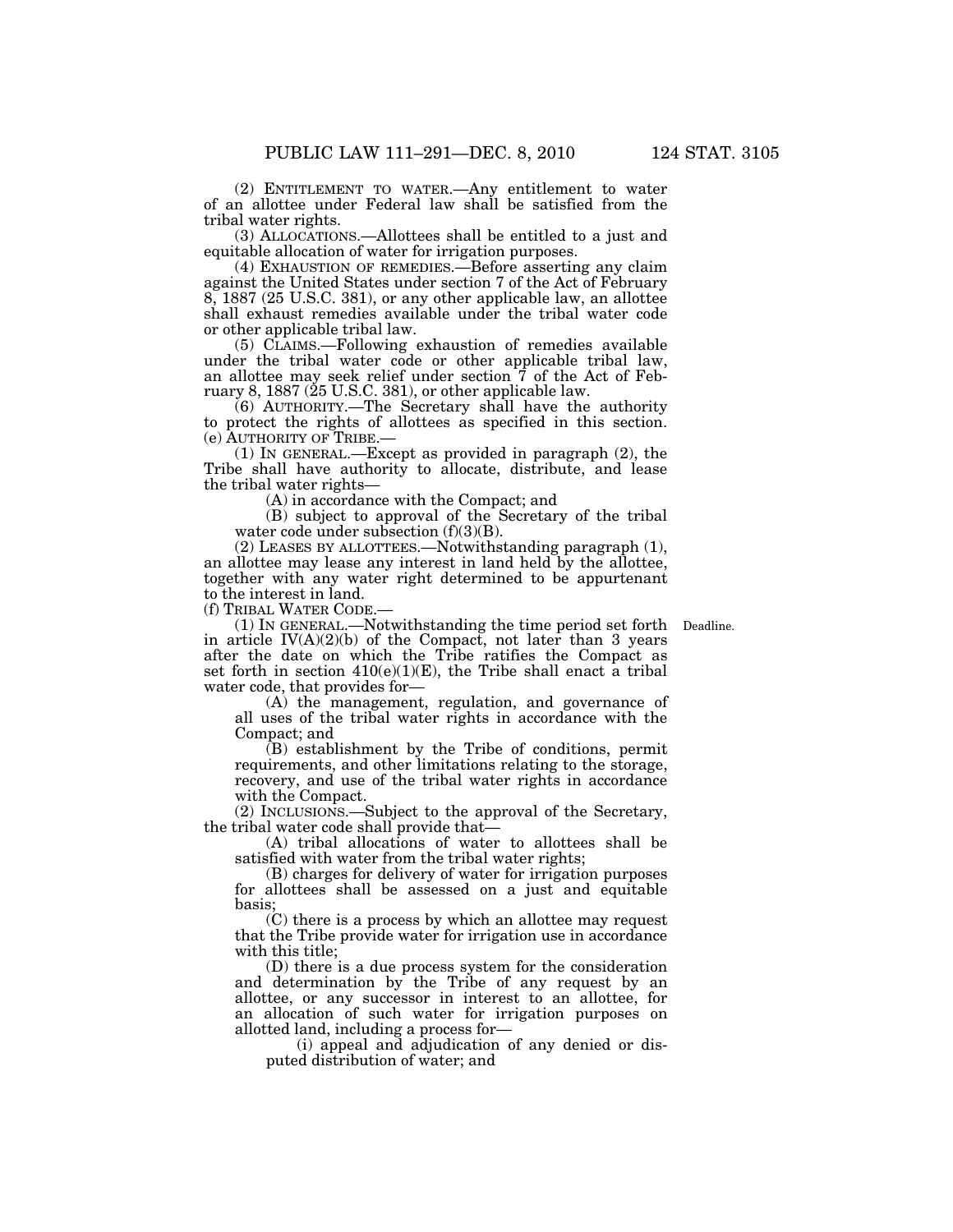(2) ENTITLEMENT TO WATER.—Any entitlement to water of an allottee under Federal law shall be satisfied from the tribal water rights.

(3) ALLOCATIONS.—Allottees shall be entitled to a just and equitable allocation of water for irrigation purposes.

(4) EXHAUSTION OF REMEDIES.—Before asserting any claim against the United States under section 7 of the Act of February 8, 1887 (25 U.S.C. 381), or any other applicable law, an allottee shall exhaust remedies available under the tribal water code or other applicable tribal law.

(5) CLAIMS.—Following exhaustion of remedies available under the tribal water code or other applicable tribal law, an allottee may seek relief under section 7 of the Act of February 8, 1887 ( $25$  U.S.C. 381), or other applicable law.

(6) AUTHORITY.—The Secretary shall have the authority to protect the rights of allottees as specified in this section. (e) AUTHORITY OF TRIBE.—

(1) IN GENERAL.—Except as provided in paragraph (2), the Tribe shall have authority to allocate, distribute, and lease the tribal water rights—

(A) in accordance with the Compact; and

(B) subject to approval of the Secretary of the tribal water code under subsection (f)(3)(B).

(2) LEASES BY ALLOTTEES.—Notwithstanding paragraph (1), an allottee may lease any interest in land held by the allottee, together with any water right determined to be appurtenant to the interest in land.

(f) TRIBAL WATER CODE.—

(1) IN GENERAL.—Notwithstanding the time period set forth Deadline. in article  $IV(A)(2)(b)$  of the Compact, not later than 3 years after the date on which the Tribe ratifies the Compact as set forth in section 410(e)(1)(E), the Tribe shall enact a tribal water code, that provides for-

(A) the management, regulation, and governance of all uses of the tribal water rights in accordance with the Compact; and

(B) establishment by the Tribe of conditions, permit requirements, and other limitations relating to the storage, recovery, and use of the tribal water rights in accordance with the Compact.

(2) INCLUSIONS.—Subject to the approval of the Secretary, the tribal water code shall provide that—

(A) tribal allocations of water to allottees shall be satisfied with water from the tribal water rights;

(B) charges for delivery of water for irrigation purposes for allottees shall be assessed on a just and equitable basis;

(C) there is a process by which an allottee may request that the Tribe provide water for irrigation use in accordance with this title;

(D) there is a due process system for the consideration and determination by the Tribe of any request by an allottee, or any successor in interest to an allottee, for an allocation of such water for irrigation purposes on allotted land, including a process for—

(i) appeal and adjudication of any denied or disputed distribution of water; and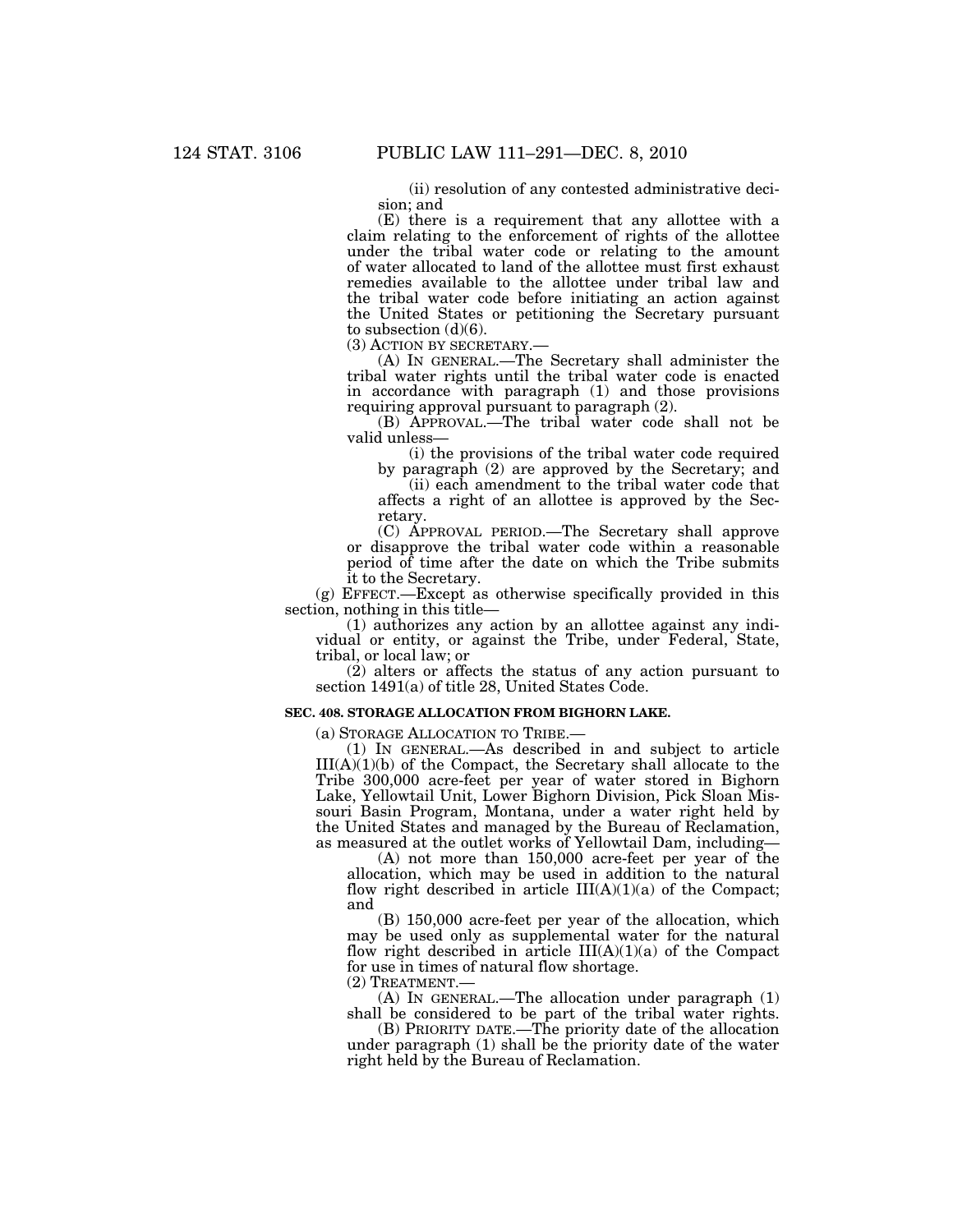(ii) resolution of any contested administrative decision; and

(E) there is a requirement that any allottee with a claim relating to the enforcement of rights of the allottee under the tribal water code or relating to the amount of water allocated to land of the allottee must first exhaust remedies available to the allottee under tribal law and the tribal water code before initiating an action against the United States or petitioning the Secretary pursuant to subsection  $(d)(6)$ .<br>(3) ACTION BY SECRETARY.

(A) IN GENERAL.—The Secretary shall administer the tribal water rights until the tribal water code is enacted in accordance with paragraph (1) and those provisions requiring approval pursuant to paragraph (2).

(B) APPROVAL.—The tribal water code shall not be valid unless—

(i) the provisions of the tribal water code required by paragraph (2) are approved by the Secretary; and

(ii) each amendment to the tribal water code that affects a right of an allottee is approved by the Secretary.

(C) APPROVAL PERIOD.—The Secretary shall approve or disapprove the tribal water code within a reasonable period of time after the date on which the Tribe submits it to the Secretary.

(g) EFFECT.—Except as otherwise specifically provided in this section, nothing in this title—

(1) authorizes any action by an allottee against any individual or entity, or against the Tribe, under Federal, State, tribal, or local law; or

(2) alters or affects the status of any action pursuant to section 1491(a) of title 28, United States Code.

#### **SEC. 408. STORAGE ALLOCATION FROM BIGHORN LAKE.**

(a) STORAGE ALLOCATION TO TRIBE.—

(1) IN GENERAL.—As described in and subject to article  $III(A)(1)(b)$  of the Compact, the Secretary shall allocate to the Tribe 300,000 acre-feet per year of water stored in Bighorn Lake, Yellowtail Unit, Lower Bighorn Division, Pick Sloan Missouri Basin Program, Montana, under a water right held by the United States and managed by the Bureau of Reclamation, as measured at the outlet works of Yellowtail Dam, including—

(A) not more than 150,000 acre-feet per year of the allocation, which may be used in addition to the natural flow right described in article  $III(A)(1)(a)$  of the Compact; and

(B) 150,000 acre-feet per year of the allocation, which may be used only as supplemental water for the natural flow right described in article  $III(A)(1)(a)$  of the Compact for use in times of natural flow shortage.

 $(2)$  TREATMENT.

(A) IN GENERAL.—The allocation under paragraph (1) shall be considered to be part of the tribal water rights.

(B) PRIORITY DATE.—The priority date of the allocation under paragraph (1) shall be the priority date of the water right held by the Bureau of Reclamation.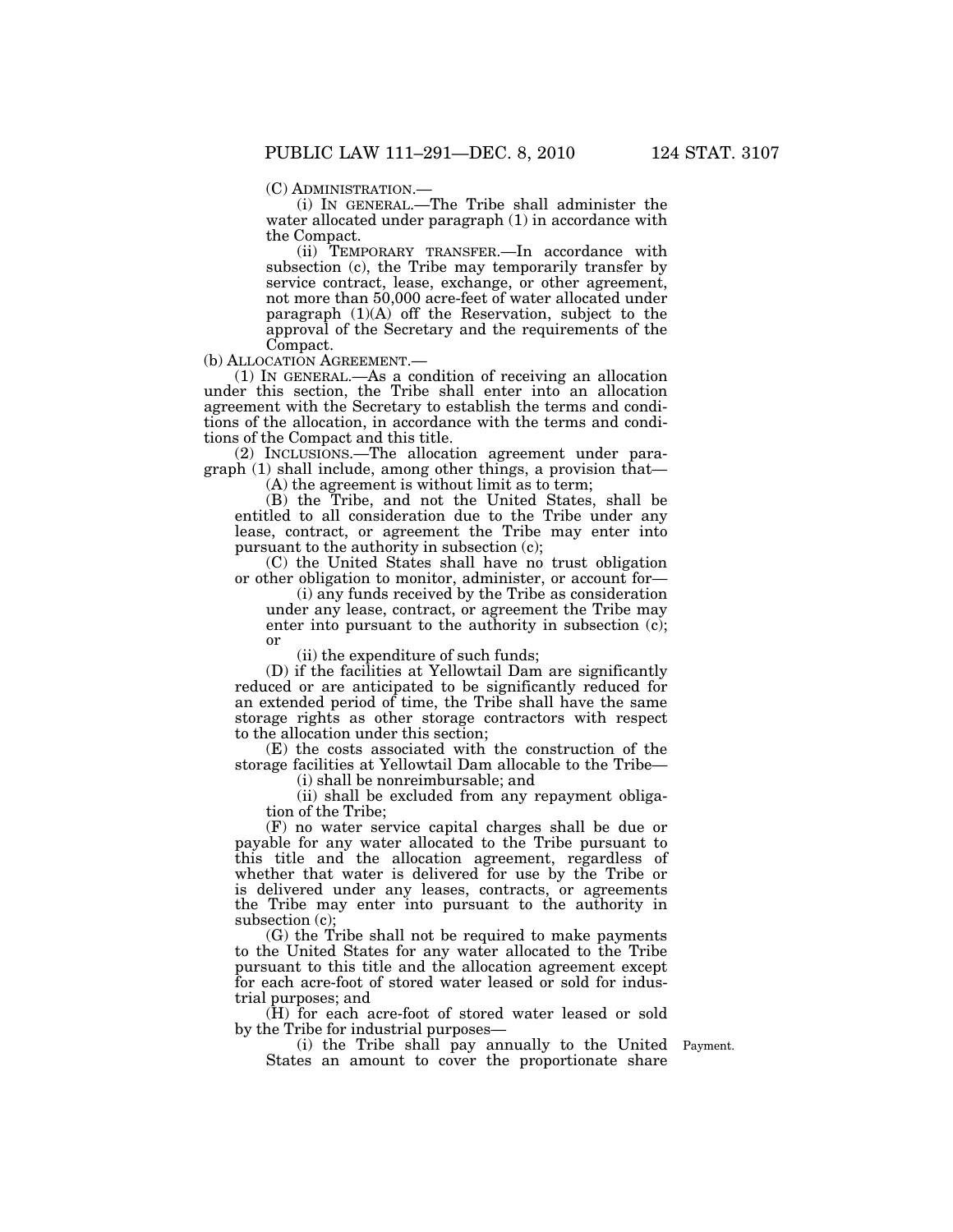(C) ADMINISTRATION.— (i) IN GENERAL.—The Tribe shall administer the water allocated under paragraph (1) in accordance with the Compact.

(ii) TEMPORARY TRANSFER.—In accordance with subsection (c), the Tribe may temporarily transfer by service contract, lease, exchange, or other agreement, not more than 50,000 acre-feet of water allocated under paragraph  $(1)(A)$  off the Reservation, subject to the approval of the Secretary and the requirements of the Compact.

or

(b) ALLOCATION AGREEMENT.— (1) IN GENERAL.—As a condition of receiving an allocation under this section, the Tribe shall enter into an allocation agreement with the Secretary to establish the terms and conditions of the allocation, in accordance with the terms and conditions of the Compact and this title.

(2) INCLUSIONS.—The allocation agreement under paragraph (1) shall include, among other things, a provision that— (A) the agreement is without limit as to term;

(B) the Tribe, and not the United States, shall be entitled to all consideration due to the Tribe under any lease, contract, or agreement the Tribe may enter into pursuant to the authority in subsection (c);

(C) the United States shall have no trust obligation or other obligation to monitor, administer, or account for—

(i) any funds received by the Tribe as consideration under any lease, contract, or agreement the Tribe may enter into pursuant to the authority in subsection (c);

(ii) the expenditure of such funds;

(D) if the facilities at Yellowtail Dam are significantly reduced or are anticipated to be significantly reduced for an extended period of time, the Tribe shall have the same storage rights as other storage contractors with respect to the allocation under this section;

(E) the costs associated with the construction of the storage facilities at Yellowtail Dam allocable to the Tribe—

(i) shall be nonreimbursable; and

(ii) shall be excluded from any repayment obligation of the Tribe;

(F) no water service capital charges shall be due or payable for any water allocated to the Tribe pursuant to this title and the allocation agreement, regardless of whether that water is delivered for use by the Tribe or is delivered under any leases, contracts, or agreements the Tribe may enter into pursuant to the authority in subsection (c);

(G) the Tribe shall not be required to make payments to the United States for any water allocated to the Tribe pursuant to this title and the allocation agreement except for each acre-foot of stored water leased or sold for industrial purposes; and

(H) for each acre-foot of stored water leased or sold by the Tribe for industrial purposes—

(i) the Tribe shall pay annually to the United Payment. States an amount to cover the proportionate share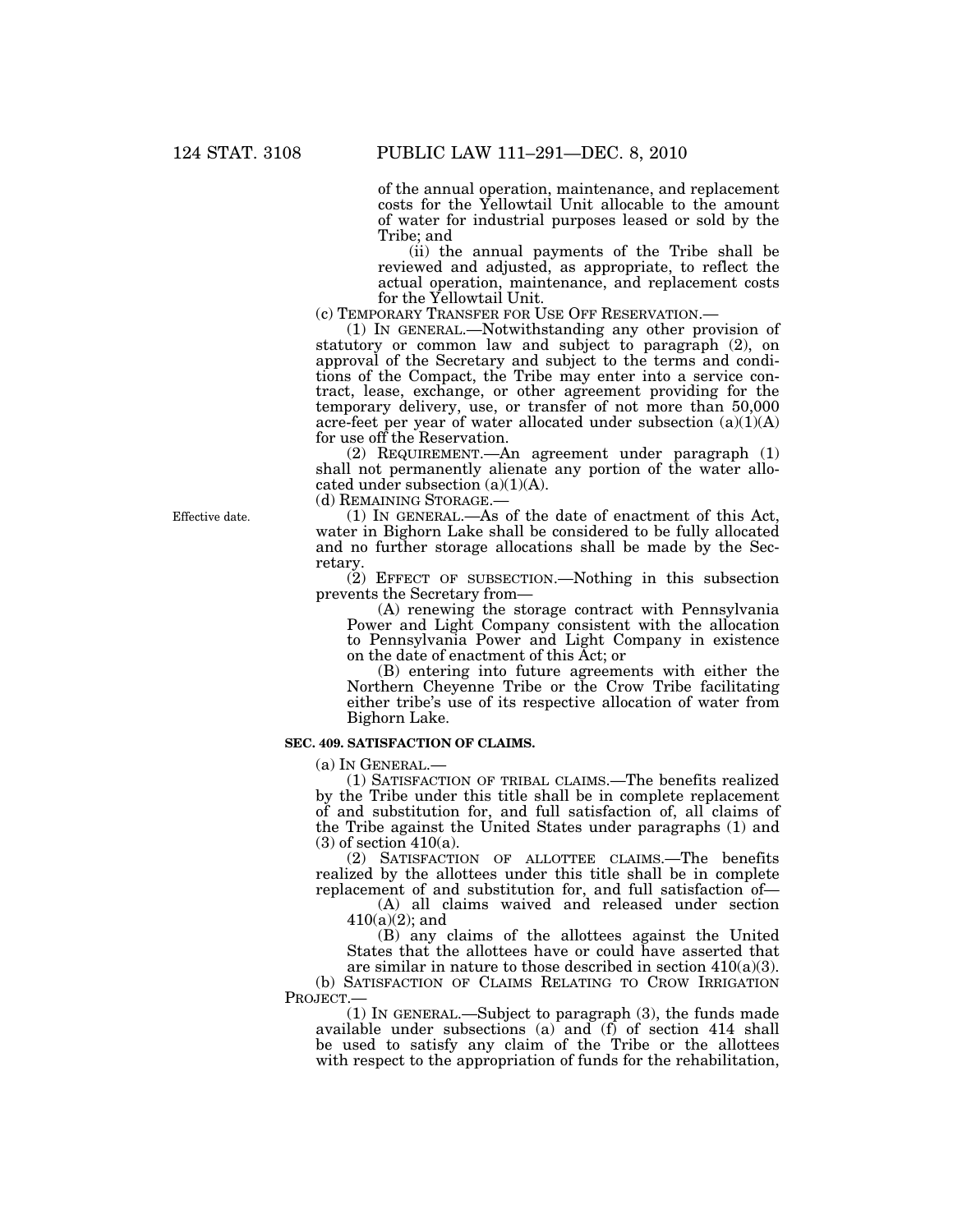of the annual operation, maintenance, and replacement costs for the Yellowtail Unit allocable to the amount of water for industrial purposes leased or sold by the Tribe; and

(ii) the annual payments of the Tribe shall be reviewed and adjusted, as appropriate, to reflect the actual operation, maintenance, and replacement costs

for the Yellowtail Unit.<br>(c) TEMPORARY TRANSFER FOR USE OFF RESERVATION.—

 $(1)$  IN GENERAL.—Notwithstanding any other provision of statutory or common law and subject to paragraph (2), on approval of the Secretary and subject to the terms and conditions of the Compact, the Tribe may enter into a service contract, lease, exchange, or other agreement providing for the temporary delivery, use, or transfer of not more than 50,000 acre-feet per year of water allocated under subsection  $(a)(1)(A)$ for use off the Reservation.

(2) REQUIREMENT.—An agreement under paragraph (1) shall not permanently alienate any portion of the water allocated under subsection  $(a)(1)(A)$ .

(d) REMAINING STORAGE.—

(1) IN GENERAL.—As of the date of enactment of this Act, water in Bighorn Lake shall be considered to be fully allocated and no further storage allocations shall be made by the Secretary.

(2) EFFECT OF SUBSECTION.—Nothing in this subsection prevents the Secretary from—

(A) renewing the storage contract with Pennsylvania Power and Light Company consistent with the allocation to Pennsylvania Power and Light Company in existence on the date of enactment of this Act; or

(B) entering into future agreements with either the Northern Cheyenne Tribe or the Crow Tribe facilitating either tribe's use of its respective allocation of water from Bighorn Lake.

# **SEC. 409. SATISFACTION OF CLAIMS.**

(a) IN GENERAL.—

(1) SATISFACTION OF TRIBAL CLAIMS.—The benefits realized by the Tribe under this title shall be in complete replacement of and substitution for, and full satisfaction of, all claims of the Tribe against the United States under paragraphs (1) and  $(3)$  of section 410 $(a)$ .

(2) SATISFACTION OF ALLOTTEE CLAIMS.—The benefits realized by the allottees under this title shall be in complete replacement of and substitution for, and full satisfaction of—

(A) all claims waived and released under section  $410(a)(2)$ ; and

(B) any claims of the allottees against the United States that the allottees have or could have asserted that are similar in nature to those described in section  $410(a)(3)$ .

(b) SATISFACTION OF CLAIMS RELATING TO CROW IRRIGATION PROJECT.—

(1) IN GENERAL.—Subject to paragraph (3), the funds made available under subsections (a) and (f) of section 414 shall be used to satisfy any claim of the Tribe or the allottees with respect to the appropriation of funds for the rehabilitation,

Effective date.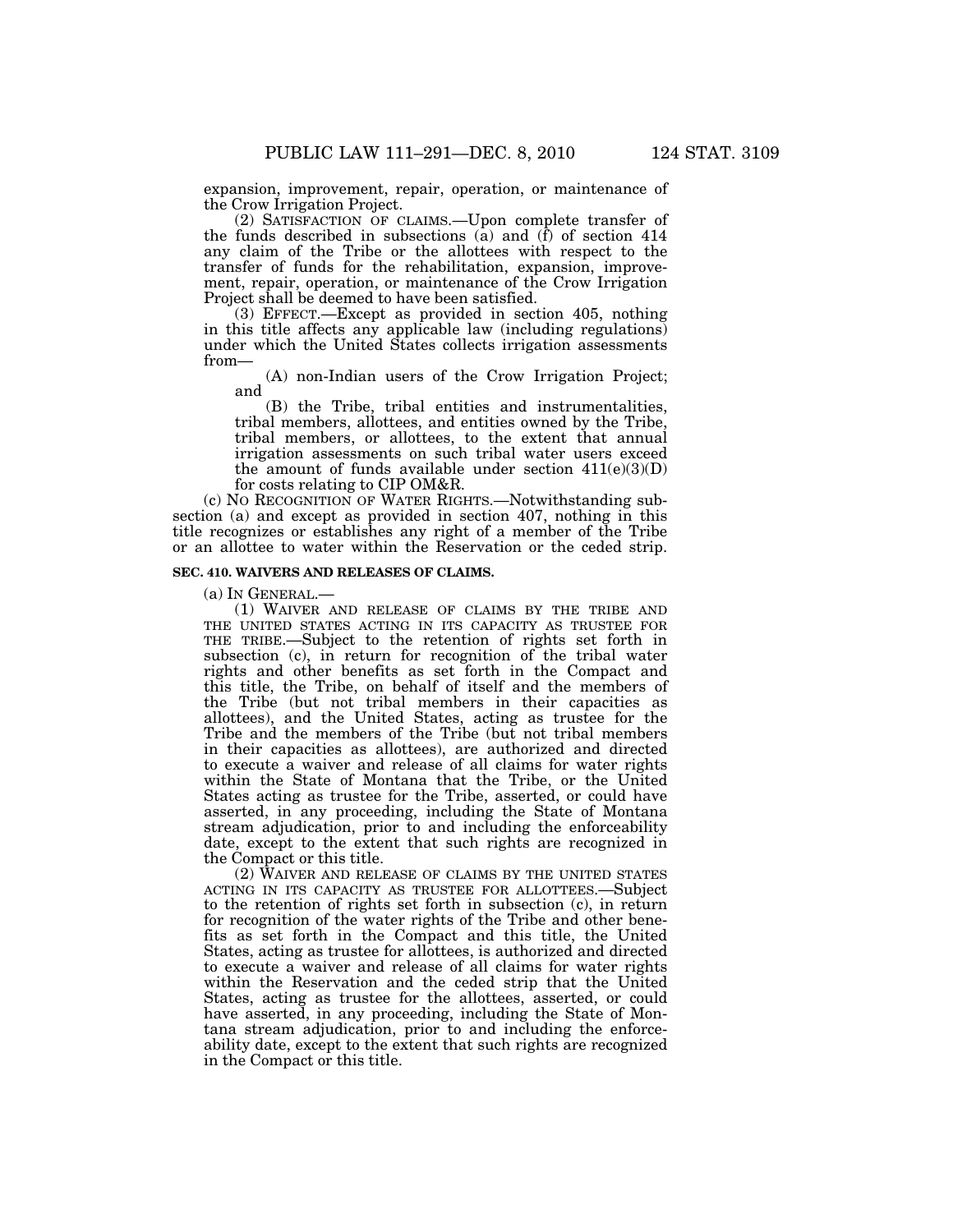expansion, improvement, repair, operation, or maintenance of the Crow Irrigation Project.

(2) SATISFACTION OF CLAIMS.—Upon complete transfer of the funds described in subsections  $\overline{a}$  and  $\overline{f}$  of section 414 any claim of the Tribe or the allottees with respect to the transfer of funds for the rehabilitation, expansion, improvement, repair, operation, or maintenance of the Crow Irrigation Project shall be deemed to have been satisfied.

(3) EFFECT.—Except as provided in section 405, nothing in this title affects any applicable law (including regulations) under which the United States collects irrigation assessments from—

(A) non-Indian users of the Crow Irrigation Project; and

(B) the Tribe, tribal entities and instrumentalities, tribal members, allottees, and entities owned by the Tribe, tribal members, or allottees, to the extent that annual irrigation assessments on such tribal water users exceed the amount of funds available under section  $411(e)(3)(D)$ for costs relating to CIP OM&R.

(c) NO RECOGNITION OF WATER RIGHTS.—Notwithstanding subsection (a) and except as provided in section 407, nothing in this title recognizes or establishes any right of a member of the Tribe or an allottee to water within the Reservation or the ceded strip.

## **SEC. 410. WAIVERS AND RELEASES OF CLAIMS.**

(a) IN GENERAL.—

(1) WAIVER AND RELEASE OF CLAIMS BY THE TRIBE AND THE UNITED STATES ACTING IN ITS CAPACITY AS TRUSTEE FOR THE TRIBE.—Subject to the retention of rights set forth in subsection (c), in return for recognition of the tribal water rights and other benefits as set forth in the Compact and this title, the Tribe, on behalf of itself and the members of the Tribe (but not tribal members in their capacities as allottees), and the United States, acting as trustee for the Tribe and the members of the Tribe (but not tribal members in their capacities as allottees), are authorized and directed to execute a waiver and release of all claims for water rights within the State of Montana that the Tribe, or the United States acting as trustee for the Tribe, asserted, or could have asserted, in any proceeding, including the State of Montana stream adjudication, prior to and including the enforceability date, except to the extent that such rights are recognized in the Compact or this title.

(2) WAIVER AND RELEASE OF CLAIMS BY THE UNITED STATES ACTING IN ITS CAPACITY AS TRUSTEE FOR ALLOTTEES.—Subject to the retention of rights set forth in subsection (c), in return for recognition of the water rights of the Tribe and other benefits as set forth in the Compact and this title, the United States, acting as trustee for allottees, is authorized and directed to execute a waiver and release of all claims for water rights within the Reservation and the ceded strip that the United States, acting as trustee for the allottees, asserted, or could have asserted, in any proceeding, including the State of Montana stream adjudication, prior to and including the enforceability date, except to the extent that such rights are recognized in the Compact or this title.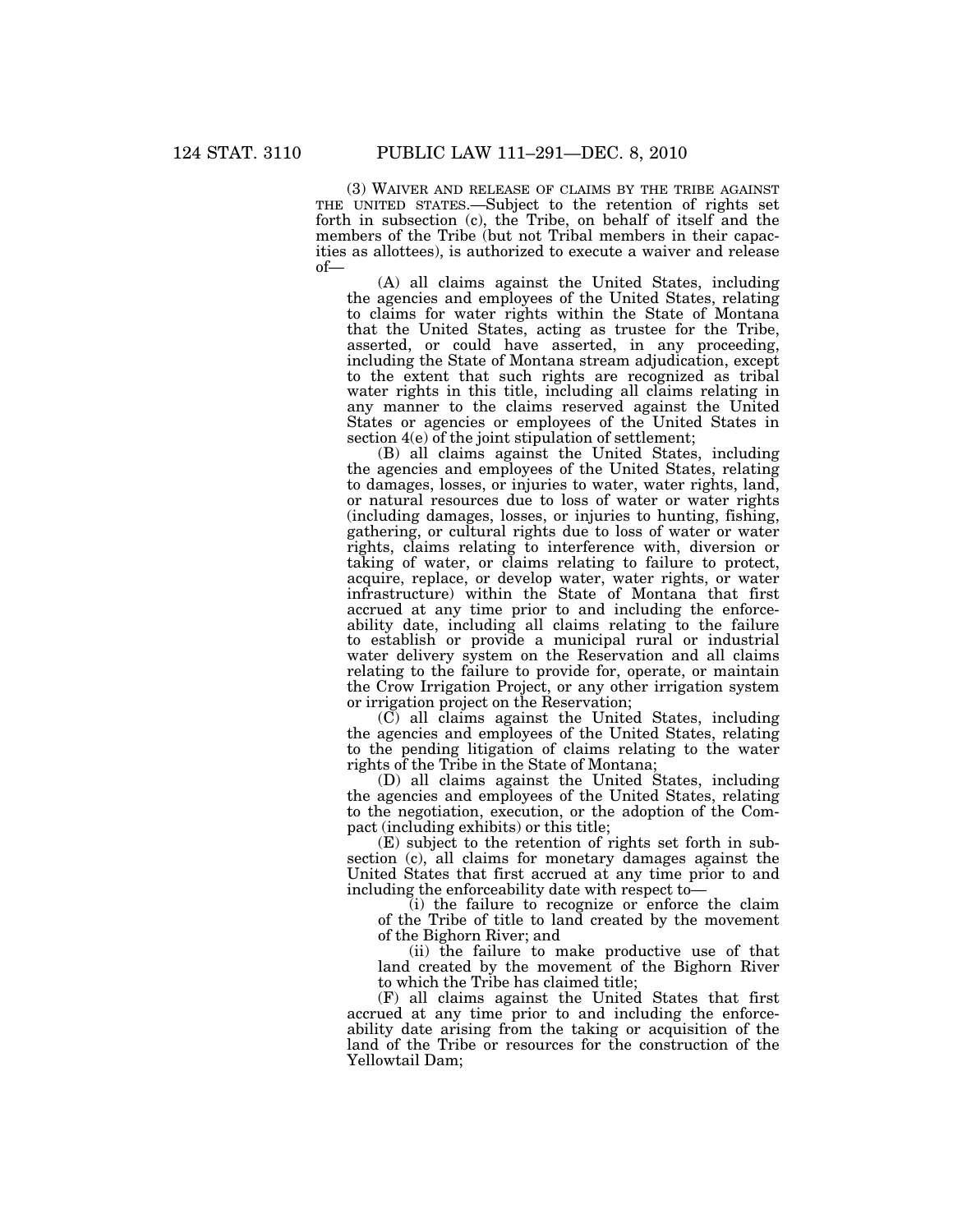(3) WAIVER AND RELEASE OF CLAIMS BY THE TRIBE AGAINST THE UNITED STATES.—Subject to the retention of rights set forth in subsection (c), the Tribe, on behalf of itself and the members of the Tribe (but not Tribal members in their capacities as allottees), is authorized to execute a waiver and release of—

(A) all claims against the United States, including the agencies and employees of the United States, relating to claims for water rights within the State of Montana that the United States, acting as trustee for the Tribe, asserted, or could have asserted, in any proceeding, including the State of Montana stream adjudication, except to the extent that such rights are recognized as tribal water rights in this title, including all claims relating in any manner to the claims reserved against the United States or agencies or employees of the United States in section 4(e) of the joint stipulation of settlement;

(B) all claims against the United States, including the agencies and employees of the United States, relating to damages, losses, or injuries to water, water rights, land, or natural resources due to loss of water or water rights (including damages, losses, or injuries to hunting, fishing, gathering, or cultural rights due to loss of water or water rights, claims relating to interference with, diversion or taking of water, or claims relating to failure to protect, acquire, replace, or develop water, water rights, or water infrastructure) within the State of Montana that first accrued at any time prior to and including the enforceability date, including all claims relating to the failure to establish or provide a municipal rural or industrial water delivery system on the Reservation and all claims relating to the failure to provide for, operate, or maintain the Crow Irrigation Project, or any other irrigation system or irrigation project on the Reservation;

(C) all claims against the United States, including the agencies and employees of the United States, relating to the pending litigation of claims relating to the water rights of the Tribe in the State of Montana;

(D) all claims against the United States, including the agencies and employees of the United States, relating to the negotiation, execution, or the adoption of the Compact (including exhibits) or this title;

(E) subject to the retention of rights set forth in subsection (c), all claims for monetary damages against the United States that first accrued at any time prior to and including the enforceability date with respect to—

(i) the failure to recognize or enforce the claim of the Tribe of title to land created by the movement of the Bighorn River; and

(ii) the failure to make productive use of that land created by the movement of the Bighorn River to which the Tribe has claimed title;

(F) all claims against the United States that first accrued at any time prior to and including the enforceability date arising from the taking or acquisition of the land of the Tribe or resources for the construction of the Yellowtail Dam;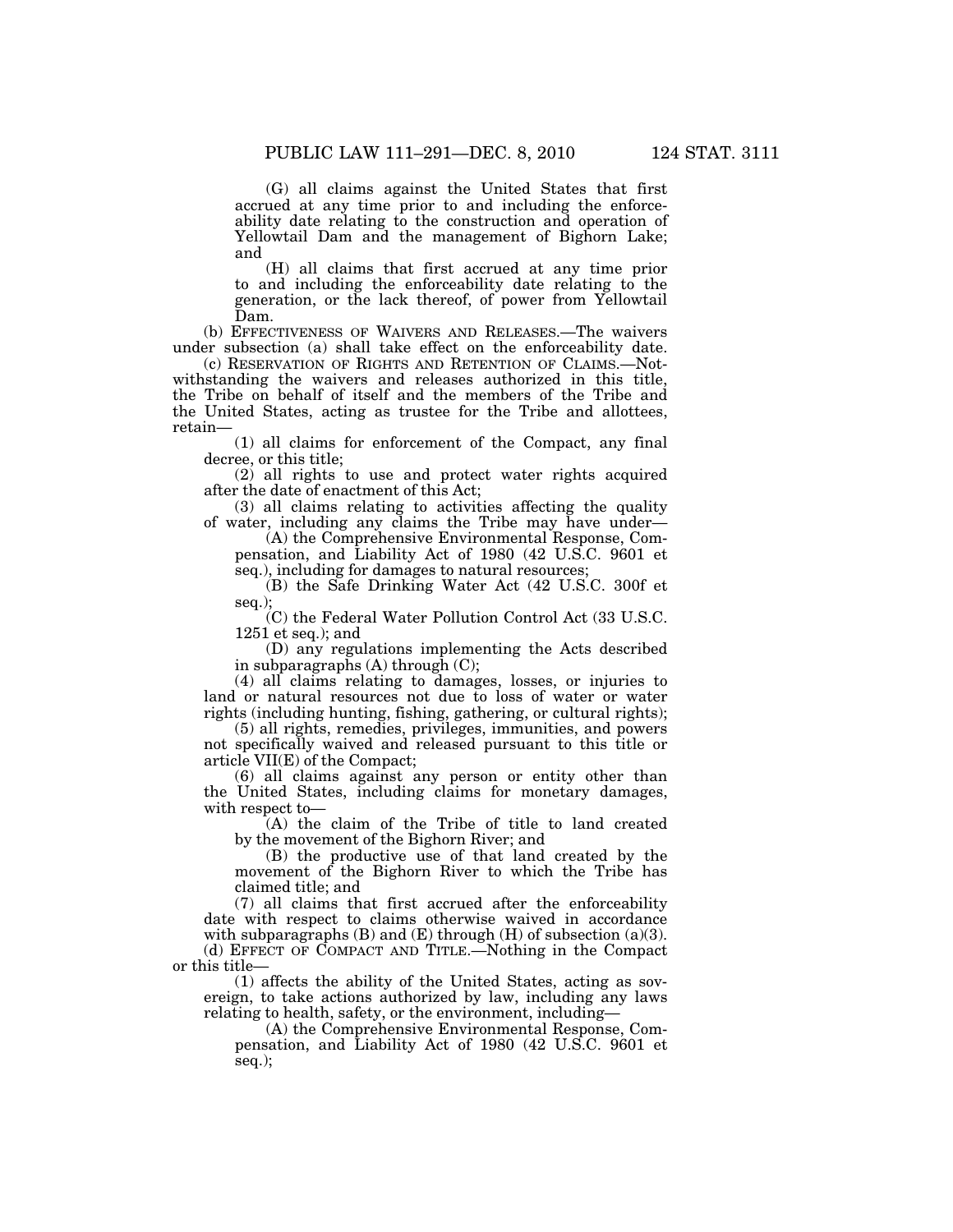(G) all claims against the United States that first accrued at any time prior to and including the enforceability date relating to the construction and operation of Yellowtail Dam and the management of Bighorn Lake; and

(H) all claims that first accrued at any time prior to and including the enforceability date relating to the generation, or the lack thereof, of power from Yellowtail Dam.

(b) EFFECTIVENESS OF WAIVERS AND RELEASES.—The waivers under subsection (a) shall take effect on the enforceability date.

(c) RESERVATION OF RIGHTS AND RETENTION OF CLAIMS.—Notwithstanding the waivers and releases authorized in this title, the Tribe on behalf of itself and the members of the Tribe and the United States, acting as trustee for the Tribe and allottees, retain—

(1) all claims for enforcement of the Compact, any final decree, or this title;

(2) all rights to use and protect water rights acquired after the date of enactment of this Act;

(3) all claims relating to activities affecting the quality of water, including any claims the Tribe may have under—

(A) the Comprehensive Environmental Response, Compensation, and Liability Act of 1980 (42 U.S.C. 9601 et seq.), including for damages to natural resources;

(B) the Safe Drinking Water Act (42 U.S.C. 300f et seq.);

(C) the Federal Water Pollution Control Act (33 U.S.C. 1251 et seq.); and

(D) any regulations implementing the Acts described in subparagraphs (A) through (C);

(4) all claims relating to damages, losses, or injuries to land or natural resources not due to loss of water or water rights (including hunting, fishing, gathering, or cultural rights);

(5) all rights, remedies, privileges, immunities, and powers not specifically waived and released pursuant to this title or article VII(E) of the Compact;

(6) all claims against any person or entity other than the United States, including claims for monetary damages, with respect to—

(A) the claim of the Tribe of title to land created by the movement of the Bighorn River; and

(B) the productive use of that land created by the movement of the Bighorn River to which the Tribe has claimed title; and

(7) all claims that first accrued after the enforceability date with respect to claims otherwise waived in accordance with subparagraphs  $(B)$  and  $(E)$  through  $(H)$  of subsection  $(a)(3)$ . (d) EFFECT OF COMPACT AND TITLE.—Nothing in the Compact

or this title—

(1) affects the ability of the United States, acting as sovereign, to take actions authorized by law, including any laws relating to health, safety, or the environment, including—

(A) the Comprehensive Environmental Response, Compensation, and Liability Act of 1980 (42 U.S.C. 9601 et seq.);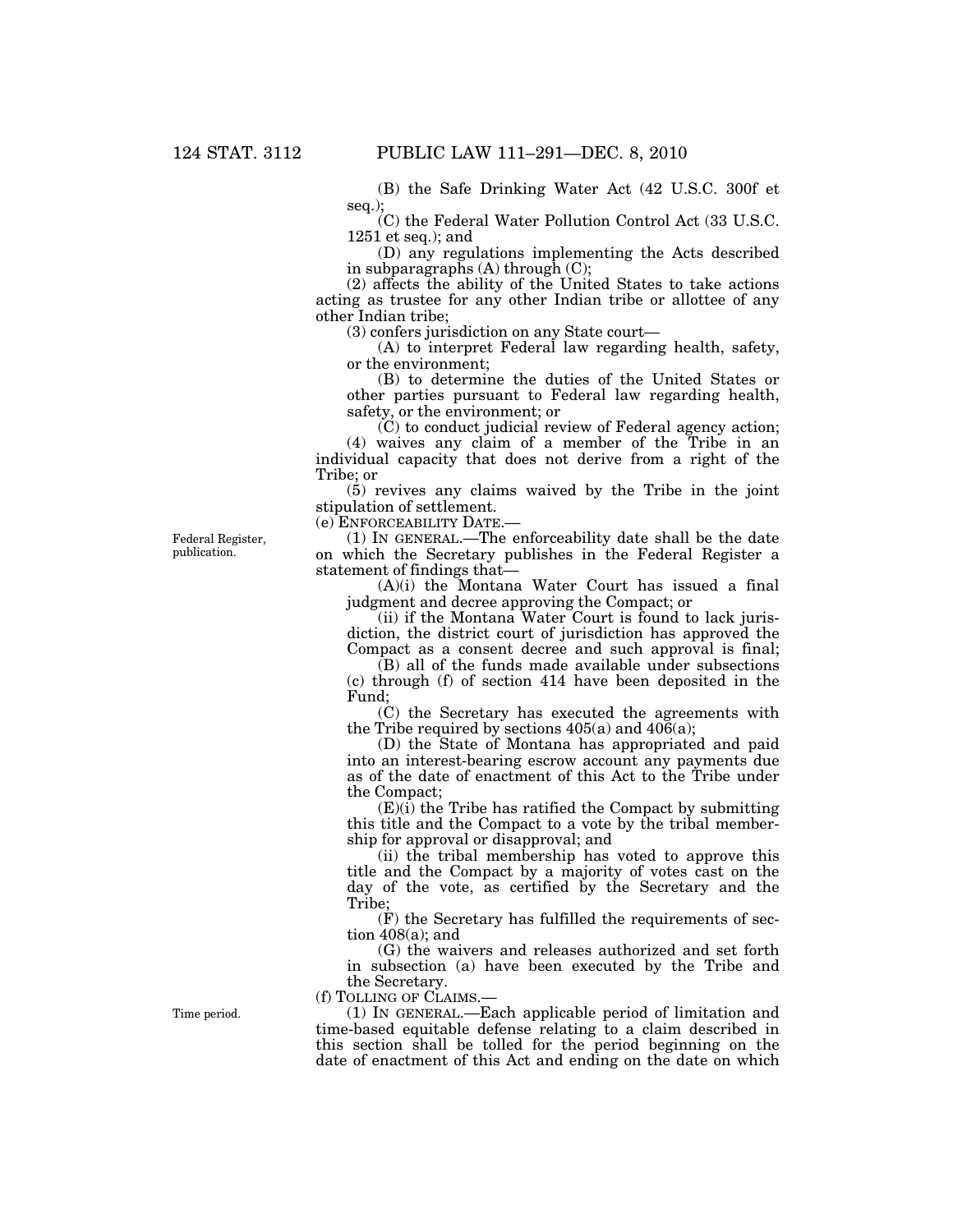(B) the Safe Drinking Water Act (42 U.S.C. 300f et seq.);

(C) the Federal Water Pollution Control Act (33 U.S.C. 1251 et seq.); and

(D) any regulations implementing the Acts described in subparagraphs (A) through (C);

(2) affects the ability of the United States to take actions acting as trustee for any other Indian tribe or allottee of any other Indian tribe;

(3) confers jurisdiction on any State court—

(A) to interpret Federal law regarding health, safety, or the environment;

(B) to determine the duties of the United States or other parties pursuant to Federal law regarding health, safety, or the environment; or

(C) to conduct judicial review of Federal agency action;

(4) waives any claim of a member of the Tribe in an individual capacity that does not derive from a right of the Tribe; or

(5) revives any claims waived by the Tribe in the joint stipulation of settlement.

(e) ENFORCEABILITY DATE.—

(1) IN GENERAL.—The enforceability date shall be the date on which the Secretary publishes in the Federal Register a statement of findings that—

(A)(i) the Montana Water Court has issued a final judgment and decree approving the Compact; or

(ii) if the Montana Water Court is found to lack jurisdiction, the district court of jurisdiction has approved the Compact as a consent decree and such approval is final;

(B) all of the funds made available under subsections (c) through (f) of section 414 have been deposited in the Fund;

 $(C)$  the Secretary has executed the agreements with the Tribe required by sections  $405(a)$  and  $406(a)$ ;

(D) the State of Montana has appropriated and paid into an interest-bearing escrow account any payments due as of the date of enactment of this Act to the Tribe under the Compact;

 $(E)(i)$  the Tribe has ratified the Compact by submitting this title and the Compact to a vote by the tribal membership for approval or disapproval; and

(ii) the tribal membership has voted to approve this title and the Compact by a majority of votes cast on the day of the vote, as certified by the Secretary and the Tribe;

(F) the Secretary has fulfilled the requirements of section  $408(a)$ ; and

(G) the waivers and releases authorized and set forth in subsection (a) have been executed by the Tribe and the Secretary.

(f) TOLLING OF CLAIMS.—

(1) IN GENERAL.—Each applicable period of limitation and time-based equitable defense relating to a claim described in this section shall be tolled for the period beginning on the date of enactment of this Act and ending on the date on which

Federal Register, publication.

Time period.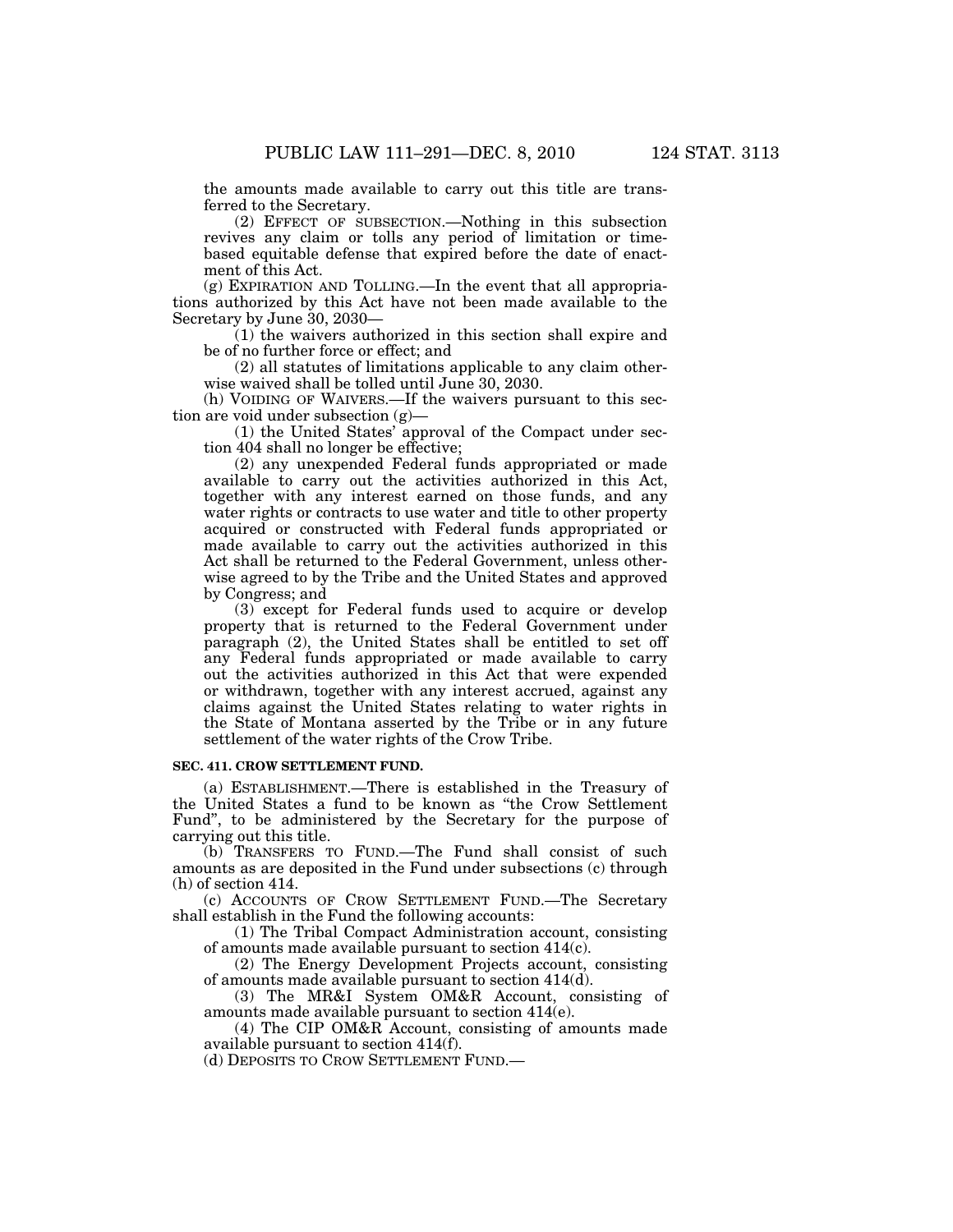the amounts made available to carry out this title are transferred to the Secretary.

(2) EFFECT OF SUBSECTION.—Nothing in this subsection revives any claim or tolls any period of limitation or timebased equitable defense that expired before the date of enactment of this Act.

(g) EXPIRATION AND TOLLING.—In the event that all appropriations authorized by this Act have not been made available to the Secretary by June 30, 2030—

(1) the waivers authorized in this section shall expire and be of no further force or effect; and

(2) all statutes of limitations applicable to any claim otherwise waived shall be tolled until June 30, 2030.

(h) VOIDING OF WAIVERS.—If the waivers pursuant to this section are void under subsection (g)—

(1) the United States' approval of the Compact under section 404 shall no longer be effective;

(2) any unexpended Federal funds appropriated or made available to carry out the activities authorized in this Act, together with any interest earned on those funds, and any water rights or contracts to use water and title to other property acquired or constructed with Federal funds appropriated or made available to carry out the activities authorized in this Act shall be returned to the Federal Government, unless otherwise agreed to by the Tribe and the United States and approved by Congress; and

(3) except for Federal funds used to acquire or develop property that is returned to the Federal Government under paragraph (2), the United States shall be entitled to set off any Federal funds appropriated or made available to carry out the activities authorized in this Act that were expended or withdrawn, together with any interest accrued, against any claims against the United States relating to water rights in the State of Montana asserted by the Tribe or in any future settlement of the water rights of the Crow Tribe.

## **SEC. 411. CROW SETTLEMENT FUND.**

(a) ESTABLISHMENT.—There is established in the Treasury of the United States a fund to be known as ''the Crow Settlement Fund'', to be administered by the Secretary for the purpose of carrying out this title.

(b) TRANSFERS TO FUND.—The Fund shall consist of such amounts as are deposited in the Fund under subsections (c) through (h) of section 414.

(c) ACCOUNTS OF CROW SETTLEMENT FUND.—The Secretary shall establish in the Fund the following accounts:

(1) The Tribal Compact Administration account, consisting of amounts made available pursuant to section 414(c).

(2) The Energy Development Projects account, consisting of amounts made available pursuant to section 414(d).

(3) The MR&I System OM&R Account, consisting of amounts made available pursuant to section 414(e).

(4) The CIP OM&R Account, consisting of amounts made available pursuant to section 414(f).

(d) DEPOSITS TO CROW SETTLEMENT FUND.—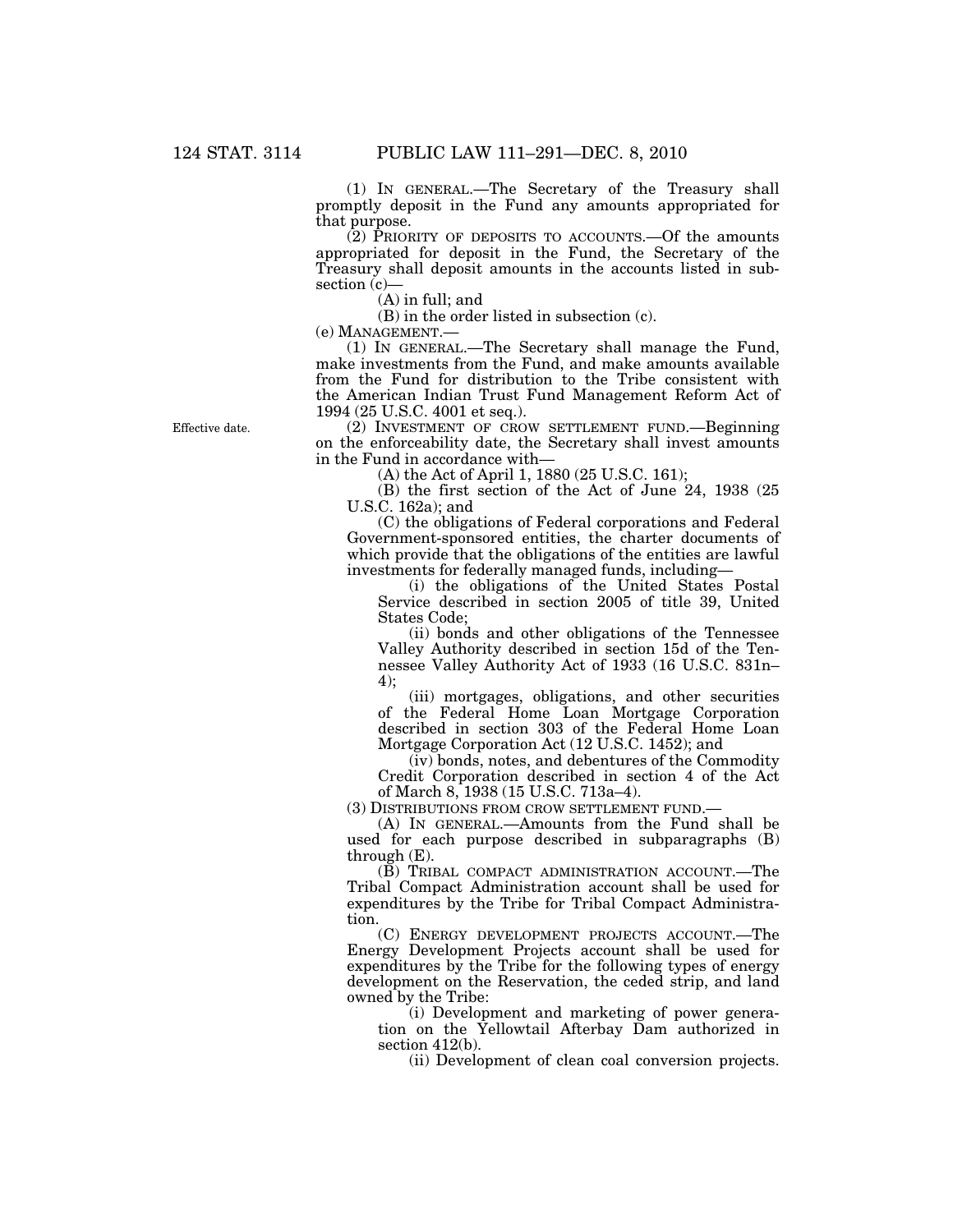(1) IN GENERAL.—The Secretary of the Treasury shall promptly deposit in the Fund any amounts appropriated for that purpose.

 $(2)$  PRIORITY OF DEPOSITS TO ACCOUNTS.—Of the amounts appropriated for deposit in the Fund, the Secretary of the Treasury shall deposit amounts in the accounts listed in subsection (c)-

(A) in full; and

(B) in the order listed in subsection (c).

(e) MANAGEMENT.—

(1) IN GENERAL.—The Secretary shall manage the Fund, make investments from the Fund, and make amounts available from the Fund for distribution to the Tribe consistent with the American Indian Trust Fund Management Reform Act of 1994 (25 U.S.C. 4001 et seq.).

(2) INVESTMENT OF CROW SETTLEMENT FUND.—Beginning on the enforceability date, the Secretary shall invest amounts in the Fund in accordance with—

(A) the Act of April 1, 1880 (25 U.S.C. 161);

(B) the first section of the Act of June 24, 1938 (25 U.S.C. 162a); and

(C) the obligations of Federal corporations and Federal Government-sponsored entities, the charter documents of which provide that the obligations of the entities are lawful investments for federally managed funds, including—

(i) the obligations of the United States Postal Service described in section 2005 of title 39, United States Code;

(ii) bonds and other obligations of the Tennessee Valley Authority described in section 15d of the Tennessee Valley Authority Act of 1933 (16 U.S.C. 831n– 4);

(iii) mortgages, obligations, and other securities of the Federal Home Loan Mortgage Corporation described in section 303 of the Federal Home Loan Mortgage Corporation Act (12 U.S.C. 1452); and

(iv) bonds, notes, and debentures of the Commodity Credit Corporation described in section 4 of the Act of March 8, 1938 (15 U.S.C. 713a–4).

(3) DISTRIBUTIONS FROM CROW SETTLEMENT FUND.—

(A) IN GENERAL.—Amounts from the Fund shall be used for each purpose described in subparagraphs (B) through (E).

(B) TRIBAL COMPACT ADMINISTRATION ACCOUNT.—The Tribal Compact Administration account shall be used for expenditures by the Tribe for Tribal Compact Administration.

(C) ENERGY DEVELOPMENT PROJECTS ACCOUNT.—The Energy Development Projects account shall be used for expenditures by the Tribe for the following types of energy development on the Reservation, the ceded strip, and land owned by the Tribe:

(i) Development and marketing of power generation on the Yellowtail Afterbay Dam authorized in section 412(b).

(ii) Development of clean coal conversion projects.

Effective date.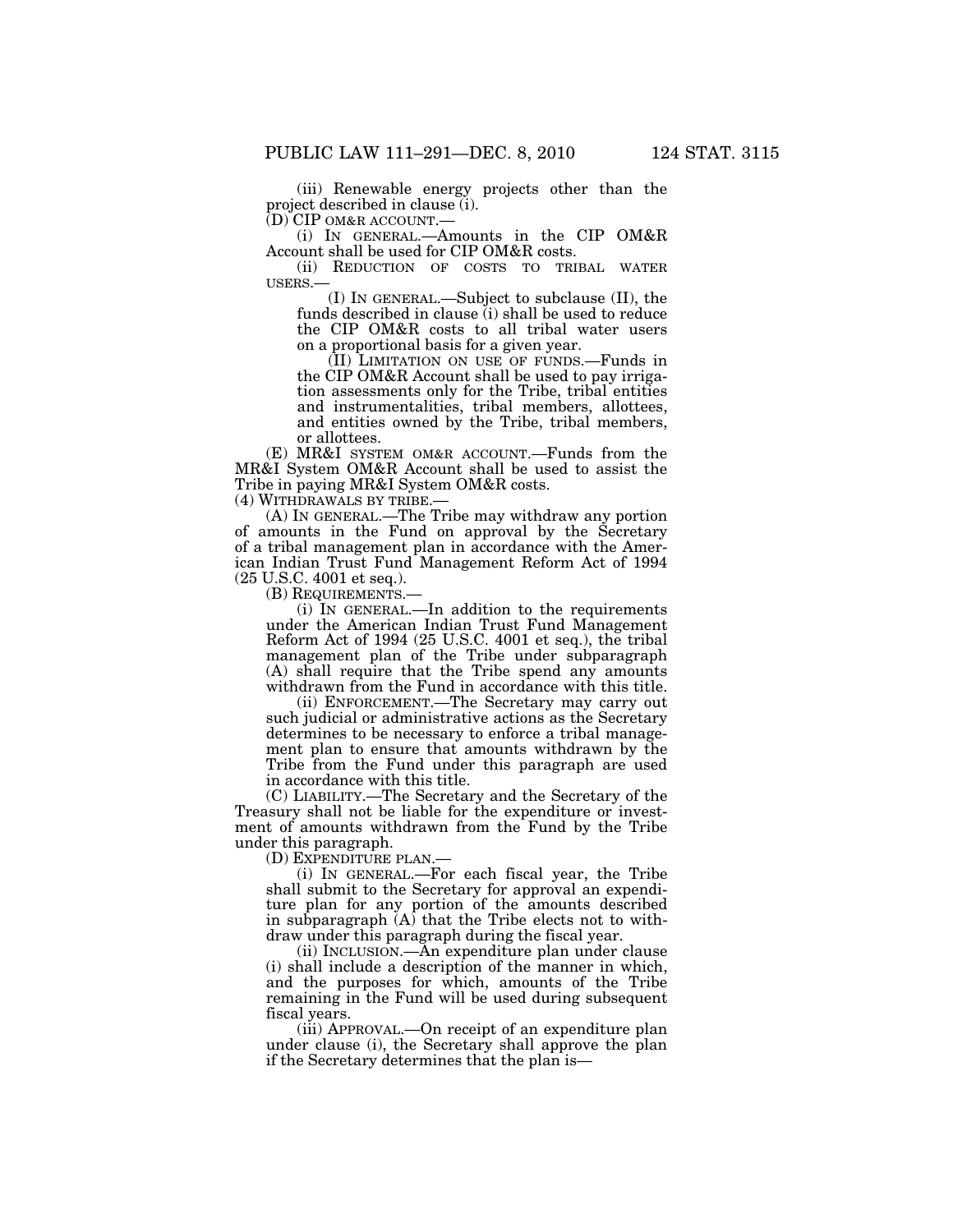(iii) Renewable energy projects other than the project described in clause (i).

(D) CIP OM&R ACCOUNT.—

(i) IN GENERAL.—Amounts in the CIP OM&R Account shall be used for CIP OM&R costs.

(ii) REDUCTION OF COSTS TO TRIBAL WATER USERS.— (I) IN GENERAL.—Subject to subclause (II), the

funds described in clause (i) shall be used to reduce the CIP OM&R costs to all tribal water users on a proportional basis for a given year.

(II) LIMITATION ON USE OF FUNDS.—Funds in the CIP OM&R Account shall be used to pay irrigation assessments only for the Tribe, tribal entities and instrumentalities, tribal members, allottees, and entities owned by the Tribe, tribal members, or allottees.

(E) MR&I SYSTEM OM&R ACCOUNT.—Funds from the MR&I System OM&R Account shall be used to assist the Tribe in paying MR&I System OM&R costs.

(4) WITHDRAWALS BY TRIBE.—

(A) IN GENERAL.—The Tribe may withdraw any portion of amounts in the Fund on approval by the Secretary of a tribal management plan in accordance with the American Indian Trust Fund Management Reform Act of 1994 (25 U.S.C. 4001 et seq.).

(B) REQUIREMENTS.—

(i) IN GENERAL.—In addition to the requirements under the American Indian Trust Fund Management Reform Act of 1994 (25 U.S.C. 4001 et seq.), the tribal management plan of the Tribe under subparagraph (A) shall require that the Tribe spend any amounts withdrawn from the Fund in accordance with this title.

(ii) ENFORCEMENT.—The Secretary may carry out such judicial or administrative actions as the Secretary determines to be necessary to enforce a tribal management plan to ensure that amounts withdrawn by the Tribe from the Fund under this paragraph are used in accordance with this title.

(C) LIABILITY.—The Secretary and the Secretary of the Treasury shall not be liable for the expenditure or investment of amounts withdrawn from the Fund by the Tribe under this paragraph.

(D) EXPENDITURE PLAN.—

(i) IN GENERAL.—For each fiscal year, the Tribe shall submit to the Secretary for approval an expenditure plan for any portion of the amounts described in subparagraph  $(A)$  that the Tribe elects not to withdraw under this paragraph during the fiscal year.

(ii) INCLUSION.—An expenditure plan under clause (i) shall include a description of the manner in which, and the purposes for which, amounts of the Tribe remaining in the Fund will be used during subsequent fiscal years.

(iii) APPROVAL.—On receipt of an expenditure plan under clause (i), the Secretary shall approve the plan if the Secretary determines that the plan is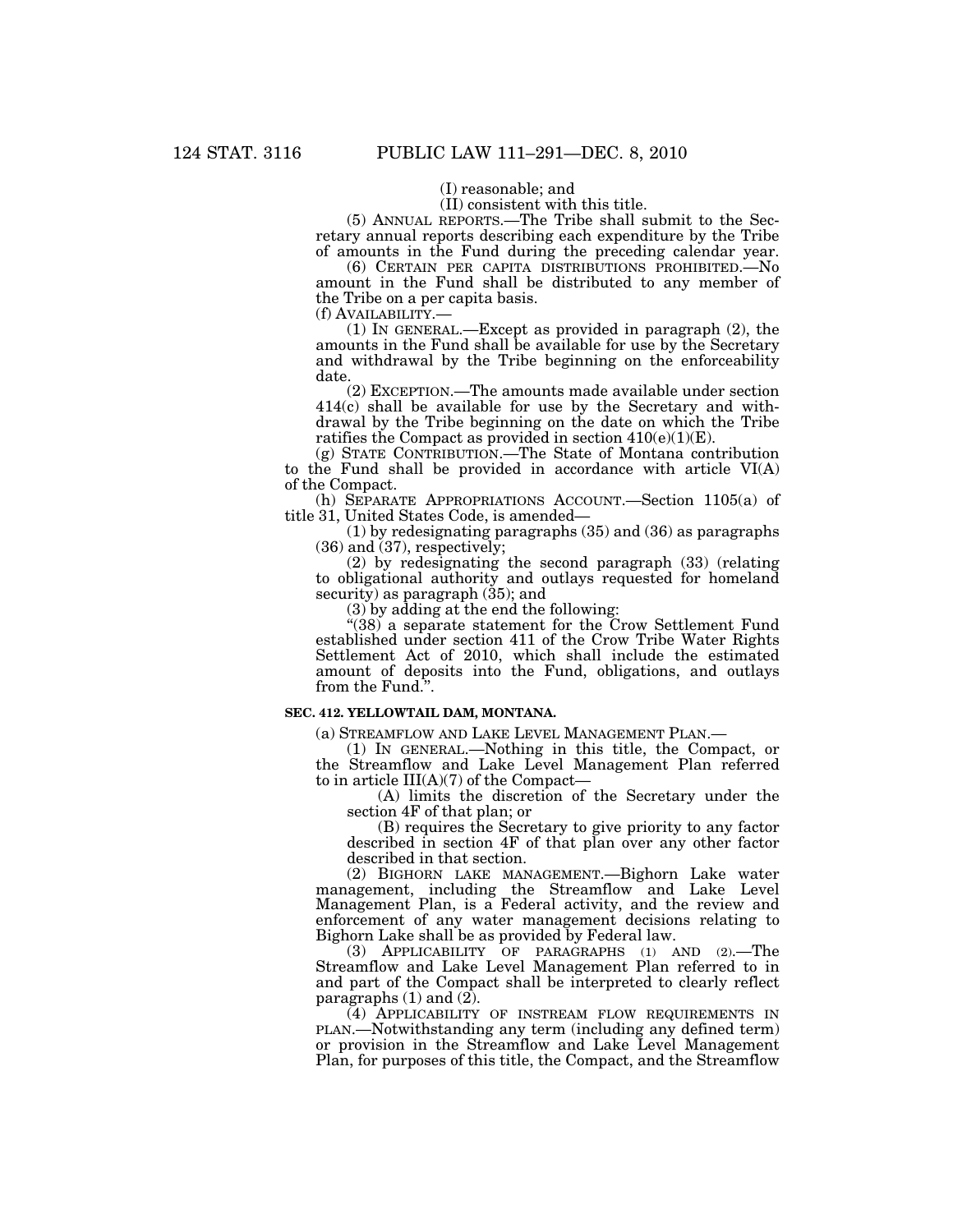(I) reasonable; and

(II) consistent with this title.

(5) ANNUAL REPORTS.—The Tribe shall submit to the Secretary annual reports describing each expenditure by the Tribe of amounts in the Fund during the preceding calendar year.

(6) CERTAIN PER CAPITA DISTRIBUTIONS PROHIBITED.—No amount in the Fund shall be distributed to any member of the Tribe on a per capita basis.

(f) AVAILABILITY.—<br>(1) IN GENERAL.—Except as provided in paragraph (2), the amounts in the Fund shall be available for use by the Secretary and withdrawal by the Tribe beginning on the enforceability date.

(2) EXCEPTION.—The amounts made available under section 414(c) shall be available for use by the Secretary and withdrawal by the Tribe beginning on the date on which the Tribe ratifies the Compact as provided in section  $410(e)(1)(E)$ .

(g) STATE CONTRIBUTION.—The State of Montana contribution to the Fund shall be provided in accordance with article VI(A) of the Compact.

(h) SEPARATE APPROPRIATIONS ACCOUNT.—Section 1105(a) of title 31, United States Code, is amended—

(1) by redesignating paragraphs (35) and (36) as paragraphs (36) and (37), respectively;

(2) by redesignating the second paragraph (33) (relating to obligational authority and outlays requested for homeland security) as paragraph  $(35)$ ; and

(3) by adding at the end the following:

" $(38)$  a separate statement for the Crow Settlement Fund established under section 411 of the Crow Tribe Water Rights Settlement Act of 2010, which shall include the estimated amount of deposits into the Fund, obligations, and outlays from the Fund.''.

#### **SEC. 412. YELLOWTAIL DAM, MONTANA.**

(a) STREAMFLOW AND LAKE LEVEL MANAGEMENT PLAN.—

(1) IN GENERAL.—Nothing in this title, the Compact, or the Streamflow and Lake Level Management Plan referred to in article III(A)(7) of the Compact—

(A) limits the discretion of the Secretary under the section 4F of that plan; or

(B) requires the Secretary to give priority to any factor described in section 4F of that plan over any other factor described in that section.

(2) BIGHORN LAKE MANAGEMENT.—Bighorn Lake water management, including the Streamflow and Lake Level Management Plan, is a Federal activity, and the review and enforcement of any water management decisions relating to Bighorn Lake shall be as provided by Federal law.

(3) APPLICABILITY OF PARAGRAPHS (1) AND (2).—The Streamflow and Lake Level Management Plan referred to in and part of the Compact shall be interpreted to clearly reflect paragraphs  $(1)$  and  $(2)$ .

(4) APPLICABILITY OF INSTREAM FLOW REQUIREMENTS IN PLAN.—Notwithstanding any term (including any defined term) or provision in the Streamflow and Lake Level Management Plan, for purposes of this title, the Compact, and the Streamflow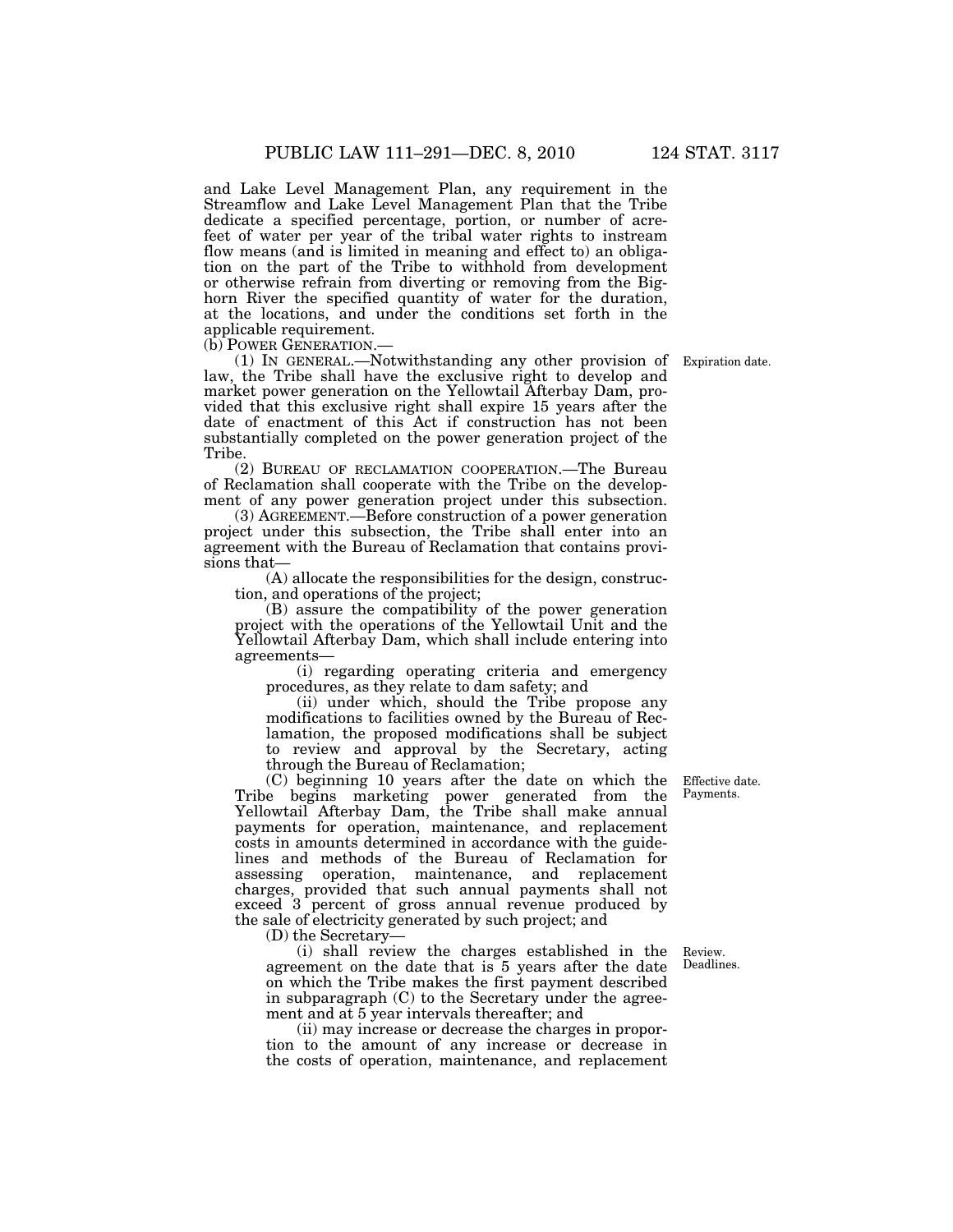and Lake Level Management Plan, any requirement in the Streamflow and Lake Level Management Plan that the Tribe dedicate a specified percentage, portion, or number of acrefeet of water per year of the tribal water rights to instream flow means (and is limited in meaning and effect to) an obligation on the part of the Tribe to withhold from development or otherwise refrain from diverting or removing from the Bighorn River the specified quantity of water for the duration, at the locations, and under the conditions set forth in the applicable requirement.<br>(b) POWER GENERATION.

(1) IN GENERAL.—Notwithstanding any other provision of law, the Tribe shall have the exclusive right to develop and market power generation on the Yellowtail Afterbay Dam, provided that this exclusive right shall expire 15 years after the date of enactment of this Act if construction has not been substantially completed on the power generation project of the Tribe.

(2) BUREAU OF RECLAMATION COOPERATION.—The Bureau of Reclamation shall cooperate with the Tribe on the development of any power generation project under this subsection.

(3) AGREEMENT.—Before construction of a power generation project under this subsection, the Tribe shall enter into an agreement with the Bureau of Reclamation that contains provisions that—

(A) allocate the responsibilities for the design, construction, and operations of the project;

(B) assure the compatibility of the power generation project with the operations of the Yellowtail Unit and the Yellowtail Afterbay Dam, which shall include entering into agreements—

(i) regarding operating criteria and emergency procedures, as they relate to dam safety; and

(ii) under which, should the Tribe propose any modifications to facilities owned by the Bureau of Reclamation, the proposed modifications shall be subject to review and approval by the Secretary, acting through the Bureau of Reclamation;

(C) beginning 10 years after the date on which the Tribe begins marketing power generated from the Yellowtail Afterbay Dam, the Tribe shall make annual payments for operation, maintenance, and replacement costs in amounts determined in accordance with the guidelines and methods of the Bureau of Reclamation for assessing operation, maintenance, and replacement charges, provided that such annual payments shall not exceed 3 percent of gross annual revenue produced by the sale of electricity generated by such project; and

(D) the Secretary—

(i) shall review the charges established in the agreement on the date that is 5 years after the date on which the Tribe makes the first payment described in subparagraph (C) to the Secretary under the agreement and at 5 year intervals thereafter; and

(ii) may increase or decrease the charges in proportion to the amount of any increase or decrease in the costs of operation, maintenance, and replacement

Effective date. Payments.

Review. Deadlines.

Expiration date.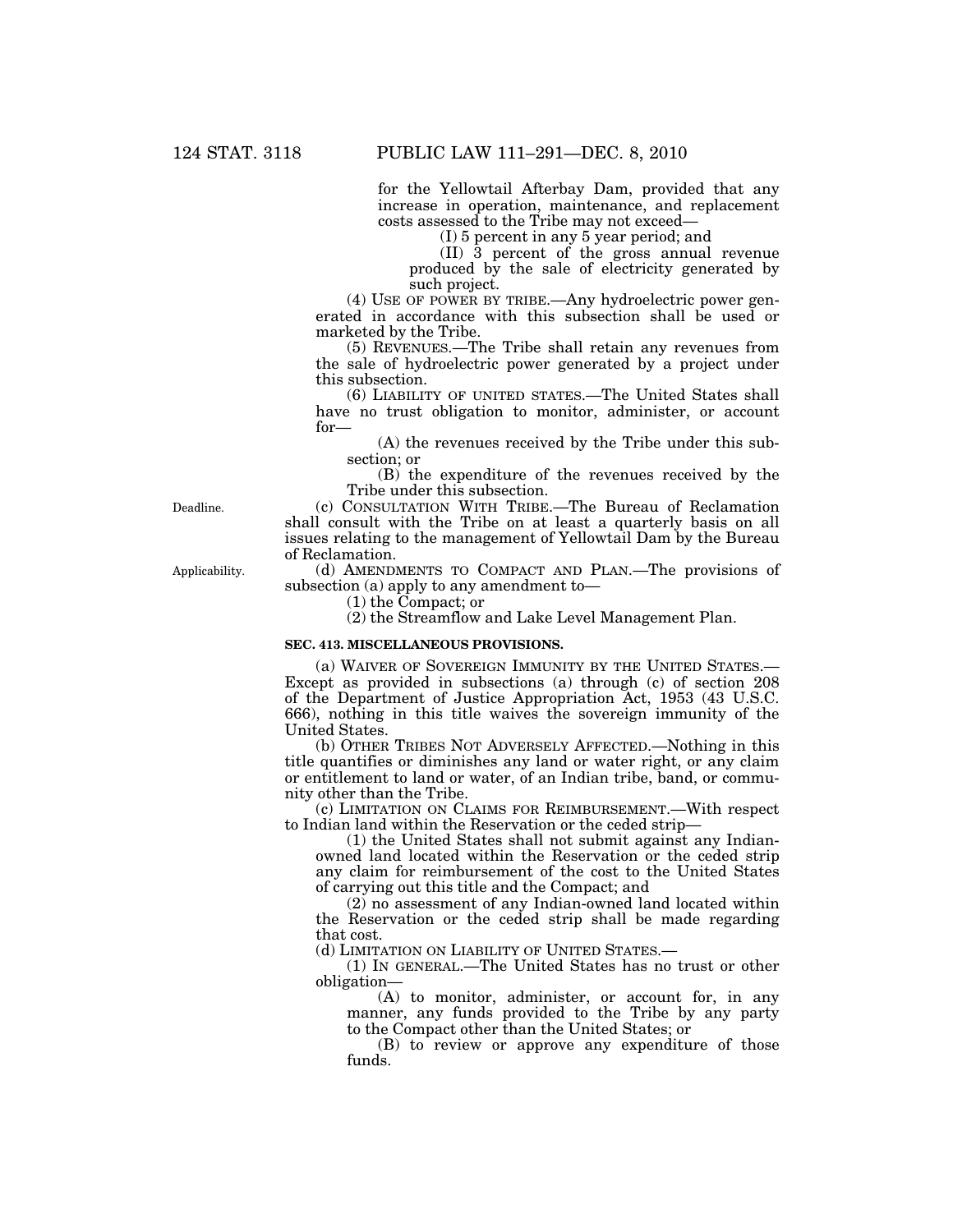for the Yellowtail Afterbay Dam, provided that any increase in operation, maintenance, and replacement costs assessed to the Tribe may not exceed—

(I) 5 percent in any 5 year period; and

(II) 3 percent of the gross annual revenue produced by the sale of electricity generated by such project.

(4) USE OF POWER BY TRIBE.—Any hydroelectric power generated in accordance with this subsection shall be used or marketed by the Tribe.

(5) REVENUES.—The Tribe shall retain any revenues from the sale of hydroelectric power generated by a project under this subsection.

(6) LIABILITY OF UNITED STATES.—The United States shall have no trust obligation to monitor, administer, or account for—

(A) the revenues received by the Tribe under this subsection; or

(B) the expenditure of the revenues received by the Tribe under this subsection.

(c) CONSULTATION WITH TRIBE.—The Bureau of Reclamation shall consult with the Tribe on at least a quarterly basis on all issues relating to the management of Yellowtail Dam by the Bureau of Reclamation.

(d) AMENDMENTS TO COMPACT AND PLAN.—The provisions of subsection (a) apply to any amendment to—

(1) the Compact; or

(2) the Streamflow and Lake Level Management Plan.

# **SEC. 413. MISCELLANEOUS PROVISIONS.**

(a) WAIVER OF SOVEREIGN IMMUNITY BY THE UNITED STATES.— Except as provided in subsections (a) through (c) of section 208 of the Department of Justice Appropriation Act, 1953 (43 U.S.C. 666), nothing in this title waives the sovereign immunity of the United States.

(b) OTHER TRIBES NOT ADVERSELY AFFECTED.—Nothing in this title quantifies or diminishes any land or water right, or any claim or entitlement to land or water, of an Indian tribe, band, or community other than the Tribe.

(c) LIMITATION ON CLAIMS FOR REIMBURSEMENT.—With respect to Indian land within the Reservation or the ceded strip—

(1) the United States shall not submit against any Indianowned land located within the Reservation or the ceded strip any claim for reimbursement of the cost to the United States of carrying out this title and the Compact; and

(2) no assessment of any Indian-owned land located within the Reservation or the ceded strip shall be made regarding that cost.

(d) LIMITATION ON LIABILITY OF UNITED STATES.—

(1) IN GENERAL.—The United States has no trust or other obligation—

(A) to monitor, administer, or account for, in any manner, any funds provided to the Tribe by any party to the Compact other than the United States; or

(B) to review or approve any expenditure of those funds.

Deadline.

Applicability.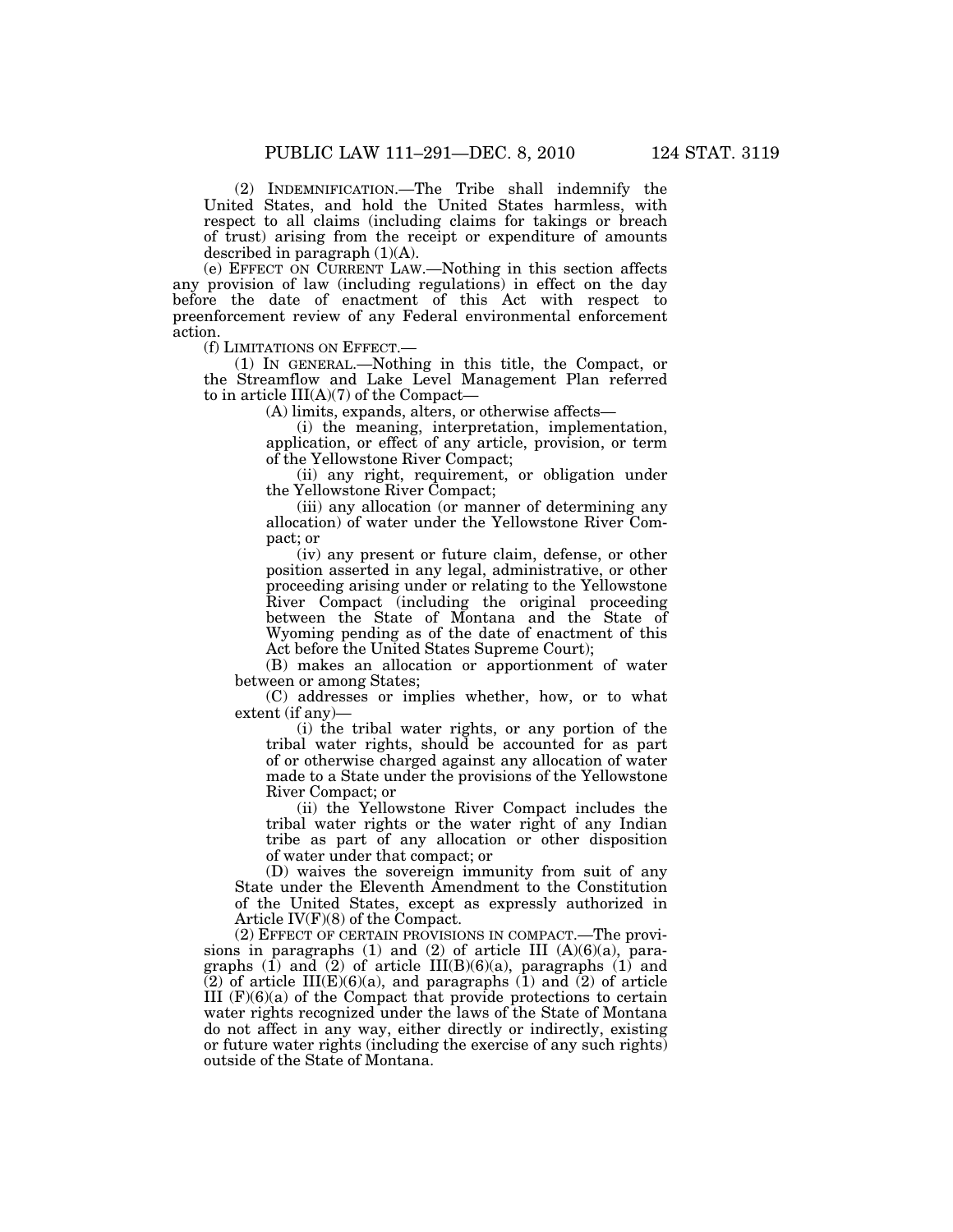(2) INDEMNIFICATION.—The Tribe shall indemnify the United States, and hold the United States harmless, with respect to all claims (including claims for takings or breach of trust) arising from the receipt or expenditure of amounts described in paragraph  $(1)(A)$ .

(e) EFFECT ON CURRENT LAW.—Nothing in this section affects any provision of law (including regulations) in effect on the day before the date of enactment of this Act with respect to preenforcement review of any Federal environmental enforcement action.

(f) LIMITATIONS ON EFFECT.—

(1) IN GENERAL.—Nothing in this title, the Compact, or the Streamflow and Lake Level Management Plan referred to in article III(A)(7) of the Compact—

(A) limits, expands, alters, or otherwise affects—

(i) the meaning, interpretation, implementation, application, or effect of any article, provision, or term of the Yellowstone River Compact;

(ii) any right, requirement, or obligation under the Yellowstone River Compact;

(iii) any allocation (or manner of determining any allocation) of water under the Yellowstone River Compact; or

(iv) any present or future claim, defense, or other position asserted in any legal, administrative, or other proceeding arising under or relating to the Yellowstone River Compact (including the original proceeding between the State of Montana and the State of Wyoming pending as of the date of enactment of this Act before the United States Supreme Court);

(B) makes an allocation or apportionment of water between or among States;

(C) addresses or implies whether, how, or to what extent (if any)—

(i) the tribal water rights, or any portion of the tribal water rights, should be accounted for as part of or otherwise charged against any allocation of water made to a State under the provisions of the Yellowstone River Compact; or

(ii) the Yellowstone River Compact includes the tribal water rights or the water right of any Indian tribe as part of any allocation or other disposition of water under that compact; or

(D) waives the sovereign immunity from suit of any State under the Eleventh Amendment to the Constitution of the United States, except as expressly authorized in Article IV(F)(8) of the Compact.

(2) EFFECT OF CERTAIN PROVISIONS IN COMPACT.—The provisions in paragraphs (1) and (2) of article III  $(A)(6)(a)$ , paragraphs  $(1)$  and  $(2)$  of article III(B)(6)(a), paragraphs  $(1)$  and  $(2)$  of article III(E)(6)(a), and paragraphs  $(1)$  and  $(2)$  of article III  $(F)(6)(a)$  of the Compact that provide protections to certain water rights recognized under the laws of the State of Montana do not affect in any way, either directly or indirectly, existing or future water rights (including the exercise of any such rights) outside of the State of Montana.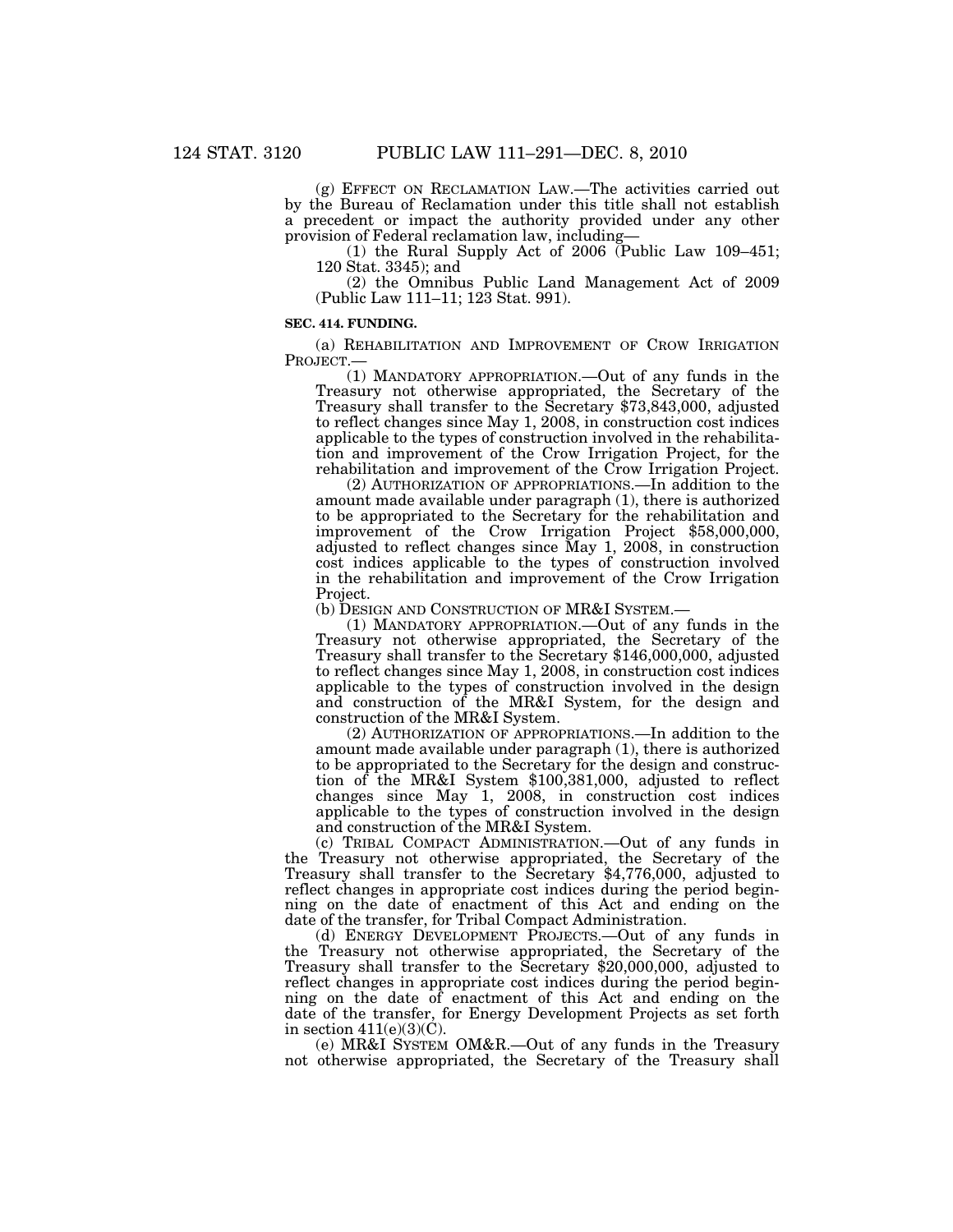(g) EFFECT ON RECLAMATION LAW.—The activities carried out by the Bureau of Reclamation under this title shall not establish a precedent or impact the authority provided under any other provision of Federal reclamation law, including—

(1) the Rural Supply Act of 2006 (Public Law 109–451; 120 Stat. 3345); and

(2) the Omnibus Public Land Management Act of 2009 (Public Law 111–11; 123 Stat. 991).

#### **SEC. 414. FUNDING.**

(a) REHABILITATION AND IMPROVEMENT OF CROW IRRIGATION PROJECT.—

(1) MANDATORY APPROPRIATION.—Out of any funds in the Treasury not otherwise appropriated, the Secretary of the Treasury shall transfer to the Secretary \$73,843,000, adjusted to reflect changes since May 1, 2008, in construction cost indices applicable to the types of construction involved in the rehabilitation and improvement of the Crow Irrigation Project, for the rehabilitation and improvement of the Crow Irrigation Project.

(2) AUTHORIZATION OF APPROPRIATIONS.—In addition to the amount made available under paragraph (1), there is authorized to be appropriated to the Secretary for the rehabilitation and improvement of the Crow Irrigation Project \$58,000,000, adjusted to reflect changes since May 1, 2008, in construction cost indices applicable to the types of construction involved in the rehabilitation and improvement of the Crow Irrigation Project.

(b) DESIGN AND CONSTRUCTION OF MR&I SYSTEM.—

(1) MANDATORY APPROPRIATION.—Out of any funds in the Treasury not otherwise appropriated, the Secretary of the Treasury shall transfer to the Secretary \$146,000,000, adjusted to reflect changes since May 1, 2008, in construction cost indices applicable to the types of construction involved in the design and construction of the MR&I System, for the design and construction of the MR&I System.

(2) AUTHORIZATION OF APPROPRIATIONS.—In addition to the amount made available under paragraph (1), there is authorized to be appropriated to the Secretary for the design and construction of the MR&I System \$100,381,000, adjusted to reflect changes since May 1, 2008, in construction cost indices applicable to the types of construction involved in the design and construction of the MR&I System.

(c) TRIBAL COMPACT ADMINISTRATION.—Out of any funds in the Treasury not otherwise appropriated, the Secretary of the Treasury shall transfer to the Secretary \$4,776,000, adjusted to reflect changes in appropriate cost indices during the period beginning on the date of enactment of this Act and ending on the date of the transfer, for Tribal Compact Administration.

(d) ENERGY DEVELOPMENT PROJECTS.—Out of any funds in the Treasury not otherwise appropriated, the Secretary of the Treasury shall transfer to the Secretary \$20,000,000, adjusted to reflect changes in appropriate cost indices during the period beginning on the date of enactment of this Act and ending on the date of the transfer, for Energy Development Projects as set forth in section  $411(e)(3)(C)$ .

(e) MR&I SYSTEM OM&R.—Out of any funds in the Treasury not otherwise appropriated, the Secretary of the Treasury shall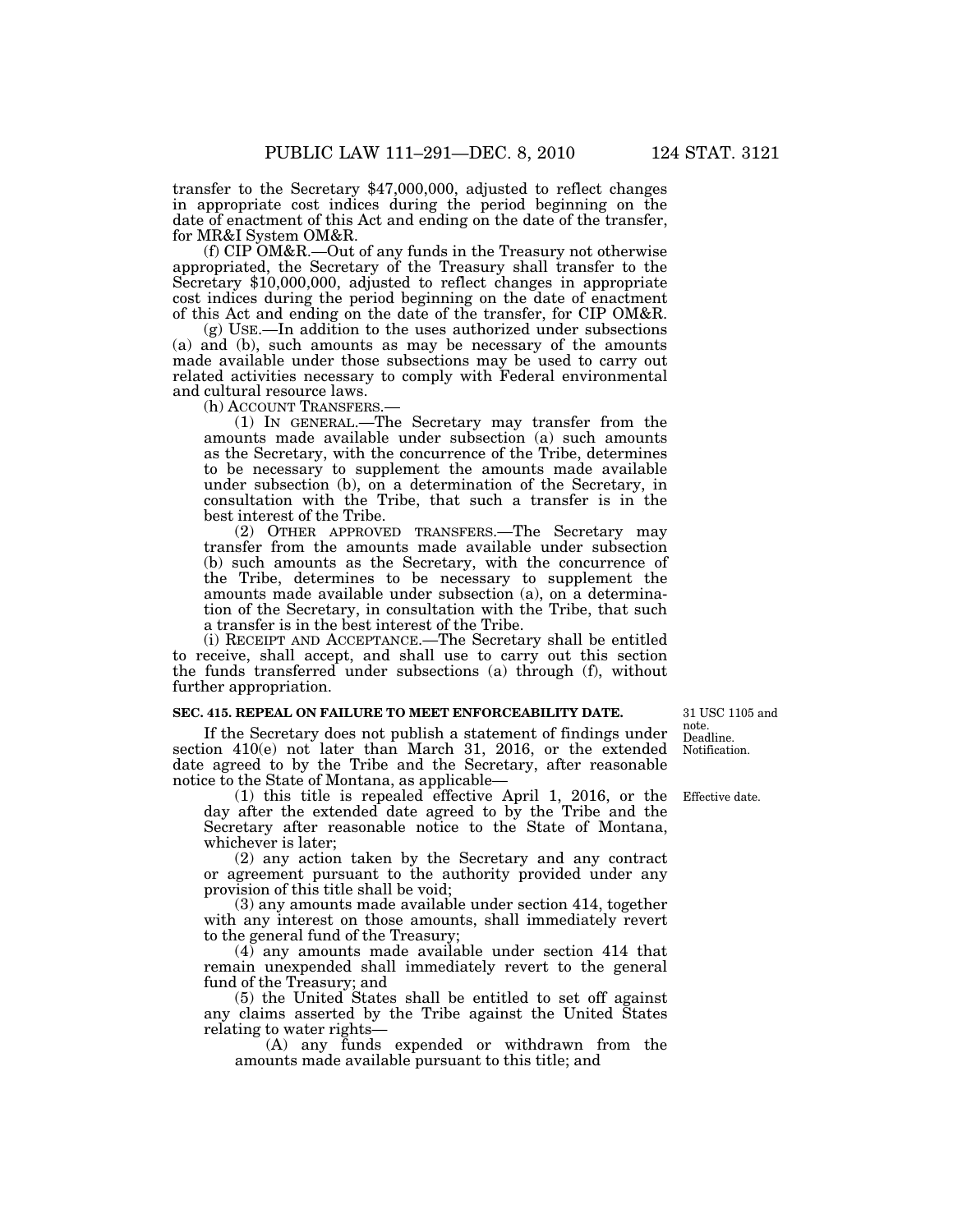transfer to the Secretary \$47,000,000, adjusted to reflect changes in appropriate cost indices during the period beginning on the date of enactment of this Act and ending on the date of the transfer, for MR&I System OM&R.

(f) CIP OM&R.—Out of any funds in the Treasury not otherwise appropriated, the Secretary of the Treasury shall transfer to the Secretary \$10,000,000, adjusted to reflect changes in appropriate cost indices during the period beginning on the date of enactment of this Act and ending on the date of the transfer, for CIP OM&R.

(g) USE.—In addition to the uses authorized under subsections (a) and (b), such amounts as may be necessary of the amounts made available under those subsections may be used to carry out related activities necessary to comply with Federal environmental and cultural resource laws.<br>(b) ACCOUNT TRANSFERS.

 $(1)$  In GENERAL.—The Secretary may transfer from the amounts made available under subsection (a) such amounts as the Secretary, with the concurrence of the Tribe, determines to be necessary to supplement the amounts made available under subsection (b), on a determination of the Secretary, in consultation with the Tribe, that such a transfer is in the best interest of the Tribe.

(2) OTHER APPROVED TRANSFERS.—The Secretary may transfer from the amounts made available under subsection (b) such amounts as the Secretary, with the concurrence of the Tribe, determines to be necessary to supplement the amounts made available under subsection (a), on a determination of the Secretary, in consultation with the Tribe, that such a transfer is in the best interest of the Tribe.

(i) RECEIPT AND ACCEPTANCE.—The Secretary shall be entitled to receive, shall accept, and shall use to carry out this section the funds transferred under subsections (a) through (f), without further appropriation.

#### **SEC. 415. REPEAL ON FAILURE TO MEET ENFORCEABILITY DATE.**

If the Secretary does not publish a statement of findings under section 410(e) not later than March 31, 2016, or the extended date agreed to by the Tribe and the Secretary, after reasonable notice to the State of Montana, as applicable—

(1) this title is repealed effective April 1, 2016, or the day after the extended date agreed to by the Tribe and the Secretary after reasonable notice to the State of Montana, whichever is later;

(2) any action taken by the Secretary and any contract or agreement pursuant to the authority provided under any provision of this title shall be void;

(3) any amounts made available under section 414, together with any interest on those amounts, shall immediately revert to the general fund of the Treasury;

(4) any amounts made available under section 414 that remain unexpended shall immediately revert to the general fund of the Treasury; and

(5) the United States shall be entitled to set off against any claims asserted by the Tribe against the United States relating to water rights—

(A) any funds expended or withdrawn from the amounts made available pursuant to this title; and

31 USC 1105 and note. Deadline. Notification.

Effective date.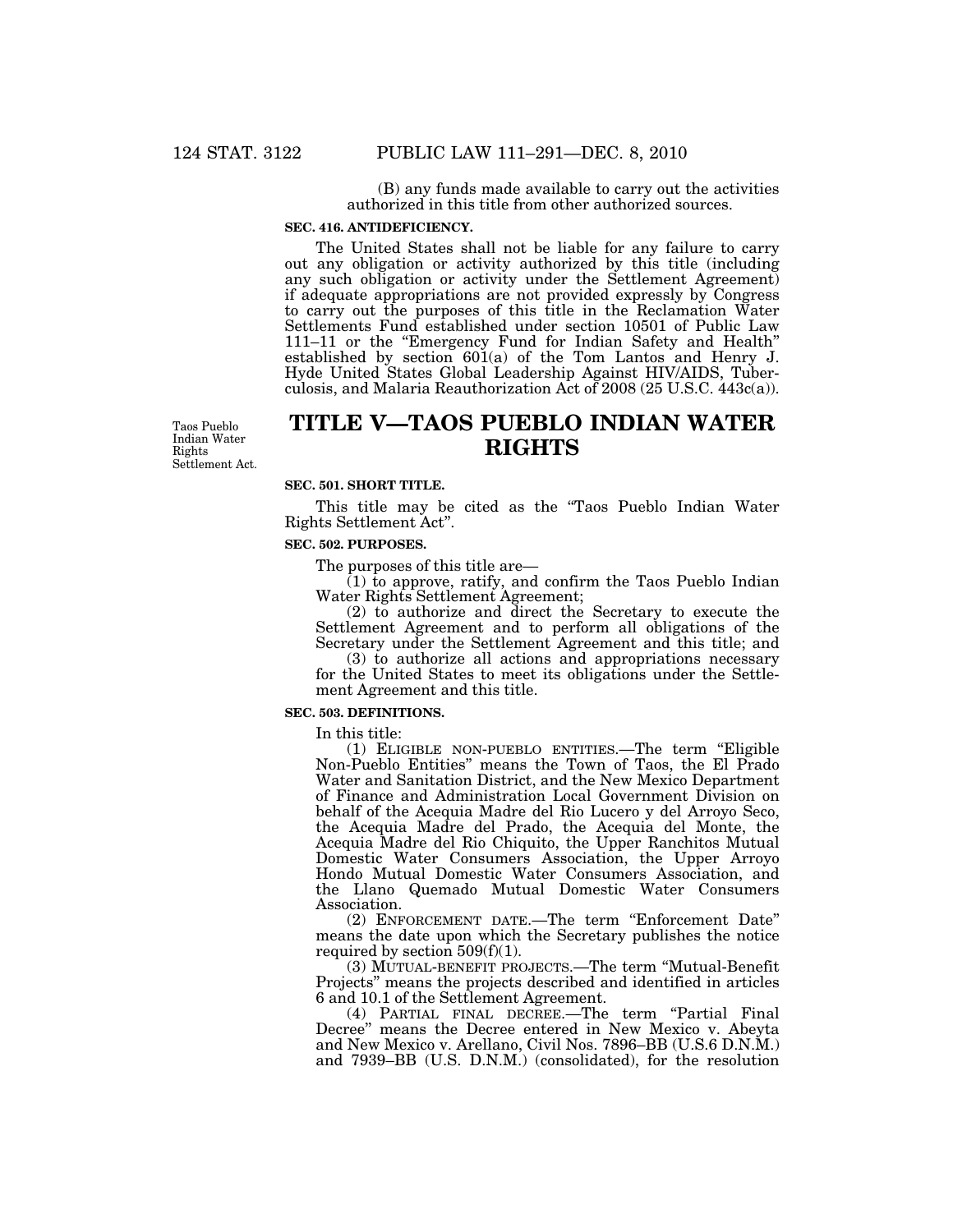(B) any funds made available to carry out the activities authorized in this title from other authorized sources.

# **SEC. 416. ANTIDEFICIENCY.**

The United States shall not be liable for any failure to carry out any obligation or activity authorized by this title (including any such obligation or activity under the Settlement Agreement) if adequate appropriations are not provided expressly by Congress to carry out the purposes of this title in the Reclamation Water Settlements Fund established under section 10501 of Public Law 111–11 or the ''Emergency Fund for Indian Safety and Health'' established by section 601(a) of the Tom Lantos and Henry J. Hyde United States Global Leadership Against HIV/AIDS, Tuberculosis, and Malaria Reauthorization Act of 2008 (25 U.S.C. 443c(a)).

Taos Pueblo Indian Water Rights Settlement Act.

# **TITLE V—TAOS PUEBLO INDIAN WATER RIGHTS**

# **SEC. 501. SHORT TITLE.**

This title may be cited as the "Taos Pueblo Indian Water Rights Settlement Act''.

#### **SEC. 502. PURPOSES.**

The purposes of this title are—

(1) to approve, ratify, and confirm the Taos Pueblo Indian Water Rights Settlement Agreement;

(2) to authorize and direct the Secretary to execute the Settlement Agreement and to perform all obligations of the Secretary under the Settlement Agreement and this title; and

(3) to authorize all actions and appropriations necessary for the United States to meet its obligations under the Settlement Agreement and this title.

#### **SEC. 503. DEFINITIONS.**

In this title:

(1) ELIGIBLE NON-PUEBLO ENTITIES.—The term ''Eligible Non-Pueblo Entities'' means the Town of Taos, the El Prado Water and Sanitation District, and the New Mexico Department of Finance and Administration Local Government Division on behalf of the Acequia Madre del Rio Lucero y del Arroyo Seco, the Acequia Madre del Prado, the Acequia del Monte, the Acequia Madre del Rio Chiquito, the Upper Ranchitos Mutual Domestic Water Consumers Association, the Upper Arroyo Hondo Mutual Domestic Water Consumers Association, and the Llano Quemado Mutual Domestic Water Consumers Association.

(2) ENFORCEMENT DATE.—The term ''Enforcement Date'' means the date upon which the Secretary publishes the notice required by section  $509(f)(1)$ .

(3) MUTUAL-BENEFIT PROJECTS.—The term ''Mutual-Benefit Projects'' means the projects described and identified in articles 6 and 10.1 of the Settlement Agreement.

(4) PARTIAL FINAL DECREE.—The term ''Partial Final Decree'' means the Decree entered in New Mexico v. Abeyta and New Mexico v. Arellano, Civil Nos. 7896–BB (U.S.6 D.N.M.) and 7939–BB (U.S. D.N.M.) (consolidated), for the resolution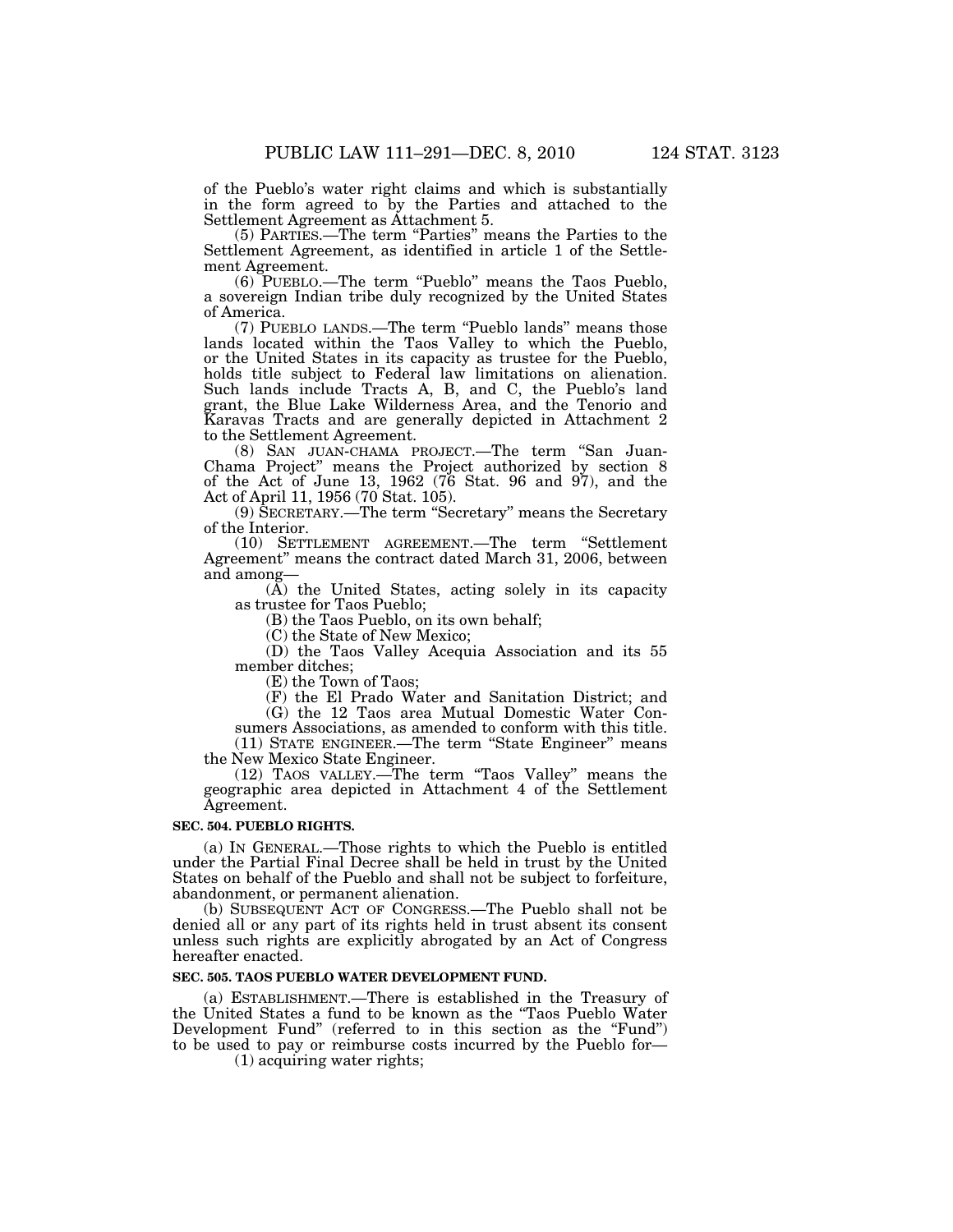of the Pueblo's water right claims and which is substantially in the form agreed to by the Parties and attached to the Settlement Agreement as Attachment 5.

(5) PARTIES.—The term ''Parties'' means the Parties to the Settlement Agreement, as identified in article 1 of the Settlement Agreement.

(6) PUEBLO.—The term ''Pueblo'' means the Taos Pueblo, a sovereign Indian tribe duly recognized by the United States of America.

(7) PUEBLO LANDS.—The term ''Pueblo lands'' means those lands located within the Taos Valley to which the Pueblo, or the United States in its capacity as trustee for the Pueblo, holds title subject to Federal law limitations on alienation. Such lands include Tracts A, B, and C, the Pueblo's land grant, the Blue Lake Wilderness Area, and the Tenorio and Karavas Tracts and are generally depicted in Attachment 2 to the Settlement Agreement.

(8) SAN JUAN-CHAMA PROJECT.—The term ''San Juan-Chama Project'' means the Project authorized by section 8 of the Act of June 13, 1962 (76 Stat. 96 and 97), and the Act of April 11, 1956 (70 Stat. 105).

(9) SECRETARY.—The term ''Secretary'' means the Secretary of the Interior.

(10) SETTLEMENT AGREEMENT.—The term ''Settlement Agreement'' means the contract dated March 31, 2006, between and among—

(A) the United States, acting solely in its capacity as trustee for Taos Pueblo;

(B) the Taos Pueblo, on its own behalf;

(C) the State of New Mexico;

(D) the Taos Valley Acequia Association and its 55 member ditches;

(E) the Town of Taos;

(F) the El Prado Water and Sanitation District; and

(G) the 12 Taos area Mutual Domestic Water Consumers Associations, as amended to conform with this title.

(11) STATE ENGINEER.—The term "State Engineer" means the New Mexico State Engineer.

(12) TAOS VALLEY.—The term ''Taos Valley'' means the geographic area depicted in Attachment 4 of the Settlement Agreement.

#### **SEC. 504. PUEBLO RIGHTS.**

(a) IN GENERAL.—Those rights to which the Pueblo is entitled under the Partial Final Decree shall be held in trust by the United States on behalf of the Pueblo and shall not be subject to forfeiture, abandonment, or permanent alienation.

(b) SUBSEQUENT ACT OF CONGRESS.—The Pueblo shall not be denied all or any part of its rights held in trust absent its consent unless such rights are explicitly abrogated by an Act of Congress hereafter enacted.

## **SEC. 505. TAOS PUEBLO WATER DEVELOPMENT FUND.**

(a) ESTABLISHMENT.—There is established in the Treasury of the United States a fund to be known as the ''Taos Pueblo Water Development Fund" (referred to in this section as the "Fund") to be used to pay or reimburse costs incurred by the Pueblo for—

(1) acquiring water rights;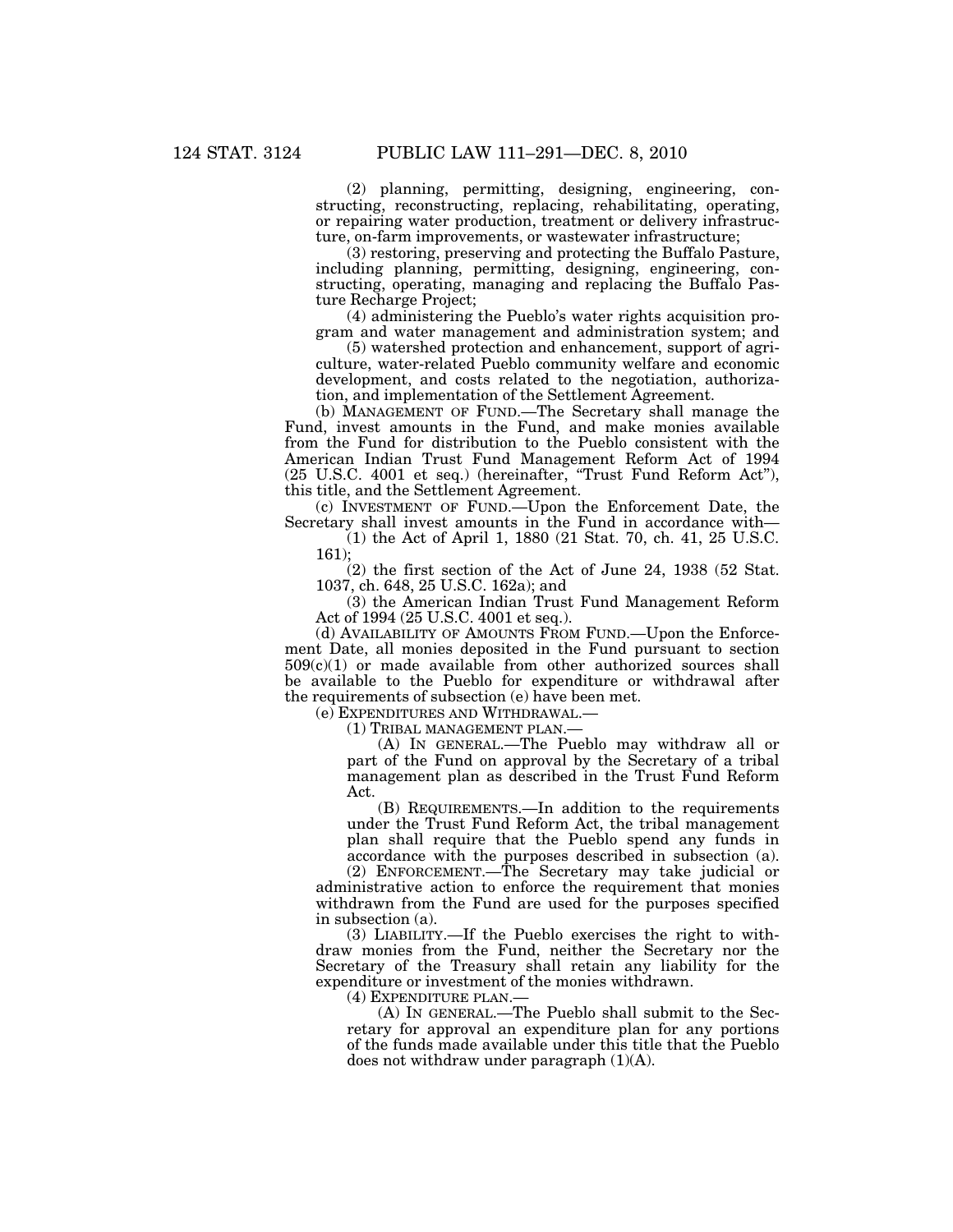(2) planning, permitting, designing, engineering, constructing, reconstructing, replacing, rehabilitating, operating, or repairing water production, treatment or delivery infrastructure, on-farm improvements, or wastewater infrastructure;

(3) restoring, preserving and protecting the Buffalo Pasture, including planning, permitting, designing, engineering, constructing, operating, managing and replacing the Buffalo Pasture Recharge Project;

(4) administering the Pueblo's water rights acquisition program and water management and administration system; and

(5) watershed protection and enhancement, support of agriculture, water-related Pueblo community welfare and economic development, and costs related to the negotiation, authorization, and implementation of the Settlement Agreement.

(b) MANAGEMENT OF FUND.—The Secretary shall manage the Fund, invest amounts in the Fund, and make monies available from the Fund for distribution to the Pueblo consistent with the American Indian Trust Fund Management Reform Act of 1994 (25 U.S.C. 4001 et seq.) (hereinafter, ''Trust Fund Reform Act''), this title, and the Settlement Agreement.

(c) INVESTMENT OF FUND.—Upon the Enforcement Date, the Secretary shall invest amounts in the Fund in accordance with—

(1) the Act of April 1, 1880 (21 Stat. 70, ch. 41, 25 U.S.C. 161);

(2) the first section of the Act of June 24, 1938 (52 Stat. 1037, ch. 648, 25 U.S.C. 162a); and

(3) the American Indian Trust Fund Management Reform Act of 1994 (25 U.S.C. 4001 et seq.).

(d) AVAILABILITY OF AMOUNTS FROM FUND.—Upon the Enforcement Date, all monies deposited in the Fund pursuant to section  $509(c)(1)$  or made available from other authorized sources shall be available to the Pueblo for expenditure or withdrawal after the requirements of subsection (e) have been met.

(e) EXPENDITURES AND WITHDRAWAL.—

(1) TRIBAL MANAGEMENT PLAN.—

(A) IN GENERAL.—The Pueblo may withdraw all or part of the Fund on approval by the Secretary of a tribal management plan as described in the Trust Fund Reform Act.

(B) REQUIREMENTS.—In addition to the requirements under the Trust Fund Reform Act, the tribal management plan shall require that the Pueblo spend any funds in accordance with the purposes described in subsection (a). (2) ENFORCEMENT.—The Secretary may take judicial or

administrative action to enforce the requirement that monies withdrawn from the Fund are used for the purposes specified in subsection (a).

(3) LIABILITY.—If the Pueblo exercises the right to withdraw monies from the Fund, neither the Secretary nor the Secretary of the Treasury shall retain any liability for the expenditure or investment of the monies withdrawn.

(4) EXPENDITURE PLAN.—

(A) IN GENERAL.—The Pueblo shall submit to the Secretary for approval an expenditure plan for any portions of the funds made available under this title that the Pueblo does not withdraw under paragraph (1)(A).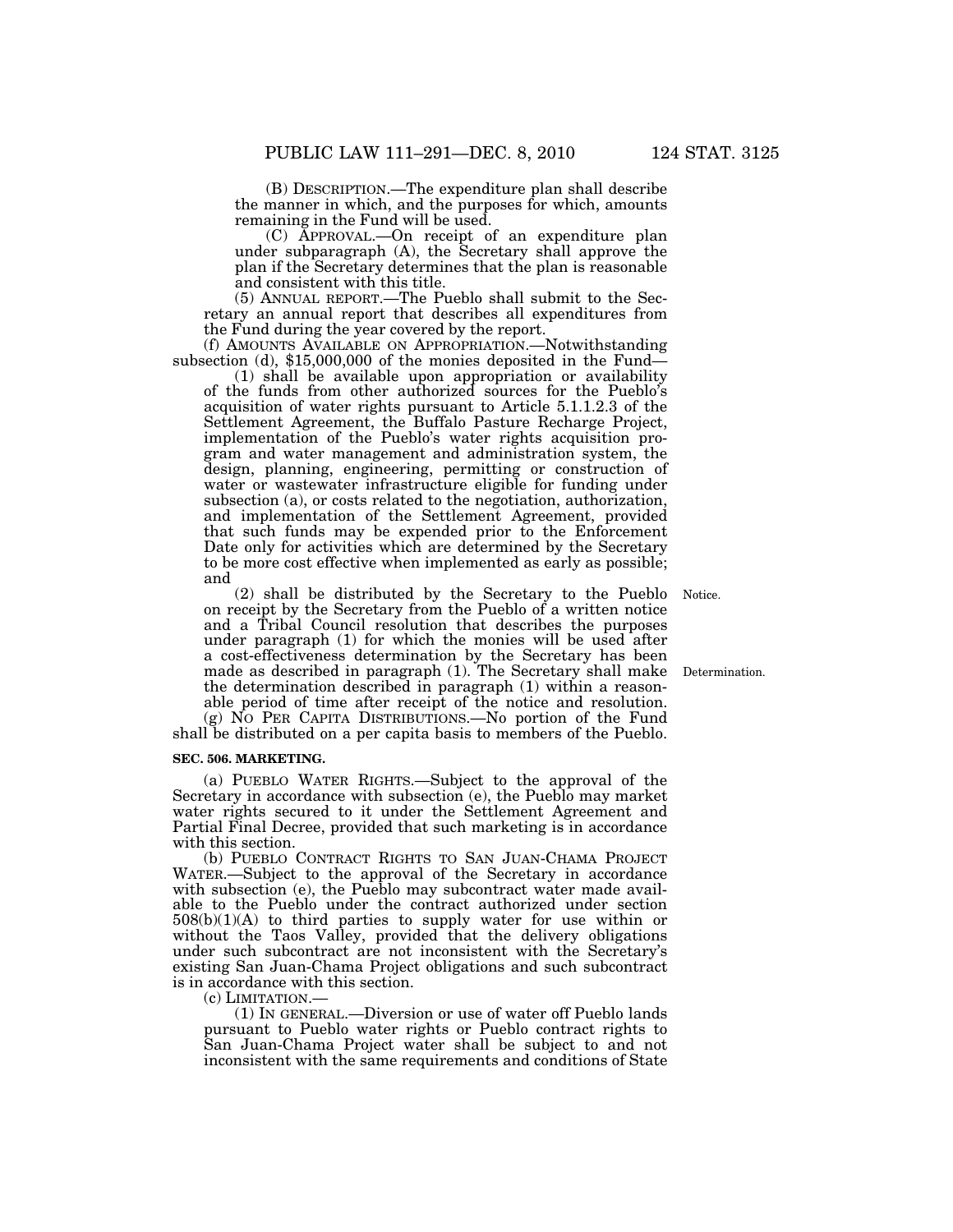(B) DESCRIPTION.—The expenditure plan shall describe the manner in which, and the purposes for which, amounts remaining in the Fund will be used.

(C) APPROVAL.—On receipt of an expenditure plan under subparagraph (A), the Secretary shall approve the plan if the Secretary determines that the plan is reasonable and consistent with this title.

(5) ANNUAL REPORT.—The Pueblo shall submit to the Secretary an annual report that describes all expenditures from the Fund during the year covered by the report.<br>(f) AMOUNTS AVAILABLE ON APPROPRIATION.—Notwithstanding

subsection (d),  $$15,000,000$  of the monies deposited in the Fund-

(1) shall be available upon appropriation or availability of the funds from other authorized sources for the Pueblo's acquisition of water rights pursuant to Article 5.1.1.2.3 of the Settlement Agreement, the Buffalo Pasture Recharge Project, implementation of the Pueblo's water rights acquisition program and water management and administration system, the design, planning, engineering, permitting or construction of water or wastewater infrastructure eligible for funding under subsection (a), or costs related to the negotiation, authorization, and implementation of the Settlement Agreement, provided that such funds may be expended prior to the Enforcement Date only for activities which are determined by the Secretary to be more cost effective when implemented as early as possible; and

(2) shall be distributed by the Secretary to the Pueblo Notice. on receipt by the Secretary from the Pueblo of a written notice and a Tribal Council resolution that describes the purposes under paragraph (1) for which the monies will be used after a cost-effectiveness determination by the Secretary has been made as described in paragraph (1). The Secretary shall make the determination described in paragraph (1) within a reasonable period of time after receipt of the notice and resolution. (g) NO PER CAPITA DISTRIBUTIONS.—No portion of the Fund shall be distributed on a per capita basis to members of the Pueblo.

#### **SEC. 506. MARKETING.**

(a) PUEBLO WATER RIGHTS.—Subject to the approval of the Secretary in accordance with subsection (e), the Pueblo may market water rights secured to it under the Settlement Agreement and Partial Final Decree, provided that such marketing is in accordance with this section.

(b) PUEBLO CONTRACT RIGHTS TO SAN JUAN-CHAMA PROJECT WATER.—Subject to the approval of the Secretary in accordance with subsection (e), the Pueblo may subcontract water made available to the Pueblo under the contract authorized under section 508(b)(1)(A) to third parties to supply water for use within or without the Taos Valley, provided that the delivery obligations under such subcontract are not inconsistent with the Secretary's existing San Juan-Chama Project obligations and such subcontract is in accordance with this section.

(c) LIMITATION.—

(1) IN GENERAL.—Diversion or use of water off Pueblo lands pursuant to Pueblo water rights or Pueblo contract rights to San Juan-Chama Project water shall be subject to and not inconsistent with the same requirements and conditions of State

Determination.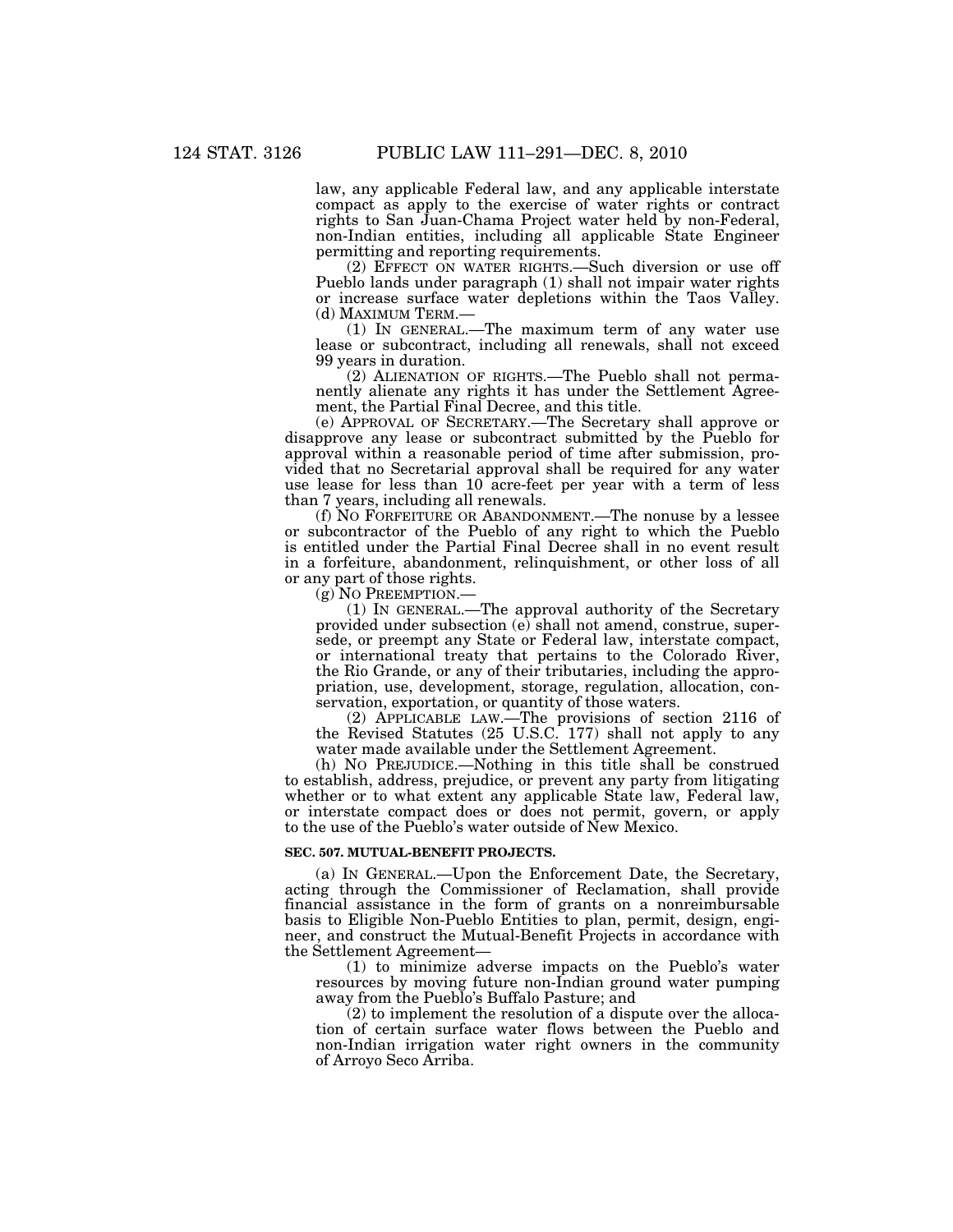law, any applicable Federal law, and any applicable interstate compact as apply to the exercise of water rights or contract rights to San Juan-Chama Project water held by non-Federal, non-Indian entities, including all applicable State Engineer permitting and reporting requirements.

(2) EFFECT ON WATER RIGHTS.—Such diversion or use off Pueblo lands under paragraph (1) shall not impair water rights or increase surface water depletions within the Taos Valley.<br>(d) MAXIMUM TERM.—

 $(1)$  In GENERAL.—The maximum term of any water use lease or subcontract, including all renewals, shall not exceed 99 years in duration.

(2) ALIENATION OF RIGHTS.—The Pueblo shall not permanently alienate any rights it has under the Settlement Agreement, the Partial Final Decree, and this title.

(e) APPROVAL OF SECRETARY.—The Secretary shall approve or disapprove any lease or subcontract submitted by the Pueblo for approval within a reasonable period of time after submission, provided that no Secretarial approval shall be required for any water use lease for less than 10 acre-feet per year with a term of less than 7 years, including all renewals.

(f) NO FORFEITURE OR ABANDONMENT.—The nonuse by a lessee or subcontractor of the Pueblo of any right to which the Pueblo is entitled under the Partial Final Decree shall in no event result in a forfeiture, abandonment, relinquishment, or other loss of all or any part of those rights.

(g) NO PREEMPTION.—

(1) IN GENERAL.—The approval authority of the Secretary provided under subsection (e) shall not amend, construe, supersede, or preempt any State or Federal law, interstate compact, or international treaty that pertains to the Colorado River, the Rio Grande, or any of their tributaries, including the appropriation, use, development, storage, regulation, allocation, conservation, exportation, or quantity of those waters.

(2) APPLICABLE LAW.—The provisions of section 2116 of the Revised Statutes (25 U.S.C. 177) shall not apply to any water made available under the Settlement Agreement.

(h) NO PREJUDICE.—Nothing in this title shall be construed to establish, address, prejudice, or prevent any party from litigating whether or to what extent any applicable State law, Federal law, or interstate compact does or does not permit, govern, or apply to the use of the Pueblo's water outside of New Mexico.

#### **SEC. 507. MUTUAL-BENEFIT PROJECTS.**

(a) IN GENERAL.—Upon the Enforcement Date, the Secretary, acting through the Commissioner of Reclamation, shall provide financial assistance in the form of grants on a nonreimbursable basis to Eligible Non-Pueblo Entities to plan, permit, design, engineer, and construct the Mutual-Benefit Projects in accordance with the Settlement Agreement—

(1) to minimize adverse impacts on the Pueblo's water resources by moving future non-Indian ground water pumping away from the Pueblo's Buffalo Pasture; and

(2) to implement the resolution of a dispute over the allocation of certain surface water flows between the Pueblo and non-Indian irrigation water right owners in the community of Arroyo Seco Arriba.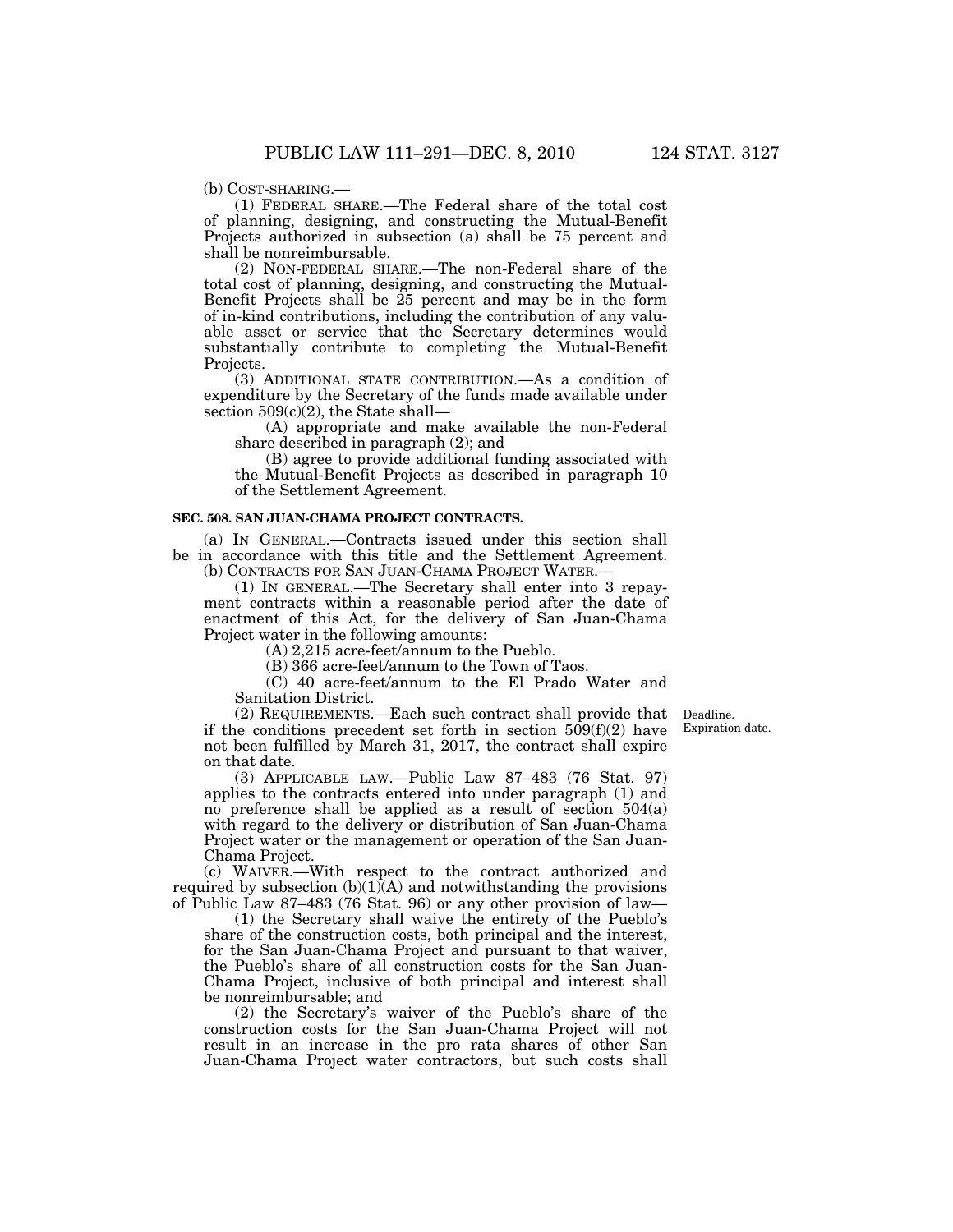(b) COST-SHARING.—

(1) FEDERAL SHARE.—The Federal share of the total cost of planning, designing, and constructing the Mutual-Benefit Projects authorized in subsection (a) shall be 75 percent and shall be nonreimbursable.

(2) NON-FEDERAL SHARE.—The non-Federal share of the total cost of planning, designing, and constructing the Mutual-Benefit Projects shall be 25 percent and may be in the form of in-kind contributions, including the contribution of any valuable asset or service that the Secretary determines would substantially contribute to completing the Mutual-Benefit Projects.

(3) ADDITIONAL STATE CONTRIBUTION.—As a condition of expenditure by the Secretary of the funds made available under section  $509(c)(2)$ , the State shall-

(A) appropriate and make available the non-Federal share described in paragraph (2); and

(B) agree to provide additional funding associated with the Mutual-Benefit Projects as described in paragraph 10 of the Settlement Agreement.

# **SEC. 508. SAN JUAN-CHAMA PROJECT CONTRACTS.**

(a) IN GENERAL.—Contracts issued under this section shall be in accordance with this title and the Settlement Agreement. (b) CONTRACTS FOR SAN JUAN-CHAMA PROJECT WATER.—

(1) IN GENERAL.—The Secretary shall enter into 3 repayment contracts within a reasonable period after the date of enactment of this Act, for the delivery of San Juan-Chama Project water in the following amounts:

(A) 2,215 acre-feet/annum to the Pueblo.

(B) 366 acre-feet/annum to the Town of Taos.

(C) 40 acre-feet/annum to the El Prado Water and Sanitation District.

> Deadline. Expiration date.

(2) REQUIREMENTS.—Each such contract shall provide that if the conditions precedent set forth in section  $509(f)(2)$  have not been fulfilled by March 31, 2017, the contract shall expire on that date.

(3) APPLICABLE LAW.—Public Law 87–483 (76 Stat. 97) applies to the contracts entered into under paragraph (1) and no preference shall be applied as a result of section 504(a) with regard to the delivery or distribution of San Juan-Chama Project water or the management or operation of the San Juan-Chama Project.

(c) WAIVER.—With respect to the contract authorized and required by subsection  $(b)(1)(A)$  and notwithstanding the provisions of Public Law 87–483 (76 Stat. 96) or any other provision of law—

(1) the Secretary shall waive the entirety of the Pueblo's share of the construction costs, both principal and the interest, for the San Juan-Chama Project and pursuant to that waiver, the Pueblo's share of all construction costs for the San Juan-Chama Project, inclusive of both principal and interest shall be nonreimbursable; and

(2) the Secretary's waiver of the Pueblo's share of the construction costs for the San Juan-Chama Project will not result in an increase in the pro rata shares of other San Juan-Chama Project water contractors, but such costs shall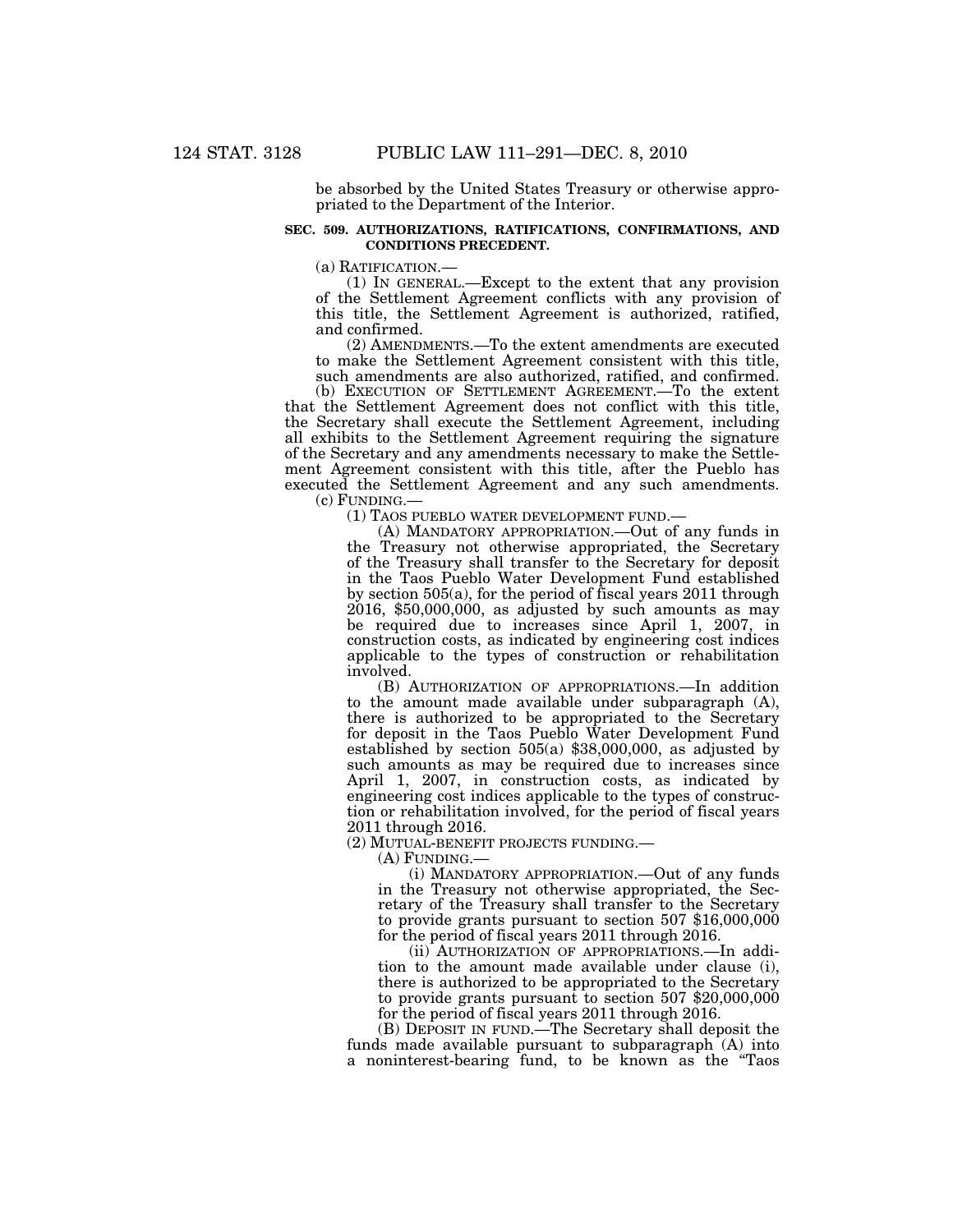be absorbed by the United States Treasury or otherwise appropriated to the Department of the Interior.

# **SEC. 509. AUTHORIZATIONS, RATIFICATIONS, CONFIRMATIONS, AND CONDITIONS PRECEDENT.**

(a) RATIFICATION.—<br>(1) IN GENERAL.—Except to the extent that any provision of the Settlement Agreement conflicts with any provision of this title, the Settlement Agreement is authorized, ratified, and confirmed.

(2) AMENDMENTS.—To the extent amendments are executed to make the Settlement Agreement consistent with this title, such amendments are also authorized, ratified, and confirmed.

(b) EXECUTION OF SETTLEMENT AGREEMENT.—To the extent that the Settlement Agreement does not conflict with this title, the Secretary shall execute the Settlement Agreement, including all exhibits to the Settlement Agreement requiring the signature of the Secretary and any amendments necessary to make the Settlement Agreement consistent with this title, after the Pueblo has executed the Settlement Agreement and any such amendments. (c) FUNDING.—

(1) TAOS PUEBLO WATER DEVELOPMENT FUND.—

(A) MANDATORY APPROPRIATION.—Out of any funds in the Treasury not otherwise appropriated, the Secretary of the Treasury shall transfer to the Secretary for deposit in the Taos Pueblo Water Development Fund established by section 505(a), for the period of fiscal years 2011 through 2016, \$50,000,000, as adjusted by such amounts as may be required due to increases since April 1, 2007, in construction costs, as indicated by engineering cost indices applicable to the types of construction or rehabilitation involved.

(B) AUTHORIZATION OF APPROPRIATIONS.—In addition to the amount made available under subparagraph (A), there is authorized to be appropriated to the Secretary for deposit in the Taos Pueblo Water Development Fund established by section 505(a) \$38,000,000, as adjusted by such amounts as may be required due to increases since April 1, 2007, in construction costs, as indicated by engineering cost indices applicable to the types of construction or rehabilitation involved, for the period of fiscal years 2011 through 2016.

(2) MUTUAL-BENEFIT PROJECTS FUNDING.—

(A) FUNDING.—

(i) MANDATORY APPROPRIATION.—Out of any funds in the Treasury not otherwise appropriated, the Secretary of the Treasury shall transfer to the Secretary to provide grants pursuant to section 507 \$16,000,000 for the period of fiscal years 2011 through 2016.

(ii) AUTHORIZATION OF APPROPRIATIONS.—In addition to the amount made available under clause (i), there is authorized to be appropriated to the Secretary to provide grants pursuant to section 507 \$20,000,000 for the period of fiscal years 2011 through 2016.

(B) DEPOSIT IN FUND.—The Secretary shall deposit the funds made available pursuant to subparagraph  $(A)$  into a noninterest-bearing fund, to be known as the "Taos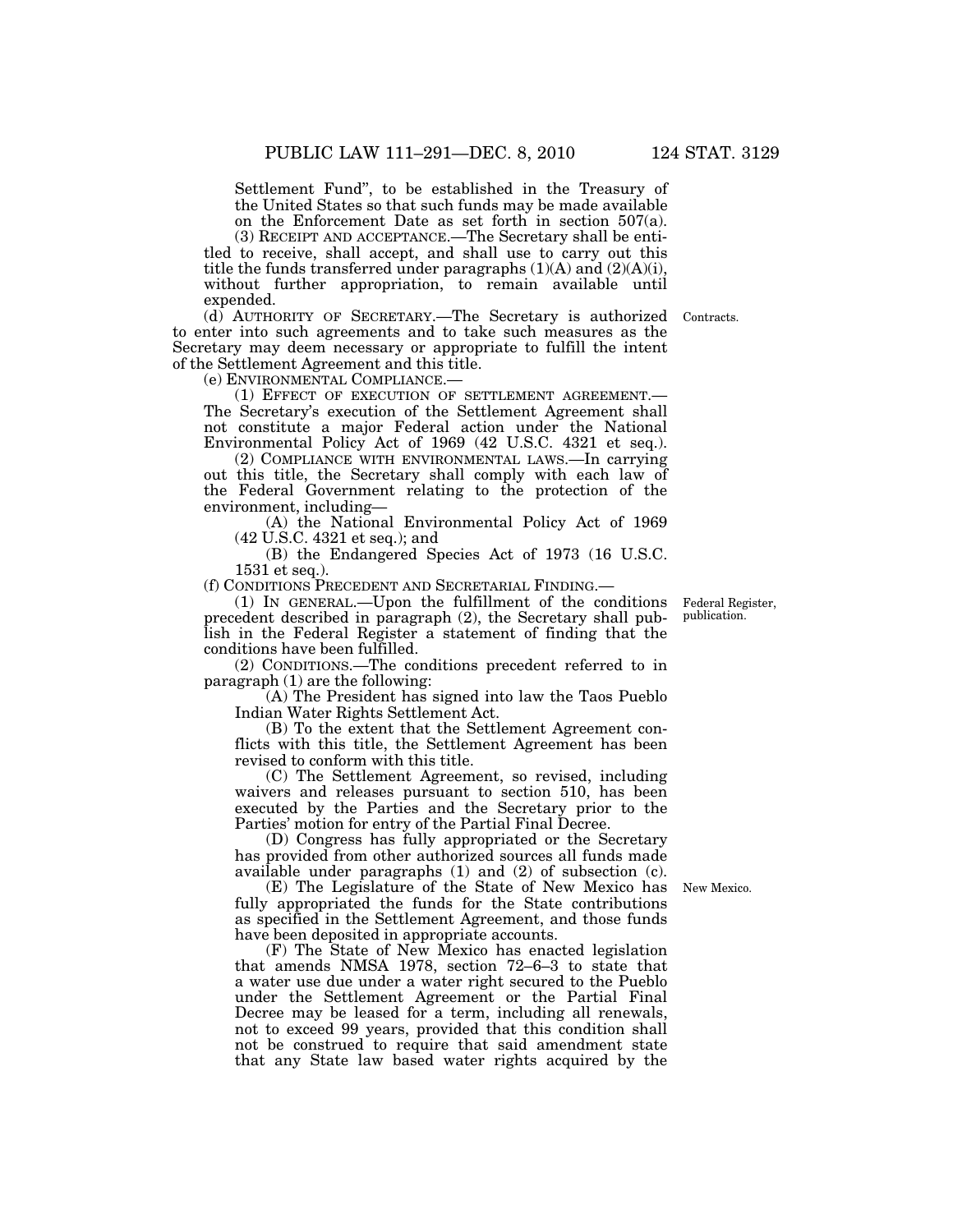Settlement Fund'', to be established in the Treasury of the United States so that such funds may be made available on the Enforcement Date as set forth in section 507(a).

(3) RECEIPT AND ACCEPTANCE.—The Secretary shall be entitled to receive, shall accept, and shall use to carry out this title the funds transferred under paragraphs (1)(A) and (2)(A)(i), without further appropriation, to remain available until expended.

(d) AUTHORITY OF SECRETARY.—The Secretary is authorized Contracts. to enter into such agreements and to take such measures as the Secretary may deem necessary or appropriate to fulfill the intent of the Settlement Agreement and this title.

(e) ENVIRONMENTAL COMPLIANCE.—

(1) EFFECT OF EXECUTION OF SETTLEMENT AGREEMENT.— The Secretary's execution of the Settlement Agreement shall not constitute a major Federal action under the National Environmental Policy Act of 1969 (42 U.S.C. 4321 et seq.).

(2) COMPLIANCE WITH ENVIRONMENTAL LAWS.—In carrying out this title, the Secretary shall comply with each law of the Federal Government relating to the protection of the environment, including—

(A) the National Environmental Policy Act of 1969 (42 U.S.C. 4321 et seq.); and

(B) the Endangered Species Act of 1973 (16 U.S.C. 1531 et seq.).

(f) CONDITIONS PRECEDENT AND SECRETARIAL FINDING.—

(1) IN GENERAL.—Upon the fulfillment of the conditions precedent described in paragraph (2), the Secretary shall publish in the Federal Register a statement of finding that the conditions have been fulfilled.

(2) CONDITIONS.—The conditions precedent referred to in paragraph (1) are the following:

(A) The President has signed into law the Taos Pueblo Indian Water Rights Settlement Act.

(B) To the extent that the Settlement Agreement conflicts with this title, the Settlement Agreement has been revised to conform with this title.

(C) The Settlement Agreement, so revised, including waivers and releases pursuant to section 510, has been executed by the Parties and the Secretary prior to the Parties' motion for entry of the Partial Final Decree.

(D) Congress has fully appropriated or the Secretary has provided from other authorized sources all funds made available under paragraphs (1) and (2) of subsection (c).

(E) The Legislature of the State of New Mexico has fully appropriated the funds for the State contributions as specified in the Settlement Agreement, and those funds have been deposited in appropriate accounts.

(F) The State of New Mexico has enacted legislation that amends NMSA 1978, section 72–6–3 to state that a water use due under a water right secured to the Pueblo under the Settlement Agreement or the Partial Final Decree may be leased for a term, including all renewals, not to exceed 99 years, provided that this condition shall not be construed to require that said amendment state that any State law based water rights acquired by the

Federal Register, publication.

New Mexico.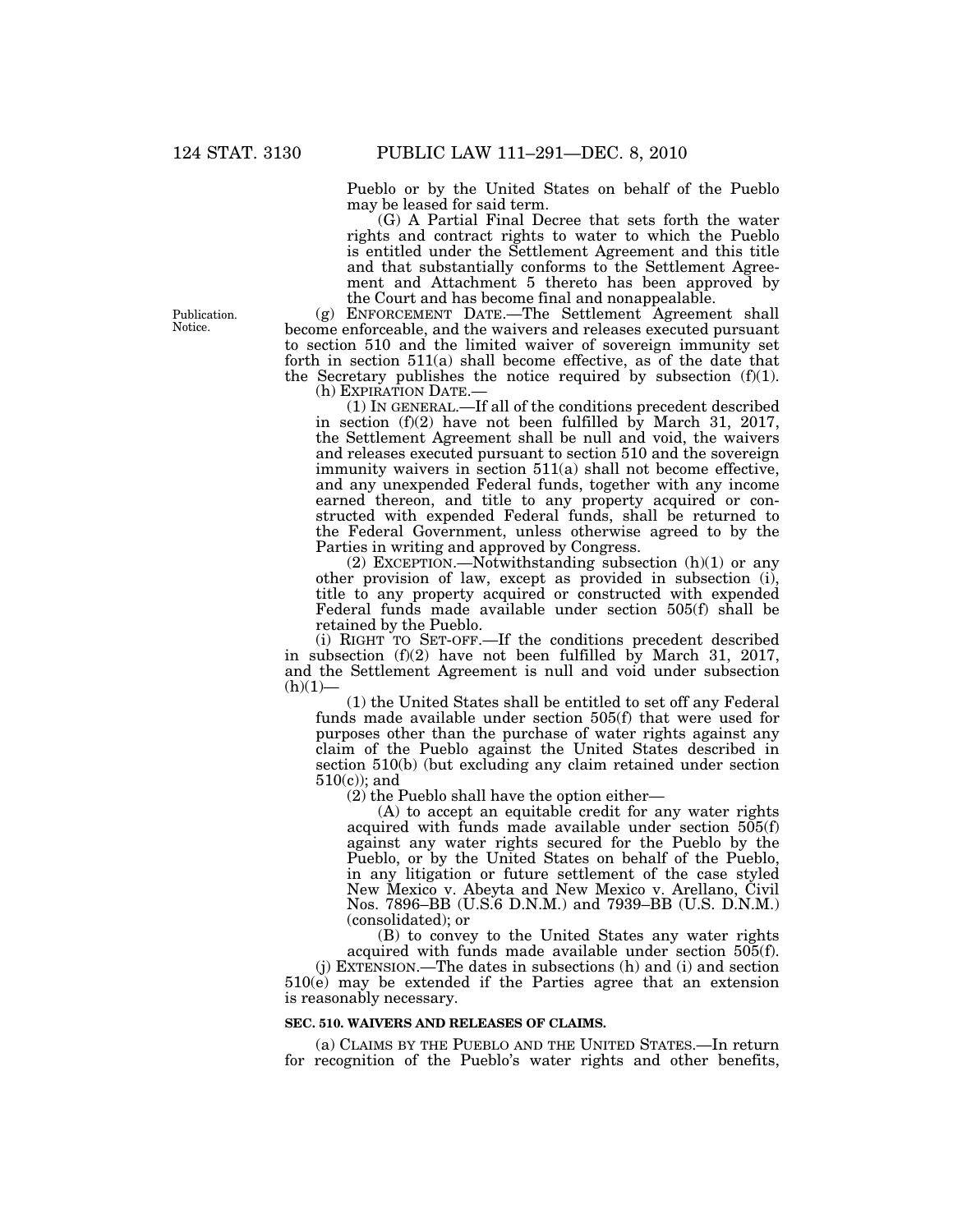Pueblo or by the United States on behalf of the Pueblo may be leased for said term.

(G) A Partial Final Decree that sets forth the water rights and contract rights to water to which the Pueblo is entitled under the Settlement Agreement and this title and that substantially conforms to the Settlement Agreement and Attachment 5 thereto has been approved by the Court and has become final and nonappealable.

(g) ENFORCEMENT DATE.—The Settlement Agreement shall become enforceable, and the waivers and releases executed pursuant to section 510 and the limited waiver of sovereign immunity set forth in section 511(a) shall become effective, as of the date that the Secretary publishes the notice required by subsection  $(f)(1)$ .<br>(h) EXPIRATION DATE.—

 $(1)$  In GENERAL.—If all of the conditions precedent described in section  $(f)(2)$  have not been fulfilled by March 31, 2017, the Settlement Agreement shall be null and void, the waivers and releases executed pursuant to section 510 and the sovereign immunity waivers in section 511(a) shall not become effective, and any unexpended Federal funds, together with any income earned thereon, and title to any property acquired or constructed with expended Federal funds, shall be returned to the Federal Government, unless otherwise agreed to by the Parties in writing and approved by Congress.

(2) EXCEPTION.—Notwithstanding subsection  $(h)(1)$  or any other provision of law, except as provided in subsection (i), title to any property acquired or constructed with expended Federal funds made available under section 505(f) shall be retained by the Pueblo.

(i) RIGHT TO SET-OFF.—If the conditions precedent described in subsection (f)(2) have not been fulfilled by March 31, 2017, and the Settlement Agreement is null and void under subsection  $(h)(1)$ 

(1) the United States shall be entitled to set off any Federal funds made available under section 505(f) that were used for purposes other than the purchase of water rights against any claim of the Pueblo against the United States described in section 510(b) (but excluding any claim retained under section 510(c)); and

(2) the Pueblo shall have the option either—

(A) to accept an equitable credit for any water rights acquired with funds made available under section 505(f) against any water rights secured for the Pueblo by the Pueblo, or by the United States on behalf of the Pueblo, in any litigation or future settlement of the case styled New Mexico v. Abeyta and New Mexico v. Arellano, Civil Nos. 7896–BB (U.S.6 D.N.M.) and 7939–BB (U.S. D.N.M.) (consolidated); or

(B) to convey to the United States any water rights

acquired with funds made available under section 505(f). (j) EXTENSION.—The dates in subsections (h) and (i) and section 510(e) may be extended if the Parties agree that an extension is reasonably necessary.

# **SEC. 510. WAIVERS AND RELEASES OF CLAIMS.**

(a) CLAIMS BY THE PUEBLO AND THE UNITED STATES.—In return for recognition of the Pueblo's water rights and other benefits,

Publication. Notice.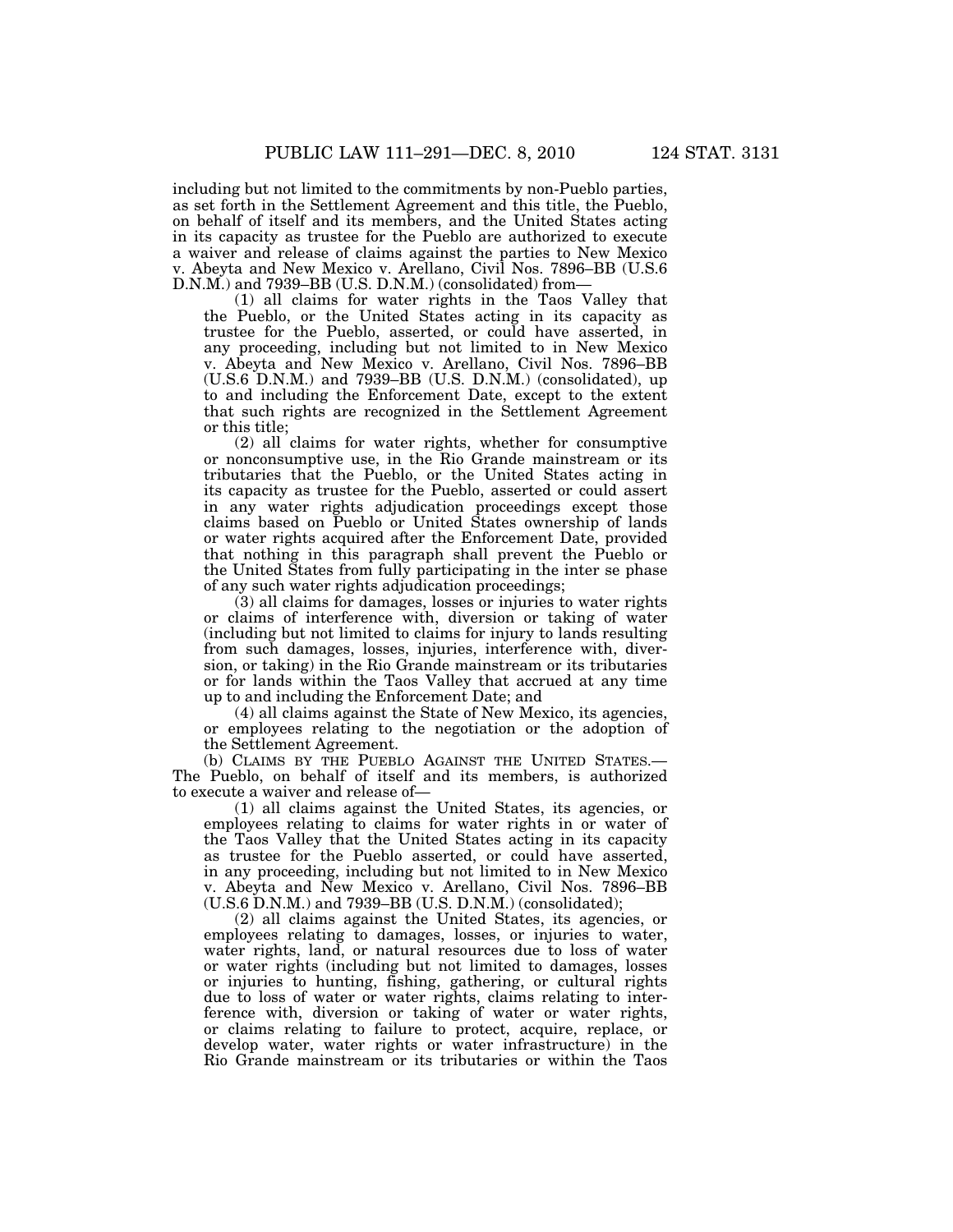including but not limited to the commitments by non-Pueblo parties, as set forth in the Settlement Agreement and this title, the Pueblo, on behalf of itself and its members, and the United States acting in its capacity as trustee for the Pueblo are authorized to execute a waiver and release of claims against the parties to New Mexico v. Abeyta and New Mexico v. Arellano, Civil Nos. 7896–BB (U.S.6 D.N.M.) and 7939–BB (U.S. D.N.M.) (consolidated) from—

(1) all claims for water rights in the Taos Valley that the Pueblo, or the United States acting in its capacity as trustee for the Pueblo, asserted, or could have asserted, in any proceeding, including but not limited to in New Mexico v. Abeyta and New Mexico v. Arellano, Civil Nos. 7896–BB (U.S.6 D.N.M.) and 7939–BB (U.S. D.N.M.) (consolidated), up to and including the Enforcement Date, except to the extent that such rights are recognized in the Settlement Agreement or this title;

(2) all claims for water rights, whether for consumptive or nonconsumptive use, in the Rio Grande mainstream or its tributaries that the Pueblo, or the United States acting in its capacity as trustee for the Pueblo, asserted or could assert in any water rights adjudication proceedings except those claims based on Pueblo or United States ownership of lands or water rights acquired after the Enforcement Date, provided that nothing in this paragraph shall prevent the Pueblo or the United States from fully participating in the inter se phase of any such water rights adjudication proceedings;

(3) all claims for damages, losses or injuries to water rights or claims of interference with, diversion or taking of water (including but not limited to claims for injury to lands resulting from such damages, losses, injuries, interference with, diversion, or taking) in the Rio Grande mainstream or its tributaries or for lands within the Taos Valley that accrued at any time up to and including the Enforcement Date; and

(4) all claims against the State of New Mexico, its agencies, or employees relating to the negotiation or the adoption of the Settlement Agreement.

(b) CLAIMS BY THE PUEBLO AGAINST THE UNITED STATES.— The Pueblo, on behalf of itself and its members, is authorized to execute a waiver and release of—

(1) all claims against the United States, its agencies, or employees relating to claims for water rights in or water of the Taos Valley that the United States acting in its capacity as trustee for the Pueblo asserted, or could have asserted, in any proceeding, including but not limited to in New Mexico v. Abeyta and New Mexico v. Arellano, Civil Nos. 7896–BB (U.S.6 D.N.M.) and 7939–BB (U.S. D.N.M.) (consolidated);

(2) all claims against the United States, its agencies, or employees relating to damages, losses, or injuries to water, water rights, land, or natural resources due to loss of water or water rights (including but not limited to damages, losses or injuries to hunting, fishing, gathering, or cultural rights due to loss of water or water rights, claims relating to interference with, diversion or taking of water or water rights, or claims relating to failure to protect, acquire, replace, or develop water, water rights or water infrastructure) in the Rio Grande mainstream or its tributaries or within the Taos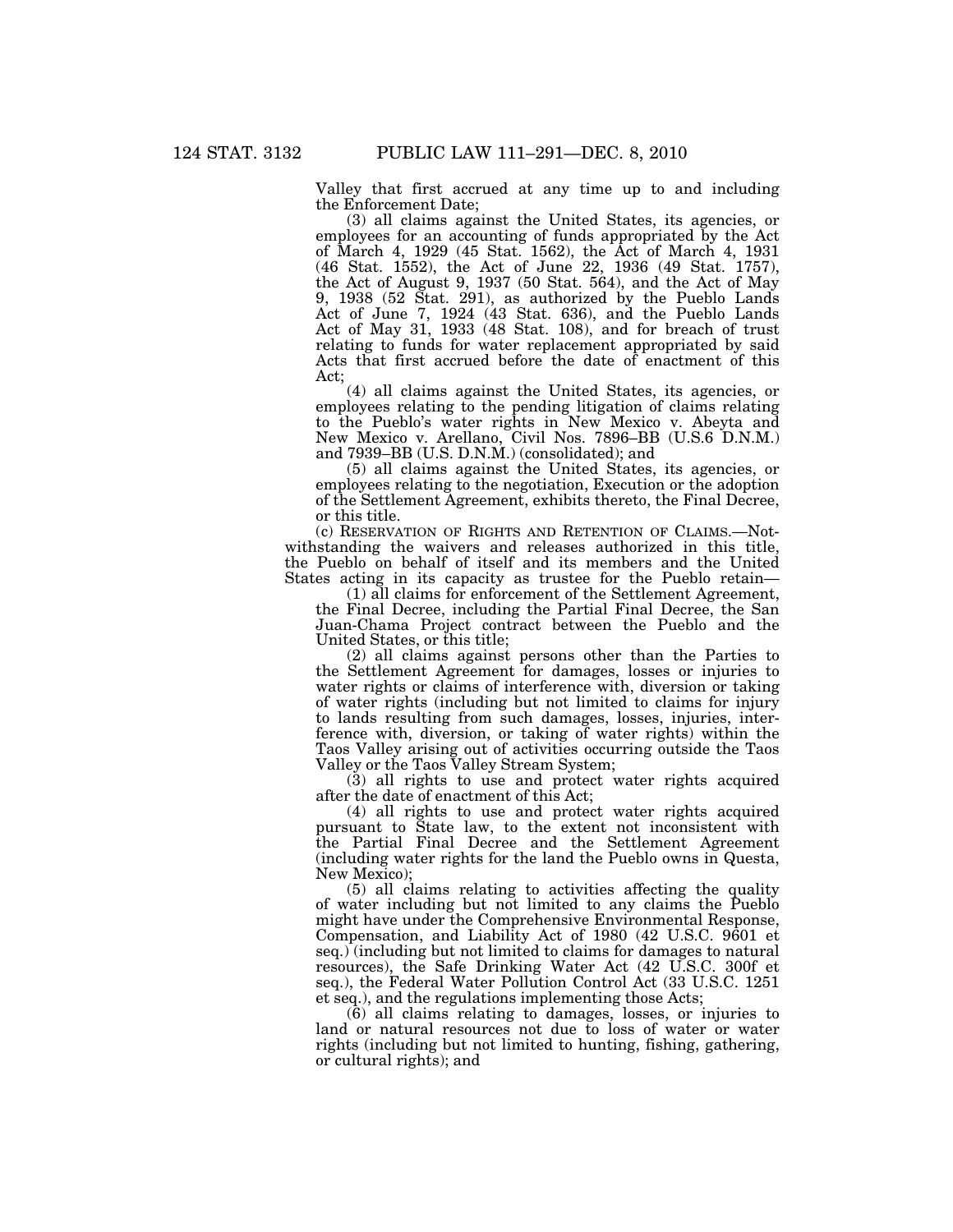Valley that first accrued at any time up to and including the Enforcement Date;

(3) all claims against the United States, its agencies, or employees for an accounting of funds appropriated by the Act of March 4, 1929 (45 Stat. 1562), the Act of March 4, 1931 (46 Stat. 1552), the Act of June 22, 1936 (49 Stat. 1757), the Act of August 9, 1937 (50 Stat. 564), and the Act of May 9, 1938 (52 Stat. 291), as authorized by the Pueblo Lands Act of June 7, 1924 (43 Stat. 636), and the Pueblo Lands Act of May 31, 1933 (48 Stat. 108), and for breach of trust relating to funds for water replacement appropriated by said Acts that first accrued before the date of enactment of this Act;

(4) all claims against the United States, its agencies, or employees relating to the pending litigation of claims relating to the Pueblo's water rights in New Mexico v. Abeyta and New Mexico v. Arellano, Civil Nos. 7896–BB (U.S.6 D.N.M.) and 7939–BB (U.S. D.N.M.) (consolidated); and

(5) all claims against the United States, its agencies, or employees relating to the negotiation, Execution or the adoption of the Settlement Agreement, exhibits thereto, the Final Decree, or this title.

(c) RESERVATION OF RIGHTS AND RETENTION OF CLAIMS.—Notwithstanding the waivers and releases authorized in this title, the Pueblo on behalf of itself and its members and the United States acting in its capacity as trustee for the Pueblo retain—

(1) all claims for enforcement of the Settlement Agreement, the Final Decree, including the Partial Final Decree, the San Juan-Chama Project contract between the Pueblo and the United States, or this title;

(2) all claims against persons other than the Parties to the Settlement Agreement for damages, losses or injuries to water rights or claims of interference with, diversion or taking of water rights (including but not limited to claims for injury to lands resulting from such damages, losses, injuries, interference with, diversion, or taking of water rights) within the Taos Valley arising out of activities occurring outside the Taos Valley or the Taos Valley Stream System;

(3) all rights to use and protect water rights acquired after the date of enactment of this Act;

(4) all rights to use and protect water rights acquired pursuant to State law, to the extent not inconsistent with the Partial Final Decree and the Settlement Agreement (including water rights for the land the Pueblo owns in Questa, New Mexico);

(5) all claims relating to activities affecting the quality of water including but not limited to any claims the Pueblo might have under the Comprehensive Environmental Response, Compensation, and Liability Act of 1980 (42 U.S.C. 9601 et seq.) (including but not limited to claims for damages to natural resources), the Safe Drinking Water Act (42 U.S.C. 300f et seq.), the Federal Water Pollution Control Act (33 U.S.C. 1251 et seq.), and the regulations implementing those Acts;

(6) all claims relating to damages, losses, or injuries to land or natural resources not due to loss of water or water rights (including but not limited to hunting, fishing, gathering, or cultural rights); and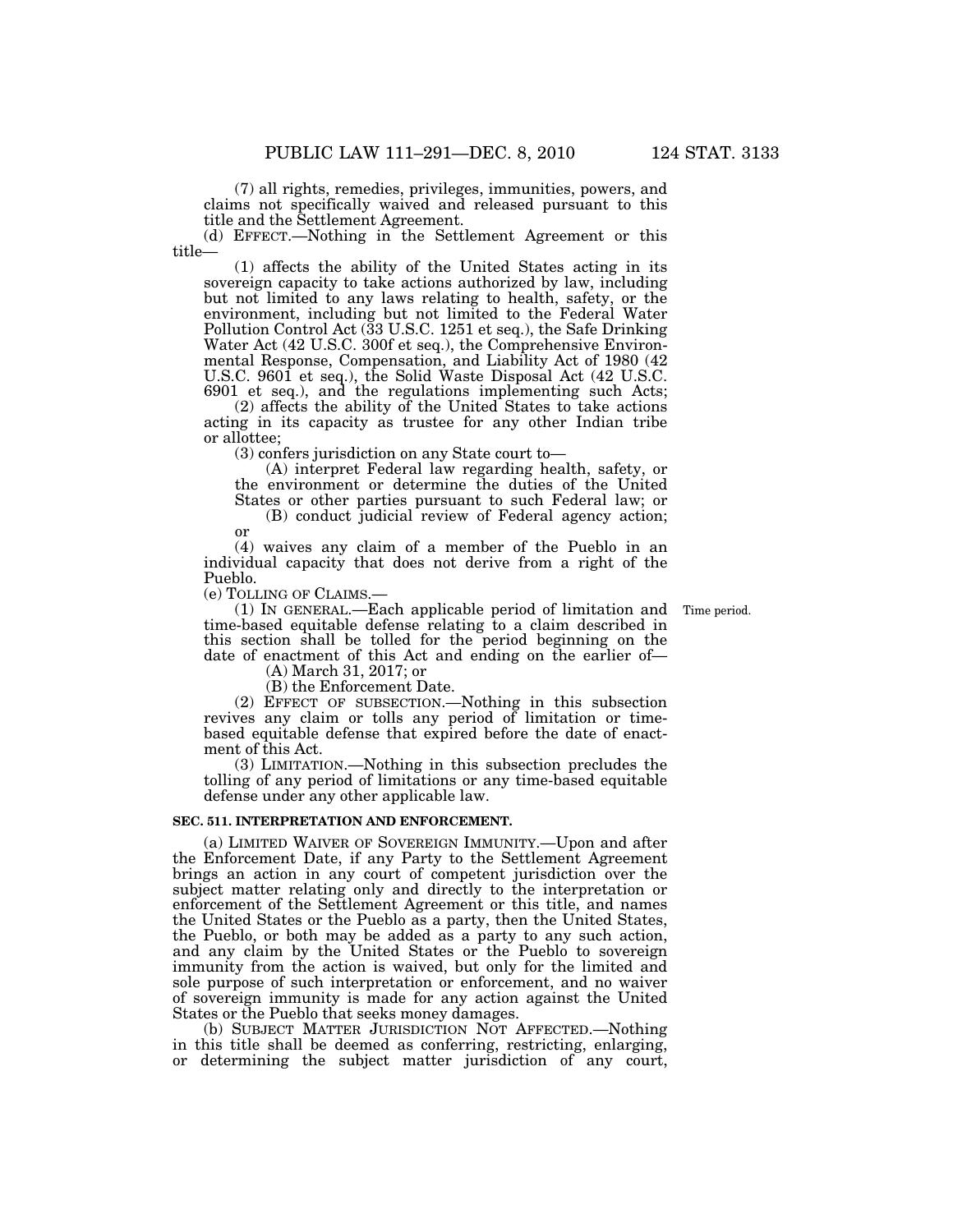(7) all rights, remedies, privileges, immunities, powers, and claims not specifically waived and released pursuant to this title and the Settlement Agreement.

(d) EFFECT.—Nothing in the Settlement Agreement or this title—

(1) affects the ability of the United States acting in its sovereign capacity to take actions authorized by law, including but not limited to any laws relating to health, safety, or the environment, including but not limited to the Federal Water Pollution Control Act (33 U.S.C. 1251 et seq.), the Safe Drinking Water Act (42 U.S.C. 300f et seq.), the Comprehensive Environmental Response, Compensation, and Liability Act of 1980 (42 U.S.C. 9601 et seq.), the Solid Waste Disposal Act (42 U.S.C. 6901 et seq.), and the regulations implementing such Acts;

(2) affects the ability of the United States to take actions acting in its capacity as trustee for any other Indian tribe or allottee;

(3) confers jurisdiction on any State court to—

(A) interpret Federal law regarding health, safety, or the environment or determine the duties of the United States or other parties pursuant to such Federal law; or

(B) conduct judicial review of Federal agency action; or

(4) waives any claim of a member of the Pueblo in an individual capacity that does not derive from a right of the Pueblo.

(e) TOLLING OF CLAIMS.—

(1) IN GENERAL.—Each applicable period of limitation and Time period. time-based equitable defense relating to a claim described in this section shall be tolled for the period beginning on the date of enactment of this Act and ending on the earlier of—

(A) March 31, 2017; or

(B) the Enforcement Date. (2) EFFECT OF SUBSECTION.—Nothing in this subsection

revives any claim or tolls any period of limitation or timebased equitable defense that expired before the date of enactment of this Act.

(3) LIMITATION.—Nothing in this subsection precludes the tolling of any period of limitations or any time-based equitable defense under any other applicable law.

# **SEC. 511. INTERPRETATION AND ENFORCEMENT.**

(a) LIMITED WAIVER OF SOVEREIGN IMMUNITY.—Upon and after the Enforcement Date, if any Party to the Settlement Agreement brings an action in any court of competent jurisdiction over the subject matter relating only and directly to the interpretation or enforcement of the Settlement Agreement or this title, and names the United States or the Pueblo as a party, then the United States, the Pueblo, or both may be added as a party to any such action, and any claim by the United States or the Pueblo to sovereign immunity from the action is waived, but only for the limited and sole purpose of such interpretation or enforcement, and no waiver of sovereign immunity is made for any action against the United States or the Pueblo that seeks money damages.

(b) SUBJECT MATTER JURISDICTION NOT AFFECTED.—Nothing in this title shall be deemed as conferring, restricting, enlarging, or determining the subject matter jurisdiction of any court,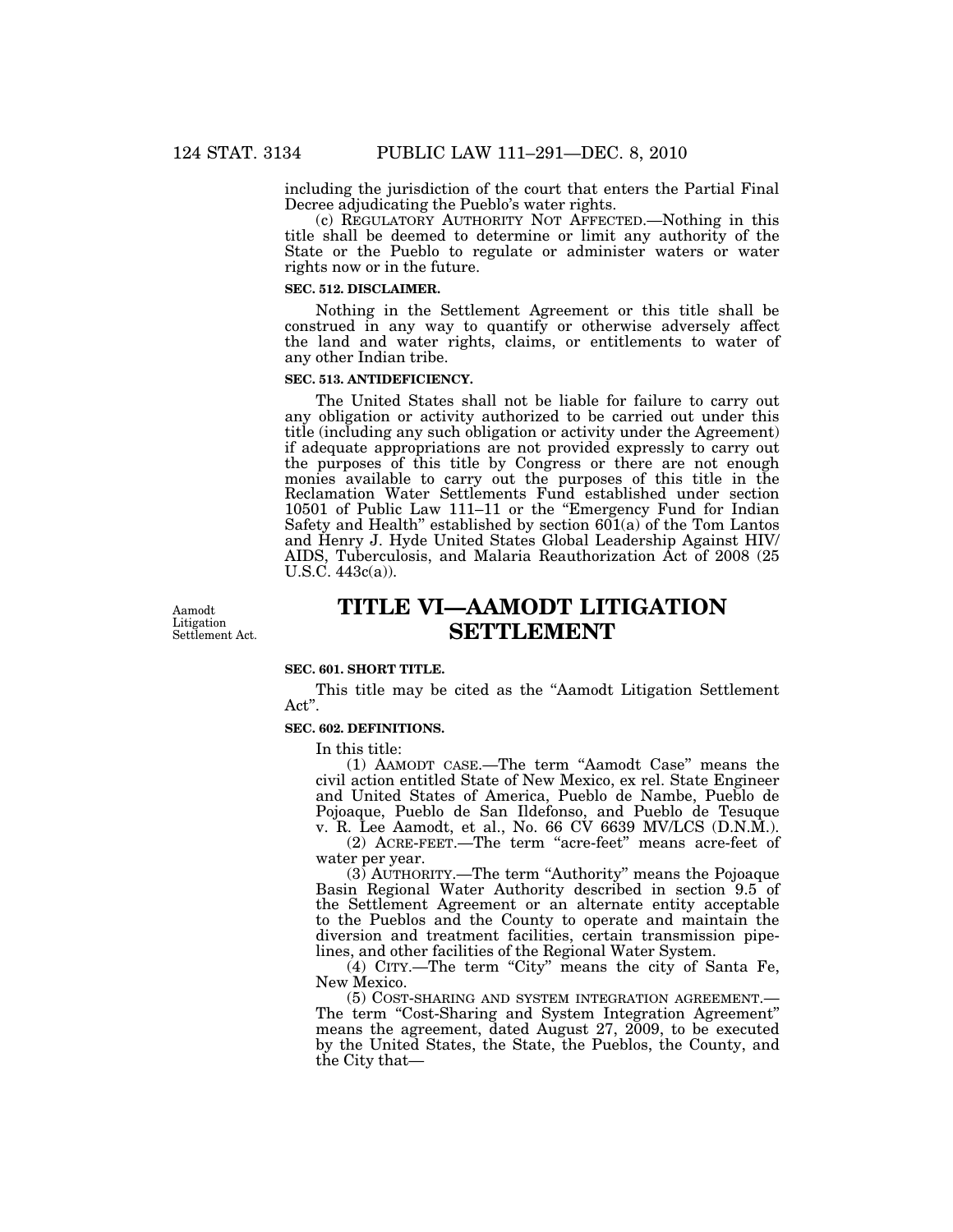including the jurisdiction of the court that enters the Partial Final Decree adjudicating the Pueblo's water rights.

(c) REGULATORY AUTHORITY NOT AFFECTED.—Nothing in this title shall be deemed to determine or limit any authority of the State or the Pueblo to regulate or administer waters or water rights now or in the future.

#### **SEC. 512. DISCLAIMER.**

Nothing in the Settlement Agreement or this title shall be construed in any way to quantify or otherwise adversely affect the land and water rights, claims, or entitlements to water of any other Indian tribe.

# **SEC. 513. ANTIDEFICIENCY.**

The United States shall not be liable for failure to carry out any obligation or activity authorized to be carried out under this title (including any such obligation or activity under the Agreement) if adequate appropriations are not provided expressly to carry out the purposes of this title by Congress or there are not enough monies available to carry out the purposes of this title in the Reclamation Water Settlements Fund established under section 10501 of Public Law 111-11 or the "Emergency Fund for Indian Safety and Health'' established by section 601(a) of the Tom Lantos and Henry J. Hyde United States Global Leadership Against HIV/ AIDS, Tuberculosis, and Malaria Reauthorization Act of 2008 (25 U.S.C. 443c(a)).

Aamodt Litigation Settlement Act.

# **TITLE VI—AAMODT LITIGATION SETTLEMENT**

## **SEC. 601. SHORT TITLE.**

This title may be cited as the "Aamodt Litigation Settlement" Act''.

# **SEC. 602. DEFINITIONS.**

In this title:

(1) AAMODT CASE.—The term ''Aamodt Case'' means the civil action entitled State of New Mexico, ex rel. State Engineer and United States of America, Pueblo de Nambe, Pueblo de Pojoaque, Pueblo de San Ildefonso, and Pueblo de Tesuque v. R. Lee Aamodt, et al., No. 66 CV 6639 MV/LCS (D.N.M.).

(2) ACRE-FEET.—The term ''acre-feet'' means acre-feet of water per year.

(3) AUTHORITY.—The term ''Authority'' means the Pojoaque Basin Regional Water Authority described in section 9.5 of the Settlement Agreement or an alternate entity acceptable to the Pueblos and the County to operate and maintain the diversion and treatment facilities, certain transmission pipelines, and other facilities of the Regional Water System.

(4) CITY.—The term ''City'' means the city of Santa Fe, New Mexico.

(5) COST-SHARING AND SYSTEM INTEGRATION AGREEMENT.— The term "Cost-Sharing and System Integration Agreement" means the agreement, dated August 27, 2009, to be executed by the United States, the State, the Pueblos, the County, and the City that—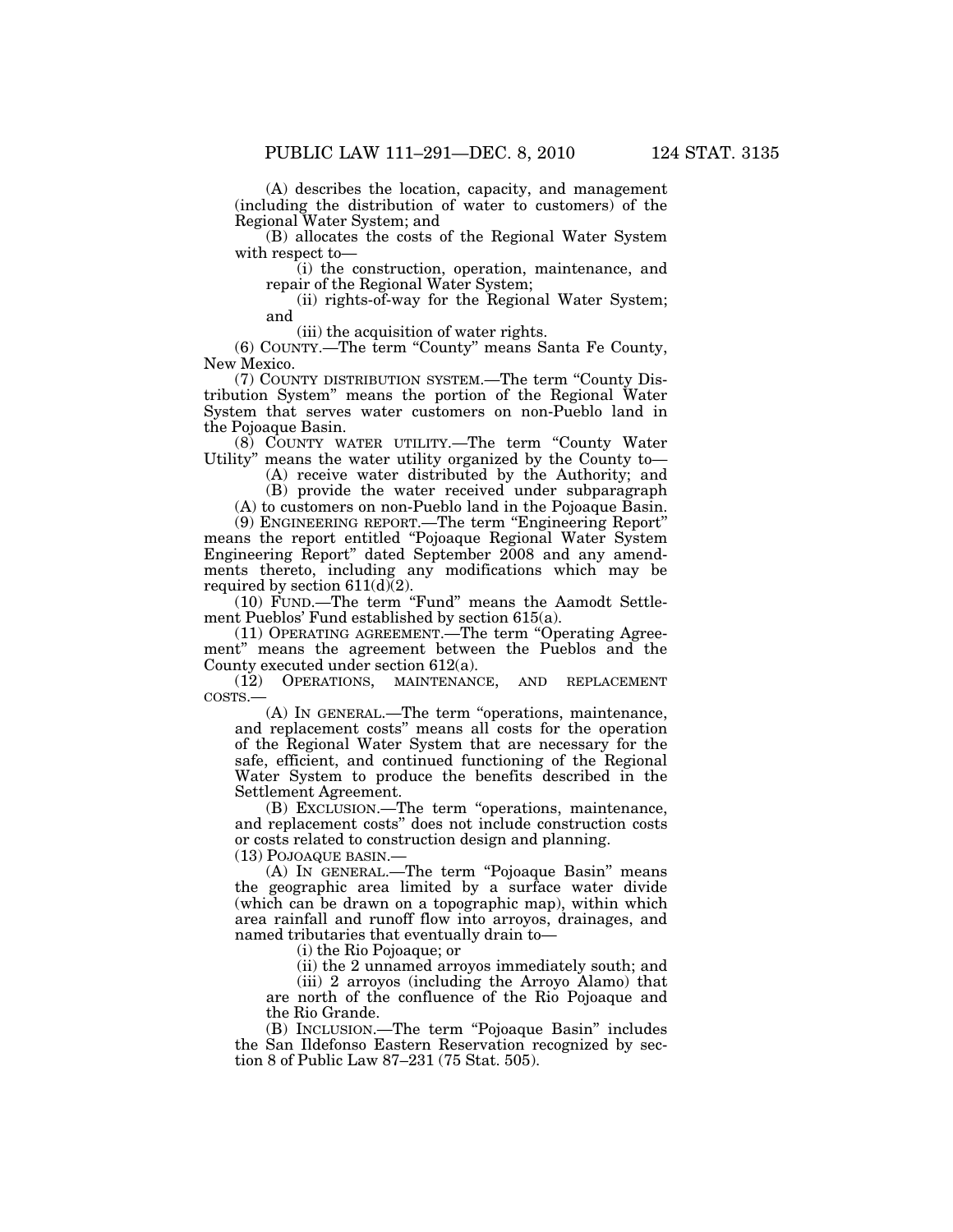(A) describes the location, capacity, and management (including the distribution of water to customers) of the Regional Water System; and

(B) allocates the costs of the Regional Water System with respect to—

(i) the construction, operation, maintenance, and repair of the Regional Water System;

(ii) rights-of-way for the Regional Water System; and

(iii) the acquisition of water rights.

(6) COUNTY.—The term ''County'' means Santa Fe County, New Mexico.

(7) COUNTY DISTRIBUTION SYSTEM.—The term ''County Distribution System'' means the portion of the Regional Water System that serves water customers on non-Pueblo land in the Pojoaque Basin.

(8) COUNTY WATER UTILITY.—The term ''County Water Utility" means the water utility organized by the County to—

(A) receive water distributed by the Authority; and

(B) provide the water received under subparagraph (A) to customers on non-Pueblo land in the Pojoaque Basin.

(9) ENGINEERING REPORT.—The term ''Engineering Report'' means the report entitled ''Pojoaque Regional Water System Engineering Report'' dated September 2008 and any amendments thereto, including any modifications which may be required by section  $611(d)(2)$ .

(10) FUND.—The term ''Fund'' means the Aamodt Settlement Pueblos' Fund established by section 615(a).

(11) OPERATING AGREEMENT.—The term ''Operating Agreement'' means the agreement between the Pueblos and the County executed under section 612(a).

(12) OPERATIONS, MAINTENANCE, AND REPLACEMENT COSTS.—

(A) IN GENERAL.—The term ''operations, maintenance, and replacement costs'' means all costs for the operation of the Regional Water System that are necessary for the safe, efficient, and continued functioning of the Regional Water System to produce the benefits described in the Settlement Agreement.

(B) EXCLUSION.—The term ''operations, maintenance, and replacement costs'' does not include construction costs or costs related to construction design and planning.

(13) POJOAQUE BASIN.—

(A) In GENERAL.—The term "Pojoaque Basin" means the geographic area limited by a surface water divide (which can be drawn on a topographic map), within which area rainfall and runoff flow into arroyos, drainages, and named tributaries that eventually drain to—

(i) the Rio Pojoaque; or

(ii) the 2 unnamed arroyos immediately south; and

(iii) 2 arroyos (including the Arroyo Alamo) that are north of the confluence of the Rio Pojoaque and the Rio Grande.

(B) INCLUSION.—The term ''Pojoaque Basin'' includes the San Ildefonso Eastern Reservation recognized by section 8 of Public Law 87–231 (75 Stat. 505).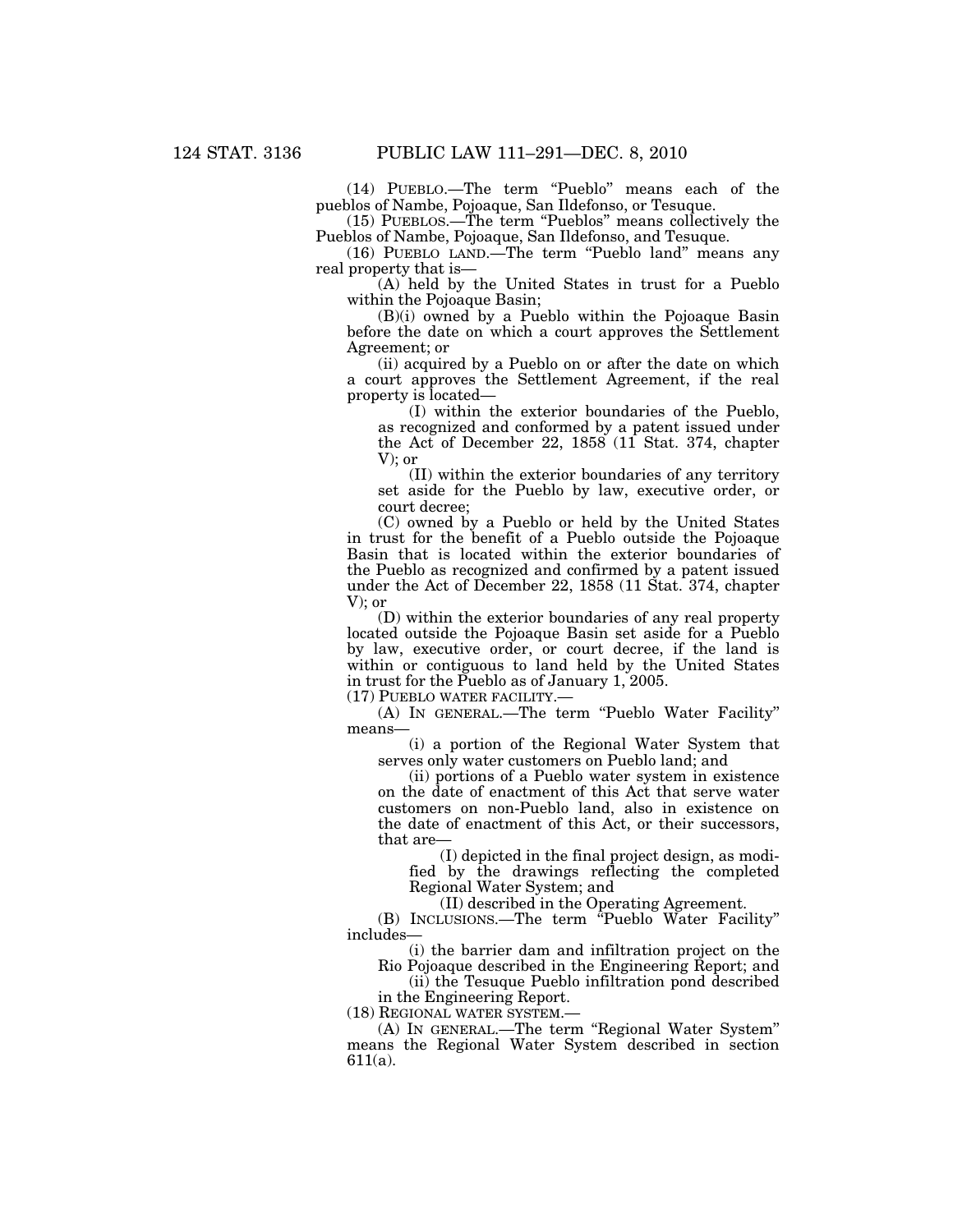(14) PUEBLO.—The term ''Pueblo'' means each of the pueblos of Nambe, Pojoaque, San Ildefonso, or Tesuque.

(15) PUEBLOS.—The term ''Pueblos'' means collectively the Pueblos of Nambe, Pojoaque, San Ildefonso, and Tesuque.

(16) PUEBLO LAND.—The term ''Pueblo land'' means any real property that is—

(A) held by the United States in trust for a Pueblo within the Pojoaque Basin;

(B)(i) owned by a Pueblo within the Pojoaque Basin before the date on which a court approves the Settlement Agreement; or

(ii) acquired by a Pueblo on or after the date on which a court approves the Settlement Agreement, if the real property is located—

(I) within the exterior boundaries of the Pueblo, as recognized and conformed by a patent issued under the Act of December 22, 1858 (11 Stat. 374, chapter V); or

(II) within the exterior boundaries of any territory set aside for the Pueblo by law, executive order, or court decree;

(C) owned by a Pueblo or held by the United States in trust for the benefit of a Pueblo outside the Pojoaque Basin that is located within the exterior boundaries of the Pueblo as recognized and confirmed by a patent issued under the Act of December 22, 1858 (11 Stat. 374, chapter V); or

(D) within the exterior boundaries of any real property located outside the Pojoaque Basin set aside for a Pueblo by law, executive order, or court decree, if the land is within or contiguous to land held by the United States in trust for the Pueblo as of January 1, 2005.

(17) PUEBLO WATER FACILITY.—

(A) IN GENERAL.—The term ''Pueblo Water Facility'' means—

(i) a portion of the Regional Water System that serves only water customers on Pueblo land; and

(ii) portions of a Pueblo water system in existence on the date of enactment of this Act that serve water customers on non-Pueblo land, also in existence on the date of enactment of this Act, or their successors, that are—

(I) depicted in the final project design, as modified by the drawings reflecting the completed Regional Water System; and

(II) described in the Operating Agreement.

(B) INCLUSIONS.—The term ''Pueblo Water Facility'' includes—

(i) the barrier dam and infiltration project on the Rio Pojoaque described in the Engineering Report; and

(ii) the Tesuque Pueblo infiltration pond described in the Engineering Report.

(18) REGIONAL WATER SYSTEM.—

(A) IN GENERAL.—The term ''Regional Water System'' means the Regional Water System described in section 611(a).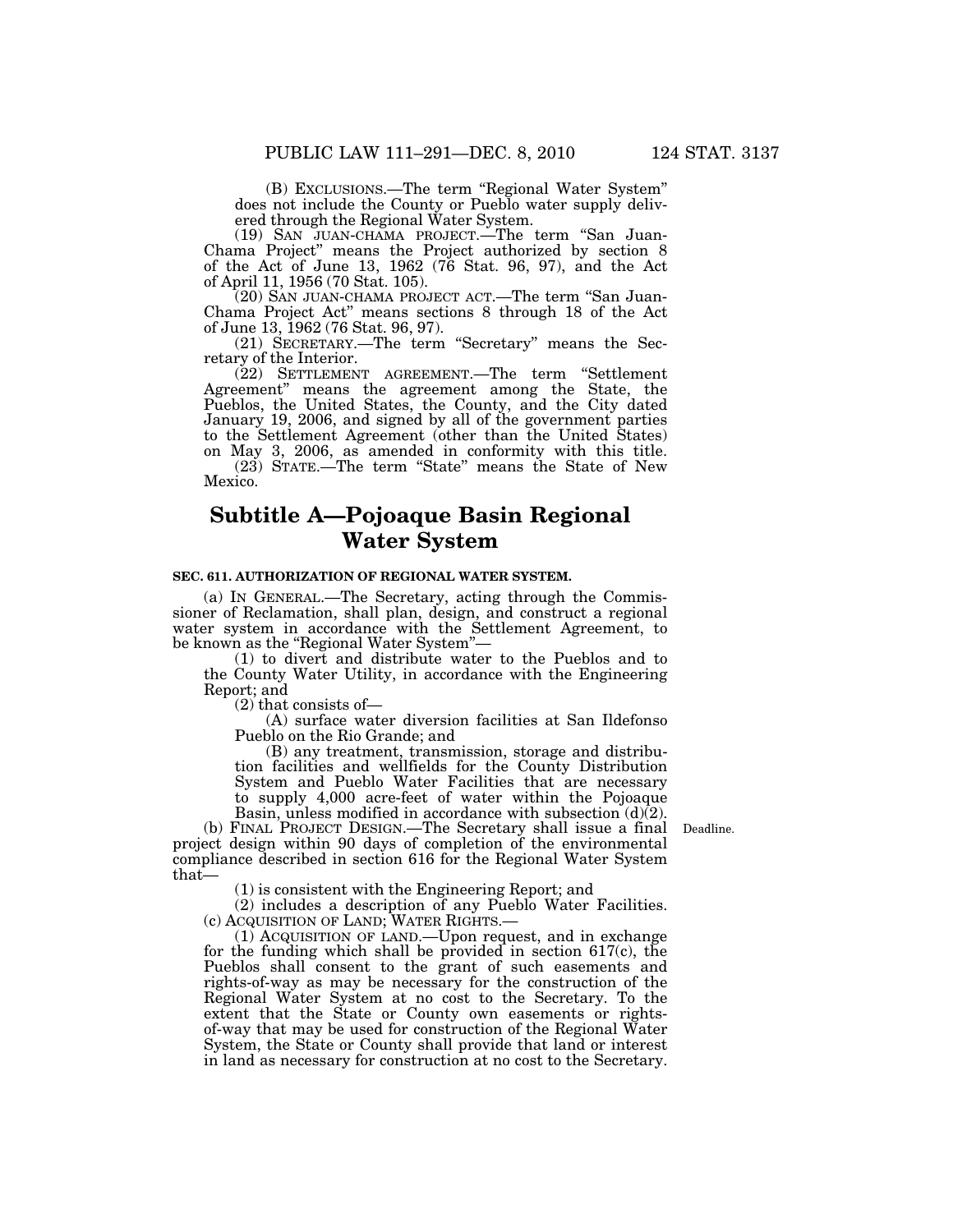(B) EXCLUSIONS.—The term ''Regional Water System'' does not include the County or Pueblo water supply delivered through the Regional Water System.

(19) SAN JUAN-CHAMA PROJECT.—The term ''San Juan-Chama Project'' means the Project authorized by section 8 of the Act of June 13, 1962 (76 Stat. 96, 97), and the Act of April 11, 1956 (70 Stat. 105).

(20) SAN JUAN-CHAMA PROJECT ACT.—The term ''San Juan-Chama Project Act'' means sections 8 through 18 of the Act of June 13, 1962 (76 Stat. 96, 97).

(21) SECRETARY.—The term ''Secretary'' means the Secretary of the Interior.

(22) SETTLEMENT AGREEMENT.—The term ''Settlement Agreement'' means the agreement among the State, the Pueblos, the United States, the County, and the City dated January 19, 2006, and signed by all of the government parties to the Settlement Agreement (other than the United States) on May 3, 2006, as amended in conformity with this title. (23) STATE.—The term ''State'' means the State of New Mexico.

# **Subtitle A—Pojoaque Basin Regional Water System**

### **SEC. 611. AUTHORIZATION OF REGIONAL WATER SYSTEM.**

(a) IN GENERAL.—The Secretary, acting through the Commissioner of Reclamation, shall plan, design, and construct a regional water system in accordance with the Settlement Agreement, to be known as the "Regional Water System"-

(1) to divert and distribute water to the Pueblos and to the County Water Utility, in accordance with the Engineering Report; and

(2) that consists of—

(A) surface water diversion facilities at San Ildefonso Pueblo on the Rio Grande; and

(B) any treatment, transmission, storage and distribution facilities and wellfields for the County Distribution System and Pueblo Water Facilities that are necessary to supply 4,000 acre-feet of water within the Pojoaque Basin, unless modified in accordance with subsection (d)(2).

Deadline.

(b) FINAL PROJECT DESIGN.—The Secretary shall issue a final project design within 90 days of completion of the environmental compliance described in section 616 for the Regional Water System that—

(1) is consistent with the Engineering Report; and

(2) includes a description of any Pueblo Water Facilities.<br>(c) ACQUISITION OF LAND; WATER RIGHTS.—

(c) ACQUISITION OF LAND; WATER RIGHTS.— (1) ACQUISITION OF LAND.—Upon request, and in exchange for the funding which shall be provided in section 617(c), the Pueblos shall consent to the grant of such easements and rights-of-way as may be necessary for the construction of the Regional Water System at no cost to the Secretary. To the extent that the State or County own easements or rightsof-way that may be used for construction of the Regional Water System, the State or County shall provide that land or interest in land as necessary for construction at no cost to the Secretary.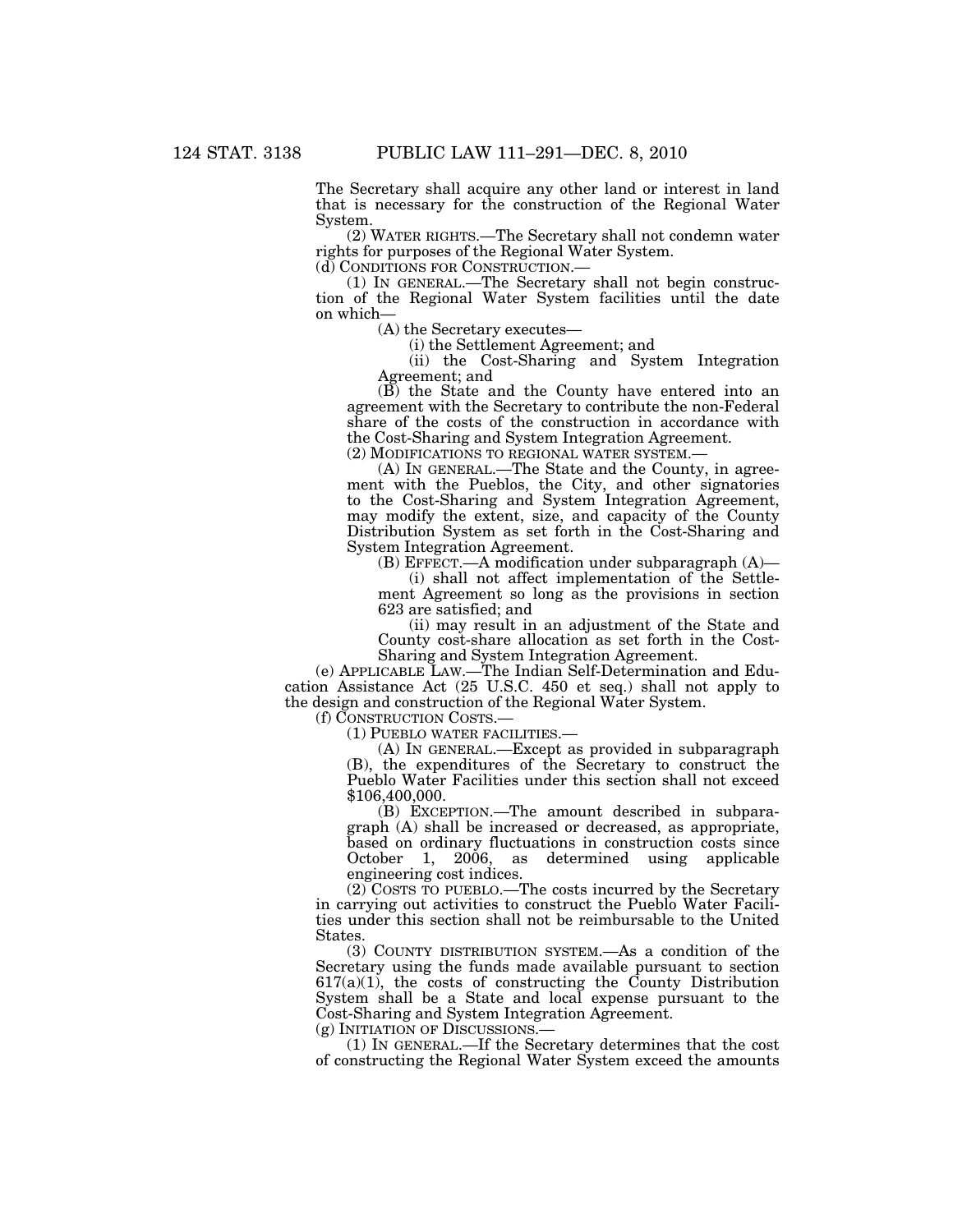The Secretary shall acquire any other land or interest in land that is necessary for the construction of the Regional Water System.

(2) WATER RIGHTS.—The Secretary shall not condemn water rights for purposes of the Regional Water System.<br>(d) CONDITIONS FOR CONSTRUCTION.—

 $(1)$  In GENERAL.—The Secretary shall not begin construction of the Regional Water System facilities until the date on which—

(A) the Secretary executes—

(i) the Settlement Agreement; and

(ii) the Cost-Sharing and System Integration Agreement; and

(B) the State and the County have entered into an agreement with the Secretary to contribute the non-Federal share of the costs of the construction in accordance with the Cost-Sharing and System Integration Agreement. (2) MODIFICATIONS TO REGIONAL WATER SYSTEM.—

(A) IN GENERAL.—The State and the County, in agreement with the Pueblos, the City, and other signatories to the Cost-Sharing and System Integration Agreement, may modify the extent, size, and capacity of the County Distribution System as set forth in the Cost-Sharing and System Integration Agreement.

(B) EFFECT.—A modification under subparagraph (A)—

(i) shall not affect implementation of the Settlement Agreement so long as the provisions in section 623 are satisfied; and

(ii) may result in an adjustment of the State and County cost-share allocation as set forth in the Cost-Sharing and System Integration Agreement.

(e) APPLICABLE LAW.—The Indian Self-Determination and Education Assistance Act (25 U.S.C. 450 et seq.) shall not apply to the design and construction of the Regional Water System.<br>
(f) CONSTRUCTION COSTS.—

 $(1)$  PUEBLO WATER FACILITIES.—

(A) IN GENERAL.—Except as provided in subparagraph (B), the expenditures of the Secretary to construct the Pueblo Water Facilities under this section shall not exceed \$106,400,000.

(B) EXCEPTION.—The amount described in subparagraph (A) shall be increased or decreased, as appropriate, based on ordinary fluctuations in construction costs since October 1, 2006, as determined using applicable engineering cost indices.

(2) COSTS TO PUEBLO.—The costs incurred by the Secretary in carrying out activities to construct the Pueblo Water Facilities under this section shall not be reimbursable to the United States.

(3) COUNTY DISTRIBUTION SYSTEM.—As a condition of the Secretary using the funds made available pursuant to section  $617(a)(1)$ , the costs of constructing the County Distribution System shall be a State and local expense pursuant to the Cost-Sharing and System Integration Agreement.

(g) INITIATION OF DISCUSSIONS.— (1) IN GENERAL.—If the Secretary determines that the cost of constructing the Regional Water System exceed the amounts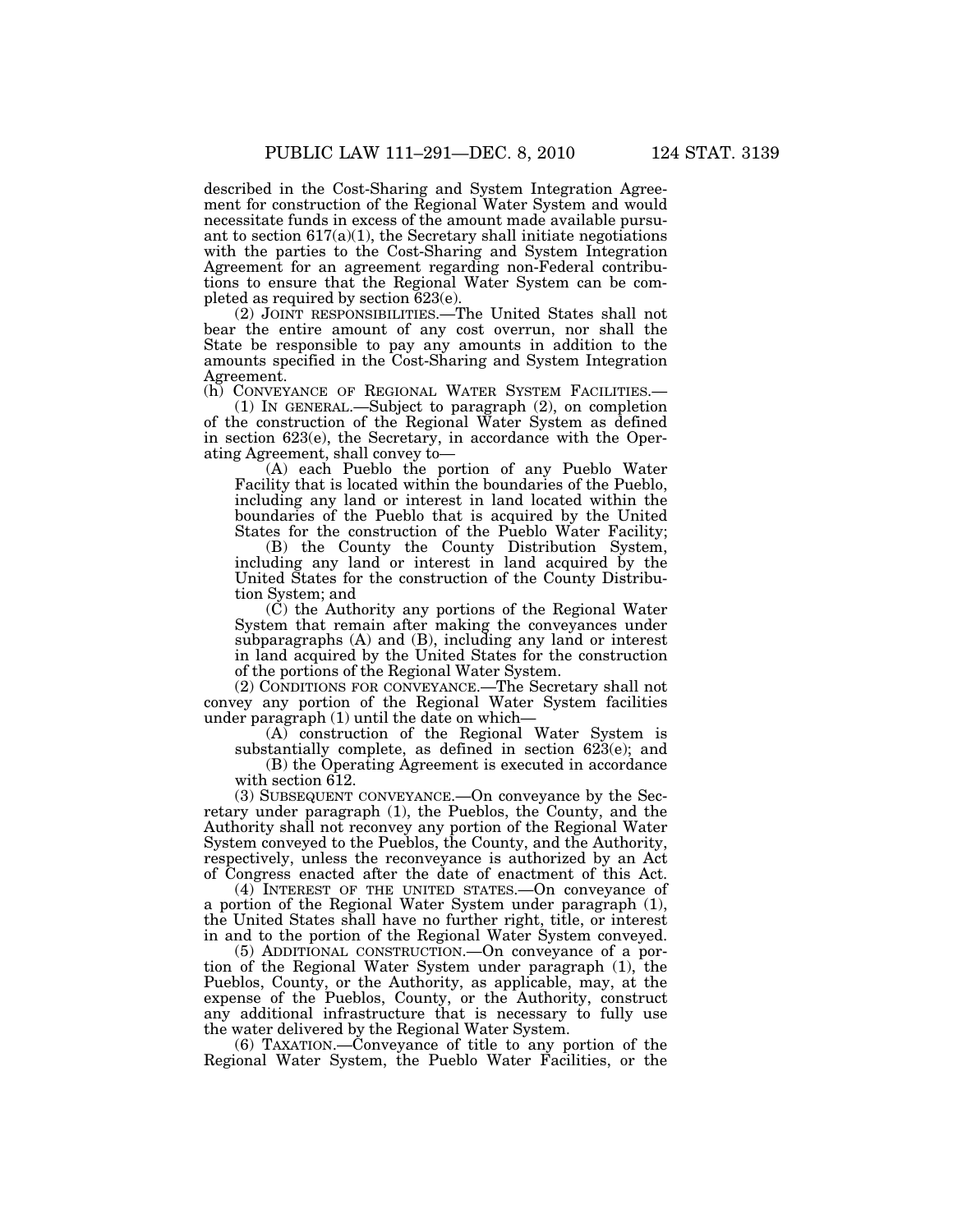described in the Cost-Sharing and System Integration Agreement for construction of the Regional Water System and would necessitate funds in excess of the amount made available pursuant to section  $617(a)(1)$ , the Secretary shall initiate negotiations with the parties to the Cost-Sharing and System Integration Agreement for an agreement regarding non-Federal contributions to ensure that the Regional Water System can be completed as required by section 623(e).

(2) JOINT RESPONSIBILITIES.—The United States shall not bear the entire amount of any cost overrun, nor shall the State be responsible to pay any amounts in addition to the amounts specified in the Cost-Sharing and System Integration Agreement.<br>(h) CONVEYANCE OF REGIONAL WATER SYSTEM FACILITIES.—

(1) IN GENERAL.—Subject to paragraph  $(2)$ , on completion of the construction of the Regional Water System as defined in section 623(e), the Secretary, in accordance with the Operating Agreement, shall convey to—

(A) each Pueblo the portion of any Pueblo Water Facility that is located within the boundaries of the Pueblo, including any land or interest in land located within the boundaries of the Pueblo that is acquired by the United States for the construction of the Pueblo Water Facility;

(B) the County the County Distribution System, including any land or interest in land acquired by the United States for the construction of the County Distribution System; and

(C) the Authority any portions of the Regional Water System that remain after making the conveyances under subparagraphs (A) and (B), including any land or interest in land acquired by the United States for the construction of the portions of the Regional Water System.

(2) CONDITIONS FOR CONVEYANCE.—The Secretary shall not convey any portion of the Regional Water System facilities under paragraph (1) until the date on which—

(A) construction of the Regional Water System is substantially complete, as defined in section 623(e); and

(B) the Operating Agreement is executed in accordance with section 612.

(3) SUBSEQUENT CONVEYANCE.—On conveyance by the Secretary under paragraph (1), the Pueblos, the County, and the Authority shall not reconvey any portion of the Regional Water System conveyed to the Pueblos, the County, and the Authority, respectively, unless the reconveyance is authorized by an Act of Congress enacted after the date of enactment of this Act.

(4) INTEREST OF THE UNITED STATES.—On conveyance of a portion of the Regional Water System under paragraph (1), the United States shall have no further right, title, or interest in and to the portion of the Regional Water System conveyed.

(5) ADDITIONAL CONSTRUCTION.—On conveyance of a portion of the Regional Water System under paragraph (1), the Pueblos, County, or the Authority, as applicable, may, at the expense of the Pueblos, County, or the Authority, construct any additional infrastructure that is necessary to fully use the water delivered by the Regional Water System.

(6) TAXATION.—Conveyance of title to any portion of the Regional Water System, the Pueblo Water Facilities, or the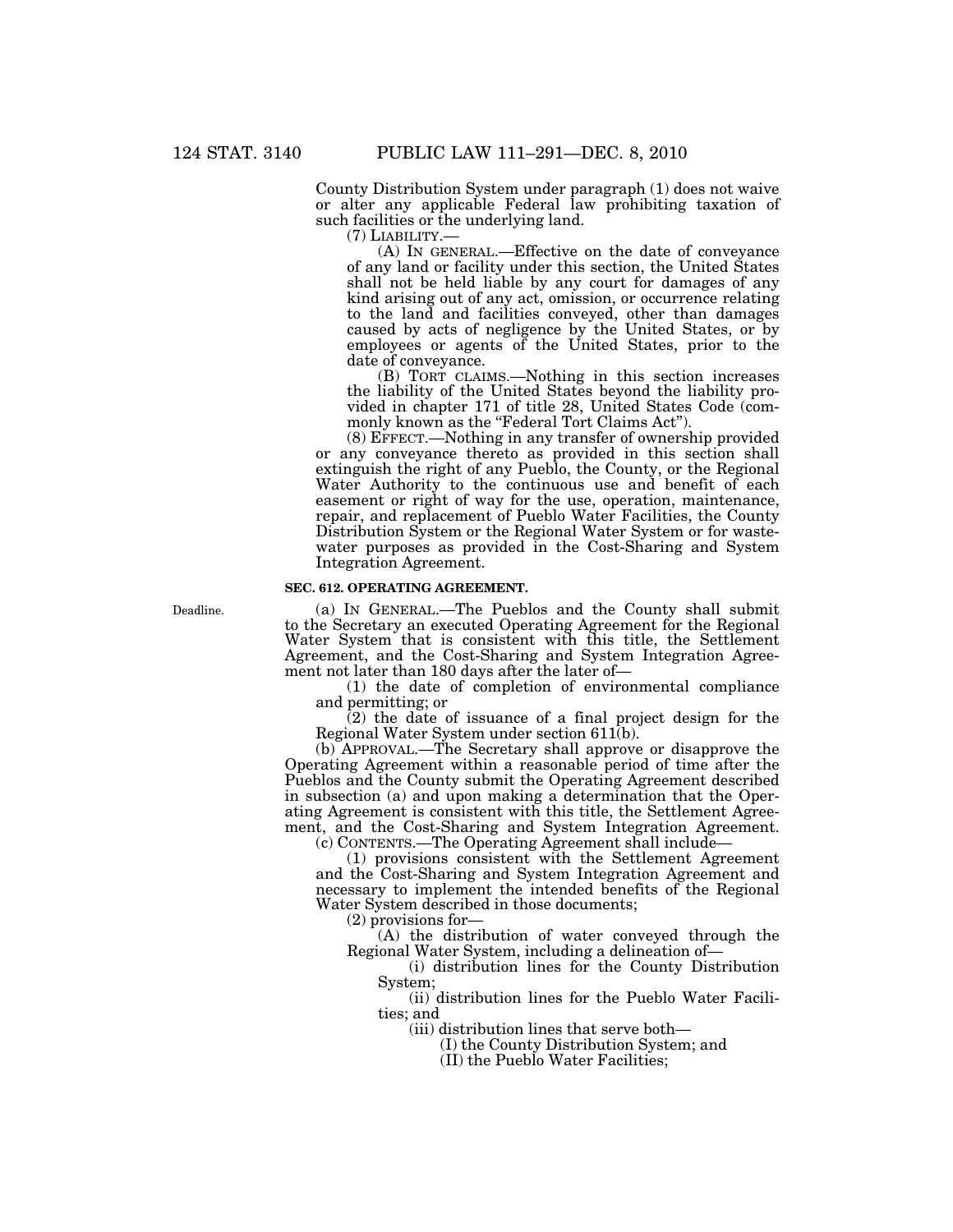County Distribution System under paragraph (1) does not waive or alter any applicable Federal law prohibiting taxation of such facilities or the underlying land.

(7) LIABILITY.— (A) IN GENERAL.—Effective on the date of conveyance of any land or facility under this section, the United States shall not be held liable by any court for damages of any kind arising out of any act, omission, or occurrence relating to the land and facilities conveyed, other than damages caused by acts of negligence by the United States, or by employees or agents of the United States, prior to the date of conveyance.

(B) TORT CLAIMS.—Nothing in this section increases the liability of the United States beyond the liability provided in chapter 171 of title 28, United States Code (commonly known as the "Federal Tort Claims Act".

(8) EFFECT.—Nothing in any transfer of ownership provided or any conveyance thereto as provided in this section shall extinguish the right of any Pueblo, the County, or the Regional Water Authority to the continuous use and benefit of each easement or right of way for the use, operation, maintenance, repair, and replacement of Pueblo Water Facilities, the County Distribution System or the Regional Water System or for wastewater purposes as provided in the Cost-Sharing and System Integration Agreement.

### **SEC. 612. OPERATING AGREEMENT.**

Deadline.

(a) IN GENERAL.—The Pueblos and the County shall submit to the Secretary an executed Operating Agreement for the Regional Water System that is consistent with this title, the Settlement Agreement, and the Cost-Sharing and System Integration Agreement not later than 180 days after the later of—

(1) the date of completion of environmental compliance and permitting; or

(2) the date of issuance of a final project design for the Regional Water System under section 611(b).

(b) APPROVAL.—The Secretary shall approve or disapprove the Operating Agreement within a reasonable period of time after the Pueblos and the County submit the Operating Agreement described in subsection (a) and upon making a determination that the Operating Agreement is consistent with this title, the Settlement Agreement, and the Cost-Sharing and System Integration Agreement.

(c) CONTENTS.—The Operating Agreement shall include—

(1) provisions consistent with the Settlement Agreement and the Cost-Sharing and System Integration Agreement and necessary to implement the intended benefits of the Regional Water System described in those documents;

(2) provisions for—

(A) the distribution of water conveyed through the Regional Water System, including a delineation of—

(i) distribution lines for the County Distribution System;

(ii) distribution lines for the Pueblo Water Facilities; and

(iii) distribution lines that serve both—

(I) the County Distribution System; and

(II) the Pueblo Water Facilities;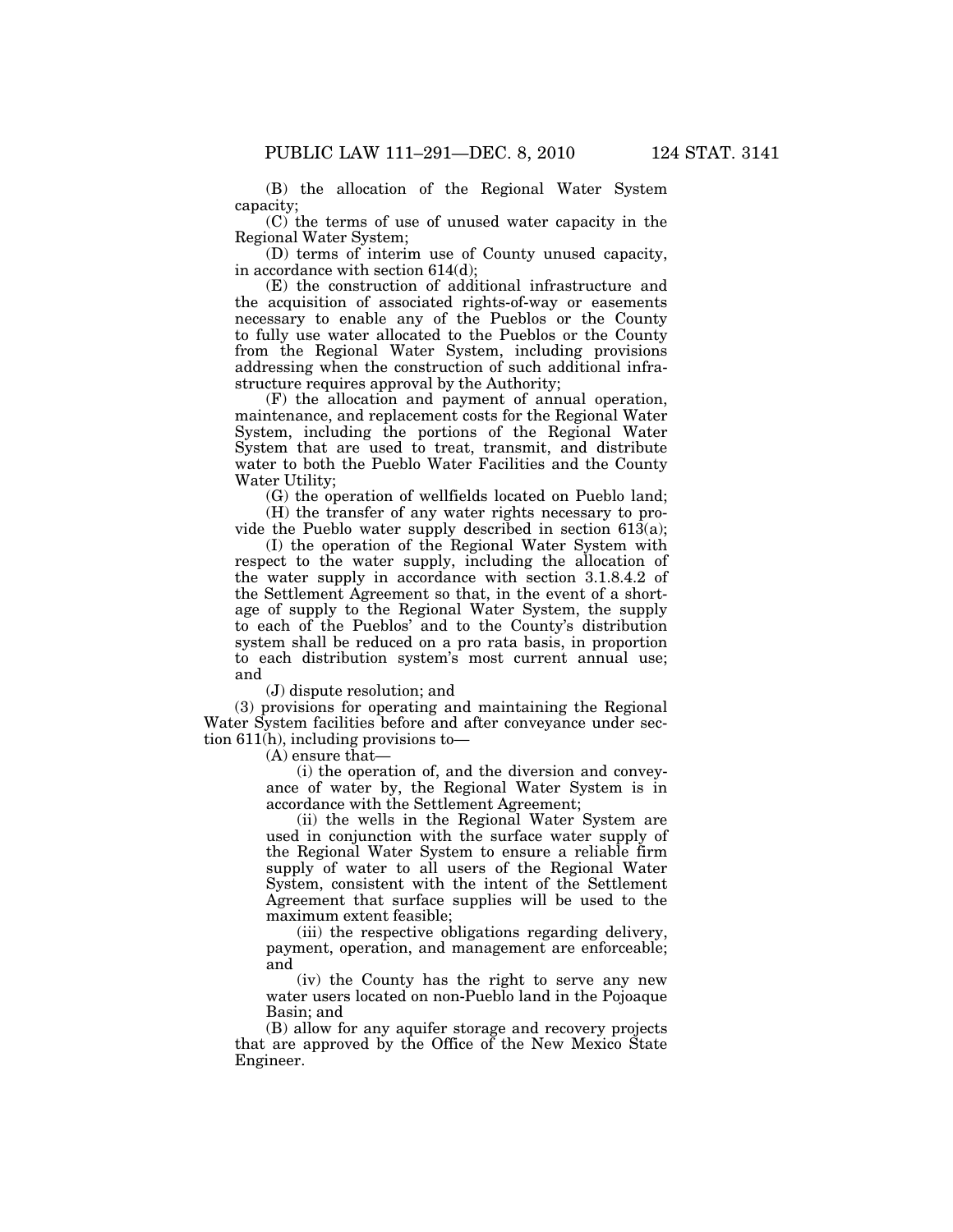(B) the allocation of the Regional Water System capacity;

(C) the terms of use of unused water capacity in the Regional Water System;

(D) terms of interim use of County unused capacity, in accordance with section 614(d);

(E) the construction of additional infrastructure and the acquisition of associated rights-of-way or easements necessary to enable any of the Pueblos or the County to fully use water allocated to the Pueblos or the County from the Regional Water System, including provisions addressing when the construction of such additional infrastructure requires approval by the Authority;

(F) the allocation and payment of annual operation, maintenance, and replacement costs for the Regional Water System, including the portions of the Regional Water System that are used to treat, transmit, and distribute water to both the Pueblo Water Facilities and the County Water Utility;

(G) the operation of wellfields located on Pueblo land;

(H) the transfer of any water rights necessary to provide the Pueblo water supply described in section 613(a);

(I) the operation of the Regional Water System with respect to the water supply, including the allocation of the water supply in accordance with section 3.1.8.4.2 of the Settlement Agreement so that, in the event of a shortage of supply to the Regional Water System, the supply to each of the Pueblos' and to the County's distribution system shall be reduced on a pro rata basis, in proportion to each distribution system's most current annual use; and

(J) dispute resolution; and

(3) provisions for operating and maintaining the Regional Water System facilities before and after conveyance under section  $611(h)$ , including provisions to-

(A) ensure that—

(i) the operation of, and the diversion and conveyance of water by, the Regional Water System is in accordance with the Settlement Agreement;

(ii) the wells in the Regional Water System are used in conjunction with the surface water supply of the Regional Water System to ensure a reliable firm supply of water to all users of the Regional Water System, consistent with the intent of the Settlement Agreement that surface supplies will be used to the maximum extent feasible;

(iii) the respective obligations regarding delivery, payment, operation, and management are enforceable; and

(iv) the County has the right to serve any new water users located on non-Pueblo land in the Pojoaque Basin; and

(B) allow for any aquifer storage and recovery projects that are approved by the Office of the New Mexico State Engineer.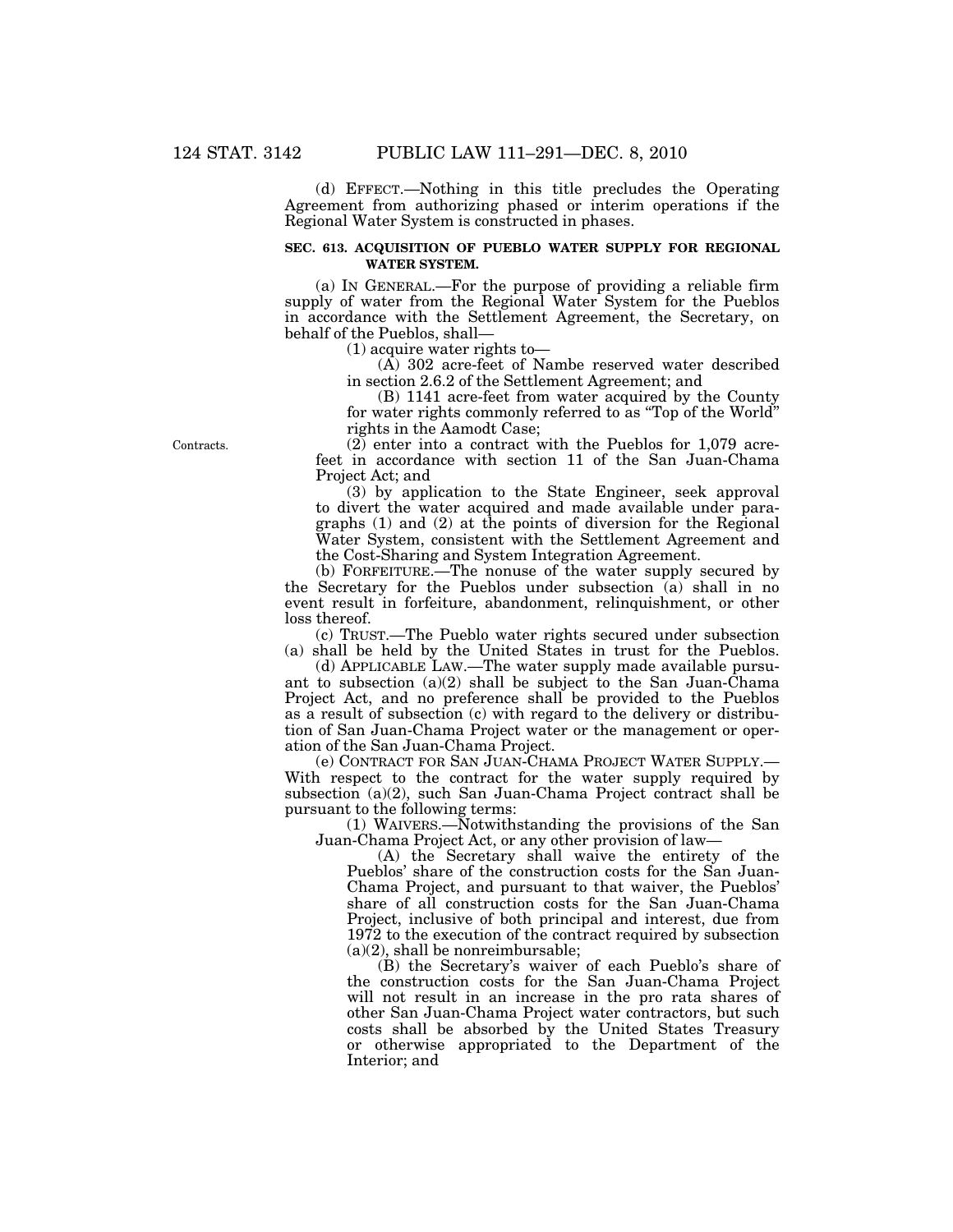(d) EFFECT.—Nothing in this title precludes the Operating Agreement from authorizing phased or interim operations if the Regional Water System is constructed in phases.

### **SEC. 613. ACQUISITION OF PUEBLO WATER SUPPLY FOR REGIONAL WATER SYSTEM.**

(a) IN GENERAL.—For the purpose of providing a reliable firm supply of water from the Regional Water System for the Pueblos in accordance with the Settlement Agreement, the Secretary, on behalf of the Pueblos, shall—

(1) acquire water rights to—

(A) 302 acre-feet of Nambe reserved water described in section 2.6.2 of the Settlement Agreement; and

(B) 1141 acre-feet from water acquired by the County for water rights commonly referred to as ''Top of the World'' rights in the Aamodt Case;

 $(2)$  enter into a contract with the Pueblos for 1,079 acrefeet in accordance with section 11 of the San Juan-Chama Project Act; and

(3) by application to the State Engineer, seek approval to divert the water acquired and made available under paragraphs (1) and (2) at the points of diversion for the Regional Water System, consistent with the Settlement Agreement and the Cost-Sharing and System Integration Agreement.

(b) FORFEITURE.—The nonuse of the water supply secured by the Secretary for the Pueblos under subsection (a) shall in no event result in forfeiture, abandonment, relinquishment, or other loss thereof.

(c) TRUST.—The Pueblo water rights secured under subsection (a) shall be held by the United States in trust for the Pueblos.

(d) APPLICABLE LAW.—The water supply made available pursuant to subsection (a)(2) shall be subject to the San Juan-Chama Project Act, and no preference shall be provided to the Pueblos as a result of subsection (c) with regard to the delivery or distribution of San Juan-Chama Project water or the management or operation of the San Juan-Chama Project.

(e) CONTRACT FOR SAN JUAN-CHAMA PROJECT WATER SUPPLY.— With respect to the contract for the water supply required by subsection (a)(2), such San Juan-Chama Project contract shall be pursuant to the following terms:

 $(1)$  WAIVERS.— $\bar{N}$ otwithstanding the provisions of the San Juan-Chama Project Act, or any other provision of law—

(A) the Secretary shall waive the entirety of the Pueblos' share of the construction costs for the San Juan-Chama Project, and pursuant to that waiver, the Pueblos' share of all construction costs for the San Juan-Chama Project, inclusive of both principal and interest, due from 1972 to the execution of the contract required by subsection (a)(2), shall be nonreimbursable;

(B) the Secretary's waiver of each Pueblo's share of the construction costs for the San Juan-Chama Project will not result in an increase in the pro rata shares of other San Juan-Chama Project water contractors, but such costs shall be absorbed by the United States Treasury or otherwise appropriated to the Department of the Interior; and

Contracts.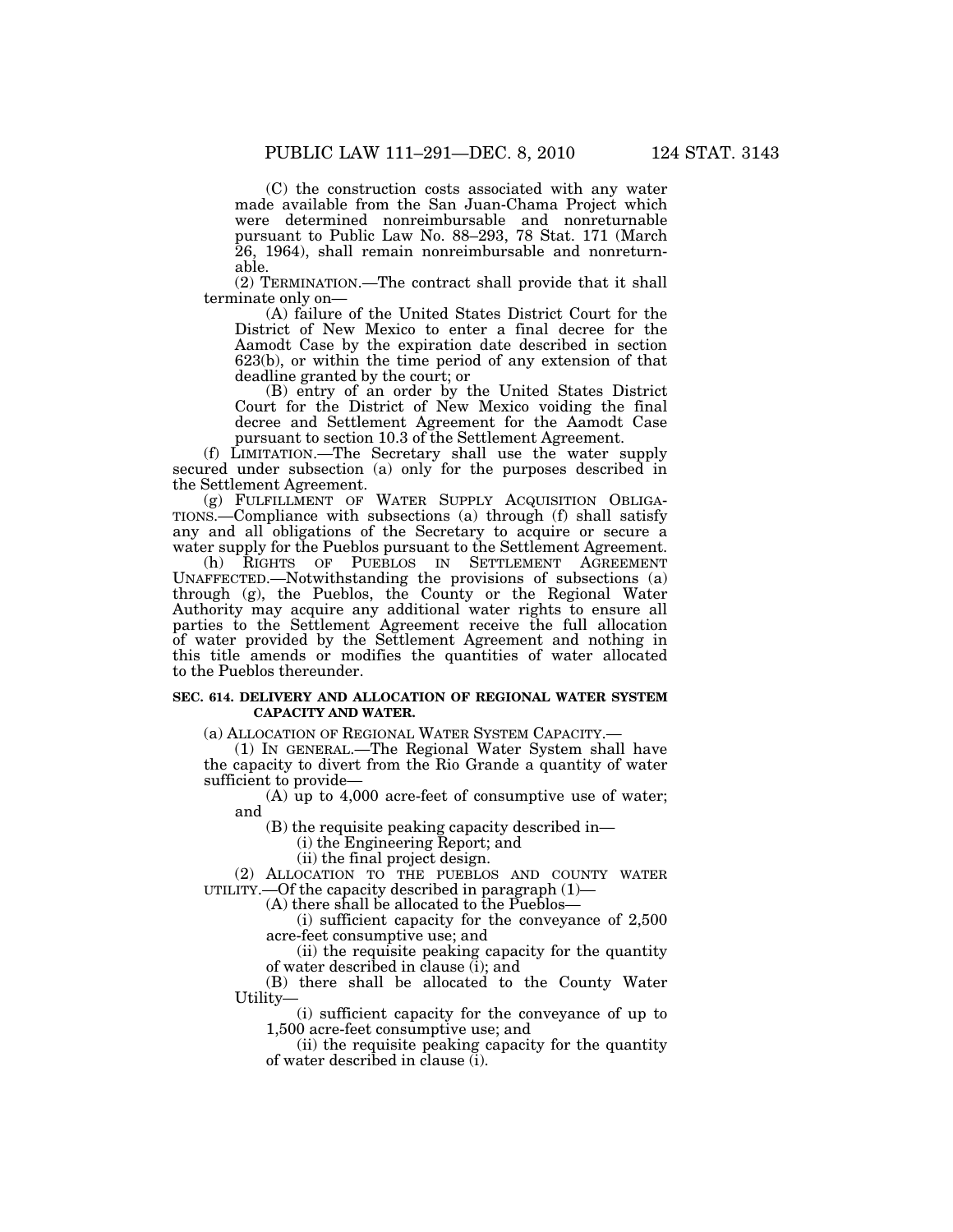(C) the construction costs associated with any water made available from the San Juan-Chama Project which were determined nonreimbursable and nonreturnable pursuant to Public Law No. 88–293, 78 Stat. 171 (March

26, 1964), shall remain nonreimbursable and nonreturnable.

(2) TERMINATION.—The contract shall provide that it shall terminate only on—

(A) failure of the United States District Court for the District of New Mexico to enter a final decree for the Aamodt Case by the expiration date described in section 623(b), or within the time period of any extension of that deadline granted by the court; or

(B) entry of an order by the United States District Court for the District of New Mexico voiding the final decree and Settlement Agreement for the Aamodt Case pursuant to section 10.3 of the Settlement Agreement.

(f) LIMITATION.—The Secretary shall use the water supply secured under subsection (a) only for the purposes described in the Settlement Agreement.

(g) FULFILLMENT OF WATER SUPPLY ACQUISITION OBLIGA-TIONS.—Compliance with subsections (a) through (f) shall satisfy any and all obligations of the Secretary to acquire or secure a water supply for the Pueblos pursuant to the Settlement Agreement.

(h) RIGHTS OF PUEBLOS IN SETTLEMENT AGREEMENT UNAFFECTED.—Notwithstanding the provisions of subsections (a) through (g), the Pueblos, the County or the Regional Water Authority may acquire any additional water rights to ensure all parties to the Settlement Agreement receive the full allocation of water provided by the Settlement Agreement and nothing in this title amends or modifies the quantities of water allocated to the Pueblos thereunder.

#### **SEC. 614. DELIVERY AND ALLOCATION OF REGIONAL WATER SYSTEM CAPACITY AND WATER.**

(a) ALLOCATION OF REGIONAL WATER SYSTEM CAPACITY.—

(1) IN GENERAL.—The Regional Water System shall have the capacity to divert from the Rio Grande a quantity of water sufficient to provide—

(A) up to  $4,000$  acre-feet of consumptive use of water; and

(B) the requisite peaking capacity described in—

(i) the Engineering Report; and

(ii) the final project design.

(2) ALLOCATION TO THE PUEBLOS AND COUNTY WATER UTILITY.—Of the capacity described in paragraph (1)—

(A) there shall be allocated to the Pueblos—

(i) sufficient capacity for the conveyance of 2,500 acre-feet consumptive use; and

(ii) the requisite peaking capacity for the quantity of water described in clause (i); and

(B) there shall be allocated to the County Water Utility—

(i) sufficient capacity for the conveyance of up to 1,500 acre-feet consumptive use; and

(ii) the requisite peaking capacity for the quantity of water described in clause (i).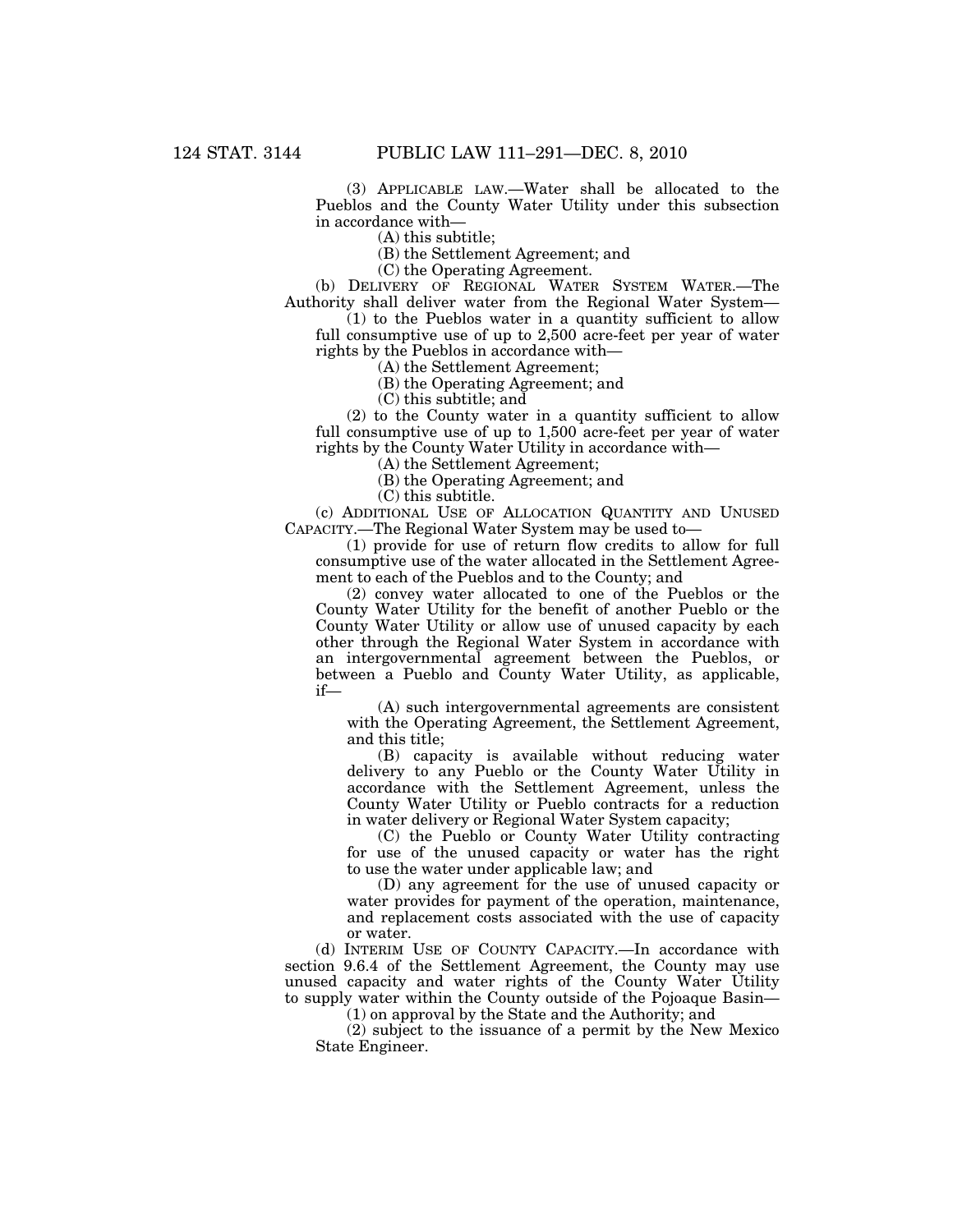(3) APPLICABLE LAW.—Water shall be allocated to the Pueblos and the County Water Utility under this subsection in accordance with—

(A) this subtitle;

(B) the Settlement Agreement; and

(C) the Operating Agreement.

(b) DELIVERY OF REGIONAL WATER SYSTEM WATER.—The Authority shall deliver water from the Regional Water System—

(1) to the Pueblos water in a quantity sufficient to allow full consumptive use of up to 2,500 acre-feet per year of water rights by the Pueblos in accordance with—

(A) the Settlement Agreement;

(B) the Operating Agreement; and

(C) this subtitle; and

(2) to the County water in a quantity sufficient to allow full consumptive use of up to 1,500 acre-feet per year of water rights by the County Water Utility in accordance with—

(A) the Settlement Agreement;

(B) the Operating Agreement; and

(C) this subtitle.

(c) ADDITIONAL USE OF ALLOCATION QUANTITY AND UNUSED CAPACITY.—The Regional Water System may be used to—

(1) provide for use of return flow credits to allow for full consumptive use of the water allocated in the Settlement Agreement to each of the Pueblos and to the County; and

(2) convey water allocated to one of the Pueblos or the County Water Utility for the benefit of another Pueblo or the County Water Utility or allow use of unused capacity by each other through the Regional Water System in accordance with an intergovernmental agreement between the Pueblos, or between a Pueblo and County Water Utility, as applicable, if—

(A) such intergovernmental agreements are consistent with the Operating Agreement, the Settlement Agreement, and this title;

(B) capacity is available without reducing water delivery to any Pueblo or the County Water Utility in accordance with the Settlement Agreement, unless the County Water Utility or Pueblo contracts for a reduction in water delivery or Regional Water System capacity;

(C) the Pueblo or County Water Utility contracting for use of the unused capacity or water has the right to use the water under applicable law; and

(D) any agreement for the use of unused capacity or water provides for payment of the operation, maintenance, and replacement costs associated with the use of capacity or water.

(d) INTERIM USE OF COUNTY CAPACITY.—In accordance with section 9.6.4 of the Settlement Agreement, the County may use unused capacity and water rights of the County Water Utility to supply water within the County outside of the Pojoaque Basin—

(1) on approval by the State and the Authority; and

(2) subject to the issuance of a permit by the New Mexico State Engineer.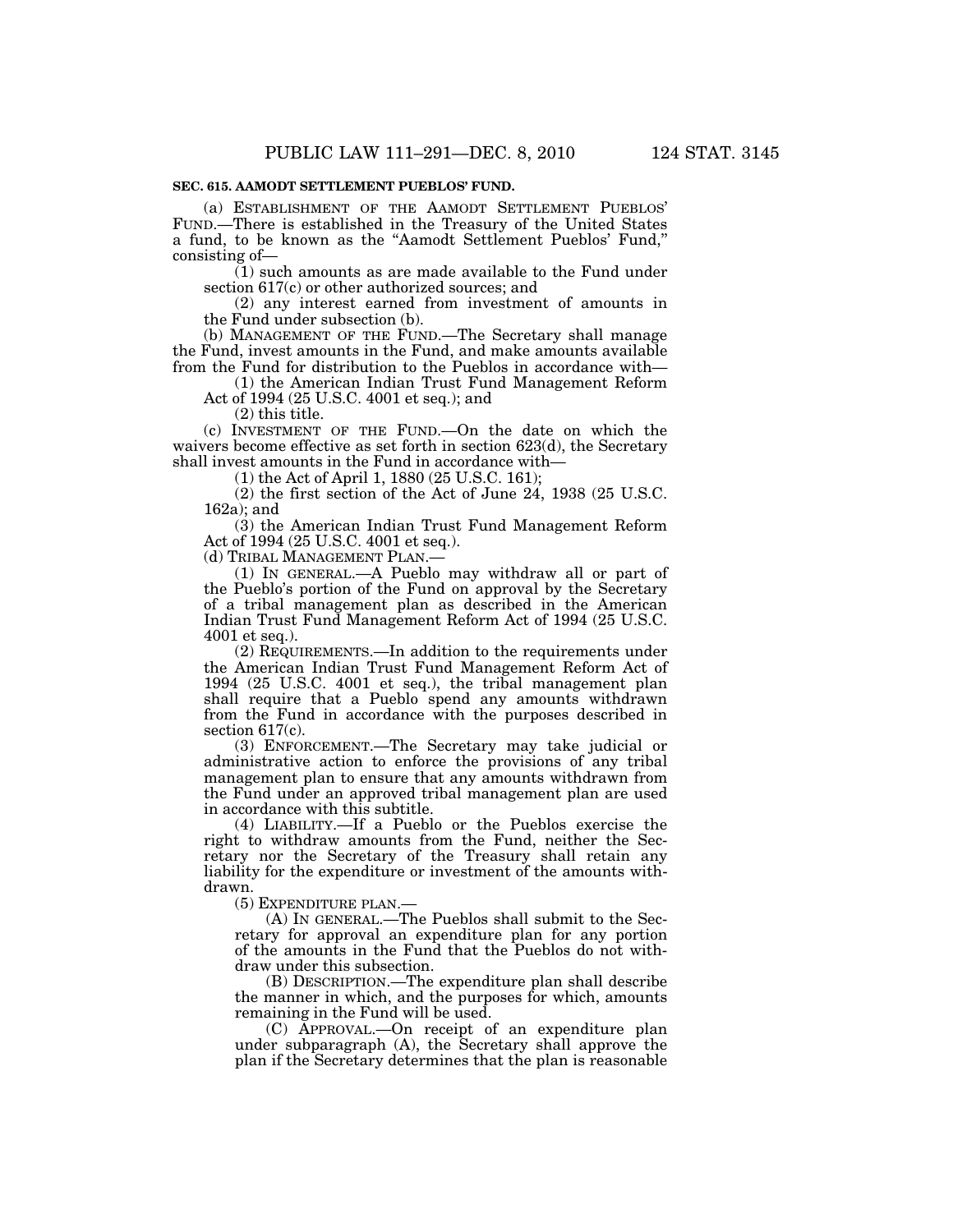### **SEC. 615. AAMODT SETTLEMENT PUEBLOS' FUND.**

(a) ESTABLISHMENT OF THE AAMODT SETTLEMENT PUEBLOS' FUND.—There is established in the Treasury of the United States a fund, to be known as the ''Aamodt Settlement Pueblos' Fund,'' consisting of—

 $(1)$  such amounts as are made available to the Fund under section 617(c) or other authorized sources; and

(2) any interest earned from investment of amounts in the Fund under subsection (b).

(b) MANAGEMENT OF THE FUND.—The Secretary shall manage the Fund, invest amounts in the Fund, and make amounts available from the Fund for distribution to the Pueblos in accordance with—

(1) the American Indian Trust Fund Management Reform Act of 1994 (25 U.S.C. 4001 et seq.); and

(2) this title.

(c) INVESTMENT OF THE FUND.—On the date on which the waivers become effective as set forth in section 623(d), the Secretary shall invest amounts in the Fund in accordance with—

(1) the Act of April 1, 1880 (25 U.S.C. 161);

(2) the first section of the Act of June 24, 1938 (25 U.S.C. 162a); and

(3) the American Indian Trust Fund Management Reform Act of 1994 (25 U.S.C. 4001 et seq.).

(d) TRIBAL MANAGEMENT PLAN.—

(1) IN GENERAL.—A Pueblo may withdraw all or part of the Pueblo's portion of the Fund on approval by the Secretary of a tribal management plan as described in the American Indian Trust Fund Management Reform Act of 1994 (25 U.S.C. 4001 et seq.).

(2) REQUIREMENTS.—In addition to the requirements under the American Indian Trust Fund Management Reform Act of 1994 (25 U.S.C. 4001 et seq.), the tribal management plan shall require that a Pueblo spend any amounts withdrawn from the Fund in accordance with the purposes described in section 617(c).

(3) ENFORCEMENT.—The Secretary may take judicial or administrative action to enforce the provisions of any tribal management plan to ensure that any amounts withdrawn from the Fund under an approved tribal management plan are used in accordance with this subtitle.

(4) LIABILITY.—If a Pueblo or the Pueblos exercise the right to withdraw amounts from the Fund, neither the Secretary nor the Secretary of the Treasury shall retain any liability for the expenditure or investment of the amounts withdrawn.

(5) EXPENDITURE PLAN.—

(A) IN GENERAL.—The Pueblos shall submit to the Secretary for approval an expenditure plan for any portion of the amounts in the Fund that the Pueblos do not withdraw under this subsection.

(B) DESCRIPTION.—The expenditure plan shall describe the manner in which, and the purposes for which, amounts remaining in the Fund will be used.

(C) APPROVAL.—On receipt of an expenditure plan under subparagraph (A), the Secretary shall approve the plan if the Secretary determines that the plan is reasonable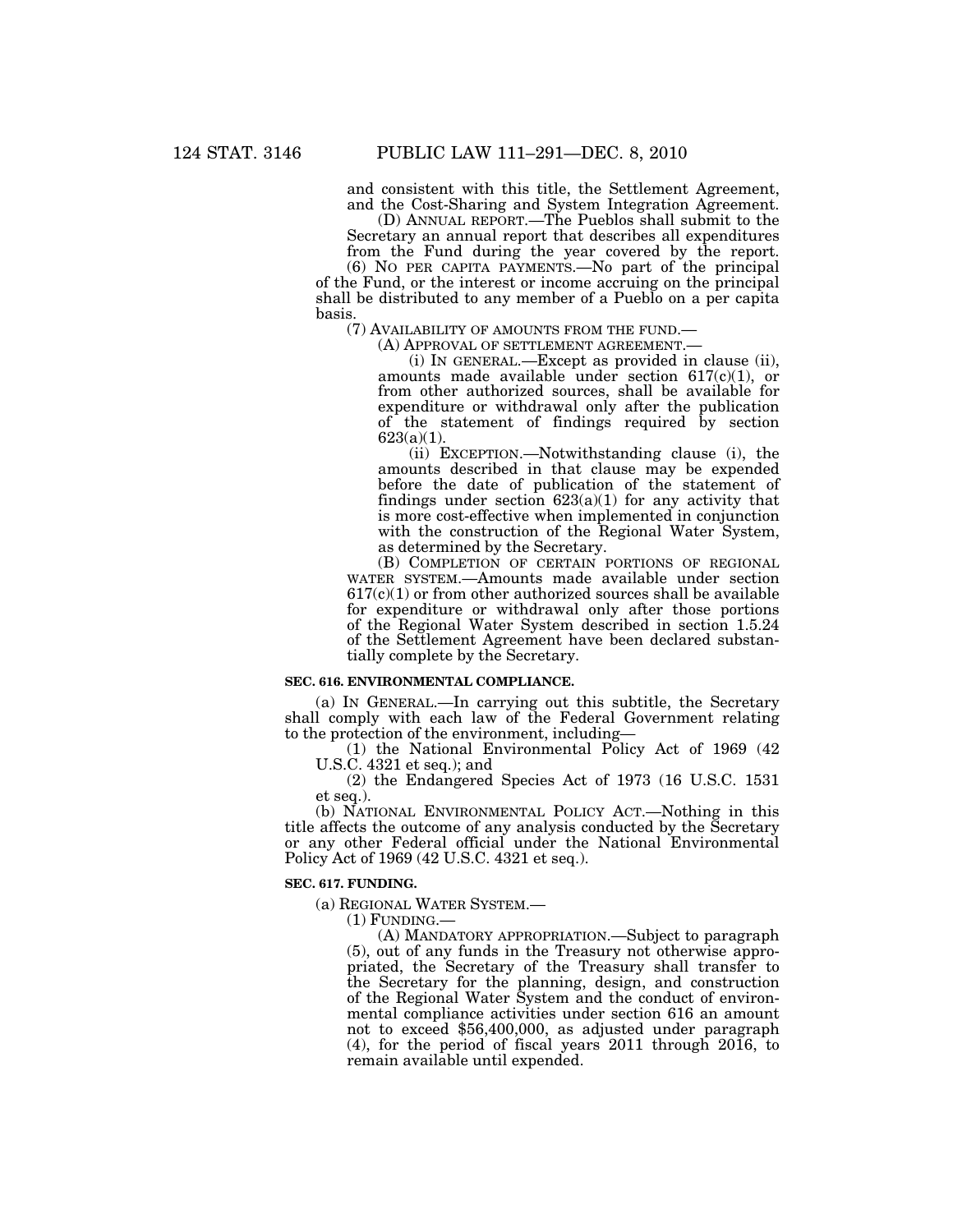and consistent with this title, the Settlement Agreement, and the Cost-Sharing and System Integration Agreement.

(D) ANNUAL REPORT.—The Pueblos shall submit to the Secretary an annual report that describes all expenditures from the Fund during the year covered by the report.

(6) NO PER CAPITA PAYMENTS.—No part of the principal of the Fund, or the interest or income accruing on the principal shall be distributed to any member of a Pueblo on a per capita basis. (7) AVAILABILITY OF AMOUNTS FROM THE FUND.—

(A) APPROVAL OF SETTLEMENT AGREEMENT.—<br>(i) IN GENERAL.—Except as provided in clause (ii), amounts made available under section  $617(c)(1)$ , or from other authorized sources, shall be available for expenditure or withdrawal only after the publication of the statement of findings required by section 623(a)(1).

(ii) EXCEPTION.—Notwithstanding clause (i), the amounts described in that clause may be expended before the date of publication of the statement of findings under section  $623(a)(1)$  for any activity that is more cost-effective when implemented in conjunction with the construction of the Regional Water System, as determined by the Secretary.

(B) COMPLETION OF CERTAIN PORTIONS OF REGIONAL WATER SYSTEM.—Amounts made available under section  $617(c)(1)$  or from other authorized sources shall be available for expenditure or withdrawal only after those portions of the Regional Water System described in section 1.5.24 of the Settlement Agreement have been declared substantially complete by the Secretary.

#### **SEC. 616. ENVIRONMENTAL COMPLIANCE.**

(a) IN GENERAL.—In carrying out this subtitle, the Secretary shall comply with each law of the Federal Government relating to the protection of the environment, including—

(1) the National Environmental Policy Act of 1969 (42 U.S.C. 4321 et seq.); and

(2) the Endangered Species Act of 1973 (16 U.S.C. 1531 et seq.).

(b) NATIONAL ENVIRONMENTAL POLICY ACT.—Nothing in this title affects the outcome of any analysis conducted by the Secretary or any other Federal official under the National Environmental Policy Act of 1969 (42 U.S.C. 4321 et seq.).

### **SEC. 617. FUNDING.**

(a) REGIONAL WATER SYSTEM.—

(1) FUNDING.—

(A) MANDATORY APPROPRIATION.—Subject to paragraph (5), out of any funds in the Treasury not otherwise appropriated, the Secretary of the Treasury shall transfer to the Secretary for the planning, design, and construction of the Regional Water System and the conduct of environmental compliance activities under section 616 an amount not to exceed \$56,400,000, as adjusted under paragraph (4), for the period of fiscal years 2011 through 2016, to remain available until expended.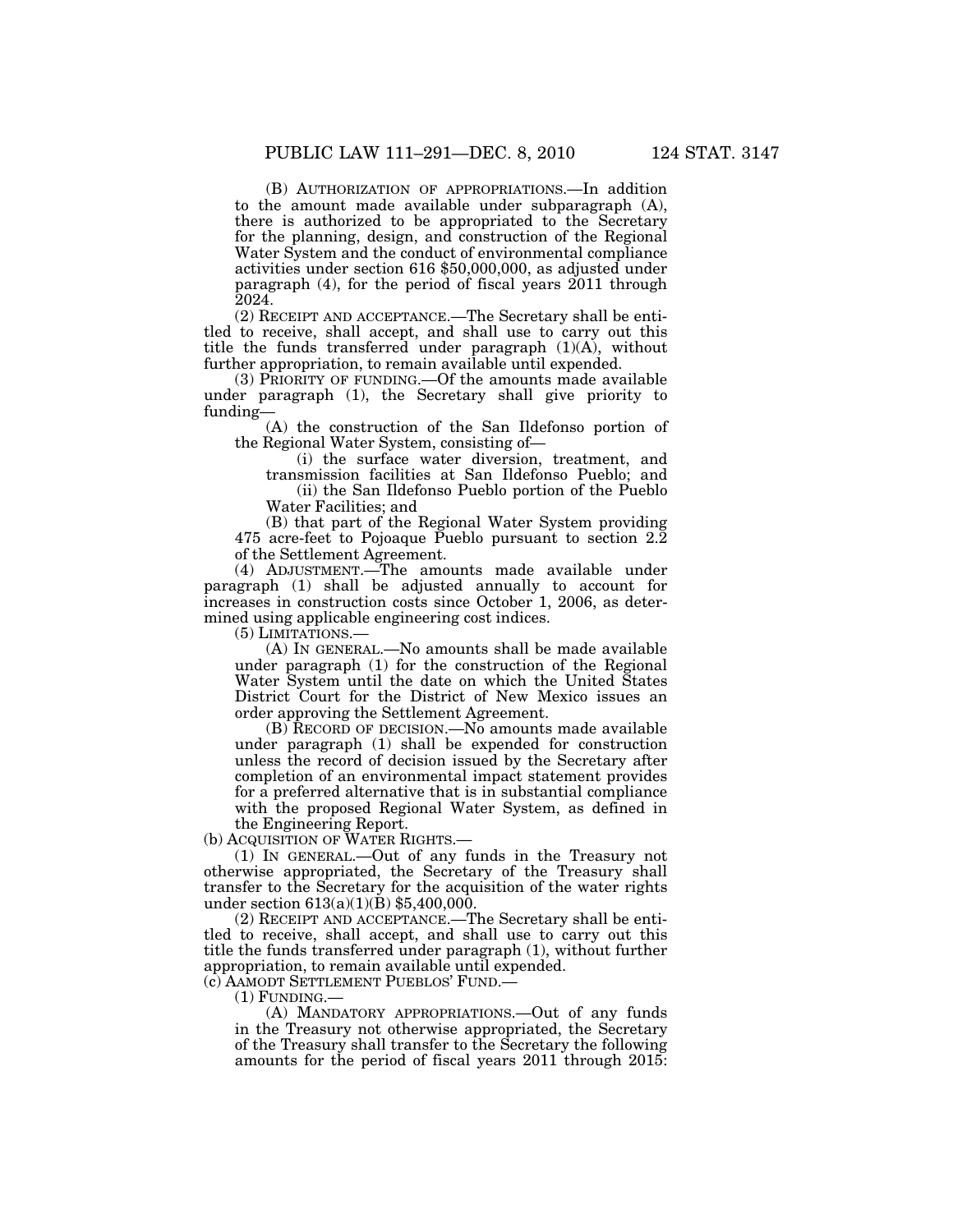(B) AUTHORIZATION OF APPROPRIATIONS.—In addition to the amount made available under subparagraph (A), there is authorized to be appropriated to the Secretary for the planning, design, and construction of the Regional Water System and the conduct of environmental compliance activities under section 616 \$50,000,000, as adjusted under paragraph (4), for the period of fiscal years 2011 through 2024.

(2) RECEIPT AND ACCEPTANCE.—The Secretary shall be entitled to receive, shall accept, and shall use to carry out this title the funds transferred under paragraph (1)(A), without further appropriation, to remain available until expended.

(3) PRIORITY OF FUNDING.—Of the amounts made available under paragraph (1), the Secretary shall give priority to funding—

(A) the construction of the San Ildefonso portion of the Regional Water System, consisting of—

(i) the surface water diversion, treatment, and transmission facilities at San Ildefonso Pueblo; and

(ii) the San Ildefonso Pueblo portion of the Pueblo Water Facilities; and

(B) that part of the Regional Water System providing 475 acre-feet to Pojoaque Pueblo pursuant to section 2.2 of the Settlement Agreement.

(4) ADJUSTMENT.—The amounts made available under paragraph (1) shall be adjusted annually to account for increases in construction costs since October 1, 2006, as determined using applicable engineering cost indices.

(5) LIMITATIONS.—

(A) IN GENERAL.—No amounts shall be made available under paragraph (1) for the construction of the Regional Water System until the date on which the United States District Court for the District of New Mexico issues an order approving the Settlement Agreement.

 $(B)$  RECORD OF DECISION.  $\overline{\text{No}}$  amounts made available under paragraph (1) shall be expended for construction unless the record of decision issued by the Secretary after completion of an environmental impact statement provides for a preferred alternative that is in substantial compliance with the proposed Regional Water System, as defined in the Engineering Report.

(b) ACQUISITION OF WATER RIGHTS.—

(1) IN GENERAL.—Out of any funds in the Treasury not otherwise appropriated, the Secretary of the Treasury shall transfer to the Secretary for the acquisition of the water rights under section 613(a)(1)(B) \$5,400,000.

(2) RECEIPT AND ACCEPTANCE.—The Secretary shall be entitled to receive, shall accept, and shall use to carry out this title the funds transferred under paragraph (1), without further appropriation, to remain available until expended.

(c) AAMODT SETTLEMENT PUEBLOS' FUND.—

 $(1)$  FUNDING.

(A) MANDATORY APPROPRIATIONS.—Out of any funds in the Treasury not otherwise appropriated, the Secretary of the Treasury shall transfer to the Secretary the following amounts for the period of fiscal years 2011 through 2015: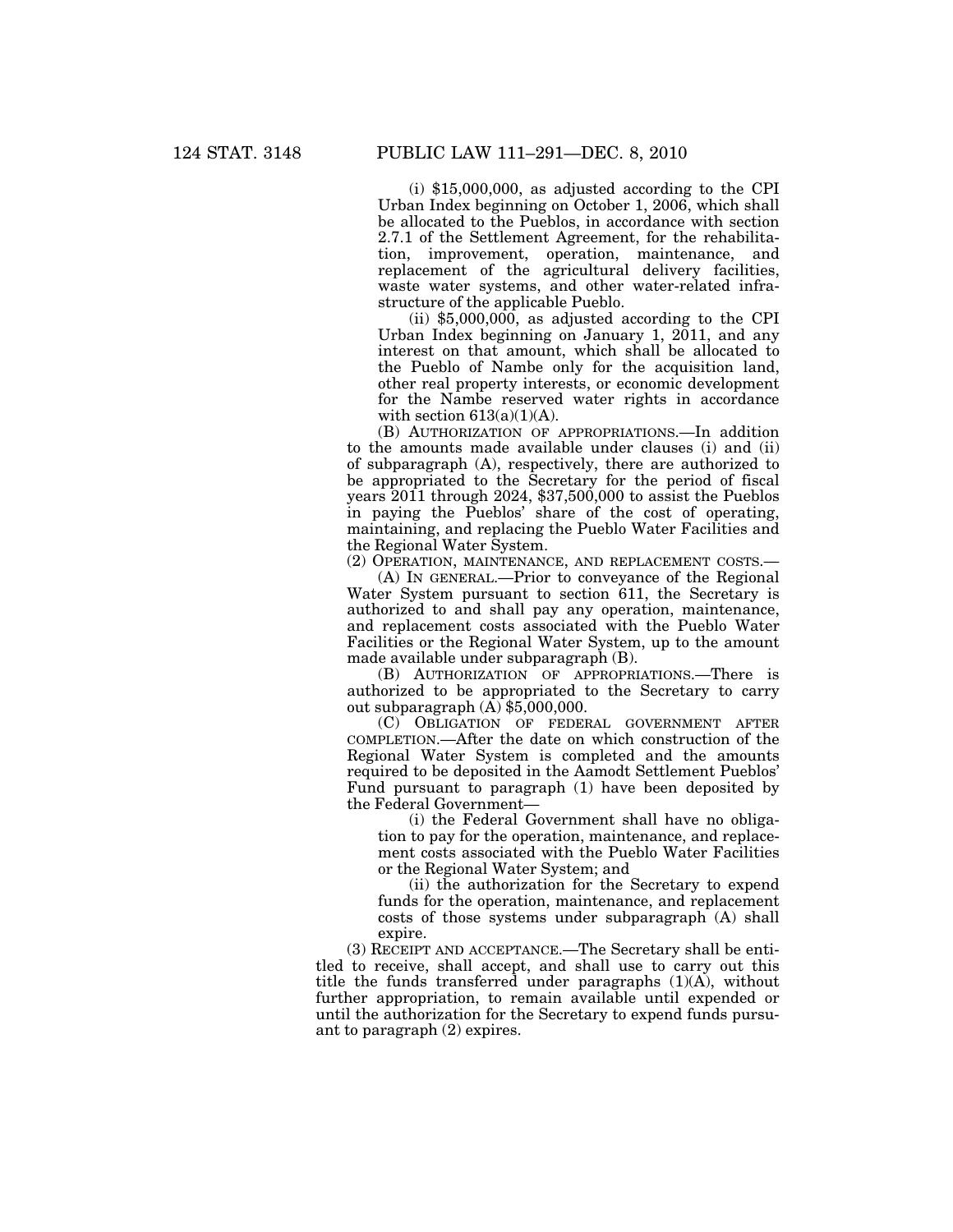(i) \$15,000,000, as adjusted according to the CPI Urban Index beginning on October 1, 2006, which shall be allocated to the Pueblos, in accordance with section 2.7.1 of the Settlement Agreement, for the rehabilitation, improvement, operation, maintenance, and replacement of the agricultural delivery facilities, waste water systems, and other water-related infrastructure of the applicable Pueblo.

 $(ii)$  \$5,000,000, as adjusted according to the CPI Urban Index beginning on January 1, 2011, and any interest on that amount, which shall be allocated to the Pueblo of Nambe only for the acquisition land, other real property interests, or economic development for the Nambe reserved water rights in accordance with section  $613(a)(1)(A)$ .

(B) AUTHORIZATION OF APPROPRIATIONS.—In addition to the amounts made available under clauses (i) and (ii) of subparagraph (A), respectively, there are authorized to be appropriated to the Secretary for the period of fiscal years 2011 through 2024, \$37,500,000 to assist the Pueblos in paying the Pueblos' share of the cost of operating, maintaining, and replacing the Pueblo Water Facilities and the Regional Water System.

(2) OPERATION, MAINTENANCE, AND REPLACEMENT COSTS.—

(A) IN GENERAL.—Prior to conveyance of the Regional Water System pursuant to section 611, the Secretary is authorized to and shall pay any operation, maintenance, and replacement costs associated with the Pueblo Water Facilities or the Regional Water System, up to the amount made available under subparagraph (B).

(B) AUTHORIZATION OF APPROPRIATIONS.—There is authorized to be appropriated to the Secretary to carry out subparagraph  $(A)$  \$5,000,000.

(C) OBLIGATION OF FEDERAL GOVERNMENT AFTER COMPLETION.—After the date on which construction of the Regional Water System is completed and the amounts required to be deposited in the Aamodt Settlement Pueblos' Fund pursuant to paragraph (1) have been deposited by the Federal Government—

(i) the Federal Government shall have no obligation to pay for the operation, maintenance, and replacement costs associated with the Pueblo Water Facilities or the Regional Water System; and

(ii) the authorization for the Secretary to expend funds for the operation, maintenance, and replacement costs of those systems under subparagraph (A) shall expire.

(3) RECEIPT AND ACCEPTANCE.—The Secretary shall be entitled to receive, shall accept, and shall use to carry out this title the funds transferred under paragraphs  $(1)(A)$ , without further appropriation, to remain available until expended or until the authorization for the Secretary to expend funds pursuant to paragraph (2) expires.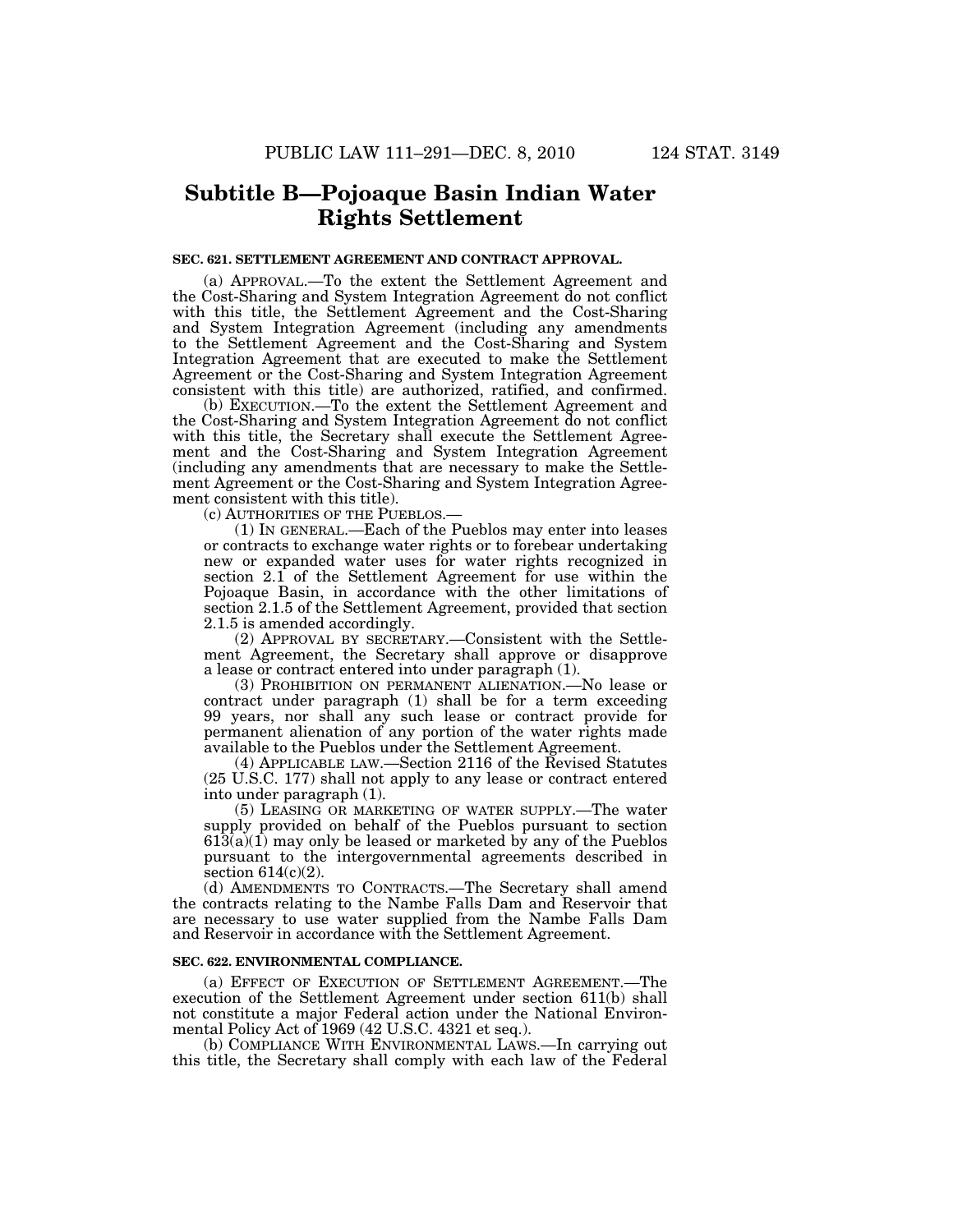## **Subtitle B—Pojoaque Basin Indian Water Rights Settlement**

### **SEC. 621. SETTLEMENT AGREEMENT AND CONTRACT APPROVAL.**

(a) APPROVAL.—To the extent the Settlement Agreement and the Cost-Sharing and System Integration Agreement do not conflict with this title, the Settlement Agreement and the Cost-Sharing and System Integration Agreement (including any amendments to the Settlement Agreement and the Cost-Sharing and System Integration Agreement that are executed to make the Settlement Agreement or the Cost-Sharing and System Integration Agreement consistent with this title) are authorized, ratified, and confirmed.

(b) EXECUTION.—To the extent the Settlement Agreement and the Cost-Sharing and System Integration Agreement do not conflict with this title, the Secretary shall execute the Settlement Agreement and the Cost-Sharing and System Integration Agreement (including any amendments that are necessary to make the Settlement Agreement or the Cost-Sharing and System Integration Agreement consistent with this title).

(c) AUTHORITIES OF THE PUEBLOS.—

(1) IN GENERAL.—Each of the Pueblos may enter into leases or contracts to exchange water rights or to forebear undertaking new or expanded water uses for water rights recognized in section 2.1 of the Settlement Agreement for use within the Pojoaque Basin, in accordance with the other limitations of section 2.1.5 of the Settlement Agreement, provided that section 2.1.5 is amended accordingly.

(2) APPROVAL BY SECRETARY.—Consistent with the Settlement Agreement, the Secretary shall approve or disapprove a lease or contract entered into under paragraph (1).

(3) PROHIBITION ON PERMANENT ALIENATION.—No lease or contract under paragraph (1) shall be for a term exceeding 99 years, nor shall any such lease or contract provide for permanent alienation of any portion of the water rights made available to the Pueblos under the Settlement Agreement.

(4) APPLICABLE LAW.—Section 2116 of the Revised Statutes (25 U.S.C. 177) shall not apply to any lease or contract entered into under paragraph (1).

(5) LEASING OR MARKETING OF WATER SUPPLY.—The water supply provided on behalf of the Pueblos pursuant to section  $613(a)(1)$  may only be leased or marketed by any of the Pueblos pursuant to the intergovernmental agreements described in section 614(c)(2).

(d) AMENDMENTS TO CONTRACTS.—The Secretary shall amend the contracts relating to the Nambe Falls Dam and Reservoir that are necessary to use water supplied from the Nambe Falls Dam and Reservoir in accordance with the Settlement Agreement.

#### **SEC. 622. ENVIRONMENTAL COMPLIANCE.**

(a) EFFECT OF EXECUTION OF SETTLEMENT AGREEMENT.—The execution of the Settlement Agreement under section 611(b) shall not constitute a major Federal action under the National Environmental Policy Act of 1969 (42 U.S.C. 4321 et seq.).

(b) COMPLIANCE WITH ENVIRONMENTAL LAWS.—In carrying out this title, the Secretary shall comply with each law of the Federal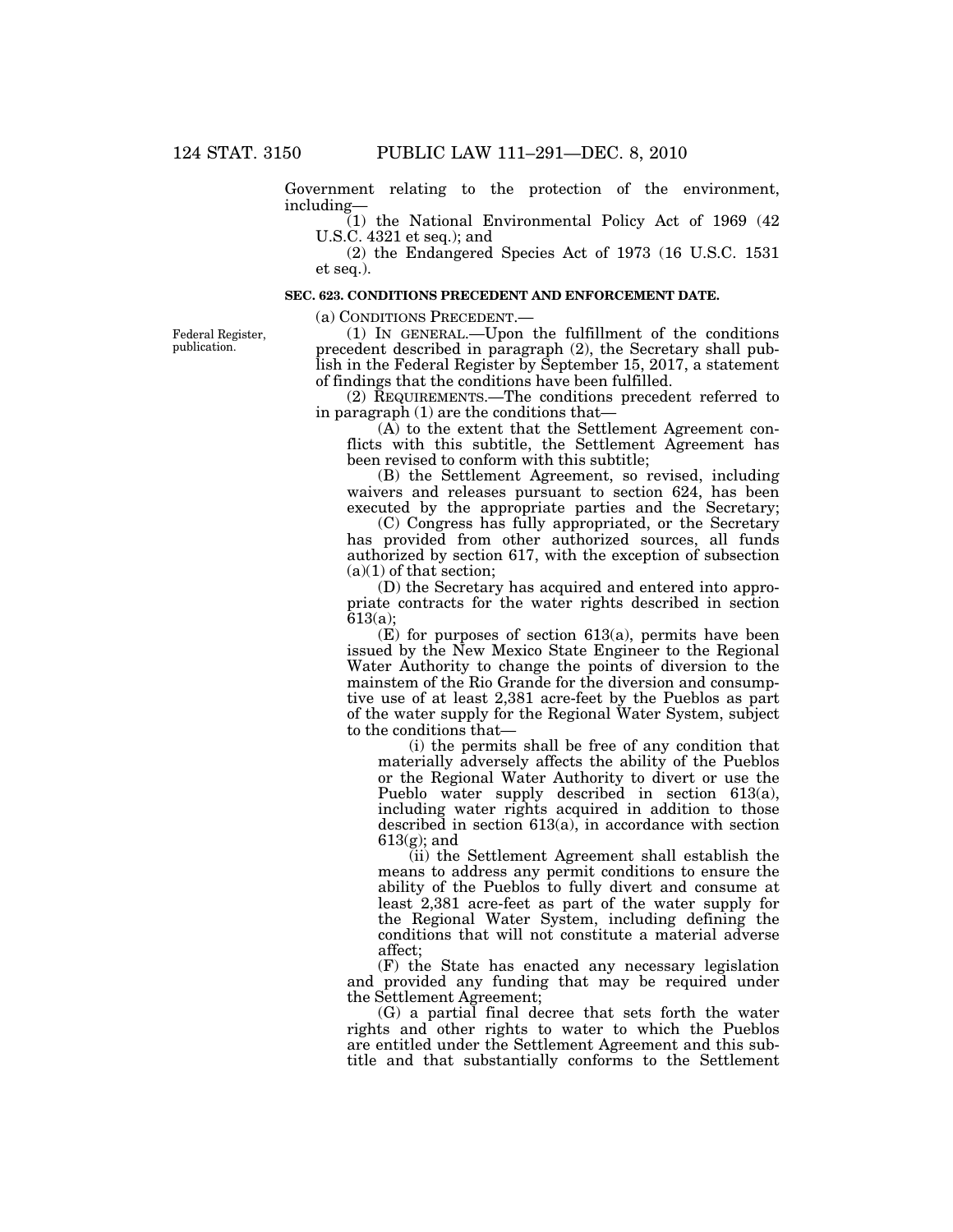Government relating to the protection of the environment, including—

(1) the National Environmental Policy Act of 1969 (42 U.S.C. 4321 et seq.); and

(2) the Endangered Species Act of 1973 (16 U.S.C. 1531 et seq.).

### **SEC. 623. CONDITIONS PRECEDENT AND ENFORCEMENT DATE.**

(a) CONDITIONS PRECEDENT.—

Federal Register, publication.

(1) IN GENERAL.—Upon the fulfillment of the conditions precedent described in paragraph (2), the Secretary shall publish in the Federal Register by September 15, 2017, a statement of findings that the conditions have been fulfilled.

(2) REQUIREMENTS.—The conditions precedent referred to in paragraph (1) are the conditions that—

(A) to the extent that the Settlement Agreement conflicts with this subtitle, the Settlement Agreement has been revised to conform with this subtitle;

(B) the Settlement Agreement, so revised, including waivers and releases pursuant to section 624, has been executed by the appropriate parties and the Secretary;

(C) Congress has fully appropriated, or the Secretary has provided from other authorized sources, all funds authorized by section 617, with the exception of subsection  $(a)(1)$  of that section;

(D) the Secretary has acquired and entered into appropriate contracts for the water rights described in section 613(a);

 $(E)$  for purposes of section 613(a), permits have been issued by the New Mexico State Engineer to the Regional Water Authority to change the points of diversion to the mainstem of the Rio Grande for the diversion and consumptive use of at least 2,381 acre-feet by the Pueblos as part of the water supply for the Regional Water System, subject to the conditions that—

(i) the permits shall be free of any condition that materially adversely affects the ability of the Pueblos or the Regional Water Authority to divert or use the Pueblo water supply described in section 613(a), including water rights acquired in addition to those described in section 613(a), in accordance with section 613(g); and

(ii) the Settlement Agreement shall establish the means to address any permit conditions to ensure the ability of the Pueblos to fully divert and consume at least 2,381 acre-feet as part of the water supply for the Regional Water System, including defining the conditions that will not constitute a material adverse affect;

(F) the State has enacted any necessary legislation and provided any funding that may be required under the Settlement Agreement;

(G) a partial final decree that sets forth the water rights and other rights to water to which the Pueblos are entitled under the Settlement Agreement and this subtitle and that substantially conforms to the Settlement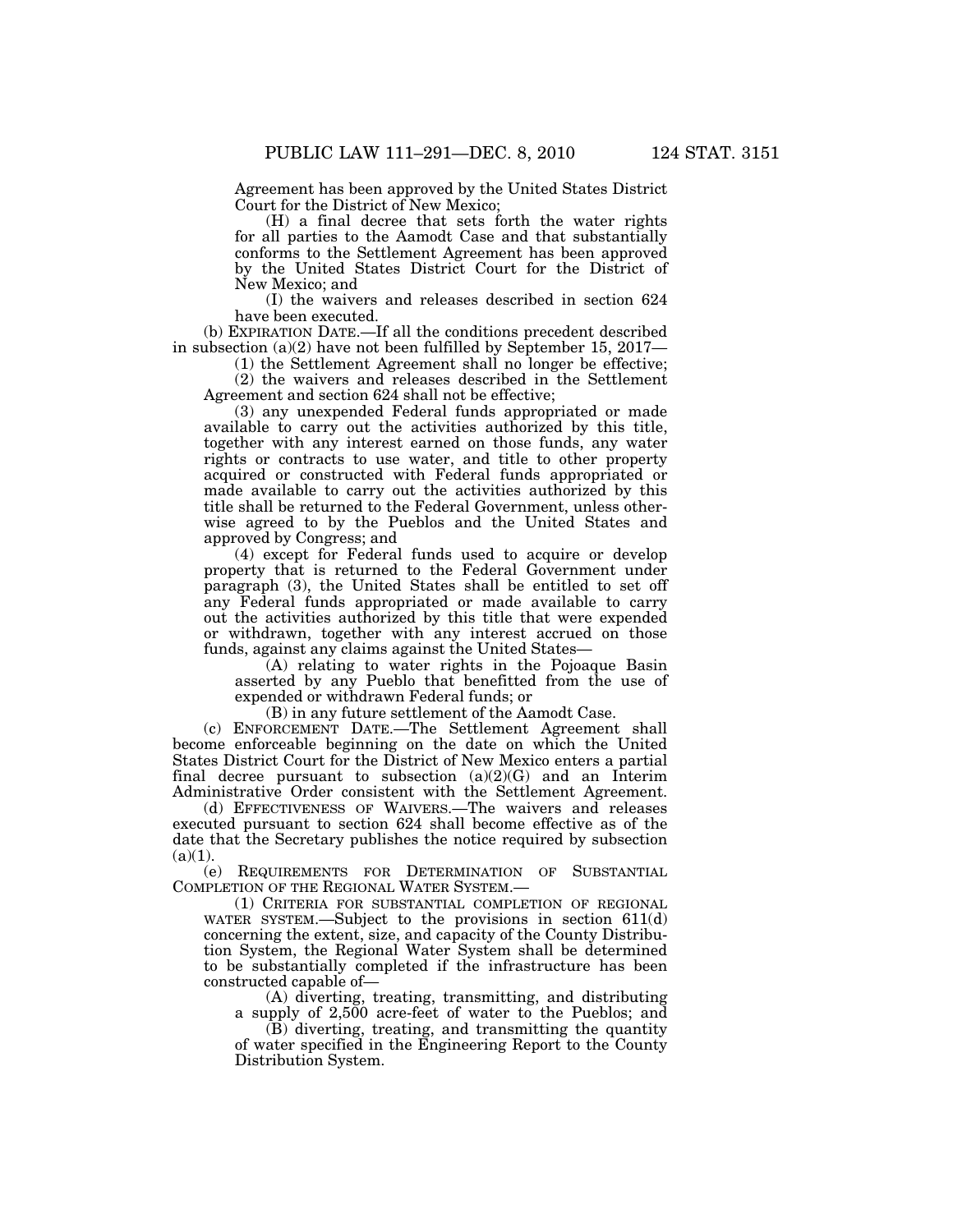Agreement has been approved by the United States District Court for the District of New Mexico;

(H) a final decree that sets forth the water rights for all parties to the Aamodt Case and that substantially conforms to the Settlement Agreement has been approved by the United States District Court for the District of New Mexico; and

(I) the waivers and releases described in section 624 have been executed.

(b) EXPIRATION DATE.—If all the conditions precedent described in subsection (a)(2) have not been fulfilled by September 15, 2017—

(1) the Settlement Agreement shall no longer be effective;

(2) the waivers and releases described in the Settlement Agreement and section 624 shall not be effective;

(3) any unexpended Federal funds appropriated or made available to carry out the activities authorized by this title, together with any interest earned on those funds, any water rights or contracts to use water, and title to other property acquired or constructed with Federal funds appropriated or made available to carry out the activities authorized by this title shall be returned to the Federal Government, unless otherwise agreed to by the Pueblos and the United States and approved by Congress; and

(4) except for Federal funds used to acquire or develop property that is returned to the Federal Government under paragraph (3), the United States shall be entitled to set off any Federal funds appropriated or made available to carry out the activities authorized by this title that were expended or withdrawn, together with any interest accrued on those funds, against any claims against the United States—

(A) relating to water rights in the Pojoaque Basin asserted by any Pueblo that benefitted from the use of expended or withdrawn Federal funds; or

(B) in any future settlement of the Aamodt Case.

(c) ENFORCEMENT DATE.—The Settlement Agreement shall become enforceable beginning on the date on which the United States District Court for the District of New Mexico enters a partial final decree pursuant to subsection  $(a)(2)(G)$  and an Interim Administrative Order consistent with the Settlement Agreement.

(d) EFFECTIVENESS OF WAIVERS.—The waivers and releases executed pursuant to section 624 shall become effective as of the date that the Secretary publishes the notice required by subsection  $(a)(1)$ .

(e) REQUIREMENTS FOR DETERMINATION OF SUBSTANTIAL COMPLETION OF THE REGIONAL WATER SYSTEM.—

(1) CRITERIA FOR SUBSTANTIAL COMPLETION OF REGIONAL WATER SYSTEM.—Subject to the provisions in section 611(d) concerning the extent, size, and capacity of the County Distribution System, the Regional Water System shall be determined to be substantially completed if the infrastructure has been constructed capable of—

(A) diverting, treating, transmitting, and distributing a supply of 2,500 acre-feet of water to the Pueblos; and

(B) diverting, treating, and transmitting the quantity of water specified in the Engineering Report to the County Distribution System.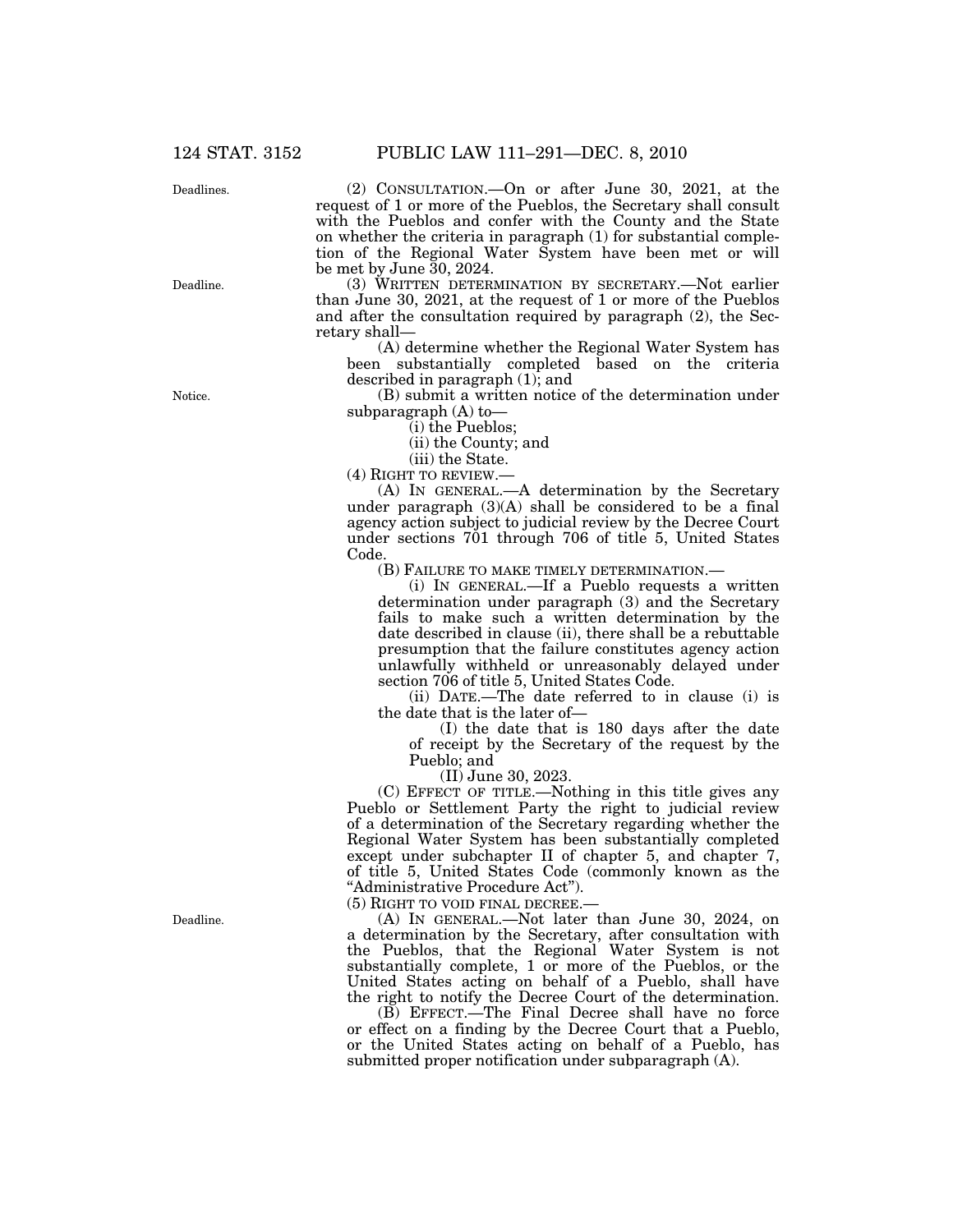Deadlines.

Deadline.

(2) CONSULTATION.—On or after June 30, 2021, at the request of 1 or more of the Pueblos, the Secretary shall consult with the Pueblos and confer with the County and the State on whether the criteria in paragraph (1) for substantial completion of the Regional Water System have been met or will be met by June 30, 2024.

(3) WRITTEN DETERMINATION BY SECRETARY.—Not earlier than June 30, 2021, at the request of 1 or more of the Pueblos and after the consultation required by paragraph (2), the Secretary shall—

(A) determine whether the Regional Water System has been substantially completed based on the criteria described in paragraph (1); and

(B) submit a written notice of the determination under subparagraph (A) to—

(i) the Pueblos;

(ii) the County; and

(iii) the State.

(4) RIGHT TO REVIEW.—

(A) IN GENERAL.—A determination by the Secretary under paragraph (3)(A) shall be considered to be a final agency action subject to judicial review by the Decree Court under sections 701 through 706 of title 5, United States Code.

(B) FAILURE TO MAKE TIMELY DETERMINATION.—

(i) IN GENERAL.—If a Pueblo requests a written determination under paragraph (3) and the Secretary fails to make such a written determination by the date described in clause (ii), there shall be a rebuttable presumption that the failure constitutes agency action unlawfully withheld or unreasonably delayed under section 706 of title 5, United States Code.

(ii) DATE.—The date referred to in clause (i) is the date that is the later of—

(I) the date that is 180 days after the date of receipt by the Secretary of the request by the Pueblo; and

(II) June 30, 2023.

(C) EFFECT OF TITLE.—Nothing in this title gives any Pueblo or Settlement Party the right to judicial review of a determination of the Secretary regarding whether the Regional Water System has been substantially completed except under subchapter II of chapter 5, and chapter 7, of title 5, United States Code (commonly known as the ''Administrative Procedure Act'').

(5) RIGHT TO VOID FINAL DECREE.—

(A) IN GENERAL.—Not later than June 30, 2024, on a determination by the Secretary, after consultation with the Pueblos, that the Regional Water System is not substantially complete, 1 or more of the Pueblos, or the United States acting on behalf of a Pueblo, shall have the right to notify the Decree Court of the determination.

(B) EFFECT.—The Final Decree shall have no force or effect on a finding by the Decree Court that a Pueblo, or the United States acting on behalf of a Pueblo, has submitted proper notification under subparagraph (A).

Notice.

Deadline.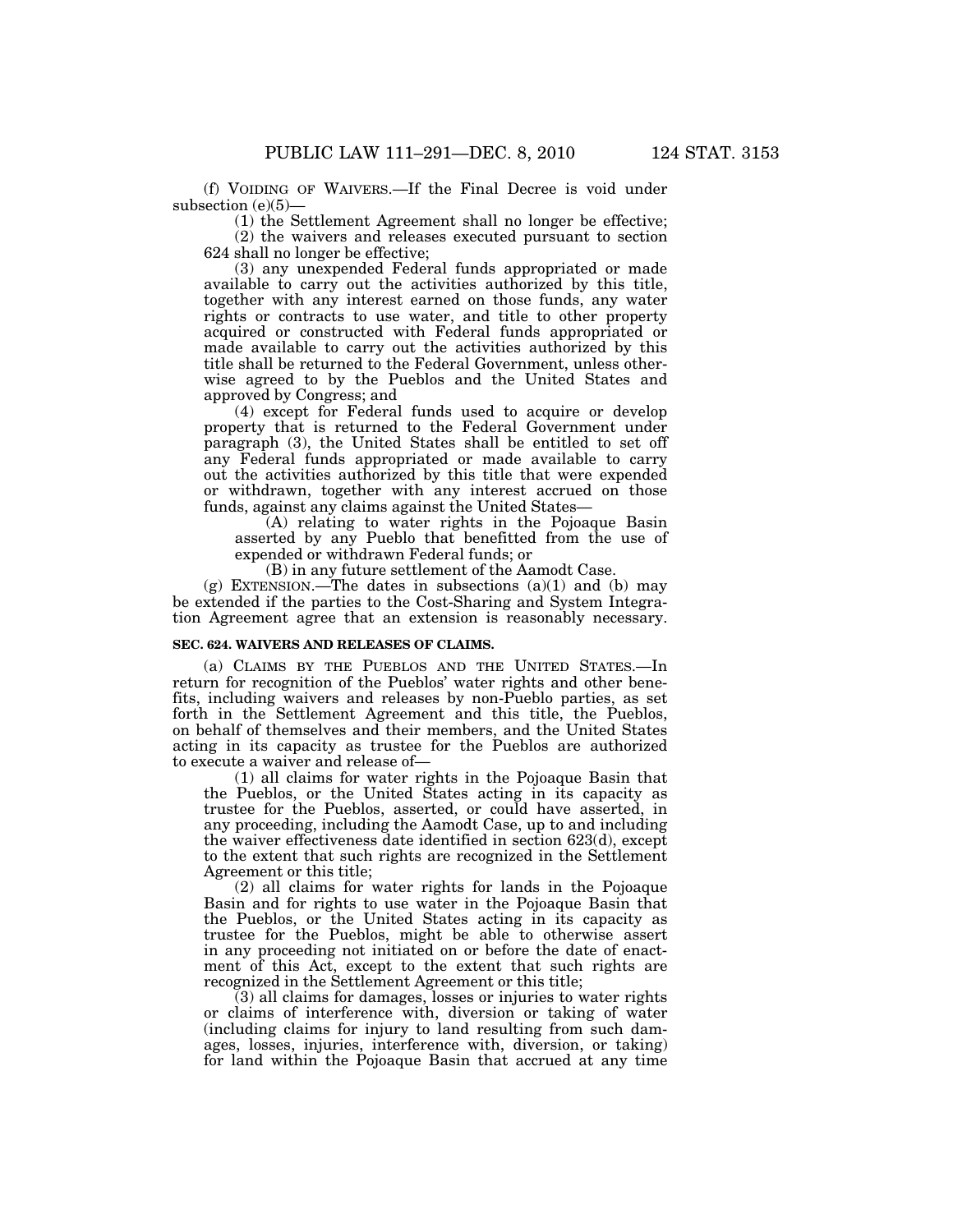(f) VOIDING OF WAIVERS.—If the Final Decree is void under subsection (e)(5)—

(1) the Settlement Agreement shall no longer be effective; (2) the waivers and releases executed pursuant to section

624 shall no longer be effective;

(3) any unexpended Federal funds appropriated or made available to carry out the activities authorized by this title, together with any interest earned on those funds, any water rights or contracts to use water, and title to other property acquired or constructed with Federal funds appropriated or made available to carry out the activities authorized by this title shall be returned to the Federal Government, unless otherwise agreed to by the Pueblos and the United States and approved by Congress; and

(4) except for Federal funds used to acquire or develop property that is returned to the Federal Government under paragraph (3), the United States shall be entitled to set off any Federal funds appropriated or made available to carry out the activities authorized by this title that were expended or withdrawn, together with any interest accrued on those funds, against any claims against the United States—

(A) relating to water rights in the Pojoaque Basin asserted by any Pueblo that benefitted from the use of expended or withdrawn Federal funds; or

(B) in any future settlement of the Aamodt Case.

(g) EXTENSION.—The dates in subsections  $(a)(1)$  and  $(b)$  may be extended if the parties to the Cost-Sharing and System Integration Agreement agree that an extension is reasonably necessary.

### **SEC. 624. WAIVERS AND RELEASES OF CLAIMS.**

(a) CLAIMS BY THE PUEBLOS AND THE UNITED STATES.—In return for recognition of the Pueblos' water rights and other benefits, including waivers and releases by non-Pueblo parties, as set forth in the Settlement Agreement and this title, the Pueblos, on behalf of themselves and their members, and the United States acting in its capacity as trustee for the Pueblos are authorized to execute a waiver and release of—

(1) all claims for water rights in the Pojoaque Basin that the Pueblos, or the United States acting in its capacity as trustee for the Pueblos, asserted, or could have asserted, in any proceeding, including the Aamodt Case, up to and including the waiver effectiveness date identified in section 623(d), except to the extent that such rights are recognized in the Settlement Agreement or this title;

(2) all claims for water rights for lands in the Pojoaque Basin and for rights to use water in the Pojoaque Basin that the Pueblos, or the United States acting in its capacity as trustee for the Pueblos, might be able to otherwise assert in any proceeding not initiated on or before the date of enactment of this Act, except to the extent that such rights are recognized in the Settlement Agreement or this title;

(3) all claims for damages, losses or injuries to water rights or claims of interference with, diversion or taking of water (including claims for injury to land resulting from such damages, losses, injuries, interference with, diversion, or taking) for land within the Pojoaque Basin that accrued at any time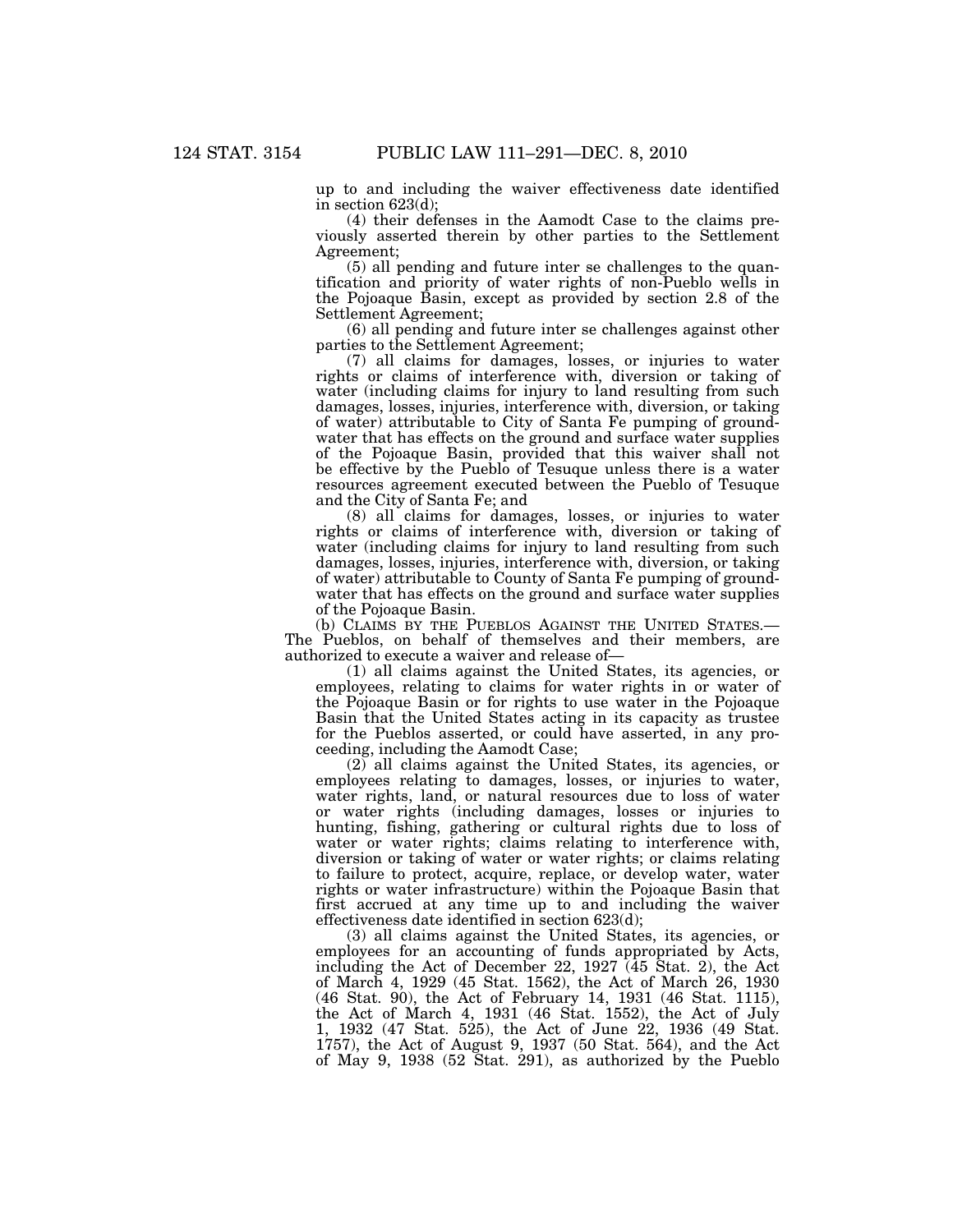up to and including the waiver effectiveness date identified in section 623(d);

(4) their defenses in the Aamodt Case to the claims previously asserted therein by other parties to the Settlement Agreement;

(5) all pending and future inter se challenges to the quantification and priority of water rights of non-Pueblo wells in the Pojoaque Basin, except as provided by section 2.8 of the Settlement Agreement;

(6) all pending and future inter se challenges against other parties to the Settlement Agreement;

(7) all claims for damages, losses, or injuries to water rights or claims of interference with, diversion or taking of water (including claims for injury to land resulting from such damages, losses, injuries, interference with, diversion, or taking of water) attributable to City of Santa Fe pumping of groundwater that has effects on the ground and surface water supplies of the Pojoaque Basin, provided that this waiver shall not be effective by the Pueblo of Tesuque unless there is a water resources agreement executed between the Pueblo of Tesuque and the City of Santa Fe; and

(8) all claims for damages, losses, or injuries to water rights or claims of interference with, diversion or taking of water (including claims for injury to land resulting from such damages, losses, injuries, interference with, diversion, or taking of water) attributable to County of Santa Fe pumping of groundwater that has effects on the ground and surface water supplies of the Pojoaque Basin.

(b) CLAIMS BY THE PUEBLOS AGAINST THE UNITED STATES.— The Pueblos, on behalf of themselves and their members, are authorized to execute a waiver and release of—

(1) all claims against the United States, its agencies, or employees, relating to claims for water rights in or water of the Pojoaque Basin or for rights to use water in the Pojoaque Basin that the United States acting in its capacity as trustee for the Pueblos asserted, or could have asserted, in any proceeding, including the Aamodt Case;

(2) all claims against the United States, its agencies, or employees relating to damages, losses, or injuries to water, water rights, land, or natural resources due to loss of water or water rights (including damages, losses or injuries to hunting, fishing, gathering or cultural rights due to loss of water or water rights; claims relating to interference with, diversion or taking of water or water rights; or claims relating to failure to protect, acquire, replace, or develop water, water rights or water infrastructure) within the Pojoaque Basin that first accrued at any time up to and including the waiver effectiveness date identified in section 623(d);

(3) all claims against the United States, its agencies, or employees for an accounting of funds appropriated by Acts, including the Act of December 22, 1927 (45 Stat. 2), the Act of March 4, 1929 (45 Stat. 1562), the Act of March 26, 1930 (46 Stat. 90), the Act of February 14, 1931 (46 Stat. 1115), the Act of March 4, 1931 (46 Stat. 1552), the Act of July 1, 1932 (47 Stat. 525), the Act of June 22, 1936 (49 Stat. 1757), the Act of August 9, 1937 (50 Stat. 564), and the Act of May 9, 1938 (52 Stat. 291), as authorized by the Pueblo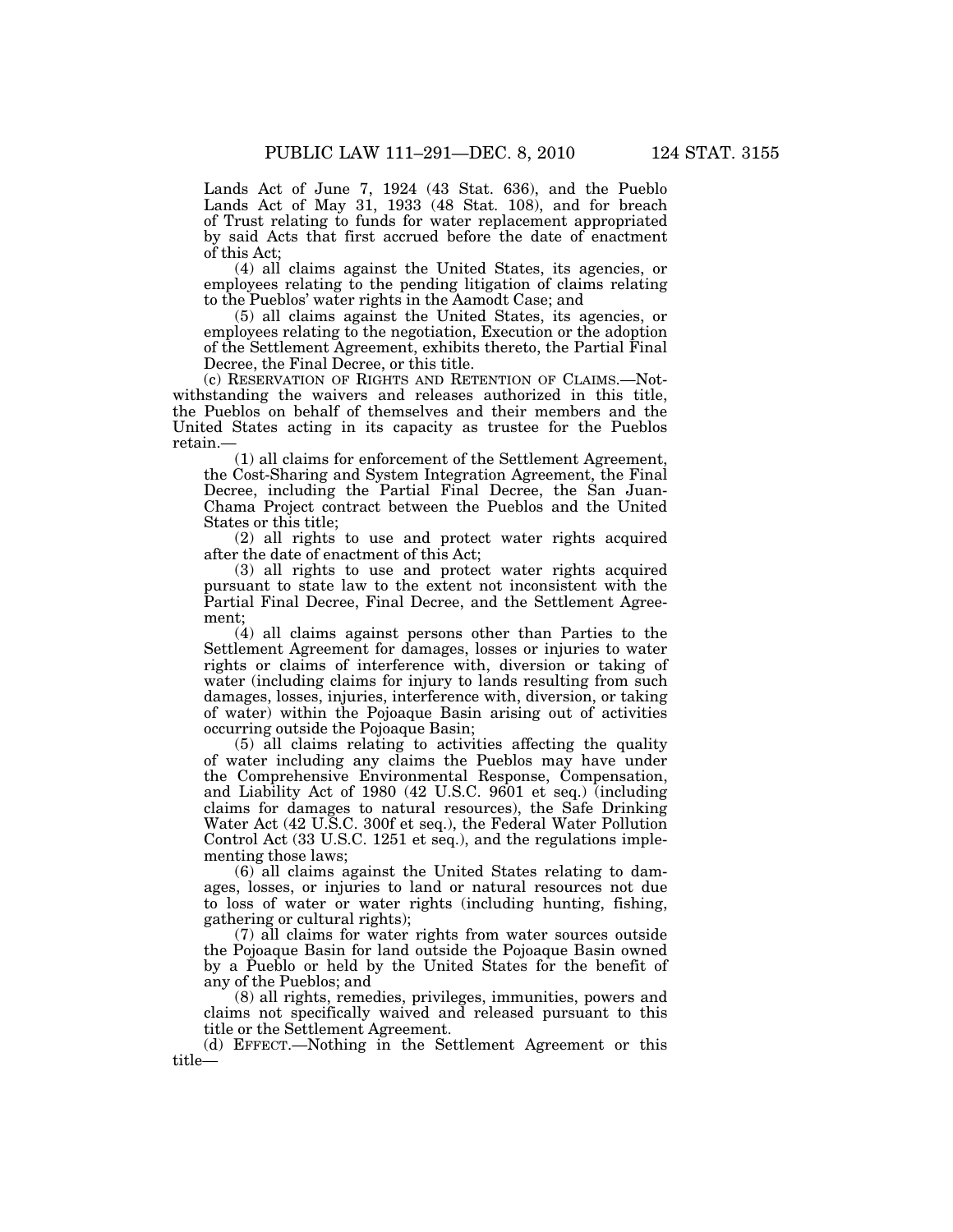Lands Act of June 7, 1924 (43 Stat. 636), and the Pueblo Lands Act of May 31, 1933 (48 Stat. 108), and for breach of Trust relating to funds for water replacement appropriated by said Acts that first accrued before the date of enactment of this Act;

(4) all claims against the United States, its agencies, or employees relating to the pending litigation of claims relating to the Pueblos' water rights in the Aamodt Case; and

(5) all claims against the United States, its agencies, or employees relating to the negotiation, Execution or the adoption of the Settlement Agreement, exhibits thereto, the Partial Final Decree, the Final Decree, or this title.

(c) RESERVATION OF RIGHTS AND RETENTION OF CLAIMS.—Notwithstanding the waivers and releases authorized in this title, the Pueblos on behalf of themselves and their members and the United States acting in its capacity as trustee for the Pueblos retain.—

(1) all claims for enforcement of the Settlement Agreement, the Cost-Sharing and System Integration Agreement, the Final Decree, including the Partial Final Decree, the San Juan-Chama Project contract between the Pueblos and the United States or this title;

(2) all rights to use and protect water rights acquired after the date of enactment of this Act;

(3) all rights to use and protect water rights acquired pursuant to state law to the extent not inconsistent with the Partial Final Decree, Final Decree, and the Settlement Agreement;

(4) all claims against persons other than Parties to the Settlement Agreement for damages, losses or injuries to water rights or claims of interference with, diversion or taking of water (including claims for injury to lands resulting from such damages, losses, injuries, interference with, diversion, or taking of water) within the Pojoaque Basin arising out of activities occurring outside the Pojoaque Basin;

(5) all claims relating to activities affecting the quality of water including any claims the Pueblos may have under the Comprehensive Environmental Response, Compensation, and Liability Act of 1980 (42 U.S.C. 9601 et seq.) (including claims for damages to natural resources), the Safe Drinking Water Act (42 U.S.C. 300f et seq.), the Federal Water Pollution Control Act (33 U.S.C. 1251 et seq.), and the regulations implementing those laws;

(6) all claims against the United States relating to damages, losses, or injuries to land or natural resources not due to loss of water or water rights (including hunting, fishing, gathering or cultural rights);

(7) all claims for water rights from water sources outside the Pojoaque Basin for land outside the Pojoaque Basin owned by a Pueblo or held by the United States for the benefit of any of the Pueblos; and

(8) all rights, remedies, privileges, immunities, powers and claims not specifically waived and released pursuant to this title or the Settlement Agreement.

(d) EFFECT.—Nothing in the Settlement Agreement or this title—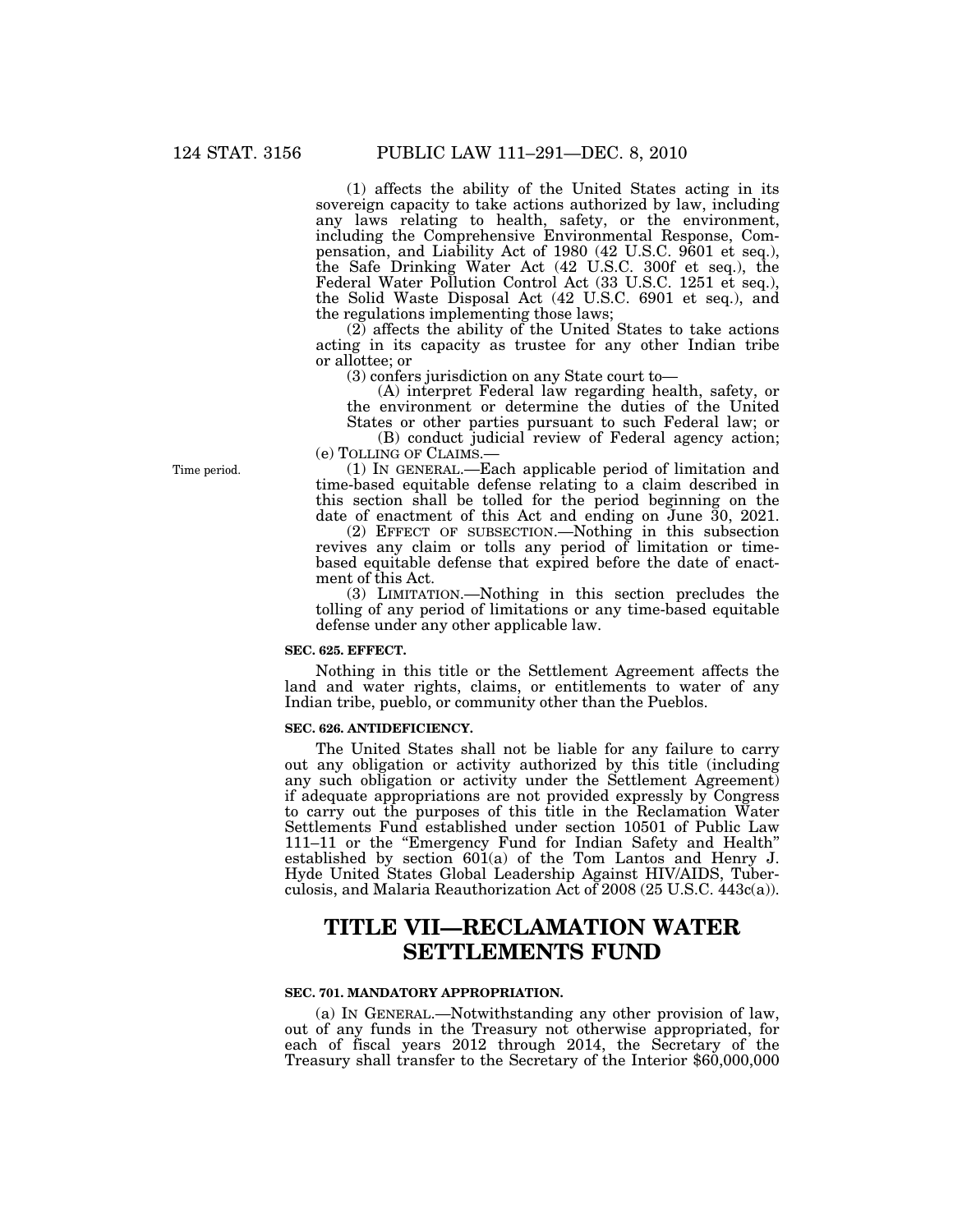(1) affects the ability of the United States acting in its sovereign capacity to take actions authorized by law, including any laws relating to health, safety, or the environment, including the Comprehensive Environmental Response, Compensation, and Liability Act of 1980 (42 U.S.C. 9601 et seq.), the Safe Drinking Water Act (42 U.S.C. 300f et seq.), the Federal Water Pollution Control Act (33 U.S.C. 1251 et seq.), the Solid Waste Disposal Act (42 U.S.C. 6901 et seq.), and the regulations implementing those laws;

(2) affects the ability of the United States to take actions acting in its capacity as trustee for any other Indian tribe or allottee; or

(3) confers jurisdiction on any State court to—

(A) interpret Federal law regarding health, safety, or the environment or determine the duties of the United

States or other parties pursuant to such Federal law; or (B) conduct judicial review of Federal agency action;

(e) TOLLING OF CLAIMS.—

(1) IN GENERAL.—Each applicable period of limitation and time-based equitable defense relating to a claim described in this section shall be tolled for the period beginning on the date of enactment of this Act and ending on June 30, 2021.

(2) EFFECT OF SUBSECTION.—Nothing in this subsection revives any claim or tolls any period of limitation or timebased equitable defense that expired before the date of enactment of this Act.

(3) LIMITATION.—Nothing in this section precludes the tolling of any period of limitations or any time-based equitable defense under any other applicable law.

### **SEC. 625. EFFECT.**

Nothing in this title or the Settlement Agreement affects the land and water rights, claims, or entitlements to water of any Indian tribe, pueblo, or community other than the Pueblos.

### **SEC. 626. ANTIDEFICIENCY.**

The United States shall not be liable for any failure to carry out any obligation or activity authorized by this title (including any such obligation or activity under the Settlement Agreement) if adequate appropriations are not provided expressly by Congress to carry out the purposes of this title in the Reclamation Water Settlements Fund established under section 10501 of Public Law 111–11 or the ''Emergency Fund for Indian Safety and Health'' established by section 601(a) of the Tom Lantos and Henry J. Hyde United States Global Leadership Against HIV/AIDS, Tuberculosis, and Malaria Reauthorization Act of 2008 (25 U.S.C. 443c(a)).

# **TITLE VII—RECLAMATION WATER SETTLEMENTS FUND**

### **SEC. 701. MANDATORY APPROPRIATION.**

(a) IN GENERAL.—Notwithstanding any other provision of law, out of any funds in the Treasury not otherwise appropriated, for each of fiscal years 2012 through 2014, the Secretary of the Treasury shall transfer to the Secretary of the Interior \$60,000,000

Time period.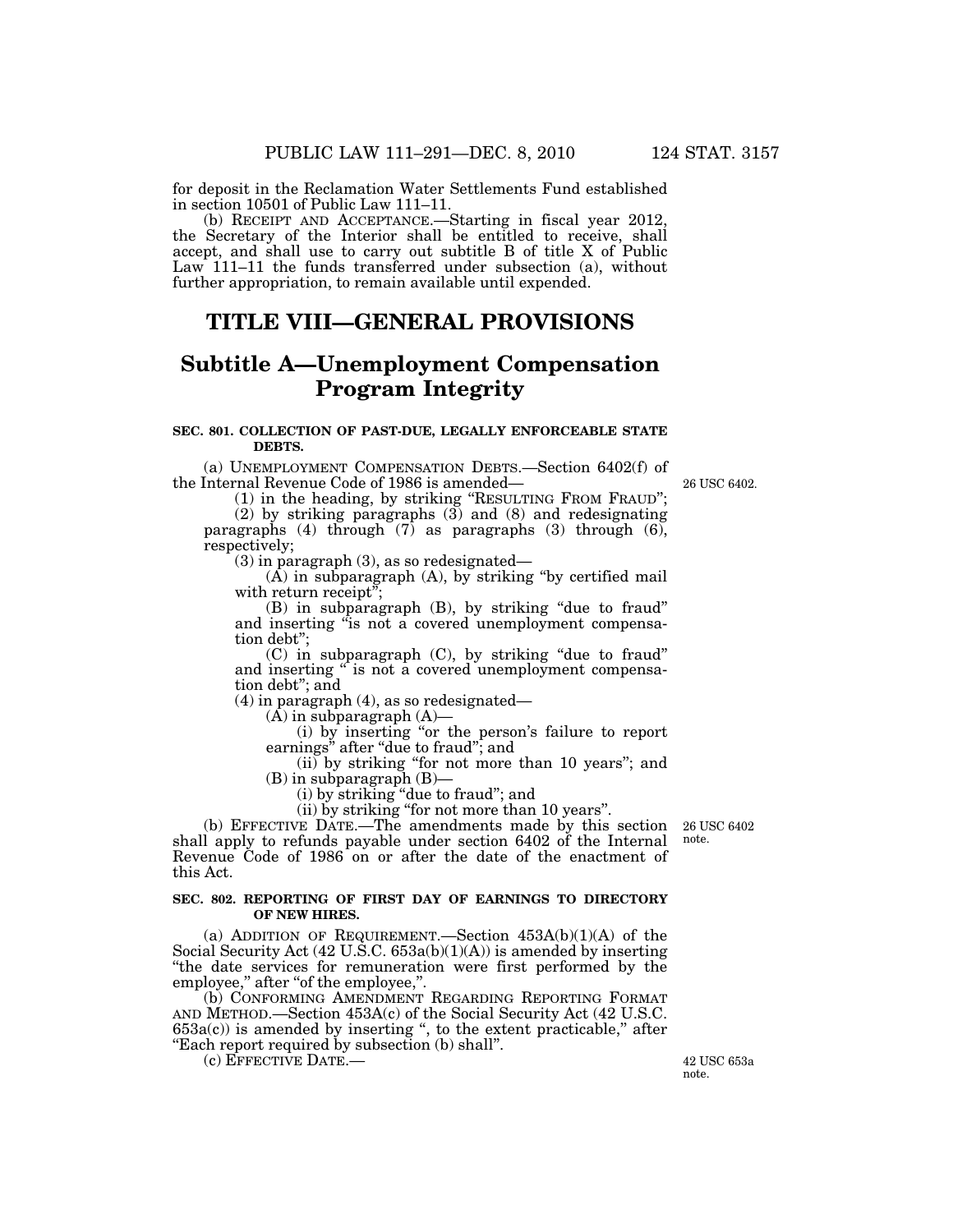for deposit in the Reclamation Water Settlements Fund established in section 10501 of Public Law 111–11.

(b) RECEIPT AND ACCEPTANCE.—Starting in fiscal year 2012, the Secretary of the Interior shall be entitled to receive, shall accept, and shall use to carry out subtitle B of title X of Public Law 111–11 the funds transferred under subsection (a), without further appropriation, to remain available until expended.

## **TITLE VIII—GENERAL PROVISIONS**

# **Subtitle A—Unemployment Compensation Program Integrity**

### **SEC. 801. COLLECTION OF PAST-DUE, LEGALLY ENFORCEABLE STATE DEBTS.**

(a) UNEMPLOYMENT COMPENSATION DEBTS.—Section 6402(f) of the Internal Revenue Code of 1986 is amended—

(1) in the heading, by striking ''RESULTING FROM FRAUD''; (2) by striking paragraphs (3) and (8) and redesignating paragraphs (4) through  $(7)$  as paragraphs (3) through  $(6)$ , respectively;

(3) in paragraph (3), as so redesignated—

(A) in subparagraph (A), by striking ''by certified mail with return receipt";

(B) in subparagraph (B), by striking ''due to fraud'' and inserting "is not a covered unemployment compensation debt'';

(C) in subparagraph (C), by striking ''due to fraud'' and inserting " is not a covered unemployment compensation debt''; and

(4) in paragraph (4), as so redesignated—

 $(A)$  in subparagraph  $(A)$ —

(i) by inserting ''or the person's failure to report earnings" after "due to fraud"; and

(ii) by striking ''for not more than 10 years''; and (B) in subparagraph (B)—

(i) by striking ''due to fraud''; and

(ii) by striking ''for not more than 10 years''.

(b) EFFECTIVE DATE.—The amendments made by this section shall apply to refunds payable under section 6402 of the Internal Revenue Code of 1986 on or after the date of the enactment of this Act.

### **SEC. 802. REPORTING OF FIRST DAY OF EARNINGS TO DIRECTORY OF NEW HIRES.**

(a) ADDITION OF REQUIREMENT.—Section 453A(b)(1)(A) of the Social Security Act  $(42 \text{ U.S.C. } 653a(b)(1)(A))$  is amended by inserting ''the date services for remuneration were first performed by the employee," after "of the employee,".

(b) CONFORMING AMENDMENT REGARDING REPORTING FORMAT AND METHOD.—Section 453A(c) of the Social Security Act (42 U.S.C.  $653a(c)$ ) is amended by inserting ", to the extent practicable," after ''Each report required by subsection (b) shall''.

 $\overline{C}$  (c) EFFECTIVE DATE.  $-$  42 USC 653a

note.

26 USC 6402 note.

26 USC 6402.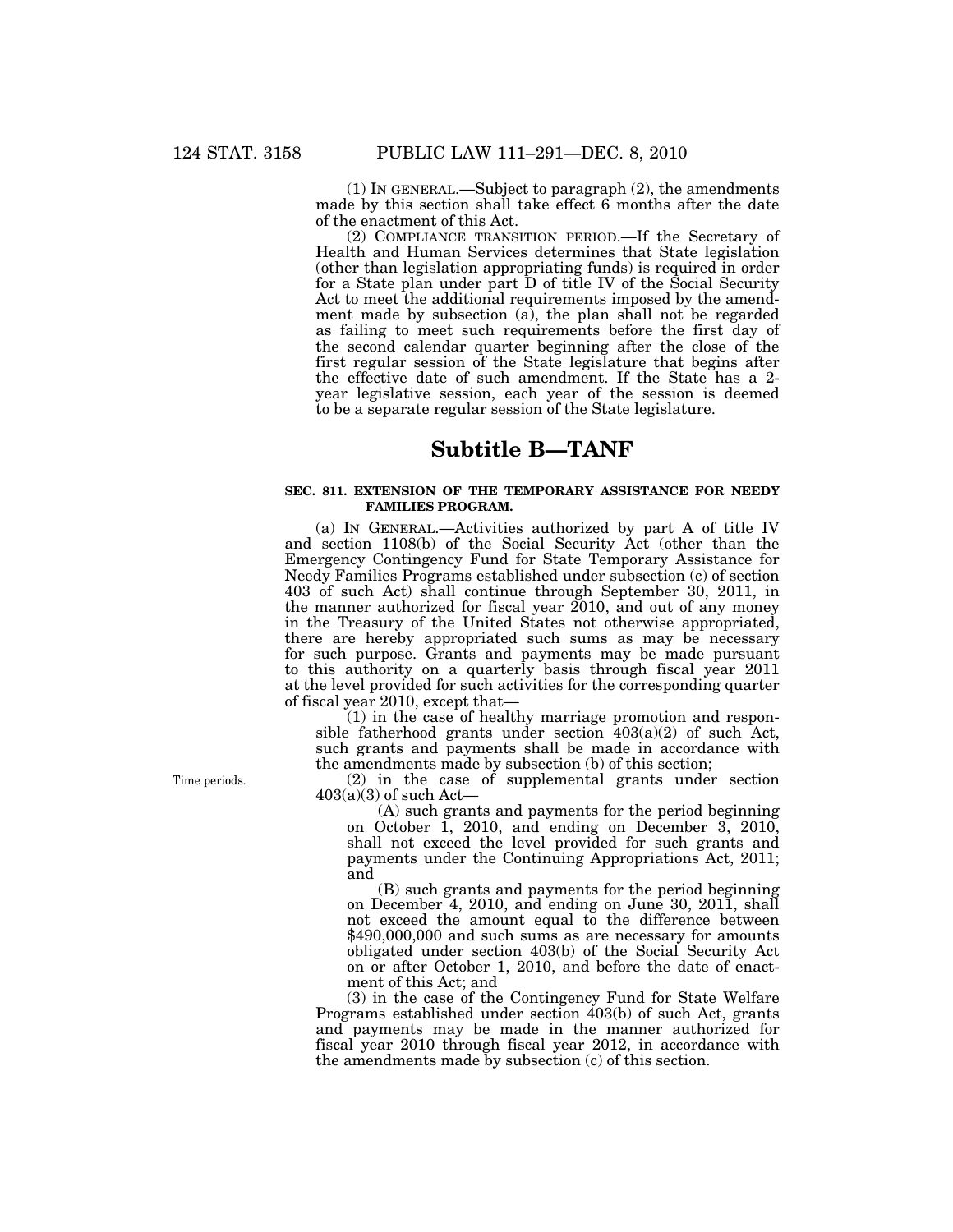(1) IN GENERAL.—Subject to paragraph (2), the amendments made by this section shall take effect 6 months after the date of the enactment of this Act.

(2) COMPLIANCE TRANSITION PERIOD.—If the Secretary of Health and Human Services determines that State legislation (other than legislation appropriating funds) is required in order for a State plan under part D of title IV of the Social Security Act to meet the additional requirements imposed by the amendment made by subsection (a), the plan shall not be regarded as failing to meet such requirements before the first day of the second calendar quarter beginning after the close of the first regular session of the State legislature that begins after the effective date of such amendment. If the State has a 2 year legislative session, each year of the session is deemed to be a separate regular session of the State legislature.

## **Subtitle B—TANF**

### **SEC. 811. EXTENSION OF THE TEMPORARY ASSISTANCE FOR NEEDY FAMILIES PROGRAM.**

(a) IN GENERAL.—Activities authorized by part A of title IV and section 1108(b) of the Social Security Act (other than the Emergency Contingency Fund for State Temporary Assistance for Needy Families Programs established under subsection (c) of section 403 of such Act) shall continue through September 30, 2011, in the manner authorized for fiscal year 2010, and out of any money in the Treasury of the United States not otherwise appropriated, there are hereby appropriated such sums as may be necessary for such purpose. Grants and payments may be made pursuant to this authority on a quarterly basis through fiscal year 2011 at the level provided for such activities for the corresponding quarter of fiscal year 2010, except that—

 $(1)$  in the case of healthy marriage promotion and responsible fatherhood grants under section  $403(a)(2)$  of such Act, such grants and payments shall be made in accordance with the amendments made by subsection (b) of this section;

(2) in the case of supplemental grants under section  $403(a)(3)$  of such Act-

(A) such grants and payments for the period beginning on October 1, 2010, and ending on December 3, 2010, shall not exceed the level provided for such grants and payments under the Continuing Appropriations Act, 2011; and

(B) such grants and payments for the period beginning on December 4, 2010, and ending on June 30, 2011, shall not exceed the amount equal to the difference between \$490,000,000 and such sums as are necessary for amounts obligated under section 403(b) of the Social Security Act on or after October 1, 2010, and before the date of enactment of this Act; and

(3) in the case of the Contingency Fund for State Welfare Programs established under section 403(b) of such Act, grants and payments may be made in the manner authorized for fiscal year 2010 through fiscal year 2012, in accordance with the amendments made by subsection (c) of this section.

Time periods.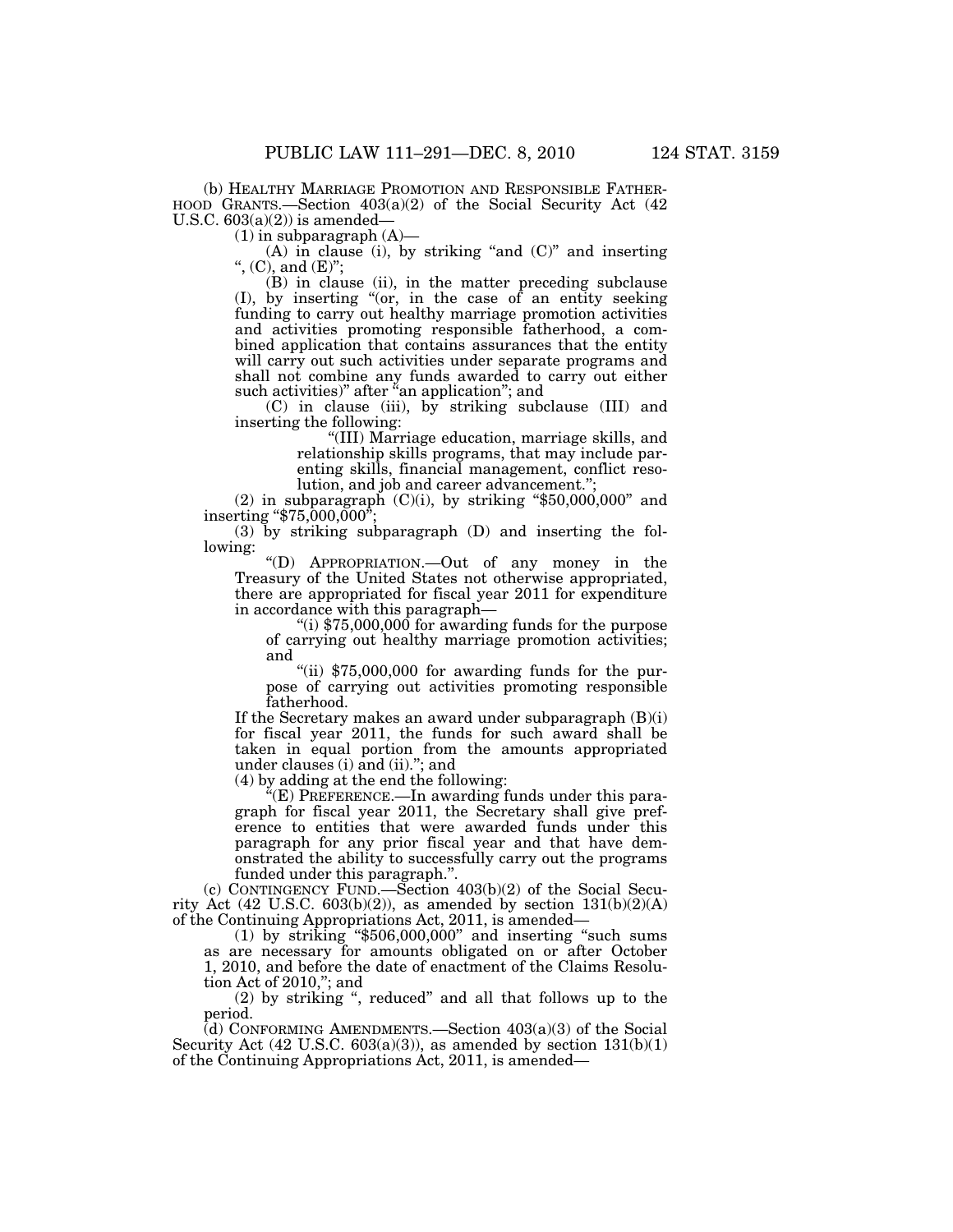(b) HEALTHY MARRIAGE PROMOTION AND RESPONSIBLE FATHER- HOOD GRANTS.—Section 403(a)(2) of the Social Security Act (42 U.S.C.  $603(a)(2)$ ) is amended—

 $(1)$  in subparagraph  $(A)$ —

(A) in clause (i), by striking "and  $(C)$ " and inserting '', (C), and (E)'';

(B) in clause (ii), in the matter preceding subclause (I), by inserting ''(or, in the case of an entity seeking funding to carry out healthy marriage promotion activities and activities promoting responsible fatherhood, a combined application that contains assurances that the entity will carry out such activities under separate programs and shall not combine any funds awarded to carry out either such activities)" after "an application"; and

(C) in clause (iii), by striking subclause (III) and inserting the following:

> ''(III) Marriage education, marriage skills, and relationship skills programs, that may include parenting skills, financial management, conflict resolution, and job and career advancement."

(2) in subparagraph  $(C)(i)$ , by striking "\$50,000,000" and inserting " $$75,000,000$ ";

(3) by striking subparagraph (D) and inserting the following:

''(D) APPROPRIATION.—Out of any money in the Treasury of the United States not otherwise appropriated, there are appropriated for fiscal year 2011 for expenditure in accordance with this paragraph—

"(i)  $$75,000,000$  for awarding funds for the purpose of carrying out healthy marriage promotion activities; and

"(ii)  $$75,000,000$  for awarding funds for the purpose of carrying out activities promoting responsible fatherhood.

If the Secretary makes an award under subparagraph (B)(i) for fiscal year 2011, the funds for such award shall be taken in equal portion from the amounts appropriated under clauses (i) and (ii).''; and

(4) by adding at the end the following:

''(E) PREFERENCE.—In awarding funds under this paragraph for fiscal year 2011, the Secretary shall give preference to entities that were awarded funds under this paragraph for any prior fiscal year and that have demonstrated the ability to successfully carry out the programs funded under this paragraph.''.

(c) CONTINGENCY FUND.—Section 403(b)(2) of the Social Security Act  $(42 \text{ U.S.C. } 603(b)(2))$ , as amended by section  $131(b)(2)(A)$ of the Continuing Appropriations Act, 2011, is amended—

(1) by striking ''\$506,000,000'' and inserting ''such sums as are necessary for amounts obligated on or after October 1, 2010, and before the date of enactment of the Claims Resolution Act of 2010,''; and

(2) by striking '', reduced'' and all that follows up to the period.

(d) CONFORMING AMENDMENTS.—Section  $403(a)(3)$  of the Social Security Act  $(42 \text{ U.S.C. } 603(a)(3))$ , as amended by section  $131(b)(1)$ of the Continuing Appropriations Act, 2011, is amended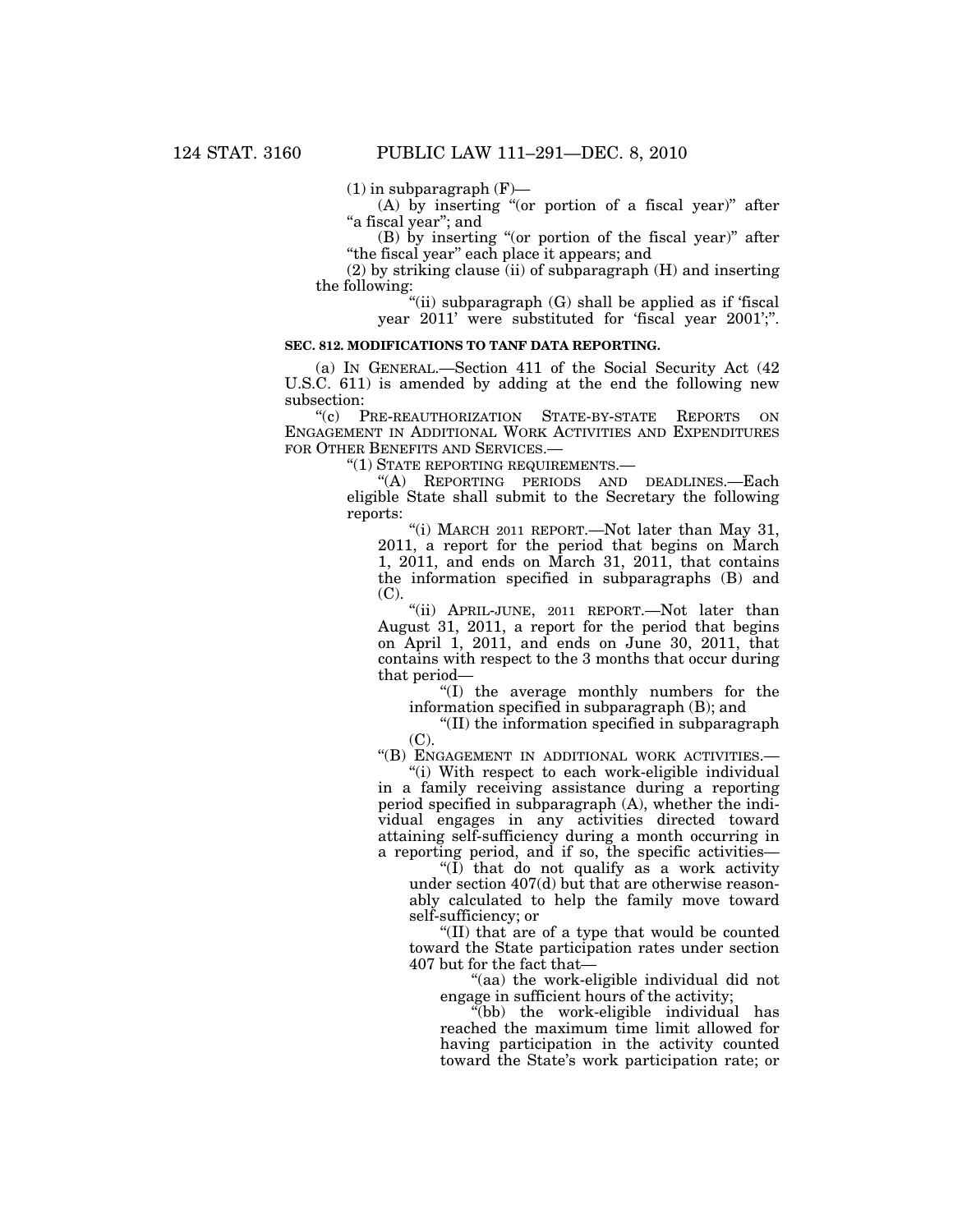$(1)$  in subparagraph  $(F)$ —

(A) by inserting "(or portion of a fiscal year)" after "a fiscal year"; and

(B) by inserting ''(or portion of the fiscal year)'' after ''the fiscal year'' each place it appears; and

(2) by striking clause (ii) of subparagraph (H) and inserting the following:

''(ii) subparagraph (G) shall be applied as if 'fiscal year 2011' were substituted for 'fiscal year 2001';''.

### **SEC. 812. MODIFICATIONS TO TANF DATA REPORTING.**

(a) IN GENERAL.—Section 411 of the Social Security Act (42 U.S.C. 611) is amended by adding at the end the following new subsection:

''(c) PRE-REAUTHORIZATION STATE-BY-STATE REPORTS ON ENGAGEMENT IN ADDITIONAL WORK ACTIVITIES AND EXPENDITURES FOR OTHER BENEFITS AND SERVICES.—

''(1) STATE REPORTING REQUIREMENTS.—

''(A) REPORTING PERIODS AND DEADLINES.—Each eligible State shall submit to the Secretary the following reports:

''(i) MARCH 2011 REPORT.—Not later than May 31, 2011, a report for the period that begins on March 1, 2011, and ends on March 31, 2011, that contains the information specified in subparagraphs (B) and (C).

''(ii) APRIL-JUNE, 2011 REPORT.—Not later than August 31, 2011, a report for the period that begins on April 1, 2011, and ends on June 30, 2011, that contains with respect to the 3 months that occur during that period—

''(I) the average monthly numbers for the information specified in subparagraph (B); and

''(II) the information specified in subparagraph (C).

"(B) ENGAGEMENT IN ADDITIONAL WORK ACTIVITIES.

''(i) With respect to each work-eligible individual in a family receiving assistance during a reporting period specified in subparagraph (A), whether the individual engages in any activities directed toward attaining self-sufficiency during a month occurring in a reporting period, and if so, the specific activities—

" $(\overline{I})$  that do not qualify as a work activity" under section 407(d) but that are otherwise reasonably calculated to help the family move toward self-sufficiency; or

''(II) that are of a type that would be counted toward the State participation rates under section 407 but for the fact that—

''(aa) the work-eligible individual did not engage in sufficient hours of the activity;

''(bb) the work-eligible individual has reached the maximum time limit allowed for having participation in the activity counted toward the State's work participation rate; or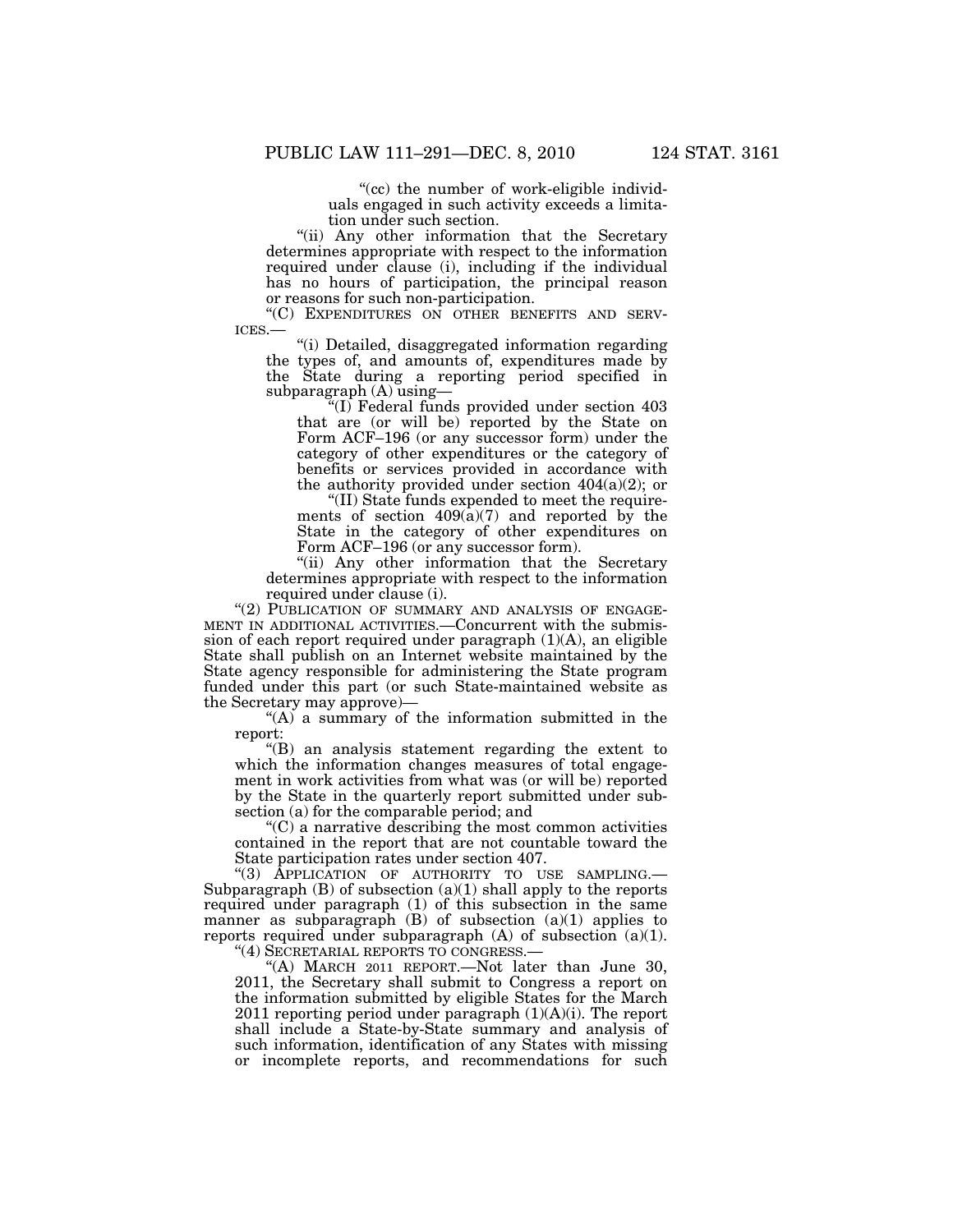"(cc) the number of work-eligible individuals engaged in such activity exceeds a limitation under such section.

''(ii) Any other information that the Secretary determines appropriate with respect to the information required under clause (i), including if the individual has no hours of participation, the principal reason or reasons for such non-participation.

"(C) EXPENDITURES ON OTHER BENEFITS AND SERVICES.—<br>"(i) Detailed, disaggregated information regarding

the types of, and amounts of, expenditures made by the State during a reporting period specified in subparagraph (A) using-

''(I) Federal funds provided under section 403 that are (or will be) reported by the State on Form ACF–196 (or any successor form) under the category of other expenditures or the category of benefits or services provided in accordance with the authority provided under section  $404(a)(2)$ ; or

''(II) State funds expended to meet the requirements of section  $409(a)(7)$  and reported by the State in the category of other expenditures on Form ACF-196 (or any successor form).

''(ii) Any other information that the Secretary determines appropriate with respect to the information required under clause (i).

"(2) PUBLICATION OF SUMMARY AND ANALYSIS OF ENGAGE-MENT IN ADDITIONAL ACTIVITIES.—Concurrent with the submission of each report required under paragraph (1)(A), an eligible State shall publish on an Internet website maintained by the State agency responsible for administering the State program funded under this part (or such State-maintained website as the Secretary may approve)—

"(A) a summary of the information submitted in the report:

''(B) an analysis statement regarding the extent to which the information changes measures of total engagement in work activities from what was (or will be) reported by the State in the quarterly report submitted under subsection (a) for the comparable period; and

 $C$ ) a narrative describing the most common activities contained in the report that are not countable toward the State participation rates under section 407.

''(3) APPLICATION OF AUTHORITY TO USE SAMPLING.— Subparagraph  $(B)$  of subsection  $(a)(1)$  shall apply to the reports required under paragraph (1) of this subsection in the same manner as subparagraph  $(B)$  of subsection  $(a)(1)$  applies to reports required under subparagraph  $(A)$  of subsection  $(a)(1)$ .

''(4) SECRETARIAL REPORTS TO CONGRESS.—

''(A) MARCH 2011 REPORT.—Not later than June 30, 2011, the Secretary shall submit to Congress a report on the information submitted by eligible States for the March 2011 reporting period under paragraph  $(1)(A)(i)$ . The report shall include a State-by-State summary and analysis of such information, identification of any States with missing or incomplete reports, and recommendations for such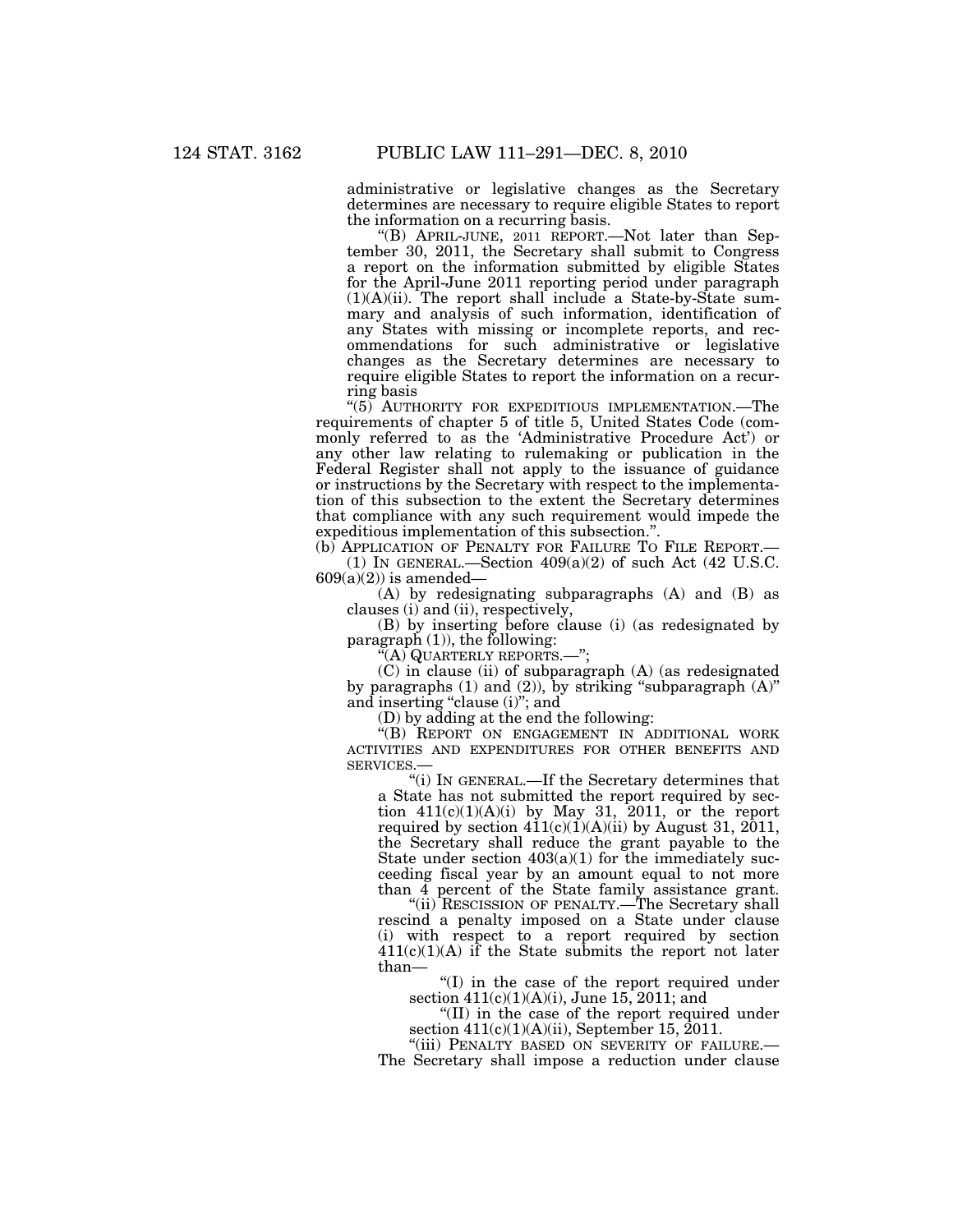administrative or legislative changes as the Secretary determines are necessary to require eligible States to report the information on a recurring basis.

''(B) APRIL-JUNE, 2011 REPORT.—Not later than September 30, 2011, the Secretary shall submit to Congress a report on the information submitted by eligible States for the April-June 2011 reporting period under paragraph  $(1)(A)(ii)$ . The report shall include a State-by-State summary and analysis of such information, identification of any States with missing or incomplete reports, and recommendations for such administrative or legislative changes as the Secretary determines are necessary to require eligible States to report the information on a recurring basis

"(5) AUTHORITY FOR EXPEDITIOUS IMPLEMENTATION.—The requirements of chapter 5 of title 5, United States Code (commonly referred to as the 'Administrative Procedure Act') or any other law relating to rulemaking or publication in the Federal Register shall not apply to the issuance of guidance or instructions by the Secretary with respect to the implementation of this subsection to the extent the Secretary determines that compliance with any such requirement would impede the expeditious implementation of this subsection."

(b) APPLICATION OF PENALTY FOR FAILURE TO FILE REPORT.— (1) IN GENERAL.—Section  $409(a)(2)$  of such Act (42 U.S.C.  $609(a)(2)$  is amended—

(A) by redesignating subparagraphs (A) and (B) as clauses (i) and (ii), respectively,

(B) by inserting before clause (i) (as redesignated by paragraph  $(1)$ , the following:

''(A) QUARTERLY REPORTS.—'';

(C) in clause (ii) of subparagraph (A) (as redesignated by paragraphs (1) and (2)), by striking ''subparagraph (A)'' and inserting "clause (i)"; and

(D) by adding at the end the following:

''(B) REPORT ON ENGAGEMENT IN ADDITIONAL WORK ACTIVITIES AND EXPENDITURES FOR OTHER BENEFITS AND SERVICES.—

''(i) IN GENERAL.—If the Secretary determines that a State has not submitted the report required by section  $411(c)(1)(A)(i)$  by May 31, 2011, or the report required by section  $411(c)(1)(A)(ii)$  by August 31, 2011, the Secretary shall reduce the grant payable to the State under section  $403(a)(1)$  for the immediately succeeding fiscal year by an amount equal to not more than 4 percent of the State family assistance grant.

''(ii) RESCISSION OF PENALTY.—The Secretary shall rescind a penalty imposed on a State under clause (i) with respect to a report required by section  $411(c)(1)(A)$  if the State submits the report not later than—

''(I) in the case of the report required under section 411(c)(1)(A)(i), June 15, 2011; and

''(II) in the case of the report required under section  $411(c)(1)(A)(ii)$ , September 15, 2011.

''(iii) PENALTY BASED ON SEVERITY OF FAILURE.— The Secretary shall impose a reduction under clause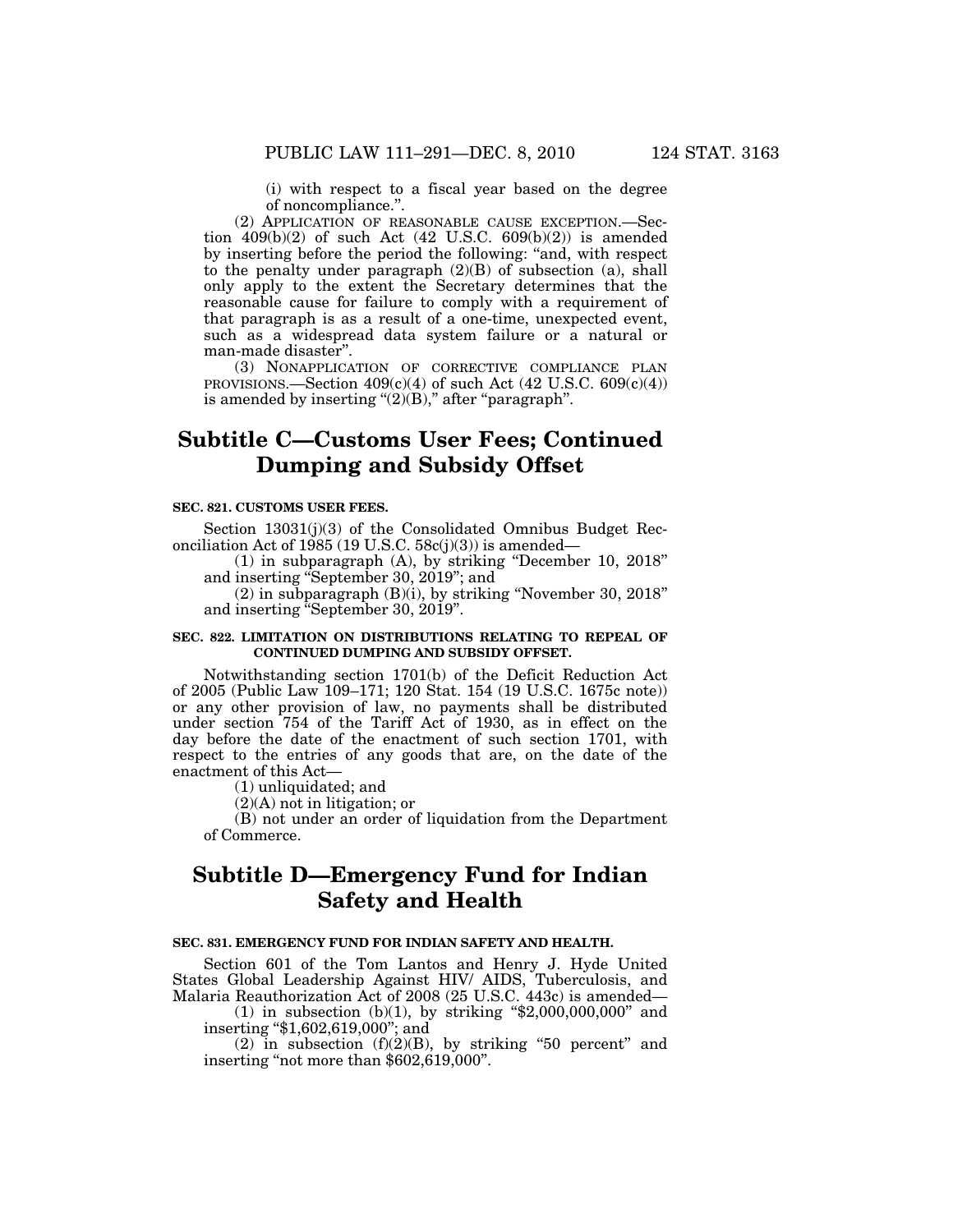(i) with respect to a fiscal year based on the degree of noncompliance.''.

(2) APPLICATION OF REASONABLE CAUSE EXCEPTION.—Section  $409(b)(2)$  of such Act  $(42 \text{ U.S.C. } 609(b)(2))$  is amended by inserting before the period the following: ''and, with respect to the penalty under paragraph  $(2)(B)$  of subsection (a), shall only apply to the extent the Secretary determines that the reasonable cause for failure to comply with a requirement of that paragraph is as a result of a one-time, unexpected event, such as a widespread data system failure or a natural or man-made disaster''.

(3) NONAPPLICATION OF CORRECTIVE COMPLIANCE PLAN PROVISIONS.—Section 409(c)(4) of such Act (42 U.S.C. 609(c)(4)) is amended by inserting  $(2)(B)$ ," after "paragraph".

# **Subtitle C—Customs User Fees; Continued Dumping and Subsidy Offset**

#### **SEC. 821. CUSTOMS USER FEES.**

Section 13031(j)(3) of the Consolidated Omnibus Budget Reconciliation Act of 1985 (19 U.S.C. 58c(j)(3)) is amended—

(1) in subparagraph (A), by striking ''December 10, 2018'' and inserting ''September 30, 2019''; and

(2) in subparagraph (B)(i), by striking ''November 30, 2018'' and inserting ''September 30, 2019''.

### **SEC. 822. LIMITATION ON DISTRIBUTIONS RELATING TO REPEAL OF CONTINUED DUMPING AND SUBSIDY OFFSET.**

Notwithstanding section 1701(b) of the Deficit Reduction Act of 2005 (Public Law 109–171; 120 Stat. 154 (19 U.S.C. 1675c note)) or any other provision of law, no payments shall be distributed under section 754 of the Tariff Act of 1930, as in effect on the day before the date of the enactment of such section 1701, with respect to the entries of any goods that are, on the date of the enactment of this Act—

(1) unliquidated; and

(2)(A) not in litigation; or

(B) not under an order of liquidation from the Department of Commerce.

# **Subtitle D—Emergency Fund for Indian Safety and Health**

### **SEC. 831. EMERGENCY FUND FOR INDIAN SAFETY AND HEALTH.**

Section 601 of the Tom Lantos and Henry J. Hyde United States Global Leadership Against HIV/ AIDS, Tuberculosis, and Malaria Reauthorization Act of 2008 (25 U.S.C. 443c) is amended—

(1) in subsection (b)(1), by striking " $$2,000,000,000$ " and inserting ''\$1,602,619,000''; and

(2) in subsection  $(f)(2)(B)$ , by striking "50 percent" and inserting "not more than \$602,619,000".